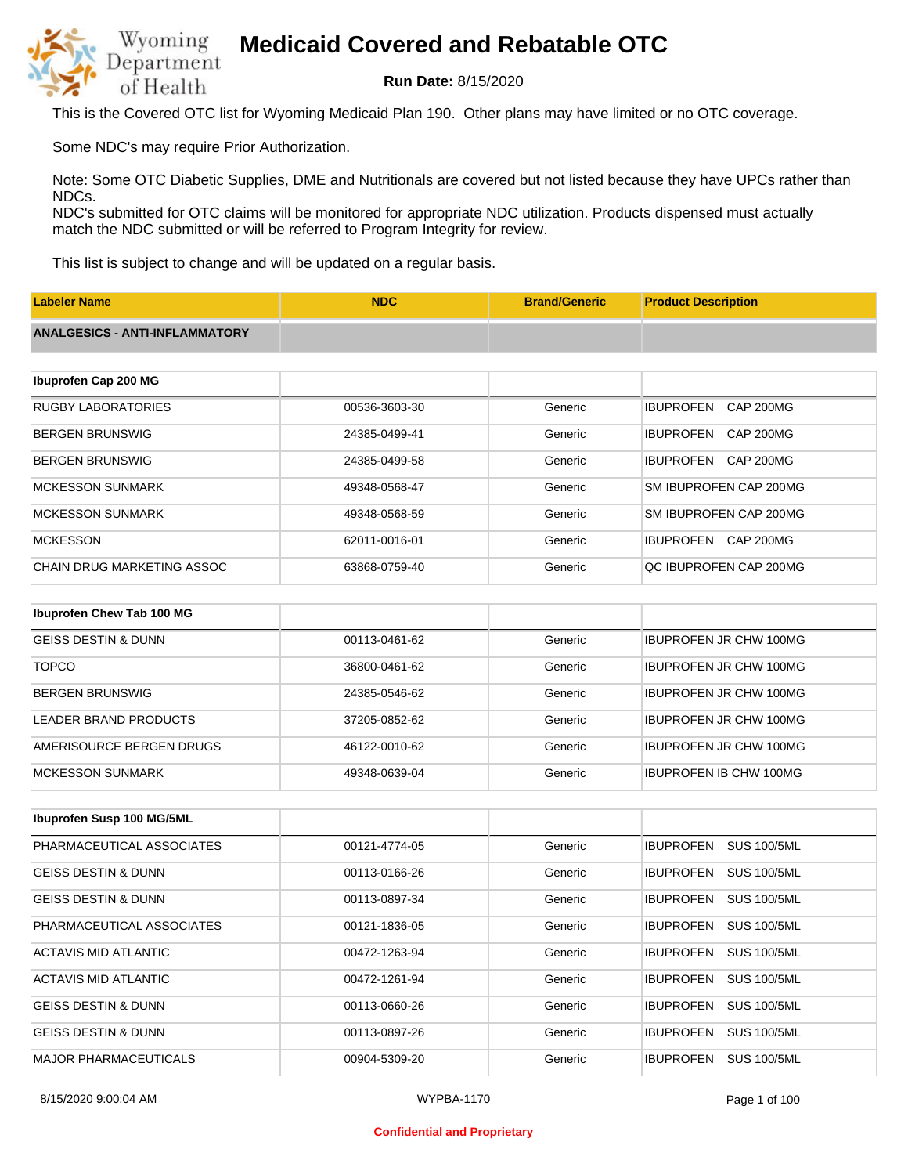

**Run Date:** 8/15/2020

This is the Covered OTC list for Wyoming Medicaid Plan 190. Other plans may have limited or no OTC coverage.

Some NDC's may require Prior Authorization.

Note: Some OTC Diabetic Supplies, DME and Nutritionals are covered but not listed because they have UPCs rather than NDCs.

NDC's submitted for OTC claims will be monitored for appropriate NDC utilization. Products dispensed must actually match the NDC submitted or will be referred to Program Integrity for review.

This list is subject to change and will be updated on a regular basis.

| <b>Labeler Name</b>                   | <b>NDC</b>    | <b>Brand/Generic</b> | <b>Product Description</b>           |  |
|---------------------------------------|---------------|----------------------|--------------------------------------|--|
| <b>ANALGESICS - ANTI-INFLAMMATORY</b> |               |                      |                                      |  |
|                                       |               |                      |                                      |  |
| Ibuprofen Cap 200 MG                  |               |                      |                                      |  |
| <b>RUGBY LABORATORIES</b>             | 00536-3603-30 | Generic              | <b>IBUPROFEN</b><br><b>CAP 200MG</b> |  |
| <b>BERGEN BRUNSWIG</b>                | 24385-0499-41 | Generic              | <b>IBUPROFEN</b><br><b>CAP 200MG</b> |  |
| <b>BERGEN BRUNSWIG</b>                | 24385-0499-58 | Generic              | <b>IBUPROFEN</b><br><b>CAP 200MG</b> |  |
| <b>MCKESSON SUNMARK</b>               | 49348-0568-47 | Generic              | SM IBUPROFEN CAP 200MG               |  |
| <b>MCKESSON SUNMARK</b>               | 49348-0568-59 | Generic              | SM IBUPROFEN CAP 200MG               |  |
| <b>MCKESSON</b>                       | 62011-0016-01 | Generic              | CAP 200MG<br><b>IBUPROFEN</b>        |  |
| <b>CHAIN DRUG MARKETING ASSOC</b>     | 63868-0759-40 | Generic              | QC IBUPROFEN CAP 200MG               |  |
|                                       |               |                      |                                      |  |
| Ibuprofen Chew Tab 100 MG             |               |                      |                                      |  |
| <b>GEISS DESTIN &amp; DUNN</b>        | 00113-0461-62 | Generic              | <b>IBUPROFEN JR CHW 100MG</b>        |  |

| <b>TOPCO</b>             | 36800-0461-62 | Generic | <b>IBUPROFEN JR CHW 100MG</b> |
|--------------------------|---------------|---------|-------------------------------|
| BERGEN BRUNSWIG          | 24385-0546-62 | Generic | <b>IBUPROFEN JR CHW 100MG</b> |
| LEADER BRAND PRODUCTS    | 37205-0852-62 | Generic | <b>IBUPROFEN JR CHW 100MG</b> |
| AMERISOURCE BERGEN DRUGS | 46122-0010-62 | Generic | <b>IBUPROFEN JR CHW 100MG</b> |
| IMCKESSON SUNMARK        | 49348-0639-04 | Generic | <b>IBUPROFEN IB CHW 100MG</b> |

| <b>Ibuprofen Susp 100 MG/5ML</b> |               |         |                                        |
|----------------------------------|---------------|---------|----------------------------------------|
| PHARMACEUTICAL ASSOCIATES        | 00121-4774-05 | Generic | <b>SUS 100/5ML</b><br><b>IBUPROFEN</b> |
| <b>GEISS DESTIN &amp; DUNN</b>   | 00113-0166-26 | Generic | <b>IBUPROFEN</b><br><b>SUS 100/5ML</b> |
| <b>GEISS DESTIN &amp; DUNN</b>   | 00113-0897-34 | Generic | <b>IBUPROFEN</b><br><b>SUS 100/5ML</b> |
| PHARMACEUTICAL ASSOCIATES        | 00121-1836-05 | Generic | <b>SUS 100/5ML</b><br><b>IBUPROFEN</b> |
| ACTAVIS MID ATLANTIC             | 00472-1263-94 | Generic | <b>SUS 100/5ML</b><br><b>IBUPROFEN</b> |
| ACTAVIS MID ATLANTIC             | 00472-1261-94 | Generic | <b>IBUPROFEN</b><br><b>SUS 100/5ML</b> |
| <b>GEISS DESTIN &amp; DUNN</b>   | 00113-0660-26 | Generic | <b>IBUPROFEN</b><br><b>SUS 100/5ML</b> |
| <b>GEISS DESTIN &amp; DUNN</b>   | 00113-0897-26 | Generic | <b>SUS 100/5ML</b><br><b>IBUPROFEN</b> |
| <b>MAJOR PHARMACEUTICALS</b>     | 00904-5309-20 | Generic | <b>IBUPROFEN</b><br><b>SUS 100/5ML</b> |

#### **Confidential and Proprietary**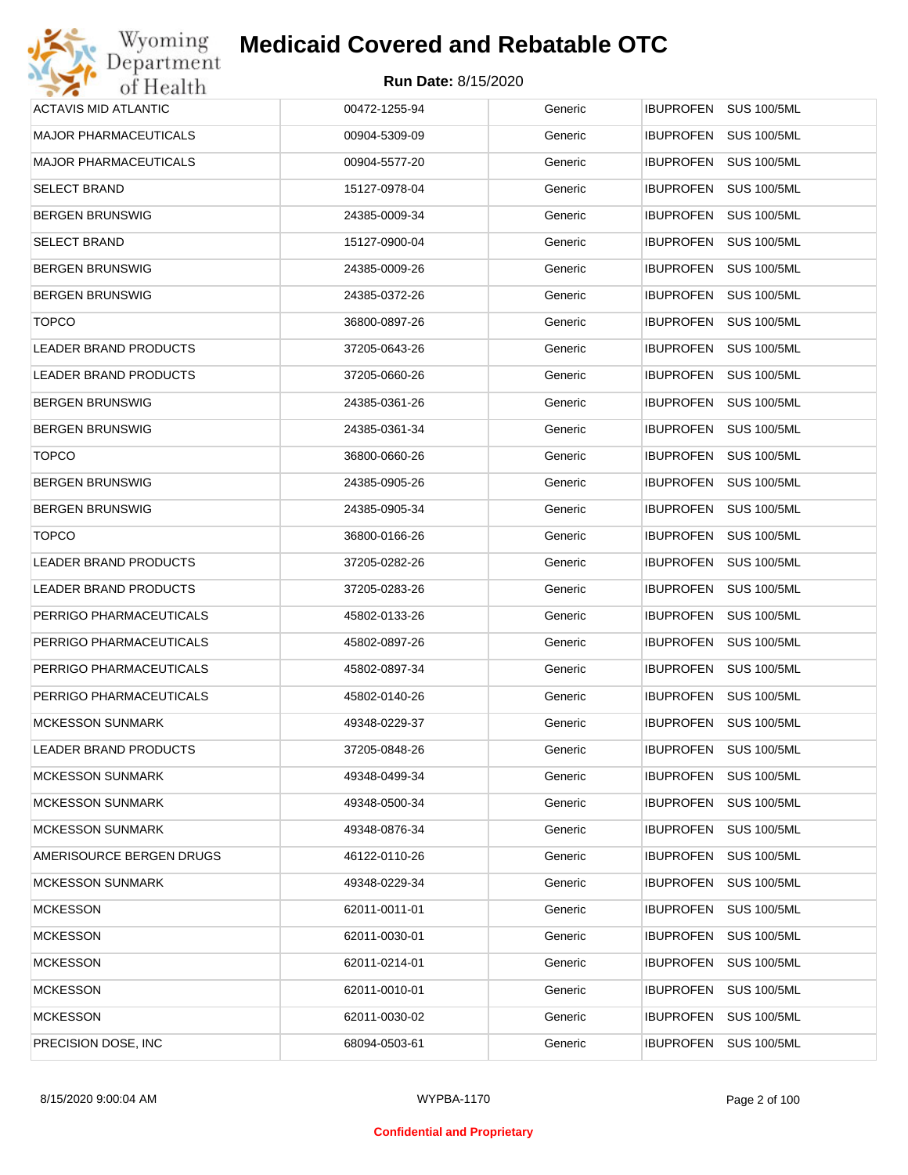| Wyoming                      | <b>Medicaid Covered and Rebatable OTC</b> |         |                                        |
|------------------------------|-------------------------------------------|---------|----------------------------------------|
| Department<br>of Health      | <b>Run Date: 8/15/2020</b>                |         |                                        |
| <b>ACTAVIS MID ATLANTIC</b>  | 00472-1255-94                             | Generic | <b>IBUPROFEN</b><br><b>SUS 100/5ML</b> |
| <b>MAJOR PHARMACEUTICALS</b> | 00904-5309-09                             | Generic | <b>IBUPROFEN</b><br><b>SUS 100/5ML</b> |
| <b>MAJOR PHARMACEUTICALS</b> | 00904-5577-20                             | Generic | <b>IBUPROFEN</b><br><b>SUS 100/5ML</b> |
| <b>SELECT BRAND</b>          | 15127-0978-04                             | Generic | <b>IBUPROFEN</b><br><b>SUS 100/5ML</b> |
| <b>BERGEN BRUNSWIG</b>       | 24385-0009-34                             | Generic | <b>IBUPROFEN</b><br><b>SUS 100/5ML</b> |
| <b>SELECT BRAND</b>          | 15127-0900-04                             | Generic | <b>IBUPROFEN</b><br><b>SUS 100/5ML</b> |
| <b>BERGEN BRUNSWIG</b>       | 24385-0009-26                             | Generic | <b>IBUPROFEN</b><br><b>SUS 100/5ML</b> |
| <b>BERGEN BRUNSWIG</b>       | 24385-0372-26                             | Generic | <b>IBUPROFEN</b><br><b>SUS 100/5ML</b> |
| <b>TOPCO</b>                 | 36800-0897-26                             | Generic | <b>IBUPROFEN</b><br><b>SUS 100/5ML</b> |
| LEADER BRAND PRODUCTS        | 37205-0643-26                             | Generic | <b>IBUPROFEN</b><br><b>SUS 100/5ML</b> |
| LEADER BRAND PRODUCTS        | 37205-0660-26                             | Generic | <b>IBUPROFEN</b><br><b>SUS 100/5ML</b> |
| <b>BERGEN BRUNSWIG</b>       | 24385-0361-26                             | Generic | <b>IBUPROFEN</b><br><b>SUS 100/5ML</b> |
| <b>BERGEN BRUNSWIG</b>       | 24385-0361-34                             | Generic | <b>IBUPROFEN</b><br><b>SUS 100/5ML</b> |
| <b>TOPCO</b>                 | 36800-0660-26                             | Generic | <b>IBUPROFEN</b><br><b>SUS 100/5ML</b> |
| <b>BERGEN BRUNSWIG</b>       | 24385-0905-26                             | Generic | <b>IBUPROFEN</b><br><b>SUS 100/5ML</b> |
| <b>BERGEN BRUNSWIG</b>       | 24385-0905-34                             | Generic | <b>IBUPROFEN</b><br><b>SUS 100/5ML</b> |
| <b>TOPCO</b>                 | 36800-0166-26                             | Generic | <b>IBUPROFEN</b><br><b>SUS 100/5ML</b> |
| LEADER BRAND PRODUCTS        | 37205-0282-26                             | Generic | <b>IBUPROFEN</b><br><b>SUS 100/5ML</b> |
| LEADER BRAND PRODUCTS        | 37205-0283-26                             | Generic | <b>IBUPROFEN</b><br><b>SUS 100/5ML</b> |
| PERRIGO PHARMACEUTICALS      | 45802-0133-26                             | Generic | <b>IBUPROFEN</b><br><b>SUS 100/5ML</b> |
| PERRIGO PHARMACEUTICALS      | 45802-0897-26                             | Generic | <b>IBUPROFEN</b><br><b>SUS 100/5ML</b> |
| PERRIGO PHARMACEUTICALS      | 45802-0897-34                             | Generic | IBUPROFEN SUS 100/5ML                  |
| PERRIGO PHARMACEUTICALS      | 45802-0140-26                             | Generic | <b>IBUPROFEN SUS 100/5ML</b>           |
| <b>MCKESSON SUNMARK</b>      | 49348-0229-37                             | Generic | <b>SUS 100/5ML</b><br><b>IBUPROFEN</b> |
| LEADER BRAND PRODUCTS        | 37205-0848-26                             | Generic | <b>IBUPROFEN</b><br><b>SUS 100/5ML</b> |
| <b>MCKESSON SUNMARK</b>      | 49348-0499-34                             | Generic | <b>IBUPROFEN</b><br><b>SUS 100/5ML</b> |
| <b>MCKESSON SUNMARK</b>      | 49348-0500-34                             | Generic | <b>IBUPROFEN</b><br><b>SUS 100/5ML</b> |
| <b>MCKESSON SUNMARK</b>      | 49348-0876-34                             | Generic | <b>IBUPROFEN</b><br><b>SUS 100/5ML</b> |
| AMERISOURCE BERGEN DRUGS     | 46122-0110-26                             | Generic | <b>IBUPROFEN</b><br><b>SUS 100/5ML</b> |
| <b>MCKESSON SUNMARK</b>      | 49348-0229-34                             | Generic | <b>IBUPROFEN</b><br><b>SUS 100/5ML</b> |
| <b>MCKESSON</b>              | 62011-0011-01                             | Generic | <b>SUS 100/5ML</b><br><b>IBUPROFEN</b> |
| <b>MCKESSON</b>              | 62011-0030-01                             | Generic | <b>IBUPROFEN</b><br><b>SUS 100/5ML</b> |
| <b>MCKESSON</b>              | 62011-0214-01                             | Generic | <b>SUS 100/5ML</b><br><b>IBUPROFEN</b> |
| <b>MCKESSON</b>              | 62011-0010-01                             | Generic | <b>IBUPROFEN</b><br><b>SUS 100/5ML</b> |
| <b>MCKESSON</b>              | 62011-0030-02                             | Generic | <b>SUS 100/5ML</b><br><b>IBUPROFEN</b> |
| PRECISION DOSE, INC.         | 68094-0503-61                             | Generic | <b>SUS 100/5ML</b><br>IBUPROFEN        |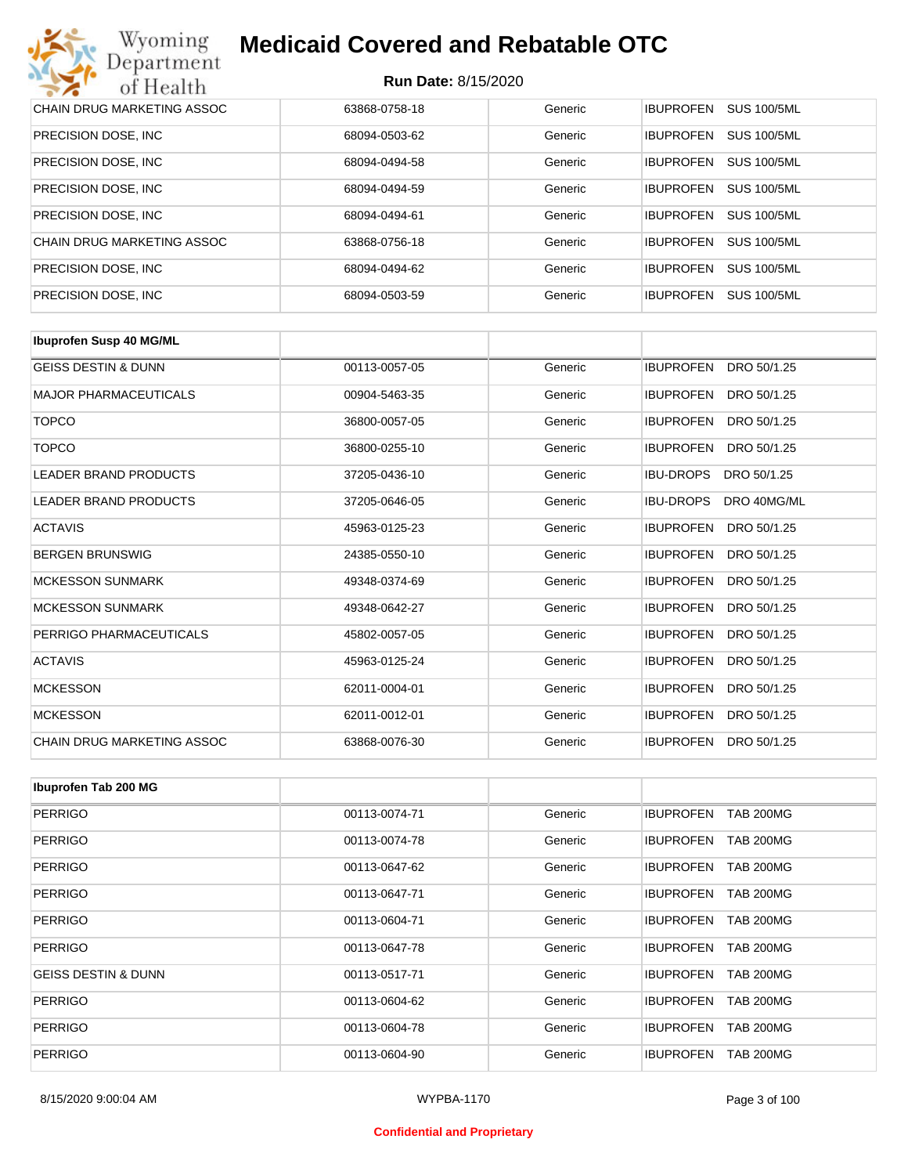| Wyoming<br><b>Medicaid Covered and Rebatable OTC</b><br>Department |                            |         |                  |                    |  |
|--------------------------------------------------------------------|----------------------------|---------|------------------|--------------------|--|
| of Health                                                          | <b>Run Date: 8/15/2020</b> |         |                  |                    |  |
| CHAIN DRUG MARKETING ASSOC                                         | 63868-0758-18              | Generic | <b>IBUPROFEN</b> | <b>SUS 100/5ML</b> |  |
| PRECISION DOSE, INC.                                               | 68094-0503-62              | Generic | <b>IBUPROFEN</b> | <b>SUS 100/5ML</b> |  |
| PRECISION DOSE, INC.                                               | 68094-0494-58              | Generic | <b>IBUPROFEN</b> | <b>SUS 100/5ML</b> |  |
| PRECISION DOSE, INC.                                               | 68094-0494-59              | Generic | <b>IBUPROFEN</b> | <b>SUS 100/5ML</b> |  |
| PRECISION DOSE, INC.                                               | 68094-0494-61              | Generic | <b>IBUPROFEN</b> | <b>SUS 100/5ML</b> |  |
| CHAIN DRUG MARKETING ASSOC                                         | 63868-0756-18              | Generic | <b>IBUPROFEN</b> | <b>SUS 100/5ML</b> |  |
| PRECISION DOSE, INC.                                               | 68094-0494-62              | Generic | <b>IBUPROFEN</b> | <b>SUS 100/5ML</b> |  |
| PRECISION DOSE, INC.                                               | 68094-0503-59              | Generic | <b>IBUPROFEN</b> | <b>SUS 100/5ML</b> |  |

| <b>Ibuprofen Susp 40 MG/ML</b>    |               |         |                                 |
|-----------------------------------|---------------|---------|---------------------------------|
| <b>GEISS DESTIN &amp; DUNN</b>    | 00113-0057-05 | Generic | <b>IBUPROFEN</b><br>DRO 50/1.25 |
| <b>MAJOR PHARMACEUTICALS</b>      | 00904-5463-35 | Generic | <b>IBUPROFEN</b><br>DRO 50/1.25 |
| <b>TOPCO</b>                      | 36800-0057-05 | Generic | <b>IBUPROFEN</b><br>DRO 50/1.25 |
| <b>TOPCO</b>                      | 36800-0255-10 | Generic | <b>IBUPROFEN</b><br>DRO 50/1.25 |
| LEADER BRAND PRODUCTS             | 37205-0436-10 | Generic | <b>IBU-DROPS</b><br>DRO 50/1.25 |
| <b>LEADER BRAND PRODUCTS</b>      | 37205-0646-05 | Generic | <b>IBU-DROPS</b><br>DRO 40MG/ML |
| <b>ACTAVIS</b>                    | 45963-0125-23 | Generic | <b>IBUPROFEN</b><br>DRO 50/1.25 |
| <b>BERGEN BRUNSWIG</b>            | 24385-0550-10 | Generic | <b>IBUPROFEN</b><br>DRO 50/1.25 |
| <b>MCKESSON SUNMARK</b>           | 49348-0374-69 | Generic | <b>IBUPROFEN</b><br>DRO 50/1.25 |
| <b>MCKESSON SUNMARK</b>           | 49348-0642-27 | Generic | <b>IBUPROFEN</b><br>DRO 50/1.25 |
| PERRIGO PHARMACEUTICALS           | 45802-0057-05 | Generic | <b>IBUPROFEN</b><br>DRO 50/1.25 |
| <b>ACTAVIS</b>                    | 45963-0125-24 | Generic | <b>IBUPROFEN</b><br>DRO 50/1.25 |
| <b>MCKESSON</b>                   | 62011-0004-01 | Generic | <b>IBUPROFEN</b><br>DRO 50/1.25 |
| <b>MCKESSON</b>                   | 62011-0012-01 | Generic | <b>IBUPROFEN</b><br>DRO 50/1.25 |
| <b>CHAIN DRUG MARKETING ASSOC</b> | 63868-0076-30 | Generic | <b>IBUPROFEN</b><br>DRO 50/1.25 |

| Ibuprofen Tab 200 MG           |               |         |                                      |
|--------------------------------|---------------|---------|--------------------------------------|
| <b>PERRIGO</b>                 | 00113-0074-71 | Generic | <b>IBUPROFEN</b><br><b>TAB 200MG</b> |
| <b>PERRIGO</b>                 | 00113-0074-78 | Generic | <b>IBUPROFEN</b><br><b>TAB 200MG</b> |
| <b>PERRIGO</b>                 | 00113-0647-62 | Generic | <b>IBUPROFEN</b><br><b>TAB 200MG</b> |
| <b>PERRIGO</b>                 | 00113-0647-71 | Generic | <b>IBUPROFEN</b><br><b>TAB 200MG</b> |
| <b>PERRIGO</b>                 | 00113-0604-71 | Generic | <b>IBUPROFEN</b><br><b>TAB 200MG</b> |
| <b>PERRIGO</b>                 | 00113-0647-78 | Generic | <b>IBUPROFEN</b><br><b>TAB 200MG</b> |
| <b>GEISS DESTIN &amp; DUNN</b> | 00113-0517-71 | Generic | <b>IBUPROFEN</b><br><b>TAB 200MG</b> |
| <b>PERRIGO</b>                 | 00113-0604-62 | Generic | <b>TAB 200MG</b><br><b>IBUPROFEN</b> |
| <b>PERRIGO</b>                 | 00113-0604-78 | Generic | <b>IBUPROFEN</b><br><b>TAB 200MG</b> |
| <b>PERRIGO</b>                 | 00113-0604-90 | Generic | <b>TAB 200MG</b><br><b>IBUPROFEN</b> |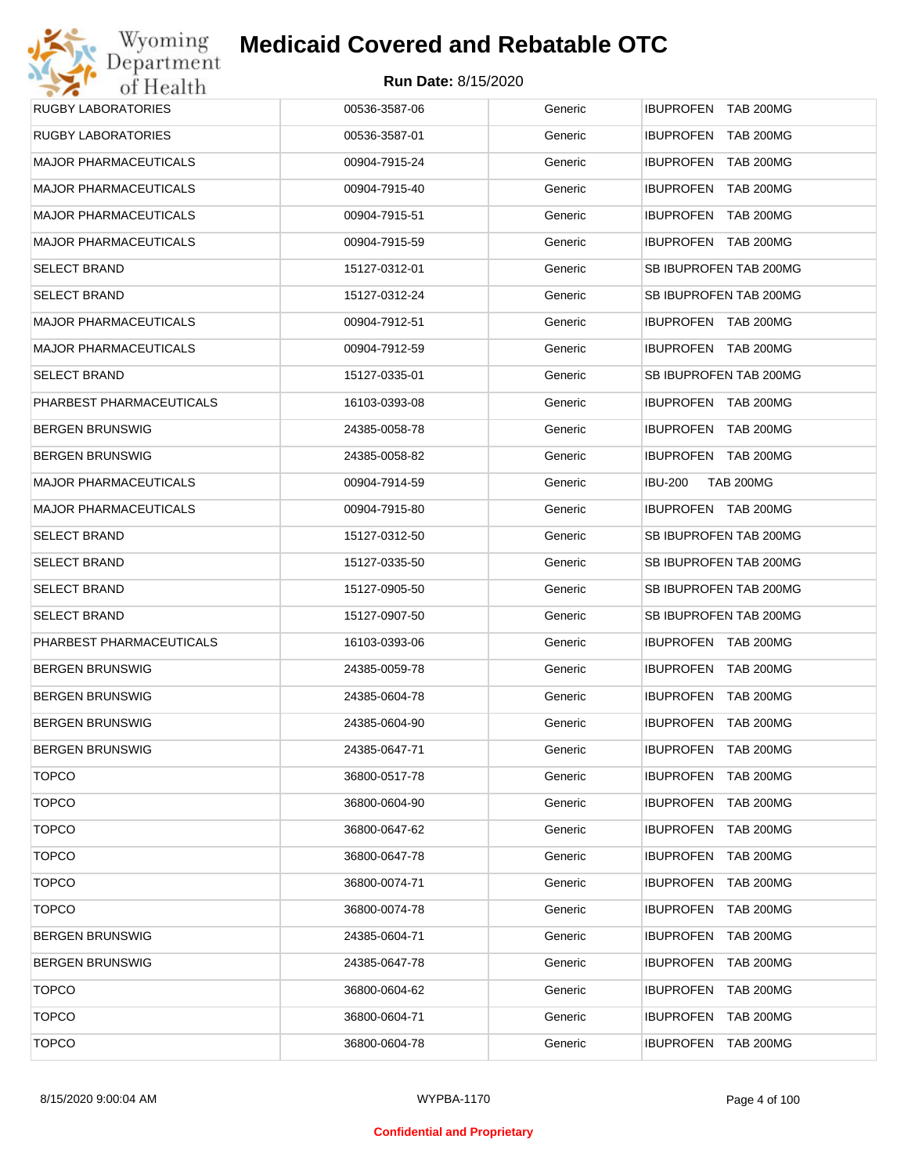| Wyoming                      | <b>Medicaid Covered and Rebatable OTC</b> |         |                                      |
|------------------------------|-------------------------------------------|---------|--------------------------------------|
| Department<br>of Health      | <b>Run Date: 8/15/2020</b>                |         |                                      |
| <b>RUGBY LABORATORIES</b>    | 00536-3587-06                             | Generic | IBUPROFEN TAB 200MG                  |
| <b>RUGBY LABORATORIES</b>    | 00536-3587-01                             | Generic | <b>IBUPROFEN</b><br><b>TAB 200MG</b> |
| <b>MAJOR PHARMACEUTICALS</b> | 00904-7915-24                             | Generic | <b>IBUPROFEN</b><br><b>TAB 200MG</b> |
| <b>MAJOR PHARMACEUTICALS</b> | 00904-7915-40                             | Generic | <b>IBUPROFEN</b><br><b>TAB 200MG</b> |
| <b>MAJOR PHARMACEUTICALS</b> | 00904-7915-51                             | Generic | <b>IBUPROFEN</b><br>TAB 200MG        |
| <b>MAJOR PHARMACEUTICALS</b> | 00904-7915-59                             | Generic | IBUPROFEN TAB 200MG                  |
| <b>SELECT BRAND</b>          | 15127-0312-01                             | Generic | SB IBUPROFEN TAB 200MG               |
| <b>SELECT BRAND</b>          | 15127-0312-24                             | Generic | SB IBUPROFEN TAB 200MG               |
| <b>MAJOR PHARMACEUTICALS</b> | 00904-7912-51                             | Generic | IBUPROFEN TAB 200MG                  |
| MAJOR PHARMACEUTICALS        | 00904-7912-59                             | Generic | <b>IBUPROFEN TAB 200MG</b>           |
| <b>SELECT BRAND</b>          | 15127-0335-01                             | Generic | SB IBUPROFEN TAB 200MG               |
| PHARBEST PHARMACEUTICALS     | 16103-0393-08                             | Generic | <b>IBUPROFEN TAB 200MG</b>           |
| <b>BERGEN BRUNSWIG</b>       | 24385-0058-78                             | Generic | IBUPROFEN TAB 200MG                  |
| <b>BERGEN BRUNSWIG</b>       | 24385-0058-82                             | Generic | <b>IBUPROFEN TAB 200MG</b>           |
| MAJOR PHARMACEUTICALS        | 00904-7914-59                             | Generic | <b>IBU-200</b><br><b>TAB 200MG</b>   |
| <b>MAJOR PHARMACEUTICALS</b> | 00904-7915-80                             | Generic | <b>IBUPROFEN TAB 200MG</b>           |
| <b>SELECT BRAND</b>          | 15127-0312-50                             | Generic | SB IBUPROFEN TAB 200MG               |
| <b>SELECT BRAND</b>          | 15127-0335-50                             | Generic | SB IBUPROFEN TAB 200MG               |
| <b>SELECT BRAND</b>          | 15127-0905-50                             | Generic | SB IBUPROFEN TAB 200MG               |
| <b>SELECT BRAND</b>          | 15127-0907-50                             | Generic | SB IBUPROFEN TAB 200MG               |
| PHARBEST PHARMACEUTICALS     | 16103-0393-06                             | Generic | <b>IBUPROFEN TAB 200MG</b>           |
| <b>BERGEN BRUNSWIG</b>       | 24385-0059-78                             | Generic | IBUPROFEN TAB 200MG                  |
| <b>BERGEN BRUNSWIG</b>       | 24385-0604-78                             | Generic | <b>IBUPROFEN TAB 200MG</b>           |
| <b>BERGEN BRUNSWIG</b>       | 24385-0604-90                             | Generic | <b>IBUPROFEN</b><br><b>TAB 200MG</b> |
| <b>BERGEN BRUNSWIG</b>       | 24385-0647-71                             | Generic | <b>IBUPROFEN</b><br>TAB 200MG        |
| <b>TOPCO</b>                 | 36800-0517-78                             | Generic | <b>IBUPROFEN</b><br><b>TAB 200MG</b> |
| <b>TOPCO</b>                 | 36800-0604-90                             | Generic | <b>IBUPROFEN</b><br>TAB 200MG        |
| <b>TOPCO</b>                 | 36800-0647-62                             | Generic | <b>IBUPROFEN</b><br><b>TAB 200MG</b> |
| <b>TOPCO</b>                 | 36800-0647-78                             | Generic | <b>IBUPROFEN</b><br>TAB 200MG        |
| <b>TOPCO</b>                 | 36800-0074-71                             | Generic | <b>IBUPROFEN</b><br>TAB 200MG        |
| <b>TOPCO</b>                 | 36800-0074-78                             | Generic | <b>IBUPROFEN</b><br>TAB 200MG        |
| <b>BERGEN BRUNSWIG</b>       | 24385-0604-71                             | Generic | <b>IBUPROFEN</b><br>TAB 200MG        |
| <b>BERGEN BRUNSWIG</b>       | 24385-0647-78                             | Generic | <b>IBUPROFEN</b><br>TAB 200MG        |
| <b>TOPCO</b>                 | 36800-0604-62                             | Generic | <b>IBUPROFEN</b><br>TAB 200MG        |
| <b>TOPCO</b>                 | 36800-0604-71                             | Generic | <b>IBUPROFEN</b><br>TAB 200MG        |
| <b>TOPCO</b>                 | 36800-0604-78                             | Generic | <b>TAB 200MG</b><br><b>IBUPROFEN</b> |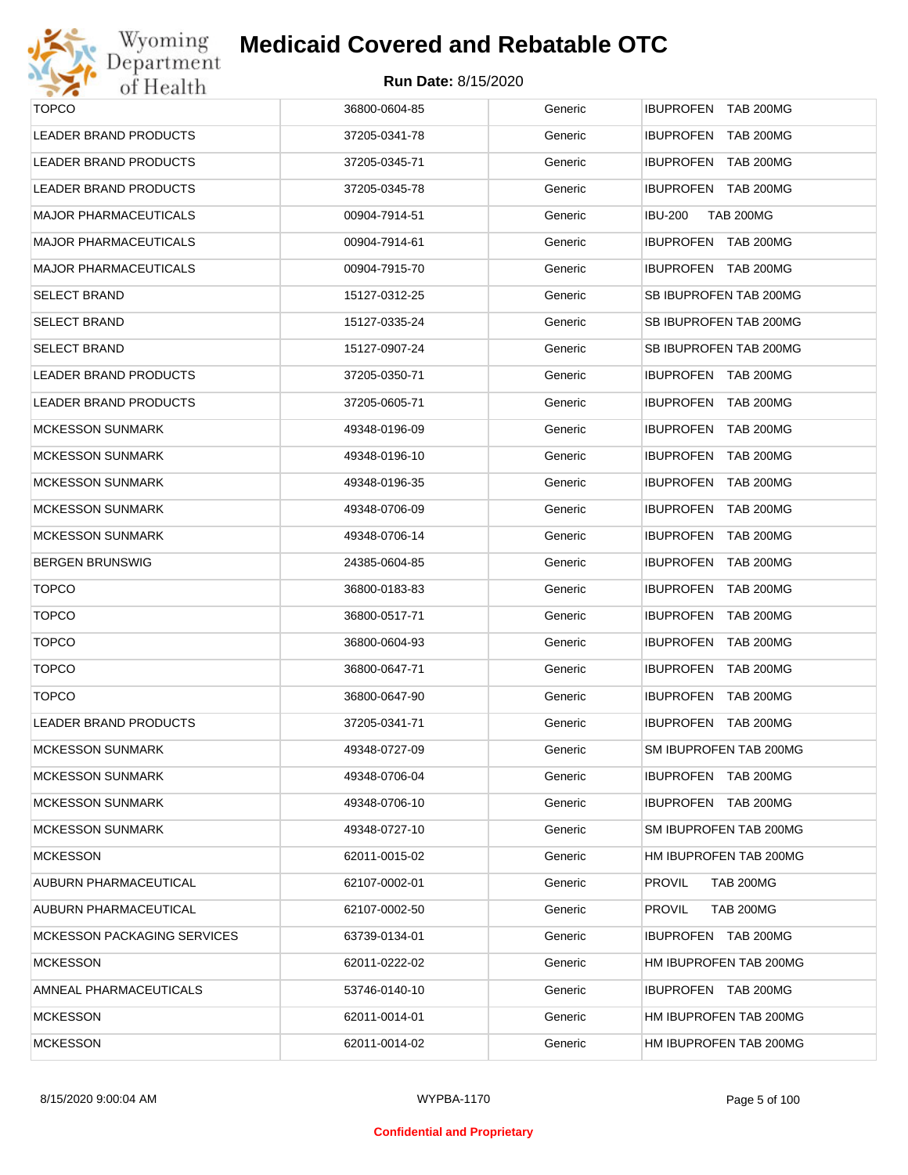

| <b>TOPCO</b>                 | 36800-0604-85 | Generic | IBUPROFEN TAB 200MG                |
|------------------------------|---------------|---------|------------------------------------|
| LEADER BRAND PRODUCTS        | 37205-0341-78 | Generic | IBUPROFEN TAB 200MG                |
| LEADER BRAND PRODUCTS        | 37205-0345-71 | Generic | <b>IBUPROFEN TAB 200MG</b>         |
| LEADER BRAND PRODUCTS        | 37205-0345-78 | Generic | IBUPROFEN TAB 200MG                |
| MAJOR PHARMACEUTICALS        | 00904-7914-51 | Generic | <b>TAB 200MG</b><br><b>IBU-200</b> |
| MAJOR PHARMACEUTICALS        | 00904-7914-61 | Generic | IBUPROFEN TAB 200MG                |
| MAJOR PHARMACEUTICALS        | 00904-7915-70 | Generic | IBUPROFEN TAB 200MG                |
| <b>SELECT BRAND</b>          | 15127-0312-25 | Generic | SB IBUPROFEN TAB 200MG             |
| SELECT BRAND                 | 15127-0335-24 | Generic | SB IBUPROFEN TAB 200MG             |
| <b>SELECT BRAND</b>          | 15127-0907-24 | Generic | SB IBUPROFEN TAB 200MG             |
| LEADER BRAND PRODUCTS        | 37205-0350-71 | Generic | IBUPROFEN TAB 200MG                |
| <b>LEADER BRAND PRODUCTS</b> | 37205-0605-71 | Generic | IBUPROFEN TAB 200MG                |
| <b>MCKESSON SUNMARK</b>      | 49348-0196-09 | Generic | <b>IBUPROFEN TAB 200MG</b>         |
| <b>MCKESSON SUNMARK</b>      | 49348-0196-10 | Generic | IBUPROFEN TAB 200MG                |
| <b>MCKESSON SUNMARK</b>      | 49348-0196-35 | Generic | <b>IBUPROFEN TAB 200MG</b>         |
| <b>MCKESSON SUNMARK</b>      | 49348-0706-09 | Generic | IBUPROFEN TAB 200MG                |
| <b>MCKESSON SUNMARK</b>      | 49348-0706-14 | Generic | <b>IBUPROFEN TAB 200MG</b>         |
| BERGEN BRUNSWIG              | 24385-0604-85 | Generic | IBUPROFEN TAB 200MG                |
| <b>TOPCO</b>                 | 36800-0183-83 | Generic | <b>IBUPROFEN TAB 200MG</b>         |
| <b>TOPCO</b>                 | 36800-0517-71 | Generic | IBUPROFEN TAB 200MG                |
| <b>TOPCO</b>                 | 36800-0604-93 | Generic | <b>IBUPROFEN TAB 200MG</b>         |
| <b>TOPCO</b>                 | 36800-0647-71 | Generic | IBUPROFEN TAB 200MG                |
| <b>TOPCO</b>                 | 36800-0647-90 | Generic | IBUPROFEN TAB 200MG                |
| LEADER BRAND PRODUCTS        | 37205-0341-71 | Generic | IBUPROFEN TAB 200MG                |
| <b>MCKESSON SUNMARK</b>      | 49348-0727-09 | Generic | SM IBUPROFEN TAB 200MG             |
| MCKESSON SUNMARK             | 49348-0706-04 | Generic | <b>IBUPROFEN TAB 200MG</b>         |
| MCKESSON SUNMARK             | 49348-0706-10 | Generic | IBUPROFEN TAB 200MG                |
| <b>MCKESSON SUNMARK</b>      | 49348-0727-10 | Generic | SM IBUPROFEN TAB 200MG             |
| MCKESSON                     | 62011-0015-02 | Generic | HM IBUPROFEN TAB 200MG             |
| AUBURN PHARMACEUTICAL        | 62107-0002-01 | Generic | <b>PROVIL</b><br><b>TAB 200MG</b>  |
| AUBURN PHARMACEUTICAL        | 62107-0002-50 | Generic | <b>TAB 200MG</b><br><b>PROVIL</b>  |
| MCKESSON PACKAGING SERVICES  | 63739-0134-01 | Generic | <b>IBUPROFEN TAB 200MG</b>         |
| <b>MCKESSON</b>              | 62011-0222-02 | Generic | HM IBUPROFEN TAB 200MG             |
| AMNEAL PHARMACEUTICALS       | 53746-0140-10 | Generic | IBUPROFEN TAB 200MG                |
| <b>MCKESSON</b>              | 62011-0014-01 | Generic | HM IBUPROFEN TAB 200MG             |
| MCKESSON                     | 62011-0014-02 | Generic | HM IBUPROFEN TAB 200MG             |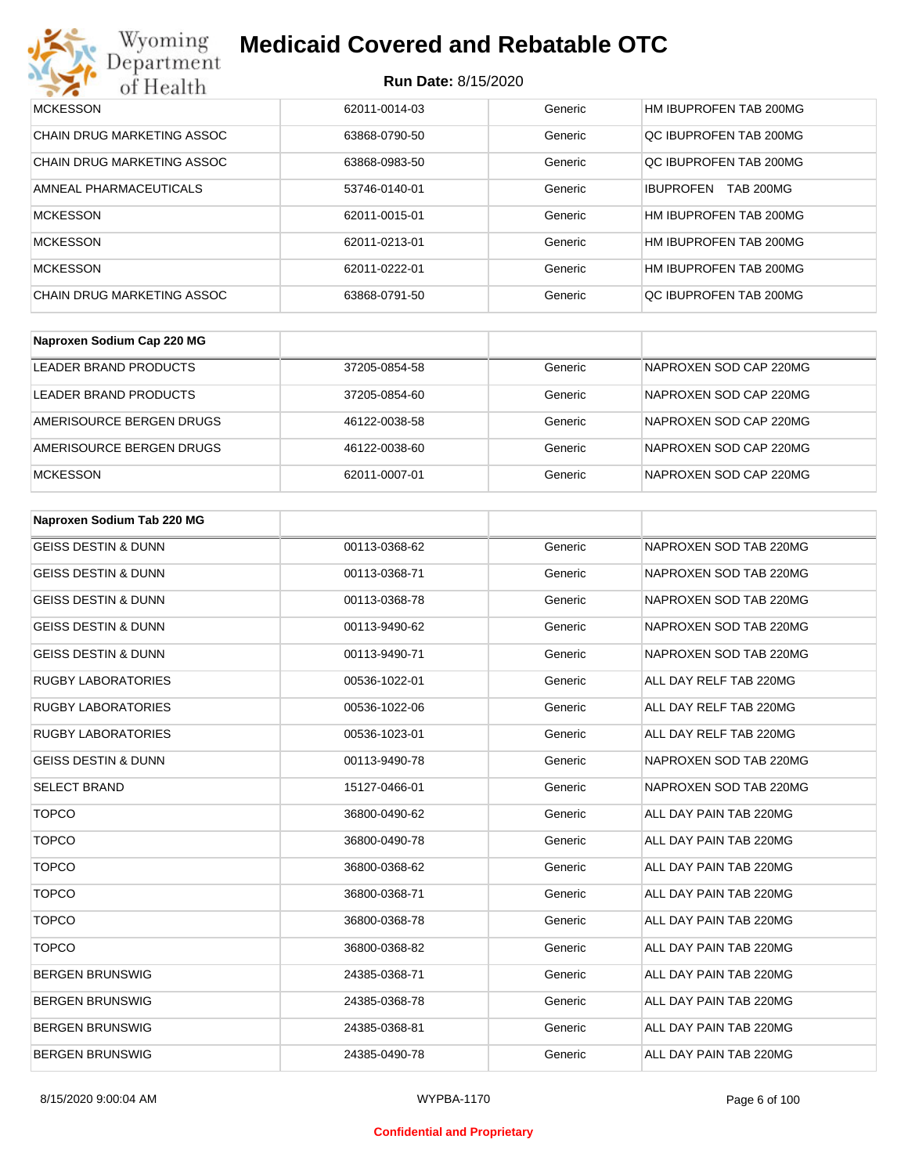#### **Run Date:** 8/15/2020

| Wyoming<br><b>Medicaid Covered and Rebatable OTC</b><br>Department |                            |         |                                      |  |  |
|--------------------------------------------------------------------|----------------------------|---------|--------------------------------------|--|--|
| of Health                                                          | <b>Run Date: 8/15/2020</b> |         |                                      |  |  |
| <b>MCKESSON</b>                                                    | 62011-0014-03              | Generic | HM IBUPROFEN TAB 200MG               |  |  |
| CHAIN DRUG MARKETING ASSOC                                         | 63868-0790-50              | Generic | OC IBUPROFEN TAB 200MG               |  |  |
| <b>CHAIN DRUG MARKETING ASSOC</b>                                  | 63868-0983-50              | Generic | QC IBUPROFEN TAB 200MG               |  |  |
| AMNEAL PHARMACEUTICALS                                             | 53746-0140-01              | Generic | <b>TAB 200MG</b><br><b>IBUPROFEN</b> |  |  |
| <b>MCKESSON</b>                                                    | 62011-0015-01              | Generic | HM IBUPROFEN TAB 200MG               |  |  |
| <b>MCKESSON</b>                                                    | 62011-0213-01              | Generic | HM IBUPROFEN TAB 200MG               |  |  |
| <b>MCKESSON</b>                                                    | 62011-0222-01              | Generic | HM IBUPROFEN TAB 200MG               |  |  |
| CHAIN DRUG MARKETING ASSOC                                         | 63868-0791-50              | Generic | OC IBUPROFEN TAB 200MG               |  |  |

| Naproxen Sodium Cap 220 MG |               |         |                        |
|----------------------------|---------------|---------|------------------------|
| LEADER BRAND PRODUCTS      | 37205-0854-58 | Generic | NAPROXEN SOD CAP 220MG |
| LEADER BRAND PRODUCTS      | 37205-0854-60 | Generic | NAPROXEN SOD CAP 220MG |
| AMERISOURCE BERGEN DRUGS   | 46122-0038-58 | Generic | NAPROXEN SOD CAP 220MG |
| AMERISOURCE BERGEN DRUGS   | 46122-0038-60 | Generic | NAPROXEN SOD CAP 220MG |
| <b>MCKESSON</b>            | 62011-0007-01 | Generic | NAPROXEN SOD CAP 220MG |

| Naproxen Sodium Tab 220 MG     |               |         |                        |
|--------------------------------|---------------|---------|------------------------|
| <b>GEISS DESTIN &amp; DUNN</b> | 00113-0368-62 | Generic | NAPROXEN SOD TAB 220MG |
| <b>GEISS DESTIN &amp; DUNN</b> | 00113-0368-71 | Generic | NAPROXEN SOD TAB 220MG |
| <b>GEISS DESTIN &amp; DUNN</b> | 00113-0368-78 | Generic | NAPROXEN SOD TAB 220MG |
| <b>GEISS DESTIN &amp; DUNN</b> | 00113-9490-62 | Generic | NAPROXEN SOD TAB 220MG |
| <b>GEISS DESTIN &amp; DUNN</b> | 00113-9490-71 | Generic | NAPROXEN SOD TAB 220MG |
| <b>RUGBY LABORATORIES</b>      | 00536-1022-01 | Generic | ALL DAY RELF TAB 220MG |
| <b>RUGBY LABORATORIES</b>      | 00536-1022-06 | Generic | ALL DAY RELF TAB 220MG |
| <b>RUGBY LABORATORIES</b>      | 00536-1023-01 | Generic | ALL DAY RELF TAB 220MG |
| <b>GEISS DESTIN &amp; DUNN</b> | 00113-9490-78 | Generic | NAPROXEN SOD TAB 220MG |
| <b>SELECT BRAND</b>            | 15127-0466-01 | Generic | NAPROXEN SOD TAB 220MG |
| <b>TOPCO</b>                   | 36800-0490-62 | Generic | ALL DAY PAIN TAB 220MG |
| <b>TOPCO</b>                   | 36800-0490-78 | Generic | ALL DAY PAIN TAB 220MG |
| <b>TOPCO</b>                   | 36800-0368-62 | Generic | ALL DAY PAIN TAB 220MG |
| <b>TOPCO</b>                   | 36800-0368-71 | Generic | ALL DAY PAIN TAB 220MG |
| <b>TOPCO</b>                   | 36800-0368-78 | Generic | ALL DAY PAIN TAB 220MG |
| <b>TOPCO</b>                   | 36800-0368-82 | Generic | ALL DAY PAIN TAB 220MG |
| <b>BERGEN BRUNSWIG</b>         | 24385-0368-71 | Generic | ALL DAY PAIN TAB 220MG |
| <b>BERGEN BRUNSWIG</b>         | 24385-0368-78 | Generic | ALL DAY PAIN TAB 220MG |
| <b>BERGEN BRUNSWIG</b>         | 24385-0368-81 | Generic | ALL DAY PAIN TAB 220MG |
| <b>BERGEN BRUNSWIG</b>         | 24385-0490-78 | Generic | ALL DAY PAIN TAB 220MG |

#### **Confidential and Proprietary**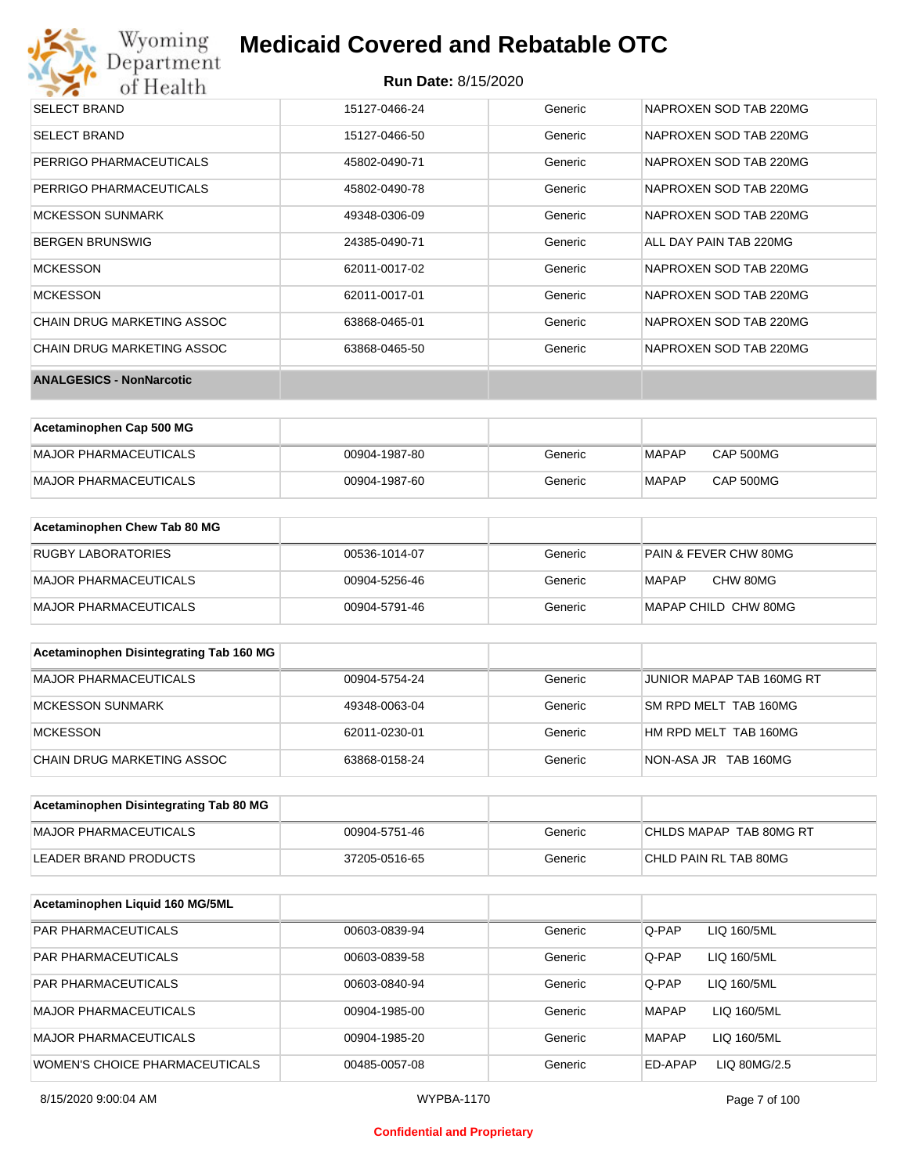# Wyoming<br>Department<br>of Health

## **Medicaid Covered and Rebatable OTC**

### **Run Date:** 8/15/2020

| <b>SELECT BRAND</b>             | 15127-0466-24 | Generic | NAPROXEN SOD TAB 220MG |
|---------------------------------|---------------|---------|------------------------|
| <b>SELECT BRAND</b>             | 15127-0466-50 | Generic | NAPROXEN SOD TAB 220MG |
| PERRIGO PHARMACEUTICALS         | 45802-0490-71 | Generic | NAPROXEN SOD TAB 220MG |
| PERRIGO PHARMACEUTICALS         | 45802-0490-78 | Generic | NAPROXEN SOD TAB 220MG |
| <b>MCKESSON SUNMARK</b>         | 49348-0306-09 | Generic | NAPROXEN SOD TAB 220MG |
| <b>BERGEN BRUNSWIG</b>          | 24385-0490-71 | Generic | ALL DAY PAIN TAB 220MG |
| <b>MCKESSON</b>                 | 62011-0017-02 | Generic | NAPROXEN SOD TAB 220MG |
| <b>MCKESSON</b>                 | 62011-0017-01 | Generic | NAPROXEN SOD TAB 220MG |
| CHAIN DRUG MARKETING ASSOC      | 63868-0465-01 | Generic | NAPROXEN SOD TAB 220MG |
| CHAIN DRUG MARKETING ASSOC      | 63868-0465-50 | Generic | NAPROXEN SOD TAB 220MG |
| <b>ANALGESICS - NonNarcotic</b> |               |         |                        |

| Acetaminophen Cap 500 MG |               |         |       |           |
|--------------------------|---------------|---------|-------|-----------|
| MAJOR PHARMACEUTICALS    | 00904-1987-80 | Generic | MAPAP | CAP 500MG |
| MAJOR PHARMACEUTICALS    | 00904-1987-60 | Generic | MAPAP | CAP 500MG |

| Acetaminophen Chew Tab 80 MG |               |         |                                  |
|------------------------------|---------------|---------|----------------------------------|
| RUGBY LABORATORIES           | 00536-1014-07 | Generic | <b>PAIN &amp; FEVER CHW 80MG</b> |
| MAJOR PHARMACEUTICALS        | 00904-5256-46 | Generic | CHW 80MG<br>MAPAP                |
| MAJOR PHARMACEUTICALS        | 00904-5791-46 | Generic | MAPAP CHILD CHW 80MG             |

| Acetaminophen Disintegrating Tab 160 MG |               |         |                           |
|-----------------------------------------|---------------|---------|---------------------------|
| MAJOR PHARMACEUTICALS                   | 00904-5754-24 | Generic | JUNIOR MAPAP TAB 160MG RT |
| <b>MCKESSON SUNMARK</b>                 | 49348-0063-04 | Generic | SM RPD MELT TAB 160MG     |
| <b>MCKESSON</b>                         | 62011-0230-01 | Generic | HM RPD MELT TAB 160MG     |
| CHAIN DRUG MARKETING ASSOC              | 63868-0158-24 | Generic | NON-ASA JR TAB 160MG      |

| Acetaminophen Disintegrating Tab 80 MG |               |         |                         |
|----------------------------------------|---------------|---------|-------------------------|
| MAJOR PHARMACEUTICALS                  | 00904-5751-46 | Generic | CHLDS MAPAP TAB 80MG RT |
| LEADER BRAND PRODUCTS                  | 37205-0516-65 | Generic | CHLD PAIN RL TAB 80MG   |

| Acetaminophen Liquid 160 MG/5ML |               |         |                             |
|---------------------------------|---------------|---------|-----------------------------|
| <b>PAR PHARMACEUTICALS</b>      | 00603-0839-94 | Generic | Q-PAP<br>LIQ 160/5ML        |
| <b>PAR PHARMACEUTICALS</b>      | 00603-0839-58 | Generic | Q-PAP<br>LIQ 160/5ML        |
| <b>PAR PHARMACEUTICALS</b>      | 00603-0840-94 | Generic | Q-PAP<br>LIQ 160/5ML        |
| <b>MAJOR PHARMACEUTICALS</b>    | 00904-1985-00 | Generic | LIQ 160/5ML<br><b>MAPAP</b> |
| <b>MAJOR PHARMACEUTICALS</b>    | 00904-1985-20 | Generic | LIQ 160/5ML<br><b>MAPAP</b> |
| WOMEN'S CHOICE PHARMACEUTICALS  | 00485-0057-08 | Generic | ED-APAP<br>LIQ 80MG/2.5     |

#### **Confidential and Proprietary**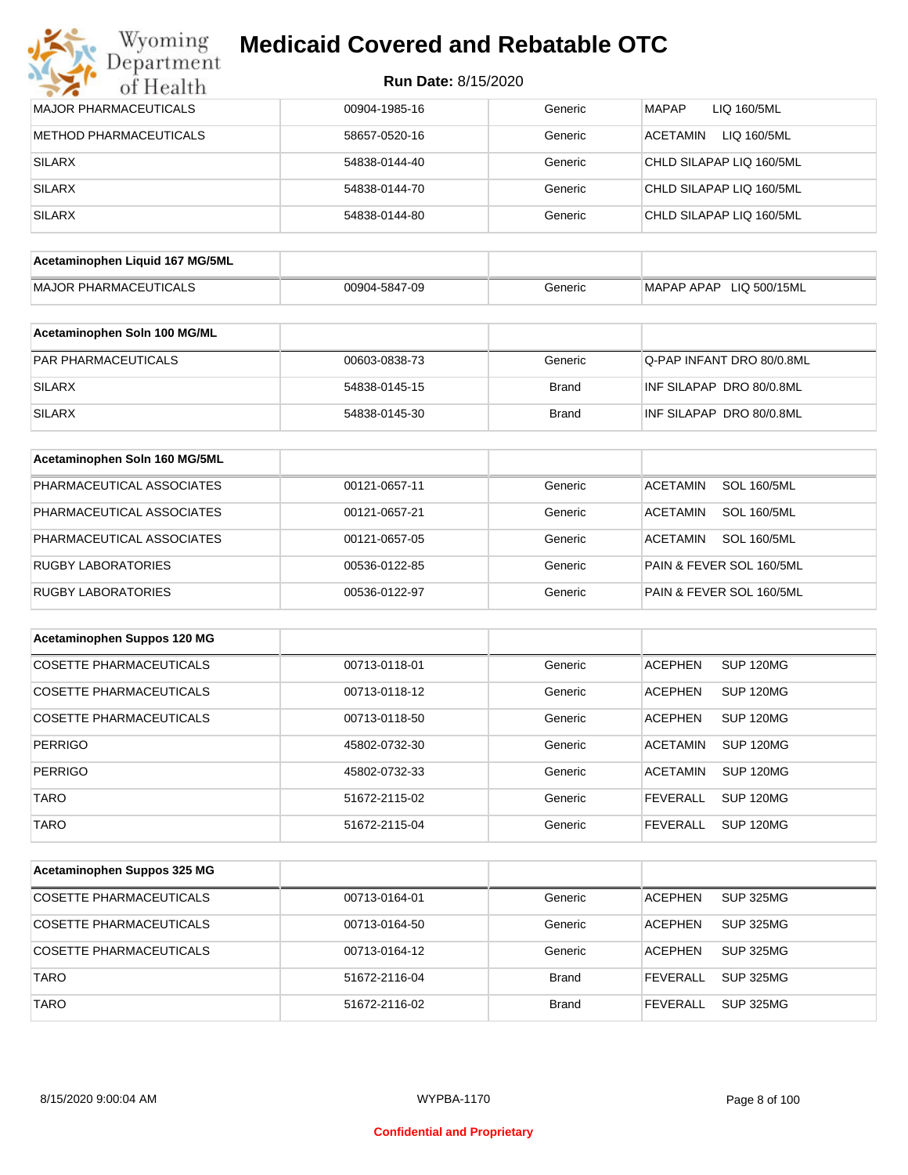## Wyoming<br>Department<br>of Health **Medicaid Covered and Rebatable OTC**

| <b>MAJOR PHARMACEUTICALS</b>    | 00904-1985-16 | Generic      | <b>MAPAP</b><br>LIQ 160/5ML           |
|---------------------------------|---------------|--------------|---------------------------------------|
| METHOD PHARMACEUTICALS          | 58657-0520-16 | Generic      | <b>ACETAMIN</b><br>LIQ 160/5ML        |
| <b>SILARX</b>                   | 54838-0144-40 | Generic      | CHLD SILAPAP LIQ 160/5ML              |
| <b>SILARX</b>                   | 54838-0144-70 | Generic      | CHLD SILAPAP LIQ 160/5ML              |
| <b>SILARX</b>                   | 54838-0144-80 | Generic      | CHLD SILAPAP LIQ 160/5ML              |
|                                 |               |              |                                       |
| Acetaminophen Liquid 167 MG/5ML |               |              |                                       |
| <b>MAJOR PHARMACEUTICALS</b>    | 00904-5847-09 | Generic      | MAPAP APAP LIQ 500/15ML               |
| Acetaminophen Soln 100 MG/ML    |               |              |                                       |
| PAR PHARMACEUTICALS             | 00603-0838-73 | Generic      | Q-PAP INFANT DRO 80/0.8ML             |
| <b>SILARX</b>                   | 54838-0145-15 | <b>Brand</b> | INF SILAPAP DRO 80/0.8ML              |
| <b>SILARX</b>                   | 54838-0145-30 | <b>Brand</b> | INF SILAPAP DRO 80/0.8ML              |
| Acetaminophen Soln 160 MG/5ML   |               |              |                                       |
| PHARMACEUTICAL ASSOCIATES       | 00121-0657-11 | Generic      | <b>ACETAMIN</b><br><b>SOL 160/5ML</b> |
| PHARMACEUTICAL ASSOCIATES       | 00121-0657-21 | Generic      | <b>SOL 160/5ML</b><br><b>ACETAMIN</b> |
| PHARMACEUTICAL ASSOCIATES       | 00121-0657-05 | Generic      | <b>ACETAMIN</b><br><b>SOL 160/5ML</b> |
| <b>RUGBY LABORATORIES</b>       | 00536-0122-85 | Generic      | PAIN & FEVER SOL 160/5ML              |
| <b>RUGBY LABORATORIES</b>       | 00536-0122-97 | Generic      | PAIN & FEVER SOL 160/5ML              |
|                                 |               |              |                                       |
| Acetaminophen Suppos 120 MG     |               |              |                                       |
| <b>COSETTE PHARMACEUTICALS</b>  | 00713-0118-01 | Generic      | <b>ACEPHEN</b><br><b>SUP 120MG</b>    |
| COSETTE PHARMACEUTICALS         | 00713-0118-12 | Generic      | <b>ACEPHEN</b><br>SUP 120MG           |
| <b>COSETTE PHARMACEUTICALS</b>  | 00713-0118-50 | Generic      | <b>ACEPHEN</b><br><b>SUP 120MG</b>    |
| <b>PERRIGO</b>                  | 45802-0732-30 | Generic      | <b>ACETAMIN</b><br>SUP 120MG          |
| <b>PERRIGO</b>                  | 45802-0732-33 | Generic      | <b>ACETAMIN</b><br>SUP 120MG          |
| <b>TARO</b>                     | 51672-2115-02 | Generic      | <b>FEVERALL</b><br><b>SUP 120MG</b>   |
| <b>TARO</b>                     | 51672-2115-04 | Generic      | <b>FEVERALL</b><br><b>SUP 120MG</b>   |
|                                 |               |              |                                       |
| Acetaminophen Suppos 325 MG     |               |              |                                       |
| <b>COSETTE PHARMACEUTICALS</b>  | 00713-0164-01 | Generic      | <b>ACEPHEN</b><br><b>SUP 325MG</b>    |
| <b>COSETTE PHARMACEUTICALS</b>  | 00713-0164-50 | Generic      | <b>ACEPHEN</b><br><b>SUP 325MG</b>    |
| COSETTE PHARMACEUTICALS         | 00713-0164-12 | Generic      | <b>ACEPHEN</b><br><b>SUP 325MG</b>    |
| <b>TARO</b>                     | 51672-2116-04 | <b>Brand</b> | <b>FEVERALL</b><br><b>SUP 325MG</b>   |
| <b>TARO</b>                     | 51672-2116-02 | <b>Brand</b> | <b>FEVERALL</b><br><b>SUP 325MG</b>   |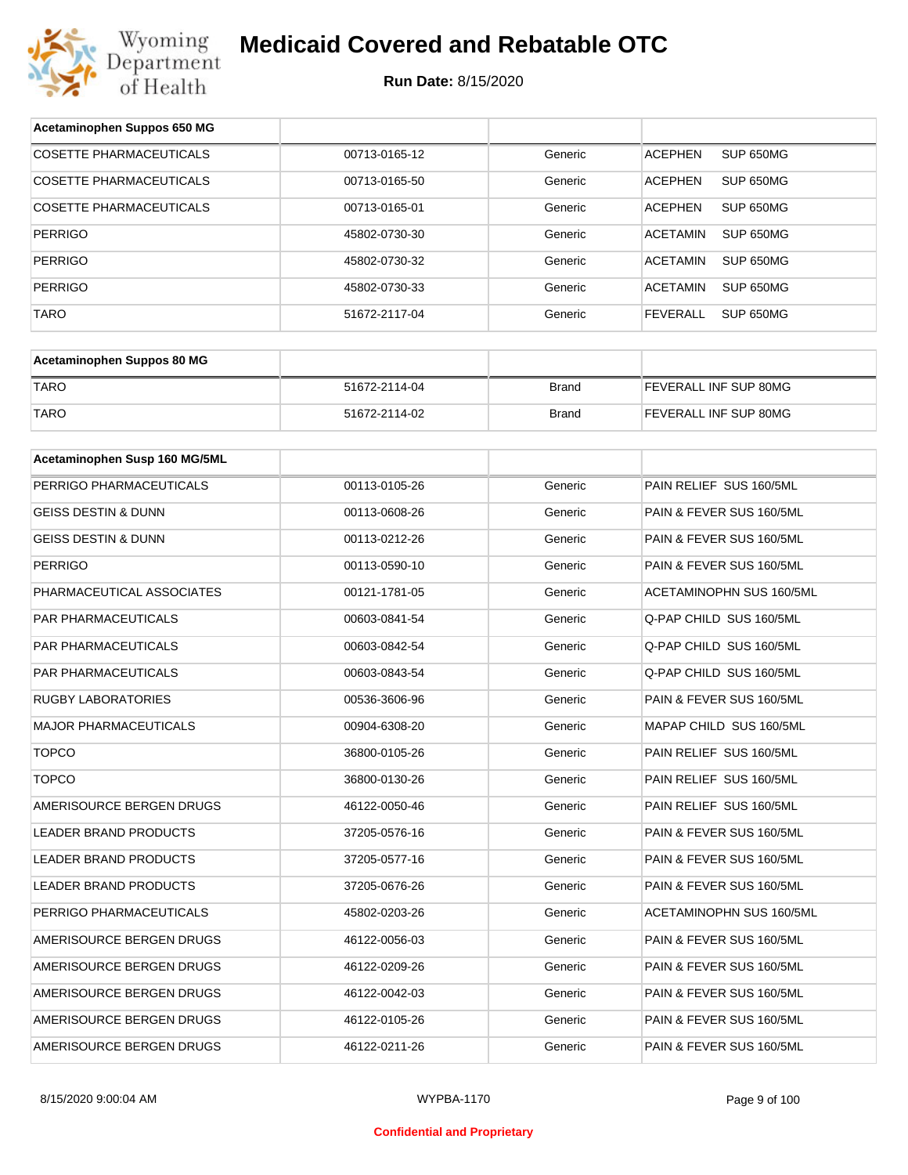

| Acetaminophen Suppos 650 MG    |               |              |                              |
|--------------------------------|---------------|--------------|------------------------------|
| <b>COSETTE PHARMACEUTICALS</b> | 00713-0165-12 | Generic      | SUP 650MG<br><b>ACEPHEN</b>  |
| COSETTE PHARMACEUTICALS        | 00713-0165-50 | Generic      | <b>ACEPHEN</b><br>SUP 650MG  |
| COSETTE PHARMACEUTICALS        | 00713-0165-01 | Generic      | <b>ACEPHEN</b><br>SUP 650MG  |
| <b>PERRIGO</b>                 | 45802-0730-30 | Generic      | <b>ACETAMIN</b><br>SUP 650MG |
| <b>PERRIGO</b>                 | 45802-0730-32 | Generic      | <b>ACETAMIN</b><br>SUP 650MG |
| <b>PERRIGO</b>                 | 45802-0730-33 | Generic      | <b>ACETAMIN</b><br>SUP 650MG |
| TARO                           | 51672-2117-04 | Generic      | <b>FEVERALL</b><br>SUP 650MG |
|                                |               |              |                              |
| Acetaminophen Suppos 80 MG     |               |              |                              |
| <b>TARO</b>                    | 51672-2114-04 | <b>Brand</b> | FEVERALL INF SUP 80MG        |
| <b>TARO</b>                    | 51672-2114-02 | <b>Brand</b> | FEVERALL INF SUP 80MG        |
|                                |               |              |                              |
| Acetaminophen Susp 160 MG/5ML  |               |              |                              |
| PERRIGO PHARMACEUTICALS        | 00113-0105-26 | Generic      | PAIN RELIEF SUS 160/5ML      |
| <b>GEISS DESTIN &amp; DUNN</b> | 00113-0608-26 | Generic      | PAIN & FEVER SUS 160/5ML     |
| <b>GEISS DESTIN &amp; DUNN</b> | 00113-0212-26 | Generic      | PAIN & FEVER SUS 160/5ML     |
| <b>PERRIGO</b>                 | 00113-0590-10 | Generic      | PAIN & FEVER SUS 160/5ML     |
| PHARMACEUTICAL ASSOCIATES      | 00121-1781-05 | Generic      | ACETAMINOPHN SUS 160/5ML     |
| PAR PHARMACEUTICALS            | 00603-0841-54 | Generic      | Q-PAP CHILD SUS 160/5ML      |
| PAR PHARMACEUTICALS            | 00603-0842-54 | Generic      | Q-PAP CHILD SUS 160/5ML      |
| PAR PHARMACEUTICALS            | 00603-0843-54 | Generic      | Q-PAP CHILD SUS 160/5ML      |
| <b>RUGBY LABORATORIES</b>      | 00536-3606-96 | Generic      | PAIN & FEVER SUS 160/5ML     |
| <b>MAJOR PHARMACEUTICALS</b>   | 00904-6308-20 | Generic      | MAPAP CHILD SUS 160/5ML      |
| <b>TOPCO</b>                   | 36800-0105-26 | Generic      | PAIN RELIEF SUS 160/5ML      |
| <b>TOPCO</b>                   | 36800-0130-26 | Generic      | PAIN RELIEF SUS 160/5ML      |
| AMERISOURCE BERGEN DRUGS       | 46122-0050-46 | Generic      | PAIN RELIEF SUS 160/5ML      |
| LEADER BRAND PRODUCTS          | 37205-0576-16 | Generic      | PAIN & FEVER SUS 160/5ML     |
| LEADER BRAND PRODUCTS          | 37205-0577-16 | Generic      | PAIN & FEVER SUS 160/5ML     |
| LEADER BRAND PRODUCTS          | 37205-0676-26 | Generic      | PAIN & FEVER SUS 160/5ML     |
| PERRIGO PHARMACEUTICALS        | 45802-0203-26 | Generic      | ACETAMINOPHN SUS 160/5ML     |
| AMERISOURCE BERGEN DRUGS       | 46122-0056-03 | Generic      | PAIN & FEVER SUS 160/5ML     |
| AMERISOURCE BERGEN DRUGS       | 46122-0209-26 | Generic      | PAIN & FEVER SUS 160/5ML     |
| AMERISOURCE BERGEN DRUGS       | 46122-0042-03 | Generic      | PAIN & FEVER SUS 160/5ML     |
| AMERISOURCE BERGEN DRUGS       | 46122-0105-26 | Generic      | PAIN & FEVER SUS 160/5ML     |
| AMERISOURCE BERGEN DRUGS       | 46122-0211-26 | Generic      | PAIN & FEVER SUS 160/5ML     |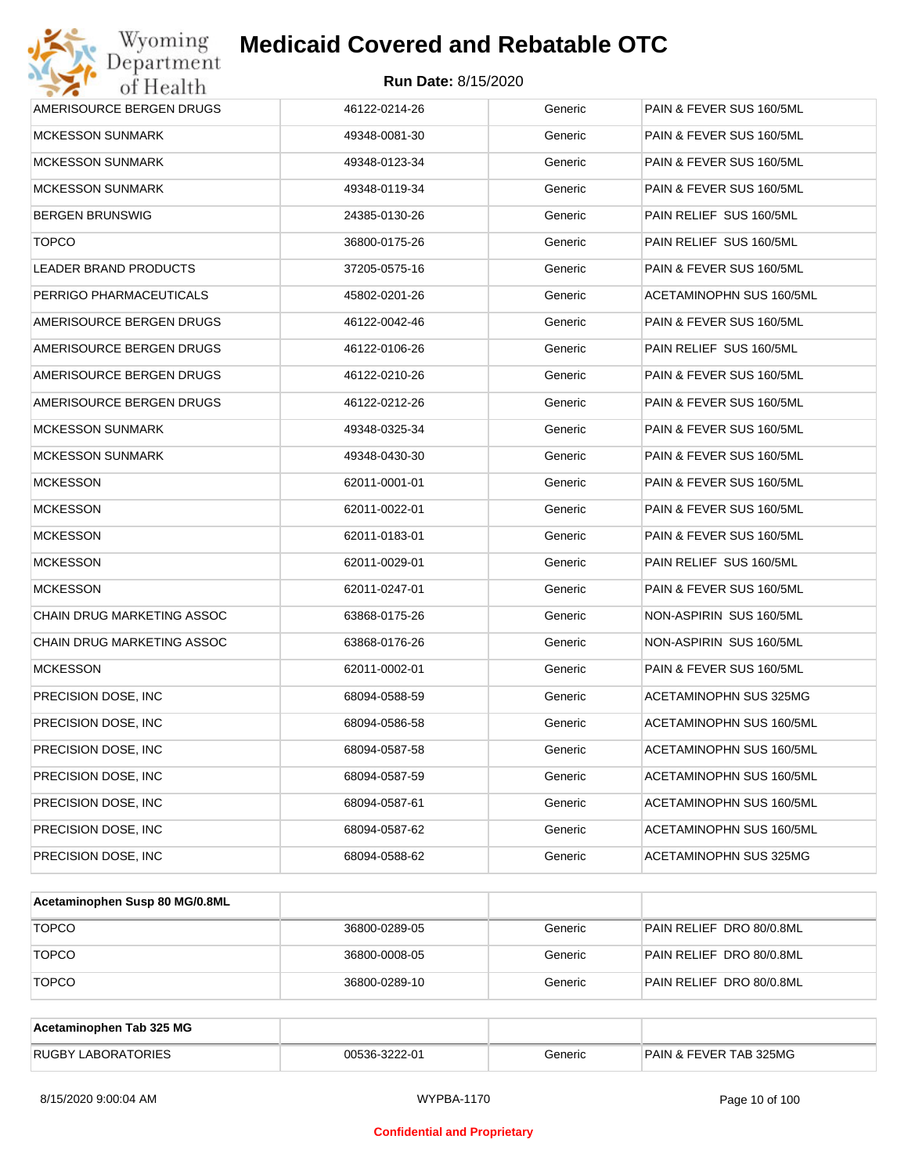| Wyoming<br>Department                   | <b>Medicaid Covered and Rebatable OTC</b> |         |                          |  |  |  |
|-----------------------------------------|-------------------------------------------|---------|--------------------------|--|--|--|
| <b>Run Date: 8/15/2020</b><br>of Health |                                           |         |                          |  |  |  |
| AMERISOURCE BERGEN DRUGS                | 46122-0214-26                             | Generic | PAIN & FEVER SUS 160/5ML |  |  |  |
| MCKESSON SUNMARK                        | 49348-0081-30                             | Generic | PAIN & FEVER SUS 160/5ML |  |  |  |
| MCKESSON SUNMARK                        | 49348-0123-34                             | Generic | PAIN & FEVER SUS 160/5ML |  |  |  |
| MCKESSON SUNMARK                        | 49348-0119-34                             | Generic | PAIN & FEVER SUS 160/5ML |  |  |  |
| BERGEN BRUNSWIG                         | 24385-0130-26                             | Generic | PAIN RELIEF SUS 160/5ML  |  |  |  |
| <b>TOPCO</b>                            | 36800-0175-26                             | Generic | PAIN RELIEF SUS 160/5ML  |  |  |  |
| LEADER BRAND PRODUCTS                   | 37205-0575-16                             | Generic | PAIN & FEVER SUS 160/5ML |  |  |  |
| PERRIGO PHARMACEUTICALS                 | 45802-0201-26                             | Generic | ACETAMINOPHN SUS 160/5ML |  |  |  |
| AMERISOURCE BERGEN DRUGS                | 46122-0042-46                             | Generic | PAIN & FEVER SUS 160/5ML |  |  |  |
| AMERISOURCE BERGEN DRUGS                | 46122-0106-26                             | Generic | PAIN RELIEF SUS 160/5ML  |  |  |  |
| AMERISOURCE BERGEN DRUGS                | 46122-0210-26                             | Generic | PAIN & FEVER SUS 160/5ML |  |  |  |
| AMERISOURCE BERGEN DRUGS                | 46122-0212-26                             | Generic | PAIN & FEVER SUS 160/5ML |  |  |  |
| <b>MCKESSON SUNMARK</b>                 | 49348-0325-34                             | Generic | PAIN & FEVER SUS 160/5ML |  |  |  |
| MCKESSON SUNMARK                        | 49348-0430-30                             | Generic | PAIN & FEVER SUS 160/5ML |  |  |  |
| <b>MCKESSON</b>                         | 62011-0001-01                             | Generic | PAIN & FEVER SUS 160/5ML |  |  |  |
| <b>MCKESSON</b>                         | 62011-0022-01                             | Generic | PAIN & FEVER SUS 160/5ML |  |  |  |
| <b>MCKESSON</b>                         | 62011-0183-01                             | Generic | PAIN & FEVER SUS 160/5ML |  |  |  |
| <b>MCKESSON</b>                         | 62011-0029-01                             | Generic | PAIN RELIEF SUS 160/5ML  |  |  |  |
| <b>MCKESSON</b>                         | 62011-0247-01                             | Generic | PAIN & FEVER SUS 160/5ML |  |  |  |
| CHAIN DRUG MARKETING ASSOC              | 63868-0175-26                             | Generic | NON-ASPIRIN SUS 160/5ML  |  |  |  |
| CHAIN DRUG MARKETING ASSOC              | 63868-0176-26                             | Generic | NON-ASPIRIN SUS 160/5ML  |  |  |  |
| <b>MCKESSON</b>                         | 62011-0002-01                             | Generic | PAIN & FEVER SUS 160/5ML |  |  |  |
| PRECISION DOSE, INC                     | 68094-0588-59                             | Generic | ACETAMINOPHN SUS 325MG   |  |  |  |
| PRECISION DOSE, INC                     | 68094-0586-58                             | Generic | ACETAMINOPHN SUS 160/5ML |  |  |  |
| PRECISION DOSE, INC.                    | 68094-0587-58                             | Generic | ACETAMINOPHN SUS 160/5ML |  |  |  |
| PRECISION DOSE, INC.                    | 68094-0587-59                             | Generic | ACETAMINOPHN SUS 160/5ML |  |  |  |
| PRECISION DOSE, INC.                    | 68094-0587-61                             | Generic | ACETAMINOPHN SUS 160/5ML |  |  |  |
| PRECISION DOSE, INC.                    | 68094-0587-62                             | Generic | ACETAMINOPHN SUS 160/5ML |  |  |  |
| PRECISION DOSE, INC                     | 68094-0588-62                             | Generic | ACETAMINOPHN SUS 325MG   |  |  |  |

| Acetaminophen Susp 80 MG/0.8ML |               |         |                          |
|--------------------------------|---------------|---------|--------------------------|
| <b>TOPCO</b>                   | 36800-0289-05 | Generic | PAIN RELIEF DRO 80/0.8ML |
| <b>TOPCO</b>                   | 36800-0008-05 | Generic | PAIN RELIEF DRO 80/0.8ML |
| <b>TOPCO</b>                   | 36800-0289-10 | Generic | PAIN RELIEF DRO 80/0.8ML |

| Acetaminophen Tab 325 MG  |               |         |                                   |
|---------------------------|---------------|---------|-----------------------------------|
| <b>RUGBY LABORATORIES</b> | 00536-3222-01 | Generic | <b>PAIN &amp; FEVER TAB 325MG</b> |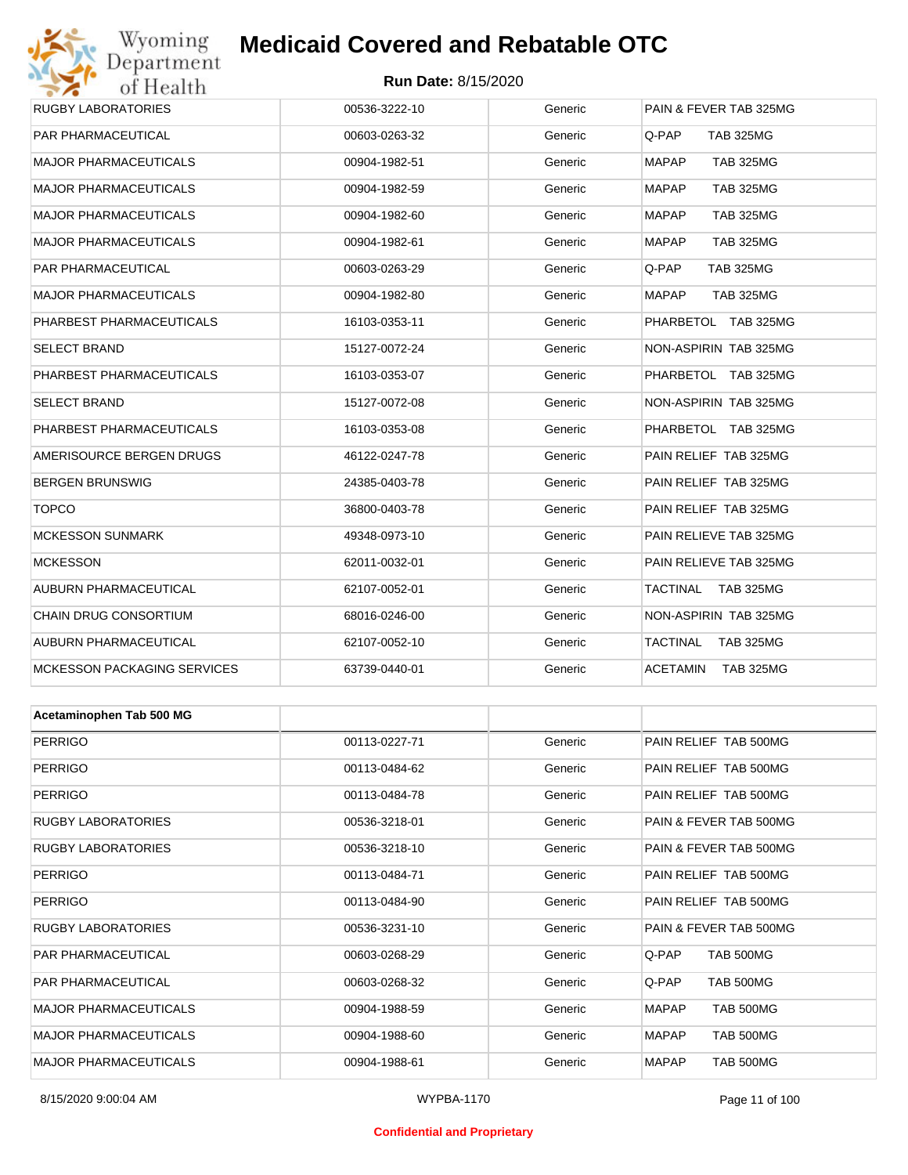## Wyoming<br>Department<br>of Health

## **Medicaid Covered and Rebatable OTC**

#### **Run Date:** 8/15/2020

| <b>OF TECHLEL</b>                  |               |         |                                  |
|------------------------------------|---------------|---------|----------------------------------|
| RUGBY LABORATORIES                 | 00536-3222-10 | Generic | PAIN & FEVER TAB 325MG           |
| PAR PHARMACEUTICAL                 | 00603-0263-32 | Generic | Q-PAP<br><b>TAB 325MG</b>        |
| MAJOR PHARMACEUTICALS              | 00904-1982-51 | Generic | <b>TAB 325MG</b><br><b>MAPAP</b> |
| MAJOR PHARMACEUTICALS              | 00904-1982-59 | Generic | MAPAP<br><b>TAB 325MG</b>        |
| MAJOR PHARMACEUTICALS              | 00904-1982-60 | Generic | <b>MAPAP</b><br><b>TAB 325MG</b> |
| MAJOR PHARMACEUTICALS              | 00904-1982-61 | Generic | MAPAP<br><b>TAB 325MG</b>        |
| PAR PHARMACEUTICAL                 | 00603-0263-29 | Generic | Q-PAP<br><b>TAB 325MG</b>        |
| <b>MAJOR PHARMACEUTICALS</b>       | 00904-1982-80 | Generic | MAPAP<br><b>TAB 325MG</b>        |
| PHARBEST PHARMACEUTICALS           | 16103-0353-11 | Generic | PHARBETOL TAB 325MG              |
| SELECT BRAND                       | 15127-0072-24 | Generic | NON-ASPIRIN TAB 325MG            |
| PHARBEST PHARMACEUTICALS           | 16103-0353-07 | Generic | PHARBETOL TAB 325MG              |
| SELECT BRAND                       | 15127-0072-08 | Generic | NON-ASPIRIN TAB 325MG            |
| PHARBEST PHARMACEUTICALS           | 16103-0353-08 | Generic | PHARBETOL TAB 325MG              |
| AMERISOURCE BERGEN DRUGS           | 46122-0247-78 | Generic | PAIN RELIEF TAB 325MG            |
| BERGEN BRUNSWIG                    | 24385-0403-78 | Generic | PAIN RELIEF TAB 325MG            |
| <b>TOPCO</b>                       | 36800-0403-78 | Generic | PAIN RELIEF TAB 325MG            |
| <b>MCKESSON SUNMARK</b>            | 49348-0973-10 | Generic | PAIN RELIEVE TAB 325MG           |
| <b>MCKESSON</b>                    | 62011-0032-01 | Generic | PAIN RELIEVE TAB 325MG           |
| AUBURN PHARMACEUTICAL              | 62107-0052-01 | Generic | TACTINAL<br>TAB 325MG            |
| CHAIN DRUG CONSORTIUM              | 68016-0246-00 | Generic | NON-ASPIRIN TAB 325MG            |
| AUBURN PHARMACEUTICAL              | 62107-0052-10 | Generic | TACTINAL<br><b>TAB 325MG</b>     |
| <b>MCKESSON PACKAGING SERVICES</b> | 63739-0440-01 | Generic | ACETAMIN<br><b>TAB 325MG</b>     |
|                                    |               |         |                                  |
| Acetaminophen Tab 500 MG           |               |         |                                  |
| <b>PERRIGO</b>                     | 00113-0227-71 | Generic | PAIN RELIEF TAB 500MG            |
| <b>PERRIGO</b>                     | 00113-0484-62 | Generic | PAIN RELIEF TAB 500MG            |
| PERRIGO                            | 00113-0484-78 | Generic | PAIN RELIEF TAB 500MG            |
| RUGBY LABORATORIES                 | 00536-3218-01 | Generic | PAIN & FEVER TAB 500MG           |
| RUGBY LABORATORIES                 | 00536-3218-10 | Generic | PAIN & FEVER TAB 500MG           |
| <b>PERRIGO</b>                     | 00113-0484-71 | Generic | PAIN RELIEF TAB 500MG            |
| <b>PERRIGO</b>                     | 00113-0484-90 | Generic | PAIN RELIEF TAB 500MG            |
| <b>RUGBY LABORATORIES</b>          | 00536-3231-10 | Generic | PAIN & FEVER TAB 500MG           |
| PAR PHARMACEUTICAL                 | 00603-0268-29 | Generic | <b>TAB 500MG</b><br>Q-PAP        |
| PAR PHARMACEUTICAL                 | 00603-0268-32 | Generic | Q-PAP<br>TAB 500MG               |

MAJOR PHARMACEUTICALS 00904-1988-59 Generic MAPAP TAB 500MG MAJOR PHARMACEUTICALS 
and the composition of the composition of the composition of the component of the component of the component of the component of the component of the component of the component of the component of th MAJOR PHARMACEUTICALS 
and the composition of the composition of the composition of the component of the component of the component of the component of the component of the component of the component of the component of th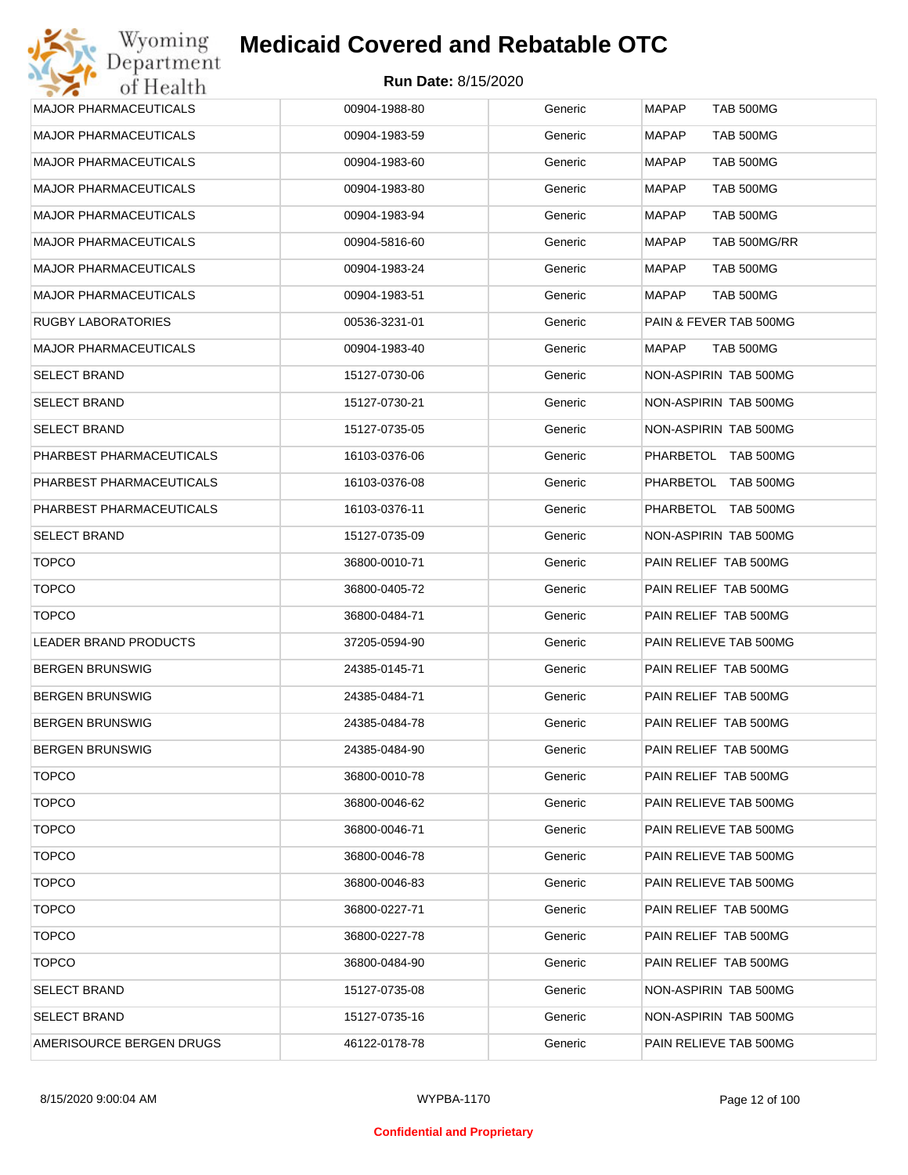## Wyoming<br>Department<br>of Health **Medicaid Covered and Rebatable OTC**

| <b>MAJOR PHARMACEUTICALS</b> | 00904-1988-80 | Generic | <b>MAPAP</b><br><b>TAB 500MG</b> |
|------------------------------|---------------|---------|----------------------------------|
| <b>MAJOR PHARMACEUTICALS</b> | 00904-1983-59 | Generic | <b>MAPAP</b><br>TAB 500MG        |
| <b>MAJOR PHARMACEUTICALS</b> | 00904-1983-60 | Generic | TAB 500MG<br>MAPAP               |
| <b>MAJOR PHARMACEUTICALS</b> | 00904-1983-80 | Generic | <b>MAPAP</b><br><b>TAB 500MG</b> |
| <b>MAJOR PHARMACEUTICALS</b> | 00904-1983-94 | Generic | TAB 500MG<br>MAPAP               |
| <b>MAJOR PHARMACEUTICALS</b> | 00904-5816-60 | Generic | <b>MAPAP</b><br>TAB 500MG/RR     |
| <b>MAJOR PHARMACEUTICALS</b> | 00904-1983-24 | Generic | <b>TAB 500MG</b><br>MAPAP        |
| <b>MAJOR PHARMACEUTICALS</b> | 00904-1983-51 | Generic | <b>TAB 500MG</b><br>MAPAP        |
| RUGBY LABORATORIES           | 00536-3231-01 | Generic | PAIN & FEVER TAB 500MG           |
| <b>MAJOR PHARMACEUTICALS</b> | 00904-1983-40 | Generic | <b>TAB 500MG</b><br>MAPAP        |
| <b>SELECT BRAND</b>          | 15127-0730-06 | Generic | NON-ASPIRIN TAB 500MG            |
| <b>SELECT BRAND</b>          | 15127-0730-21 | Generic | NON-ASPIRIN TAB 500MG            |
| <b>SELECT BRAND</b>          | 15127-0735-05 | Generic | NON-ASPIRIN TAB 500MG            |
| PHARBEST PHARMACEUTICALS     | 16103-0376-06 | Generic | PHARBETOL TAB 500MG              |
| PHARBEST PHARMACEUTICALS     | 16103-0376-08 | Generic | PHARBETOL TAB 500MG              |
| PHARBEST PHARMACEUTICALS     | 16103-0376-11 | Generic | PHARBETOL TAB 500MG              |
| <b>SELECT BRAND</b>          | 15127-0735-09 | Generic | NON-ASPIRIN TAB 500MG            |
| <b>TOPCO</b>                 | 36800-0010-71 | Generic | PAIN RELIEF TAB 500MG            |
| <b>TOPCO</b>                 | 36800-0405-72 | Generic | PAIN RELIEF TAB 500MG            |
| <b>TOPCO</b>                 | 36800-0484-71 | Generic | PAIN RELIEF TAB 500MG            |
| LEADER BRAND PRODUCTS        | 37205-0594-90 | Generic | PAIN RELIEVE TAB 500MG           |
| <b>BERGEN BRUNSWIG</b>       | 24385-0145-71 | Generic | PAIN RELIEF TAB 500MG            |
| <b>BERGEN BRUNSWIG</b>       | 24385-0484-71 | Generic | PAIN RELIEF TAB 500MG            |
| <b>BERGEN BRUNSWIG</b>       | 24385-0484-78 | Generic | PAIN RELIEF TAB 500MG            |
| <b>BERGEN BRUNSWIG</b>       | 24385-0484-90 | Generic | PAIN RELIEF TAB 500MG            |
| <b>TOPCO</b>                 | 36800-0010-78 | Generic | PAIN RELIEF TAB 500MG            |
| <b>TOPCO</b>                 | 36800-0046-62 | Generic | PAIN RELIEVE TAB 500MG           |
| <b>TOPCO</b>                 | 36800-0046-71 | Generic | PAIN RELIEVE TAB 500MG           |
| <b>TOPCO</b>                 | 36800-0046-78 | Generic | PAIN RELIEVE TAB 500MG           |
| <b>TOPCO</b>                 | 36800-0046-83 | Generic | PAIN RELIEVE TAB 500MG           |
| <b>TOPCO</b>                 | 36800-0227-71 | Generic | PAIN RELIEF TAB 500MG            |
| <b>TOPCO</b>                 | 36800-0227-78 | Generic | PAIN RELIEF TAB 500MG            |
| <b>TOPCO</b>                 | 36800-0484-90 | Generic | PAIN RELIEF TAB 500MG            |
| <b>SELECT BRAND</b>          | 15127-0735-08 | Generic | NON-ASPIRIN TAB 500MG            |
| <b>SELECT BRAND</b>          | 15127-0735-16 | Generic | NON-ASPIRIN TAB 500MG            |
| AMERISOURCE BERGEN DRUGS     | 46122-0178-78 | Generic | PAIN RELIEVE TAB 500MG           |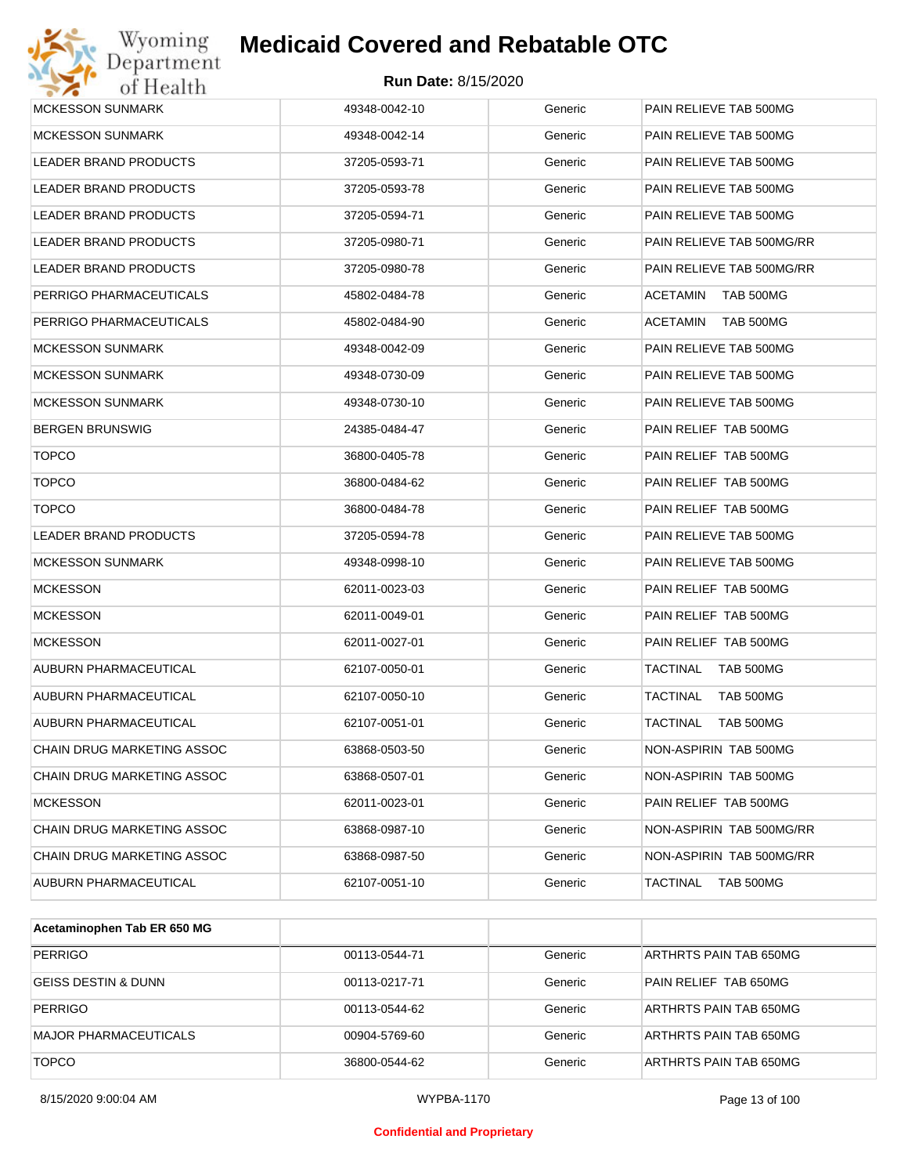# Wyoming<br>Department<br>of Health

## **Medicaid Covered and Rebatable OTC**

| <b>MCKESSON SUNMARK</b>      | 49348-0042-10 | Generic | PAIN RELIEVE TAB 500MG       |
|------------------------------|---------------|---------|------------------------------|
| <b>MCKESSON SUNMARK</b>      | 49348-0042-14 | Generic | PAIN RELIEVE TAB 500MG       |
| LEADER BRAND PRODUCTS        | 37205-0593-71 | Generic | PAIN RELIEVE TAB 500MG       |
| LEADER BRAND PRODUCTS        | 37205-0593-78 | Generic | PAIN RELIEVE TAB 500MG       |
| LEADER BRAND PRODUCTS        | 37205-0594-71 | Generic | PAIN RELIEVE TAB 500MG       |
| LEADER BRAND PRODUCTS        | 37205-0980-71 | Generic | PAIN RELIEVE TAB 500MG/RR    |
| <b>LEADER BRAND PRODUCTS</b> | 37205-0980-78 | Generic | PAIN RELIEVE TAB 500MG/RR    |
| PERRIGO PHARMACEUTICALS      | 45802-0484-78 | Generic | TAB 500MG<br>ACETAMIN        |
| PERRIGO PHARMACEUTICALS      | 45802-0484-90 | Generic | TAB 500MG<br>ACETAMIN        |
| <b>MCKESSON SUNMARK</b>      | 49348-0042-09 | Generic | PAIN RELIEVE TAB 500MG       |
| <b>MCKESSON SUNMARK</b>      | 49348-0730-09 | Generic | PAIN RELIEVE TAB 500MG       |
| <b>MCKESSON SUNMARK</b>      | 49348-0730-10 | Generic | PAIN RELIEVE TAB 500MG       |
| <b>BERGEN BRUNSWIG</b>       | 24385-0484-47 | Generic | PAIN RELIEF TAB 500MG        |
| <b>TOPCO</b>                 | 36800-0405-78 | Generic | PAIN RELIEF TAB 500MG        |
| <b>TOPCO</b>                 | 36800-0484-62 | Generic | PAIN RELIEF TAB 500MG        |
| <b>TOPCO</b>                 | 36800-0484-78 | Generic | PAIN RELIEF TAB 500MG        |
| LEADER BRAND PRODUCTS        | 37205-0594-78 | Generic | PAIN RELIEVE TAB 500MG       |
| <b>MCKESSON SUNMARK</b>      | 49348-0998-10 | Generic | PAIN RELIEVE TAB 500MG       |
| <b>MCKESSON</b>              | 62011-0023-03 | Generic | PAIN RELIEF TAB 500MG        |
| <b>MCKESSON</b>              | 62011-0049-01 | Generic | PAIN RELIEF TAB 500MG        |
| <b>MCKESSON</b>              | 62011-0027-01 | Generic | PAIN RELIEF TAB 500MG        |
| AUBURN PHARMACEUTICAL        | 62107-0050-01 | Generic | TACTINAL<br><b>TAB 500MG</b> |
| <b>AUBURN PHARMACEUTICAL</b> | 62107-0050-10 | Generic | TAB 500MG<br>TACTINAL        |
| AUBURN PHARMACEUTICAL        | 62107-0051-01 | Generic | TACTINAL<br>TAB 500MG        |
| CHAIN DRUG MARKETING ASSOC   | 63868-0503-50 | Generic | NON-ASPIRIN TAB 500MG        |
| CHAIN DRUG MARKETING ASSOC   | 63868-0507-01 | Generic | NON-ASPIRIN TAB 500MG        |
| <b>MCKESSON</b>              | 62011-0023-01 | Generic | PAIN RELIEF TAB 500MG        |
| CHAIN DRUG MARKETING ASSOC   | 63868-0987-10 | Generic | NON-ASPIRIN TAB 500MG/RR     |
| CHAIN DRUG MARKETING ASSOC   | 63868-0987-50 | Generic | NON-ASPIRIN TAB 500MG/RR     |
| AUBURN PHARMACEUTICAL        | 62107-0051-10 | Generic | <b>TAB 500MG</b><br>TACTINAL |

| Acetaminophen Tab ER 650 MG  |               |         |                        |
|------------------------------|---------------|---------|------------------------|
| <b>PERRIGO</b>               | 00113-0544-71 | Generic | ARTHRTS PAIN TAB 650MG |
| GEISS DESTIN & DUNN          | 00113-0217-71 | Generic | PAIN RELIEF TAB 650MG  |
| <b>PERRIGO</b>               | 00113-0544-62 | Generic | ARTHRTS PAIN TAB 650MG |
| <b>MAJOR PHARMACEUTICALS</b> | 00904-5769-60 | Generic | ARTHRTS PAIN TAB 650MG |
| <b>TOPCO</b>                 | 36800-0544-62 | Generic | ARTHRTS PAIN TAB 650MG |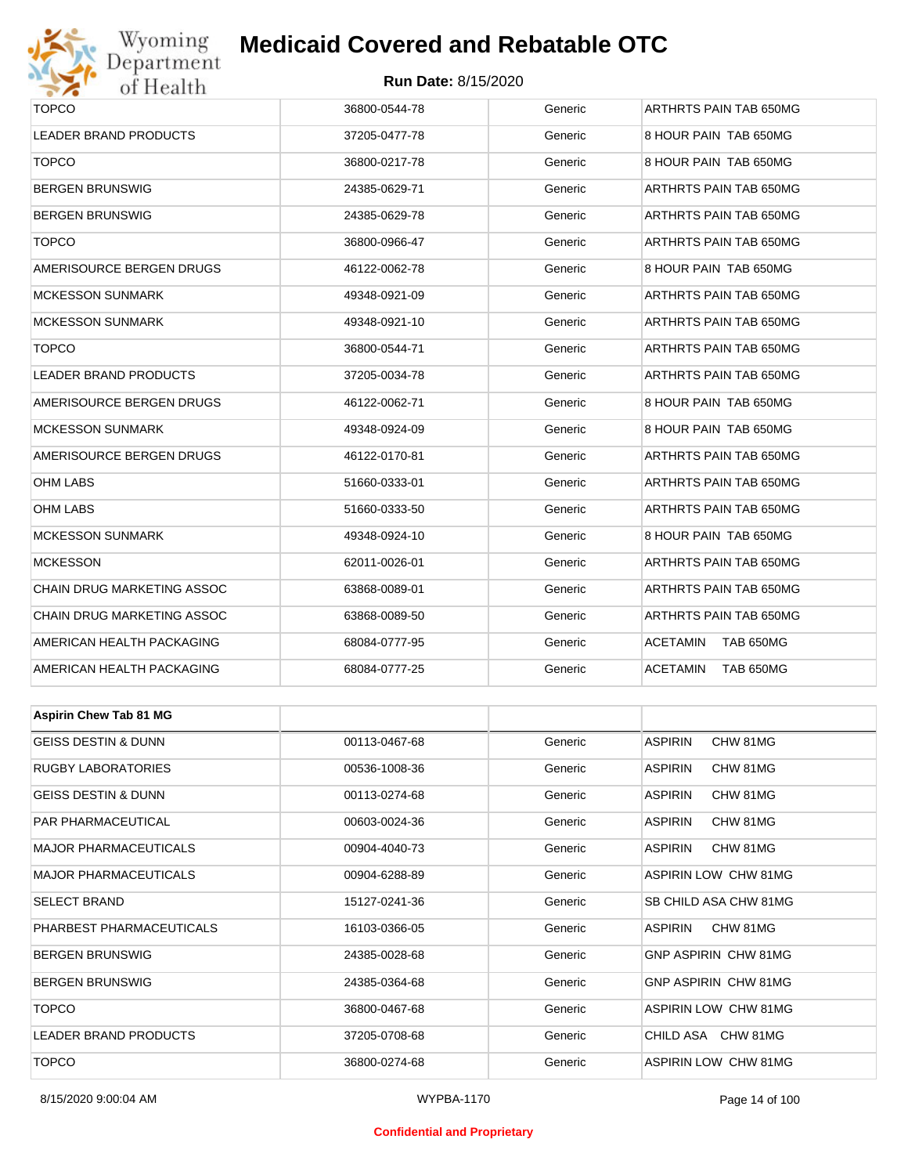

#### **Run Date:** 8/15/2020

| $\bullet$ $\bullet$<br><b>OF TEORITE</b> |               |         |                                     |  |  |
|------------------------------------------|---------------|---------|-------------------------------------|--|--|
| <b>TOPCO</b>                             | 36800-0544-78 | Generic | ARTHRTS PAIN TAB 650MG              |  |  |
| LEADER BRAND PRODUCTS                    | 37205-0477-78 | Generic | 8 HOUR PAIN TAB 650MG               |  |  |
| <b>TOPCO</b>                             | 36800-0217-78 | Generic | 8 HOUR PAIN TAB 650MG               |  |  |
| <b>BERGEN BRUNSWIG</b>                   | 24385-0629-71 | Generic | ARTHRTS PAIN TAB 650MG              |  |  |
| BERGEN BRUNSWIG                          | 24385-0629-78 | Generic | ARTHRTS PAIN TAB 650MG              |  |  |
| <b>TOPCO</b>                             | 36800-0966-47 | Generic | ARTHRTS PAIN TAB 650MG              |  |  |
| AMERISOURCE BERGEN DRUGS                 | 46122-0062-78 | Generic | 8 HOUR PAIN TAB 650MG               |  |  |
| MCKESSON SUNMARK                         | 49348-0921-09 | Generic | ARTHRTS PAIN TAB 650MG              |  |  |
| <b>MCKESSON SUNMARK</b>                  | 49348-0921-10 | Generic | ARTHRTS PAIN TAB 650MG              |  |  |
| <b>TOPCO</b>                             | 36800-0544-71 | Generic | ARTHRTS PAIN TAB 650MG              |  |  |
| LEADER BRAND PRODUCTS                    | 37205-0034-78 | Generic | ARTHRTS PAIN TAB 650MG              |  |  |
| AMERISOURCE BERGEN DRUGS                 | 46122-0062-71 | Generic | 8 HOUR PAIN TAB 650MG               |  |  |
| MCKESSON SUNMARK                         | 49348-0924-09 | Generic | 8 HOUR PAIN TAB 650MG               |  |  |
| AMERISOURCE BERGEN DRUGS                 | 46122-0170-81 | Generic | ARTHRTS PAIN TAB 650MG              |  |  |
| OHM LABS                                 | 51660-0333-01 | Generic | ARTHRTS PAIN TAB 650MG              |  |  |
| OHM LABS                                 | 51660-0333-50 | Generic | ARTHRTS PAIN TAB 650MG              |  |  |
| MCKESSON SUNMARK                         | 49348-0924-10 | Generic | 8 HOUR PAIN TAB 650MG               |  |  |
| <b>MCKESSON</b>                          | 62011-0026-01 | Generic | ARTHRTS PAIN TAB 650MG              |  |  |
| CHAIN DRUG MARKETING ASSOC               | 63868-0089-01 | Generic | ARTHRTS PAIN TAB 650MG              |  |  |
| CHAIN DRUG MARKETING ASSOC               | 63868-0089-50 | Generic | ARTHRTS PAIN TAB 650MG              |  |  |
| AMERICAN HEALTH PACKAGING                | 68084-0777-95 | Generic | <b>ACETAMIN</b><br>TAB 650MG        |  |  |
| AMERICAN HEALTH PACKAGING                | 68084-0777-25 | Generic | <b>ACETAMIN</b><br><b>TAB 650MG</b> |  |  |
|                                          |               |         |                                     |  |  |
| <b>Aspirin Chew Tab 81 MG</b>            |               |         |                                     |  |  |
| <b>GEISS DESTIN &amp; DUNN</b>           | 00113-0467-68 | Generic | <b>ASPIRIN</b><br>CHW 81MG          |  |  |
| RUGBY LABORATORIES                       | 00536-1008-36 | Generic | <b>ASPIRIN</b><br>CHW 81MG          |  |  |
| GEISS DESTIN & DUNN                      | 00113-0274-68 | Generic | <b>ASPIRIN</b><br>CHW 81MG          |  |  |
| PAR PHARMACEUTICAL                       | 00603-0024-36 | Generic | ASPIRIN<br>CHW 81MG                 |  |  |
| MAJOR PHARMACEUTICALS                    | 00904-4040-73 | Generic | ASPIRIN<br>CHW 81MG                 |  |  |
| MAJOR PHARMACEUTICALS                    | 00904-6288-89 | Generic | <b>ASPIRIN LOW CHW 81MG</b>         |  |  |
| SELECT BRAND                             | 15127-0241-36 | Generic | SB CHILD ASA CHW 81MG               |  |  |
| PHARBEST PHARMACEUTICALS                 | 16103-0366-05 | Generic | ASPIRIN<br>CHW 81MG                 |  |  |
| BERGEN BRUNSWIG                          | 24385-0028-68 | Generic | <b>GNP ASPIRIN CHW 81MG</b>         |  |  |
| <b>BERGEN BRUNSWIG</b>                   | 24385-0364-68 | Generic | <b>GNP ASPIRIN CHW 81MG</b>         |  |  |
| <b>TOPCO</b>                             | 36800-0467-68 | Generic | ASPIRIN LOW CHW 81MG                |  |  |

LEADER BRAND PRODUCTS **12005-0708-68** 37205-0708-68 Generic CHILD ASA CHW 81MG TOPCO 36800-0274-68 Generic ASPIRIN LOW CHW 81MG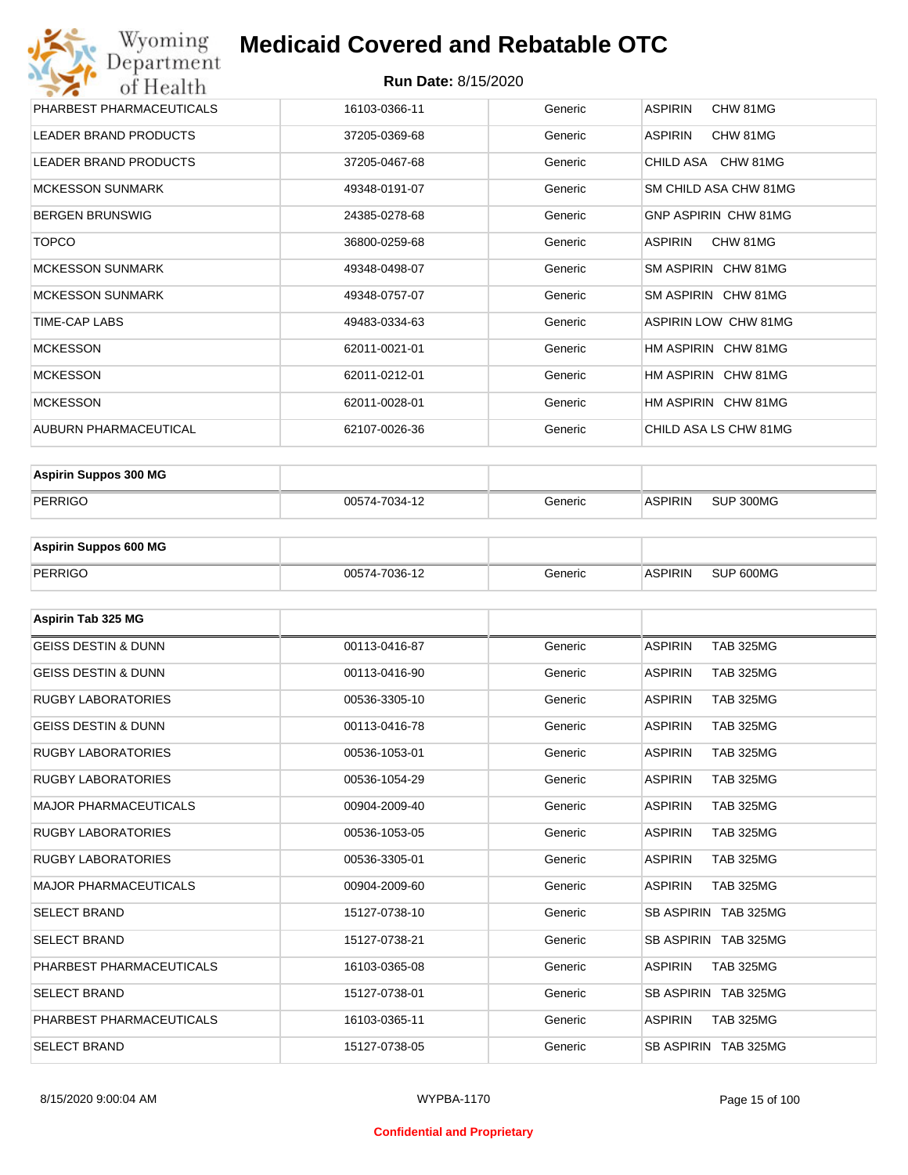#### **Run Date:** 8/15/2020

| Wyoming<br>Department        | <b>Medicaid Covered and Rebatable OTC</b> |         |                             |  |  |  |  |
|------------------------------|-------------------------------------------|---------|-----------------------------|--|--|--|--|
| of Health                    | <b>Run Date: 8/15/2020</b>                |         |                             |  |  |  |  |
| PHARBEST PHARMACEUTICALS     | 16103-0366-11                             | Generic | <b>ASPIRIN</b><br>CHW 81MG  |  |  |  |  |
| <b>LEADER BRAND PRODUCTS</b> | 37205-0369-68                             | Generic | <b>ASPIRIN</b><br>CHW 81MG  |  |  |  |  |
| <b>LEADER BRAND PRODUCTS</b> | 37205-0467-68                             | Generic | CHILD ASA CHW 81MG          |  |  |  |  |
| <b>MCKESSON SUNMARK</b>      | 49348-0191-07                             | Generic | SM CHILD ASA CHW 81MG       |  |  |  |  |
| <b>BERGEN BRUNSWIG</b>       | 24385-0278-68                             | Generic | <b>GNP ASPIRIN CHW 81MG</b> |  |  |  |  |
| <b>TOPCO</b>                 | 36800-0259-68                             | Generic | <b>ASPIRIN</b><br>CHW 81MG  |  |  |  |  |
| <b>MCKESSON SUNMARK</b>      | 49348-0498-07                             | Generic | SM ASPIRIN CHW 81MG         |  |  |  |  |
| <b>MCKESSON SUNMARK</b>      | 49348-0757-07                             | Generic | SM ASPIRIN CHW 81MG         |  |  |  |  |
| <b>TIME-CAP LABS</b>         | 49483-0334-63                             | Generic | <b>ASPIRIN LOW CHW 81MG</b> |  |  |  |  |
| <b>MCKESSON</b>              | 62011-0021-01                             | Generic | HM ASPIRIN CHW 81MG         |  |  |  |  |
| <b>MCKESSON</b>              | 62011-0212-01                             | Generic | HM ASPIRIN CHW 81MG         |  |  |  |  |
| <b>MCKESSON</b>              | 62011-0028-01                             | Generic | HM ASPIRIN CHW 81MG         |  |  |  |  |
| AUBURN PHARMACEUTICAL        | 62107-0026-36                             | Generic | CHILD ASA LS CHW 81MG       |  |  |  |  |

| <b>Aspirin Suppos 300 MG</b> |               |           |                |           |
|------------------------------|---------------|-----------|----------------|-----------|
| PERRIGO                      | 00574-7034-12 | Generic : | <b>ASPIRIN</b> | SUP 300MG |

| <b>Aspirin Suppos 600 MG</b> |               |         |                |           |
|------------------------------|---------------|---------|----------------|-----------|
| PERRIGO                      | 00574-7036-12 | Generic | <b>ASPIRIN</b> | SUP 600MG |

| Aspirin Tab 325 MG             |               |         |                                    |
|--------------------------------|---------------|---------|------------------------------------|
| <b>GEISS DESTIN &amp; DUNN</b> | 00113-0416-87 | Generic | <b>ASPIRIN</b><br><b>TAB 325MG</b> |
| <b>GEISS DESTIN &amp; DUNN</b> | 00113-0416-90 | Generic | <b>ASPIRIN</b><br><b>TAB 325MG</b> |
| <b>RUGBY LABORATORIES</b>      | 00536-3305-10 | Generic | <b>ASPIRIN</b><br><b>TAB 325MG</b> |
| <b>GEISS DESTIN &amp; DUNN</b> | 00113-0416-78 | Generic | <b>ASPIRIN</b><br><b>TAB 325MG</b> |
| <b>RUGBY LABORATORIES</b>      | 00536-1053-01 | Generic | <b>ASPIRIN</b><br><b>TAB 325MG</b> |
| <b>RUGBY LABORATORIES</b>      | 00536-1054-29 | Generic | <b>ASPIRIN</b><br><b>TAB 325MG</b> |
| <b>MAJOR PHARMACEUTICALS</b>   | 00904-2009-40 | Generic | <b>ASPIRIN</b><br><b>TAB 325MG</b> |
| <b>RUGBY LABORATORIES</b>      | 00536-1053-05 | Generic | <b>ASPIRIN</b><br><b>TAB 325MG</b> |
| <b>RUGBY LABORATORIES</b>      | 00536-3305-01 | Generic | <b>ASPIRIN</b><br><b>TAB 325MG</b> |
| <b>MAJOR PHARMACEUTICALS</b>   | 00904-2009-60 | Generic | <b>ASPIRIN</b><br><b>TAB 325MG</b> |
| <b>SELECT BRAND</b>            | 15127-0738-10 | Generic | SB ASPIRIN TAB 325MG               |
| <b>SELECT BRAND</b>            | 15127-0738-21 | Generic | SB ASPIRIN TAB 325MG               |
| PHARBEST PHARMACEUTICALS       | 16103-0365-08 | Generic | <b>ASPIRIN</b><br><b>TAB 325MG</b> |
| <b>SELECT BRAND</b>            | 15127-0738-01 | Generic | SB ASPIRIN TAB 325MG               |
| PHARBEST PHARMACEUTICALS       | 16103-0365-11 | Generic | <b>ASPIRIN</b><br><b>TAB 325MG</b> |
| <b>SELECT BRAND</b>            | 15127-0738-05 | Generic | SB ASPIRIN TAB 325MG               |

#### **Confidential and Proprietary**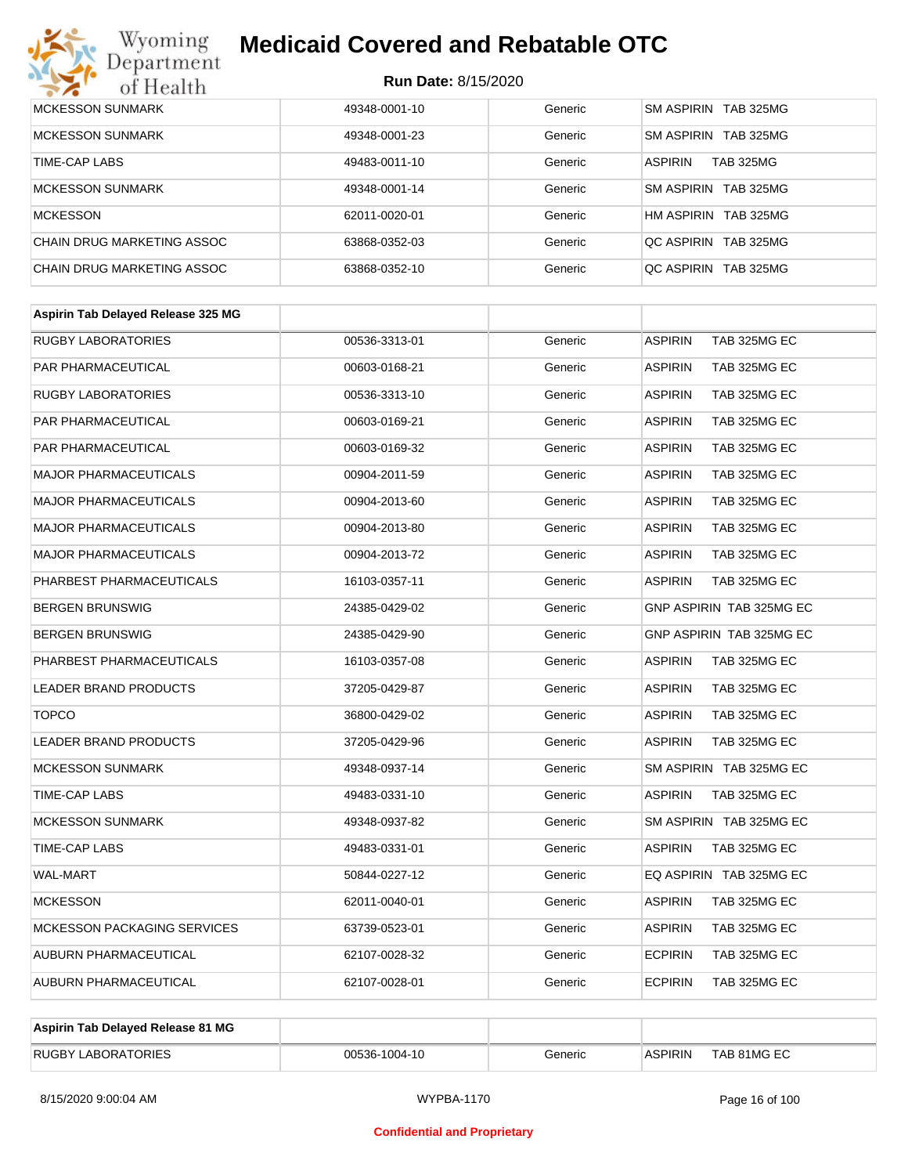

| MCKESSON SUNMARK           | 49348-0001-10 | Generic | SM ASPIRIN TAB 325MG               |
|----------------------------|---------------|---------|------------------------------------|
| <b>MCKESSON SUNMARK</b>    | 49348-0001-23 | Generic | SM ASPIRIN TAB 325MG               |
| TIME-CAP LABS              | 49483-0011-10 | Generic | <b>TAB 325MG</b><br><b>ASPIRIN</b> |
| <b>MCKESSON SUNMARK</b>    | 49348-0001-14 | Generic | SM ASPIRIN TAB 325MG               |
| <b>MCKESSON</b>            | 62011-0020-01 | Generic | HM ASPIRIN TAB 325MG               |
| CHAIN DRUG MARKETING ASSOC | 63868-0352-03 | Generic | OC ASPIRIN TAB 325MG               |
| CHAIN DRUG MARKETING ASSOC | 63868-0352-10 | Generic | OC ASPIRIN TAB 325MG               |

| <b>RUGBY LABORATORIES</b><br><b>ASPIRIN</b><br>TAB 325MG EC<br>00536-3313-01<br>Generic<br><b>PAR PHARMACEUTICAL</b><br><b>ASPIRIN</b><br>TAB 325MG EC<br>00603-0168-21<br>Generic<br><b>RUGBY LABORATORIES</b><br>Generic<br><b>ASPIRIN</b><br>TAB 325MG EC<br>00536-3313-10<br><b>PAR PHARMACEUTICAL</b><br>00603-0169-21<br>Generic<br><b>ASPIRIN</b><br>TAB 325MG EC<br><b>PAR PHARMACEUTICAL</b><br><b>ASPIRIN</b><br>TAB 325MG EC<br>00603-0169-32<br>Generic<br><b>MAJOR PHARMACEUTICALS</b><br>00904-2011-59<br>Generic<br><b>ASPIRIN</b><br>TAB 325MG EC<br><b>MAJOR PHARMACEUTICALS</b><br><b>ASPIRIN</b><br>TAB 325MG EC<br>00904-2013-60<br>Generic<br><b>ASPIRIN</b><br><b>MAJOR PHARMACEUTICALS</b><br>00904-2013-80<br>TAB 325MG EC<br>Generic<br><b>MAJOR PHARMACEUTICALS</b><br>Generic<br><b>ASPIRIN</b><br>TAB 325MG EC<br>00904-2013-72<br>PHARBEST PHARMACEUTICALS<br>16103-0357-11<br>Generic<br><b>ASPIRIN</b><br>TAB 325MG EC<br>GNP ASPIRIN TAB 325MG EC<br><b>BERGEN BRUNSWIG</b><br>Generic<br>24385-0429-02<br><b>BERGEN BRUNSWIG</b><br>24385-0429-90<br><b>GNP ASPIRIN TAB 325MG EC</b><br>Generic<br>PHARBEST PHARMACEUTICALS<br>Generic<br><b>ASPIRIN</b><br>TAB 325MG EC<br>16103-0357-08<br>LEADER BRAND PRODUCTS<br>37205-0429-87<br>Generic<br><b>ASPIRIN</b><br>TAB 325MG EC<br><b>TOPCO</b><br><b>ASPIRIN</b><br>TAB 325MG EC<br>36800-0429-02<br>Generic<br><b>LEADER BRAND PRODUCTS</b><br>37205-0429-96<br><b>ASPIRIN</b><br>TAB 325MG EC<br>Generic<br><b>MCKESSON SUNMARK</b><br>Generic<br>SM ASPIRIN TAB 325MG EC<br>49348-0937-14<br>TIME-CAP LABS<br>49483-0331-10<br>Generic<br><b>ASPIRIN</b><br>TAB 325MG EC<br><b>MCKESSON SUNMARK</b><br>SM ASPIRIN TAB 325MG EC<br>49348-0937-82<br>Generic<br><b>TIME-CAP LABS</b><br>49483-0331-01<br>Generic<br><b>ASPIRIN</b><br>TAB 325MG EC<br><b>WAL-MART</b><br>EQ ASPIRIN TAB 325MG EC<br>50844-0227-12<br>Generic<br><b>MCKESSON</b><br>62011-0040-01<br>Generic<br><b>ASPIRIN</b><br>TAB 325MG EC<br>MCKESSON PACKAGING SERVICES<br><b>ASPIRIN</b><br>TAB 325MG EC<br>63739-0523-01<br>Generic<br><b>ECPIRIN</b><br>AUBURN PHARMACEUTICAL<br>TAB 325MG EC<br>62107-0028-32<br>Generic<br>AUBURN PHARMACEUTICAL<br><b>ECPIRIN</b><br>TAB 325MG EC<br>62107-0028-01<br>Generic | Aspirin Tab Delayed Release 325 MG |  |  |
|------------------------------------------------------------------------------------------------------------------------------------------------------------------------------------------------------------------------------------------------------------------------------------------------------------------------------------------------------------------------------------------------------------------------------------------------------------------------------------------------------------------------------------------------------------------------------------------------------------------------------------------------------------------------------------------------------------------------------------------------------------------------------------------------------------------------------------------------------------------------------------------------------------------------------------------------------------------------------------------------------------------------------------------------------------------------------------------------------------------------------------------------------------------------------------------------------------------------------------------------------------------------------------------------------------------------------------------------------------------------------------------------------------------------------------------------------------------------------------------------------------------------------------------------------------------------------------------------------------------------------------------------------------------------------------------------------------------------------------------------------------------------------------------------------------------------------------------------------------------------------------------------------------------------------------------------------------------------------------------------------------------------------------------------------------------------------------------------------------------------------------------------------------------------------------------------------------------------------------------------------------------------------|------------------------------------|--|--|
|                                                                                                                                                                                                                                                                                                                                                                                                                                                                                                                                                                                                                                                                                                                                                                                                                                                                                                                                                                                                                                                                                                                                                                                                                                                                                                                                                                                                                                                                                                                                                                                                                                                                                                                                                                                                                                                                                                                                                                                                                                                                                                                                                                                                                                                                              |                                    |  |  |
|                                                                                                                                                                                                                                                                                                                                                                                                                                                                                                                                                                                                                                                                                                                                                                                                                                                                                                                                                                                                                                                                                                                                                                                                                                                                                                                                                                                                                                                                                                                                                                                                                                                                                                                                                                                                                                                                                                                                                                                                                                                                                                                                                                                                                                                                              |                                    |  |  |
|                                                                                                                                                                                                                                                                                                                                                                                                                                                                                                                                                                                                                                                                                                                                                                                                                                                                                                                                                                                                                                                                                                                                                                                                                                                                                                                                                                                                                                                                                                                                                                                                                                                                                                                                                                                                                                                                                                                                                                                                                                                                                                                                                                                                                                                                              |                                    |  |  |
|                                                                                                                                                                                                                                                                                                                                                                                                                                                                                                                                                                                                                                                                                                                                                                                                                                                                                                                                                                                                                                                                                                                                                                                                                                                                                                                                                                                                                                                                                                                                                                                                                                                                                                                                                                                                                                                                                                                                                                                                                                                                                                                                                                                                                                                                              |                                    |  |  |
|                                                                                                                                                                                                                                                                                                                                                                                                                                                                                                                                                                                                                                                                                                                                                                                                                                                                                                                                                                                                                                                                                                                                                                                                                                                                                                                                                                                                                                                                                                                                                                                                                                                                                                                                                                                                                                                                                                                                                                                                                                                                                                                                                                                                                                                                              |                                    |  |  |
|                                                                                                                                                                                                                                                                                                                                                                                                                                                                                                                                                                                                                                                                                                                                                                                                                                                                                                                                                                                                                                                                                                                                                                                                                                                                                                                                                                                                                                                                                                                                                                                                                                                                                                                                                                                                                                                                                                                                                                                                                                                                                                                                                                                                                                                                              |                                    |  |  |
|                                                                                                                                                                                                                                                                                                                                                                                                                                                                                                                                                                                                                                                                                                                                                                                                                                                                                                                                                                                                                                                                                                                                                                                                                                                                                                                                                                                                                                                                                                                                                                                                                                                                                                                                                                                                                                                                                                                                                                                                                                                                                                                                                                                                                                                                              |                                    |  |  |
|                                                                                                                                                                                                                                                                                                                                                                                                                                                                                                                                                                                                                                                                                                                                                                                                                                                                                                                                                                                                                                                                                                                                                                                                                                                                                                                                                                                                                                                                                                                                                                                                                                                                                                                                                                                                                                                                                                                                                                                                                                                                                                                                                                                                                                                                              |                                    |  |  |
|                                                                                                                                                                                                                                                                                                                                                                                                                                                                                                                                                                                                                                                                                                                                                                                                                                                                                                                                                                                                                                                                                                                                                                                                                                                                                                                                                                                                                                                                                                                                                                                                                                                                                                                                                                                                                                                                                                                                                                                                                                                                                                                                                                                                                                                                              |                                    |  |  |
|                                                                                                                                                                                                                                                                                                                                                                                                                                                                                                                                                                                                                                                                                                                                                                                                                                                                                                                                                                                                                                                                                                                                                                                                                                                                                                                                                                                                                                                                                                                                                                                                                                                                                                                                                                                                                                                                                                                                                                                                                                                                                                                                                                                                                                                                              |                                    |  |  |
|                                                                                                                                                                                                                                                                                                                                                                                                                                                                                                                                                                                                                                                                                                                                                                                                                                                                                                                                                                                                                                                                                                                                                                                                                                                                                                                                                                                                                                                                                                                                                                                                                                                                                                                                                                                                                                                                                                                                                                                                                                                                                                                                                                                                                                                                              |                                    |  |  |
|                                                                                                                                                                                                                                                                                                                                                                                                                                                                                                                                                                                                                                                                                                                                                                                                                                                                                                                                                                                                                                                                                                                                                                                                                                                                                                                                                                                                                                                                                                                                                                                                                                                                                                                                                                                                                                                                                                                                                                                                                                                                                                                                                                                                                                                                              |                                    |  |  |
|                                                                                                                                                                                                                                                                                                                                                                                                                                                                                                                                                                                                                                                                                                                                                                                                                                                                                                                                                                                                                                                                                                                                                                                                                                                                                                                                                                                                                                                                                                                                                                                                                                                                                                                                                                                                                                                                                                                                                                                                                                                                                                                                                                                                                                                                              |                                    |  |  |
|                                                                                                                                                                                                                                                                                                                                                                                                                                                                                                                                                                                                                                                                                                                                                                                                                                                                                                                                                                                                                                                                                                                                                                                                                                                                                                                                                                                                                                                                                                                                                                                                                                                                                                                                                                                                                                                                                                                                                                                                                                                                                                                                                                                                                                                                              |                                    |  |  |
|                                                                                                                                                                                                                                                                                                                                                                                                                                                                                                                                                                                                                                                                                                                                                                                                                                                                                                                                                                                                                                                                                                                                                                                                                                                                                                                                                                                                                                                                                                                                                                                                                                                                                                                                                                                                                                                                                                                                                                                                                                                                                                                                                                                                                                                                              |                                    |  |  |
|                                                                                                                                                                                                                                                                                                                                                                                                                                                                                                                                                                                                                                                                                                                                                                                                                                                                                                                                                                                                                                                                                                                                                                                                                                                                                                                                                                                                                                                                                                                                                                                                                                                                                                                                                                                                                                                                                                                                                                                                                                                                                                                                                                                                                                                                              |                                    |  |  |
|                                                                                                                                                                                                                                                                                                                                                                                                                                                                                                                                                                                                                                                                                                                                                                                                                                                                                                                                                                                                                                                                                                                                                                                                                                                                                                                                                                                                                                                                                                                                                                                                                                                                                                                                                                                                                                                                                                                                                                                                                                                                                                                                                                                                                                                                              |                                    |  |  |
|                                                                                                                                                                                                                                                                                                                                                                                                                                                                                                                                                                                                                                                                                                                                                                                                                                                                                                                                                                                                                                                                                                                                                                                                                                                                                                                                                                                                                                                                                                                                                                                                                                                                                                                                                                                                                                                                                                                                                                                                                                                                                                                                                                                                                                                                              |                                    |  |  |
|                                                                                                                                                                                                                                                                                                                                                                                                                                                                                                                                                                                                                                                                                                                                                                                                                                                                                                                                                                                                                                                                                                                                                                                                                                                                                                                                                                                                                                                                                                                                                                                                                                                                                                                                                                                                                                                                                                                                                                                                                                                                                                                                                                                                                                                                              |                                    |  |  |
|                                                                                                                                                                                                                                                                                                                                                                                                                                                                                                                                                                                                                                                                                                                                                                                                                                                                                                                                                                                                                                                                                                                                                                                                                                                                                                                                                                                                                                                                                                                                                                                                                                                                                                                                                                                                                                                                                                                                                                                                                                                                                                                                                                                                                                                                              |                                    |  |  |
|                                                                                                                                                                                                                                                                                                                                                                                                                                                                                                                                                                                                                                                                                                                                                                                                                                                                                                                                                                                                                                                                                                                                                                                                                                                                                                                                                                                                                                                                                                                                                                                                                                                                                                                                                                                                                                                                                                                                                                                                                                                                                                                                                                                                                                                                              |                                    |  |  |
|                                                                                                                                                                                                                                                                                                                                                                                                                                                                                                                                                                                                                                                                                                                                                                                                                                                                                                                                                                                                                                                                                                                                                                                                                                                                                                                                                                                                                                                                                                                                                                                                                                                                                                                                                                                                                                                                                                                                                                                                                                                                                                                                                                                                                                                                              |                                    |  |  |
|                                                                                                                                                                                                                                                                                                                                                                                                                                                                                                                                                                                                                                                                                                                                                                                                                                                                                                                                                                                                                                                                                                                                                                                                                                                                                                                                                                                                                                                                                                                                                                                                                                                                                                                                                                                                                                                                                                                                                                                                                                                                                                                                                                                                                                                                              |                                    |  |  |
|                                                                                                                                                                                                                                                                                                                                                                                                                                                                                                                                                                                                                                                                                                                                                                                                                                                                                                                                                                                                                                                                                                                                                                                                                                                                                                                                                                                                                                                                                                                                                                                                                                                                                                                                                                                                                                                                                                                                                                                                                                                                                                                                                                                                                                                                              |                                    |  |  |
|                                                                                                                                                                                                                                                                                                                                                                                                                                                                                                                                                                                                                                                                                                                                                                                                                                                                                                                                                                                                                                                                                                                                                                                                                                                                                                                                                                                                                                                                                                                                                                                                                                                                                                                                                                                                                                                                                                                                                                                                                                                                                                                                                                                                                                                                              |                                    |  |  |

| Aspirin Tab Delayed Release 81 MG |               |         |                |             |
|-----------------------------------|---------------|---------|----------------|-------------|
| <b>RUGBY LABORATORIES</b>         | 00536-1004-10 | Beneric | <b>ASPIRIN</b> | TAB 81MG EC |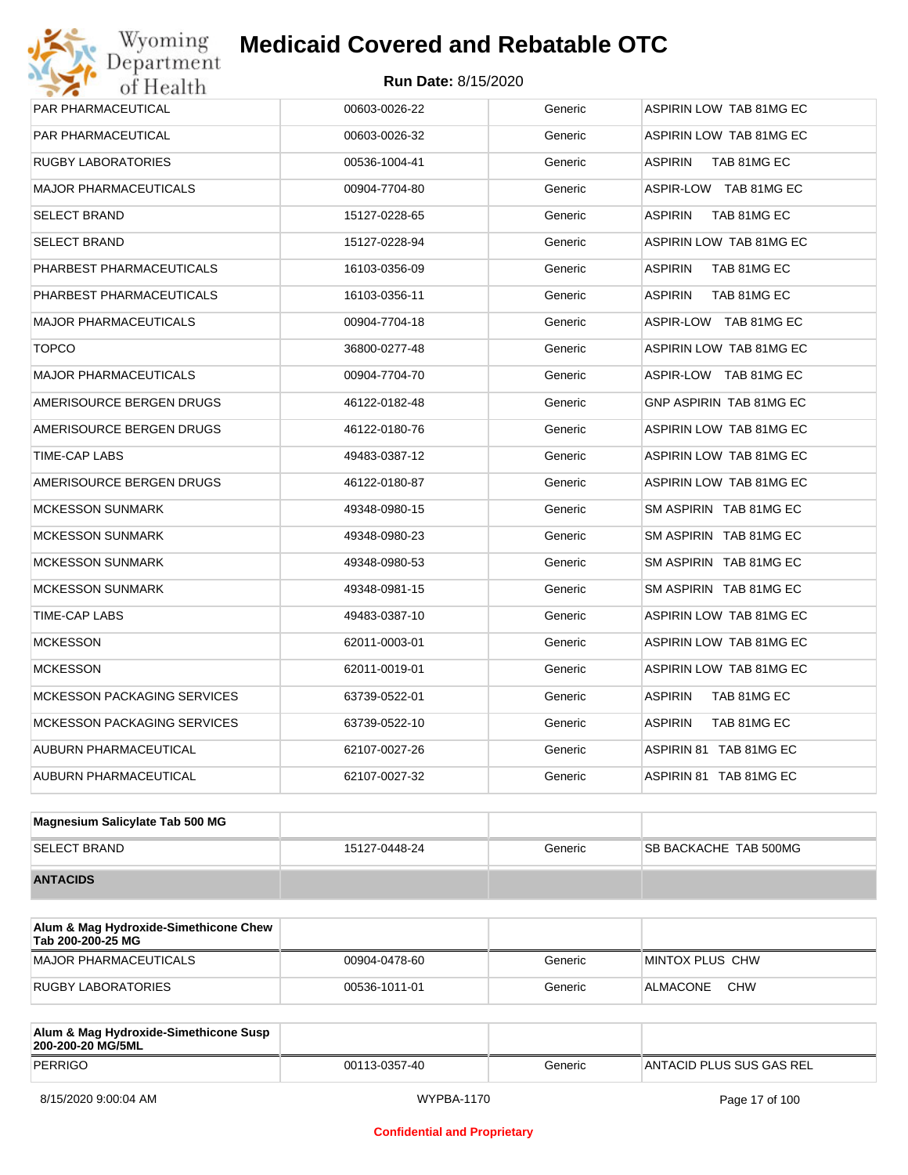| PAR PHARMACEUTICAL                 | 00603-0026-22 | Generic | <b>ASPIRIN LOW TAB 81MG EC</b> |
|------------------------------------|---------------|---------|--------------------------------|
| PAR PHARMACEUTICAL                 | 00603-0026-32 | Generic | ASPIRIN LOW TAB 81MG EC        |
| RUGBY LABORATORIES                 | 00536-1004-41 | Generic | ASPIRIN<br>TAB 81MG EC         |
| MAJOR PHARMACEUTICALS              | 00904-7704-80 | Generic | ASPIR-LOW TAB 81MG EC          |
| SELECT BRAND                       | 15127-0228-65 | Generic | <b>ASPIRIN</b><br>TAB 81MG EC  |
| SELECT BRAND                       | 15127-0228-94 | Generic | ASPIRIN LOW TAB 81MG EC        |
| PHARBEST PHARMACEUTICALS           | 16103-0356-09 | Generic | <b>ASPIRIN</b><br>TAB 81MG EC  |
| PHARBEST PHARMACEUTICALS           | 16103-0356-11 | Generic | <b>ASPIRIN</b><br>TAB 81MG EC  |
| <b>MAJOR PHARMACEUTICALS</b>       | 00904-7704-18 | Generic | ASPIR-LOW TAB 81MG EC          |
| <b>TOPCO</b>                       | 36800-0277-48 | Generic | ASPIRIN LOW TAB 81MG EC        |
| <b>MAJOR PHARMACEUTICALS</b>       | 00904-7704-70 | Generic | ASPIR-LOW TAB 81MG EC          |
| AMERISOURCE BERGEN DRUGS           | 46122-0182-48 | Generic | GNP ASPIRIN TAB 81MG EC        |
| AMERISOURCE BERGEN DRUGS           | 46122-0180-76 | Generic | ASPIRIN LOW TAB 81MG EC        |
| TIME-CAP LABS                      | 49483-0387-12 | Generic | ASPIRIN LOW TAB 81MG EC        |
| AMERISOURCE BERGEN DRUGS           | 46122-0180-87 | Generic | ASPIRIN LOW TAB 81MG EC        |
| <b>MCKESSON SUNMARK</b>            | 49348-0980-15 | Generic | SM ASPIRIN TAB 81MG EC         |
| <b>MCKESSON SUNMARK</b>            | 49348-0980-23 | Generic | SM ASPIRIN TAB 81MG EC         |
| MCKESSON SUNMARK                   | 49348-0980-53 | Generic | SM ASPIRIN TAB 81MG EC         |
| <b>MCKESSON SUNMARK</b>            | 49348-0981-15 | Generic | SM ASPIRIN TAB 81MG EC         |
| TIME-CAP LABS                      | 49483-0387-10 | Generic | ASPIRIN LOW TAB 81MG EC        |
| <b>MCKESSON</b>                    | 62011-0003-01 | Generic | ASPIRIN LOW TAB 81MG EC        |
| <b>MCKESSON</b>                    | 62011-0019-01 | Generic | ASPIRIN LOW TAB 81MG EC        |
| <b>MCKESSON PACKAGING SERVICES</b> | 63739-0522-01 | Generic | <b>ASPIRIN</b><br>TAB 81MG EC  |
| <b>MCKESSON PACKAGING SERVICES</b> | 63739-0522-10 | Generic | <b>ASPIRIN</b><br>TAB 81MG EC  |
| AUBURN PHARMACEUTICAL              | 62107-0027-26 | Generic | ASPIRIN 81 TAB 81MG EC         |
| AUBURN PHARMACEUTICAL              | 62107-0027-32 | Generic | ASPIRIN 81 TAB 81MG EC         |

| Magnesium Salicylate Tab 500 MG |               |         |                              |
|---------------------------------|---------------|---------|------------------------------|
| <b>SELECT BRAND</b>             | 15127-0448-24 | Generic | <b>SB BACKACHE TAB 500MG</b> |
| <b>ANTACIDS</b>                 |               |         |                              |

| Alum & Mag Hydroxide-Simethicone Chew<br>Tab 200-200-25 MG |               |         |                        |
|------------------------------------------------------------|---------------|---------|------------------------|
| MAJOR PHARMACEUTICALS                                      | 00904-0478-60 | Generic | MINTOX PLUS CHW        |
| RUGBY LABORATORIES                                         | 00536-1011-01 | Generic | <b>CHW</b><br>ALMACONE |

| Alum & Mag Hydroxide-Simethicone Susp<br>200-200-20 MG/5ML |               |         |                          |
|------------------------------------------------------------|---------------|---------|--------------------------|
| PERRIGO                                                    | 00113-0357-40 | Generic | ANTACID PLUS SUS GAS REL |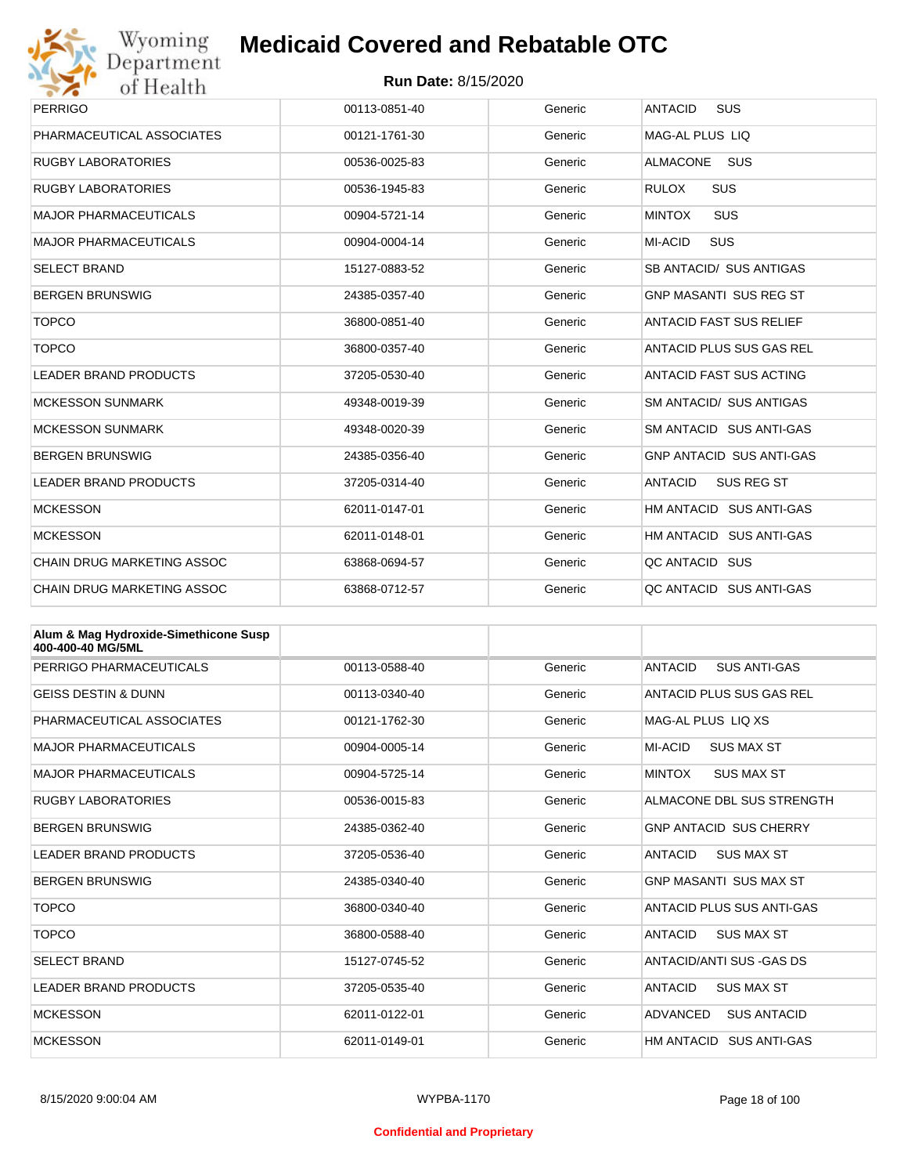

| Wyoming                           | <b>Medicaid Covered and Rebatable OTC</b> |         |                                     |  |
|-----------------------------------|-------------------------------------------|---------|-------------------------------------|--|
| Department<br>of Health           | <b>Run Date: 8/15/2020</b>                |         |                                     |  |
| <b>PERRIGO</b>                    | 00113-0851-40                             | Generic | <b>ANTACID</b><br>SUS               |  |
| PHARMACEUTICAL ASSOCIATES         | 00121-1761-30                             | Generic | MAG-AL PLUS LIO                     |  |
| <b>RUGBY LABORATORIES</b>         | 00536-0025-83                             | Generic | <b>ALMACONE</b><br><b>SUS</b>       |  |
| <b>RUGBY LABORATORIES</b>         | 00536-1945-83                             | Generic | <b>SUS</b><br><b>RULOX</b>          |  |
| <b>MAJOR PHARMACEUTICALS</b>      | 00904-5721-14                             | Generic | <b>MINTOX</b><br>SUS                |  |
| <b>MAJOR PHARMACEUTICALS</b>      | 00904-0004-14                             | Generic | MI-ACID<br><b>SUS</b>               |  |
| <b>SELECT BRAND</b>               | 15127-0883-52                             | Generic | SB ANTACID/ SUS ANTIGAS             |  |
| <b>BERGEN BRUNSWIG</b>            | 24385-0357-40                             | Generic | <b>GNP MASANTI SUS REG ST</b>       |  |
| <b>TOPCO</b>                      | 36800-0851-40                             | Generic | <b>ANTACID FAST SUS RELIEF</b>      |  |
| <b>TOPCO</b>                      | 36800-0357-40                             | Generic | ANTACID PLUS SUS GAS REL            |  |
| <b>LEADER BRAND PRODUCTS</b>      | 37205-0530-40                             | Generic | ANTACID FAST SUS ACTING             |  |
| <b>MCKESSON SUNMARK</b>           | 49348-0019-39                             | Generic | SM ANTACID/ SUS ANTIGAS             |  |
| <b>MCKESSON SUNMARK</b>           | 49348-0020-39                             | Generic | SM ANTACID SUS ANTI-GAS             |  |
| <b>BERGEN BRUNSWIG</b>            | 24385-0356-40                             | Generic | <b>GNP ANTACID SUS ANTI-GAS</b>     |  |
| <b>LEADER BRAND PRODUCTS</b>      | 37205-0314-40                             | Generic | <b>ANTACID</b><br><b>SUS REG ST</b> |  |
| <b>MCKESSON</b>                   | 62011-0147-01                             | Generic | HM ANTACID SUS ANTI-GAS             |  |
| <b>MCKESSON</b>                   | 62011-0148-01                             | Generic | HM ANTACID SUS ANTI-GAS             |  |
| <b>CHAIN DRUG MARKETING ASSOC</b> | 63868-0694-57                             | Generic | QC ANTACID SUS                      |  |
| <b>CHAIN DRUG MARKETING ASSOC</b> | 63868-0712-57                             | Generic | QC ANTACID SUS ANTI-GAS             |  |

| Alum & Mag Hydroxide-Simethicone Susp<br>400-400-40 MG/5ML |               |         |                                       |
|------------------------------------------------------------|---------------|---------|---------------------------------------|
| PERRIGO PHARMACEUTICALS                                    | 00113-0588-40 | Generic | <b>ANTACID</b><br><b>SUS ANTI-GAS</b> |
| <b>GEISS DESTIN &amp; DUNN</b>                             | 00113-0340-40 | Generic | ANTACID PLUS SUS GAS REL              |
| PHARMACEUTICAL ASSOCIATES                                  | 00121-1762-30 | Generic | MAG-AL PLUS LIO XS                    |
| <b>MAJOR PHARMACEUTICALS</b>                               | 00904-0005-14 | Generic | MI-ACID<br><b>SUS MAX ST</b>          |
| <b>MAJOR PHARMACEUTICALS</b>                               | 00904-5725-14 | Generic | <b>MINTOX</b><br><b>SUS MAX ST</b>    |
| <b>RUGBY LABORATORIES</b>                                  | 00536-0015-83 | Generic | ALMACONE DBL SUS STRENGTH             |
| <b>BERGEN BRUNSWIG</b>                                     | 24385-0362-40 | Generic | <b>GNP ANTACID SUS CHERRY</b>         |
| <b>LEADER BRAND PRODUCTS</b>                               | 37205-0536-40 | Generic | <b>ANTACID</b><br><b>SUS MAX ST</b>   |
| <b>BERGEN BRUNSWIG</b>                                     | 24385-0340-40 | Generic | <b>GNP MASANTI SUS MAX ST</b>         |
| <b>TOPCO</b>                                               | 36800-0340-40 | Generic | ANTACID PLUS SUS ANTI-GAS             |
| <b>TOPCO</b>                                               | 36800-0588-40 | Generic | <b>ANTACID</b><br><b>SUS MAX ST</b>   |
| <b>SELECT BRAND</b>                                        | 15127-0745-52 | Generic | ANTACID/ANTI SUS - GAS DS             |
| <b>LEADER BRAND PRODUCTS</b>                               | 37205-0535-40 | Generic | <b>ANTACID</b><br><b>SUS MAX ST</b>   |
| <b>MCKESSON</b>                                            | 62011-0122-01 | Generic | <b>ADVANCED</b><br><b>SUS ANTACID</b> |
| <b>MCKESSON</b>                                            | 62011-0149-01 | Generic | HM ANTACID SUS ANTI-GAS               |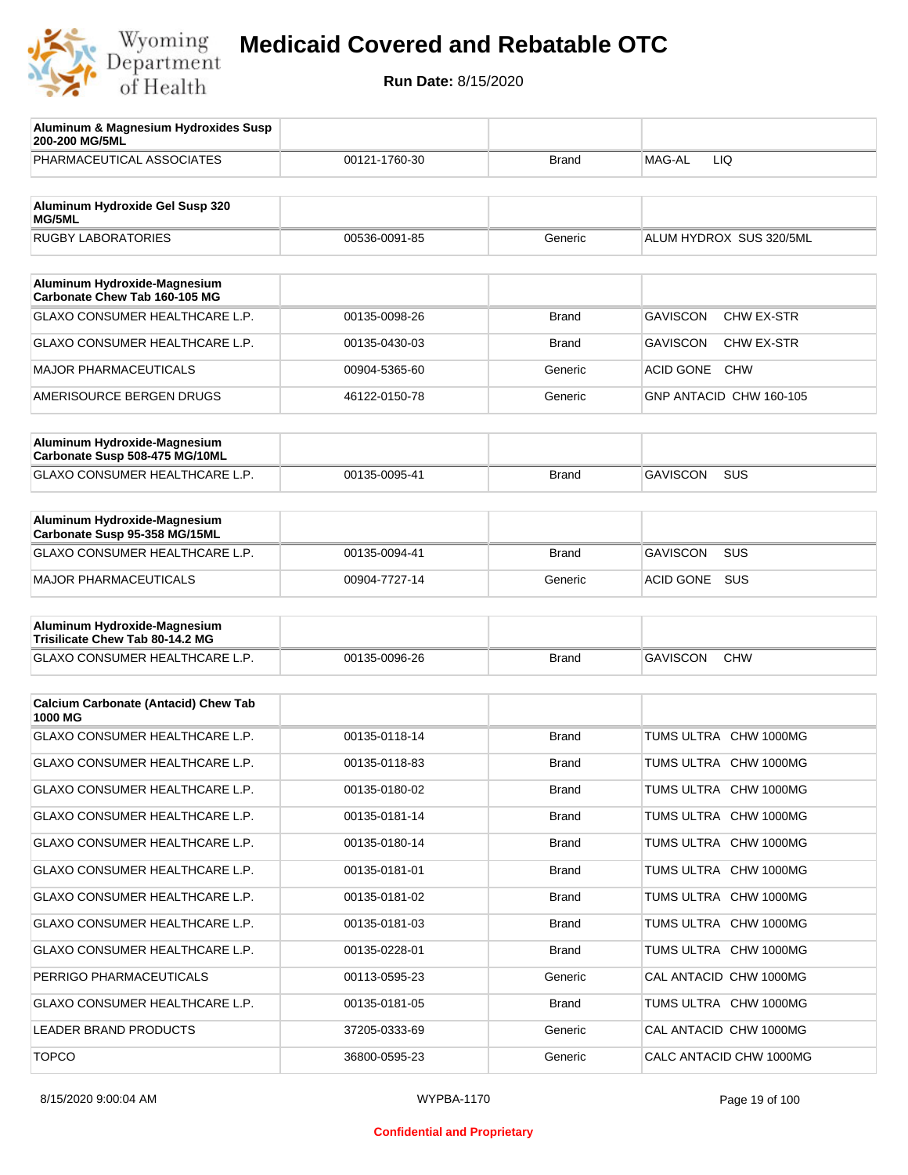

| Aluminum & Magnesium Hydroxides Susp<br>200-200 MG/5ML                  |               |              |                                      |
|-------------------------------------------------------------------------|---------------|--------------|--------------------------------------|
| PHARMACEUTICAL ASSOCIATES                                               | 00121-1760-30 | <b>Brand</b> | MAG-AL<br>LIQ                        |
| Aluminum Hydroxide Gel Susp 320                                         |               |              |                                      |
| MG/5ML<br><b>RUGBY LABORATORIES</b>                                     | 00536-0091-85 | Generic      | ALUM HYDROX SUS 320/5ML              |
|                                                                         |               |              |                                      |
| Aluminum Hydroxide-Magnesium<br>Carbonate Chew Tab 160-105 MG           |               |              |                                      |
| GLAXO CONSUMER HEALTHCARE L.P.                                          | 00135-0098-26 | <b>Brand</b> | <b>GAVISCON</b><br><b>CHW EX-STR</b> |
| GLAXO CONSUMER HEALTHCARE L.P.                                          | 00135-0430-03 | <b>Brand</b> | <b>GAVISCON</b><br><b>CHW EX-STR</b> |
| <b>MAJOR PHARMACEUTICALS</b>                                            | 00904-5365-60 | Generic      | <b>ACID GONE</b><br><b>CHW</b>       |
| AMERISOURCE BERGEN DRUGS                                                | 46122-0150-78 | Generic      | GNP ANTACID CHW 160-105              |
| Aluminum Hydroxide-Magnesium                                            |               |              |                                      |
| Carbonate Susp 508-475 MG/10ML<br><b>GLAXO CONSUMER HEALTHCARE L.P.</b> | 00135-0095-41 | <b>Brand</b> | <b>GAVISCON</b><br>SUS               |
|                                                                         |               |              |                                      |
| Aluminum Hydroxide-Magnesium<br>Carbonate Susp 95-358 MG/15ML           |               |              |                                      |
| GLAXO CONSUMER HEALTHCARE L.P.                                          | 00135-0094-41 | <b>Brand</b> | <b>GAVISCON</b><br>SUS               |
| <b>MAJOR PHARMACEUTICALS</b>                                            | 00904-7727-14 | Generic      | SUS<br>ACID GONE                     |
| Aluminum Hydroxide-Magnesium                                            |               |              |                                      |
| Trisilicate Chew Tab 80-14.2 MG                                         |               |              |                                      |
| GLAXO CONSUMER HEALTHCARE L.P.                                          | 00135-0096-26 | <b>Brand</b> | <b>GAVISCON</b><br><b>CHW</b>        |
| <b>Calcium Carbonate (Antacid) Chew Tab</b><br>1000 MG                  |               |              |                                      |
| GLAXO CONSUMER HEALTHCARE L.P.                                          | 00135-0118-14 | <b>Brand</b> | TUMS ULTRA<br><b>CHW 1000MG</b>      |
| <b>GLAXO CONSUMER HEALTHCARE L.P.</b>                                   | 00135-0118-83 | <b>Brand</b> | TUMS ULTRA CHW 1000MG                |
| GLAXO CONSUMER HEALTHCARE L.P.                                          | 00135-0180-02 | <b>Brand</b> | TUMS ULTRA CHW 1000MG                |
| GLAXO CONSUMER HEALTHCARE L.P.                                          | 00135-0181-14 | <b>Brand</b> | TUMS ULTRA CHW 1000MG                |
| GLAXO CONSUMER HEALTHCARE L.P.                                          | 00135-0180-14 | Brand        | TUMS ULTRA CHW 1000MG                |
| GLAXO CONSUMER HEALTHCARE L.P.                                          | 00135-0181-01 | <b>Brand</b> | TUMS ULTRA CHW 1000MG                |
| GLAXO CONSUMER HEALTHCARE L.P.                                          | 00135-0181-02 | Brand        | TUMS ULTRA CHW 1000MG                |
| GLAXO CONSUMER HEALTHCARE L.P.                                          | 00135-0181-03 | <b>Brand</b> | TUMS ULTRA CHW 1000MG                |
| GLAXO CONSUMER HEALTHCARE L.P.                                          | 00135-0228-01 | Brand        | TUMS ULTRA CHW 1000MG                |
| PERRIGO PHARMACEUTICALS                                                 | 00113-0595-23 | Generic      | CAL ANTACID CHW 1000MG               |
| GLAXO CONSUMER HEALTHCARE L.P.                                          | 00135-0181-05 | Brand        | TUMS ULTRA CHW 1000MG                |
| LEADER BRAND PRODUCTS                                                   | 37205-0333-69 | Generic      | CAL ANTACID CHW 1000MG               |
| <b>TOPCO</b>                                                            | 36800-0595-23 | Generic      | CALC ANTACID CHW 1000MG              |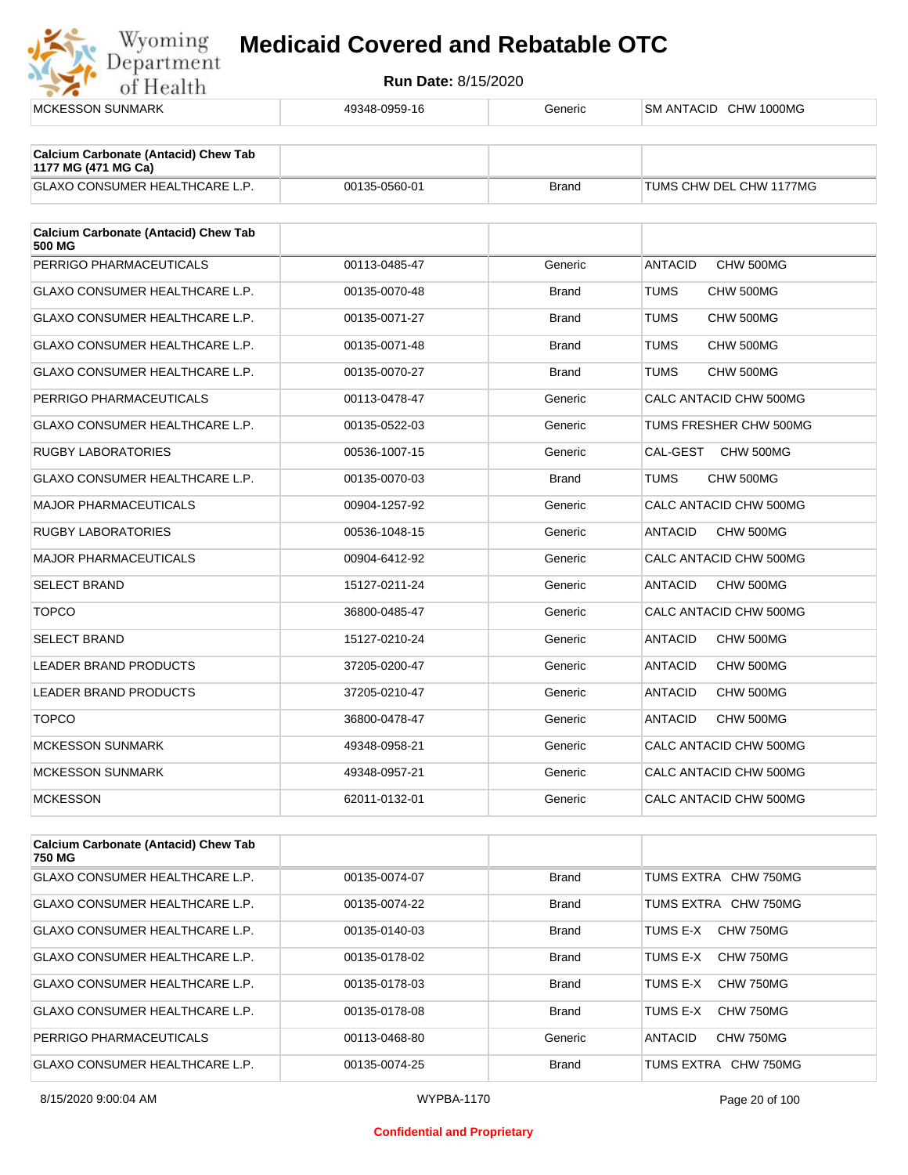Wyoming



| Calcium Carbonate (Antacid) Chew Tab<br>750 MG |               |              |                              |
|------------------------------------------------|---------------|--------------|------------------------------|
| <b>GLAXO CONSUMER HEALTHCARE L.P.</b>          | 00135-0074-07 | <b>Brand</b> | TUMS EXTRA CHW 750MG         |
| GLAXO CONSUMER HEALTHCARE L.P.                 | 00135-0074-22 | <b>Brand</b> | TUMS EXTRA CHW 750MG         |
| <b>GLAXO CONSUMER HEALTHCARE L.P.</b>          | 00135-0140-03 | <b>Brand</b> | CHW 750MG<br>TUMS E-X        |
| GLAXO CONSUMER HEALTHCARE L.P.                 | 00135-0178-02 | <b>Brand</b> | TUMS E-X<br>CHW 750MG        |
| GLAXO CONSUMER HEALTHCARE L.P.                 | 00135-0178-03 | <b>Brand</b> | <b>CHW 750MG</b><br>TUMS F-X |
| <b>GLAXO CONSUMER HEALTHCARE L.P.</b>          | 00135-0178-08 | <b>Brand</b> | CHW 750MG<br>TUMS E-X        |
| PERRIGO PHARMACEUTICALS                        | 00113-0468-80 | Generic      | CHW 750MG<br><b>ANTACID</b>  |
| <b>GLAXO CONSUMER HEALTHCARE L.P.</b>          | 00135-0074-25 | <b>Brand</b> | TUMS EXTRA CHW 750MG         |

#### **Confidential and Proprietary**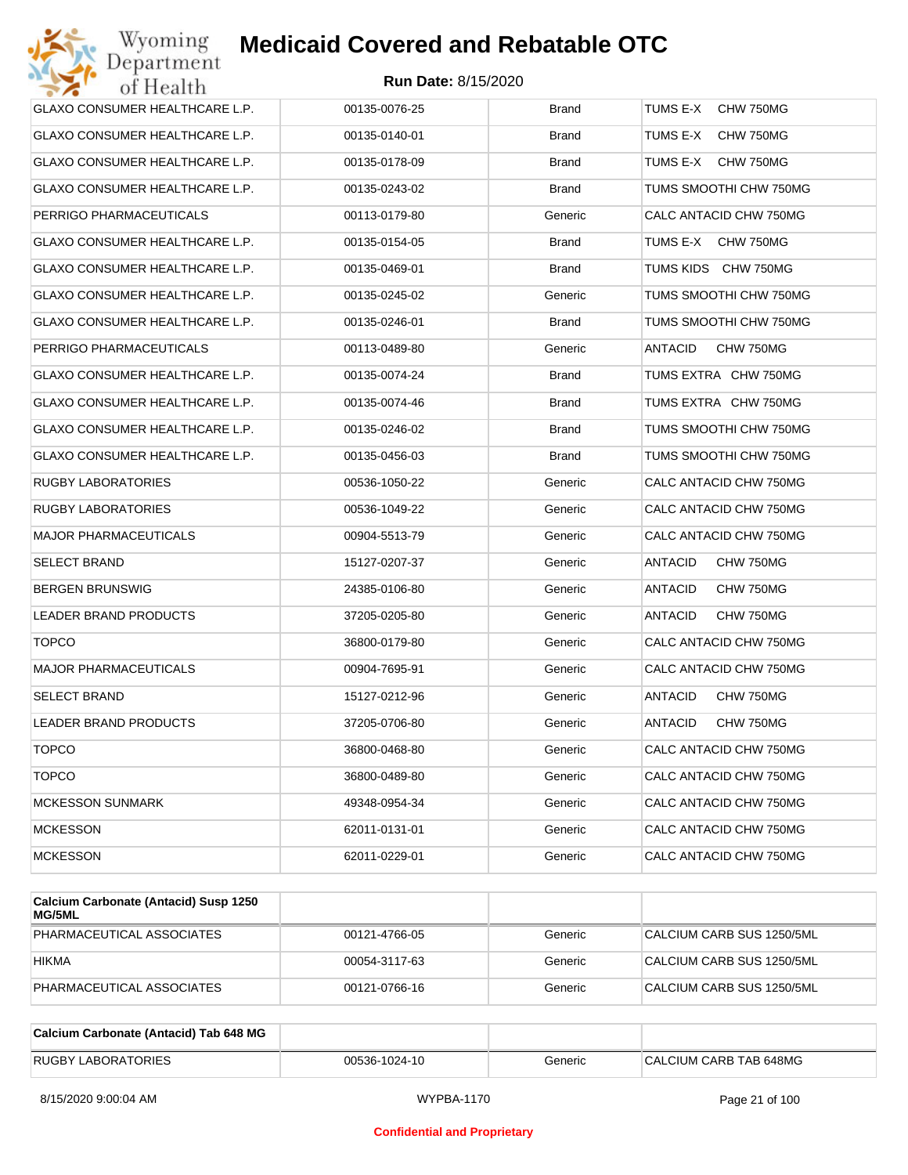| Wyoming<br>Department                 | <b>Medicaid Covered and Rebatable OTC</b> |              |                             |
|---------------------------------------|-------------------------------------------|--------------|-----------------------------|
| of Health                             | <b>Run Date: 8/15/2020</b>                |              |                             |
| <b>GLAXO CONSUMER HEALTHCARE L.P.</b> | 00135-0076-25                             | <b>Brand</b> | TUMS E-X<br>CHW 750MG       |
| GLAXO CONSUMER HEALTHCARE L.P.        | 00135-0140-01                             | Brand        | TUMS E-X<br>CHW 750MG       |
| GLAXO CONSUMER HEALTHCARE L.P.        | 00135-0178-09                             | <b>Brand</b> | TUMS E-X<br>CHW 750MG       |
| GLAXO CONSUMER HEALTHCARE L.P.        | 00135-0243-02                             | <b>Brand</b> | TUMS SMOOTHI CHW 750MG      |
| PERRIGO PHARMACEUTICALS               | 00113-0179-80                             | Generic      | CALC ANTACID CHW 750MG      |
| GLAXO CONSUMER HEALTHCARE L.P.        | 00135-0154-05                             | <b>Brand</b> | TUMS E-X<br>CHW 750MG       |
| GLAXO CONSUMER HEALTHCARE L.P.        | 00135-0469-01                             | <b>Brand</b> | TUMS KIDS CHW 750MG         |
| GLAXO CONSUMER HEALTHCARE L.P.        | 00135-0245-02                             | Generic      | TUMS SMOOTHI CHW 750MG      |
| GLAXO CONSUMER HEALTHCARE L.P.        | 00135-0246-01                             | <b>Brand</b> | TUMS SMOOTHI CHW 750MG      |
| PERRIGO PHARMACEUTICALS               | 00113-0489-80                             | Generic      | ANTACID<br>CHW 750MG        |
| GLAXO CONSUMER HEALTHCARE L.P.        | 00135-0074-24                             | <b>Brand</b> | TUMS EXTRA CHW 750MG        |
| GLAXO CONSUMER HEALTHCARE L.P.        | 00135-0074-46                             | <b>Brand</b> | TUMS EXTRA CHW 750MG        |
| <b>GLAXO CONSUMER HEALTHCARE L.P.</b> | 00135-0246-02                             | <b>Brand</b> | TUMS SMOOTHI CHW 750MG      |
| GLAXO CONSUMER HEALTHCARE L.P.        | 00135-0456-03                             | <b>Brand</b> | TUMS SMOOTHI CHW 750MG      |
| RUGBY LABORATORIES                    | 00536-1050-22                             | Generic      | CALC ANTACID CHW 750MG      |
| RUGBY LABORATORIES                    | 00536-1049-22                             | Generic      | CALC ANTACID CHW 750MG      |
| <b>MAJOR PHARMACEUTICALS</b>          | 00904-5513-79                             | Generic      | CALC ANTACID CHW 750MG      |
| SELECT BRAND                          | 15127-0207-37                             | Generic      | ANTACID<br>CHW 750MG        |
| BERGEN BRUNSWIG                       | 24385-0106-80                             | Generic      | ANTACID<br>CHW 750MG        |
| LEADER BRAND PRODUCTS                 | 37205-0205-80                             | Generic      | <b>ANTACID</b><br>CHW 750MG |
| <b>TOPCO</b>                          | 36800-0179-80                             | Generic      | CALC ANTACID CHW 750MG      |
| <b>MAJOR PHARMACEUTICALS</b>          | 00904-7695-91                             | Generic      | CALC ANTACID CHW 750MG      |
| SELECT BRAND                          | 15127-0212-96                             | Generic      | ANTACID<br>CHW 750MG        |
| LEADER BRAND PRODUCTS                 | 37205-0706-80                             | Generic      | CHW 750MG<br>ANTACID        |
| <b>TOPCO</b>                          | 36800-0468-80                             | Generic      | CALC ANTACID CHW 750MG      |
| <b>TOPCO</b>                          | 36800-0489-80                             | Generic      | CALC ANTACID CHW 750MG      |
| <b>MCKESSON SUNMARK</b>               | 49348-0954-34                             | Generic      | CALC ANTACID CHW 750MG      |
| <b>MCKESSON</b>                       | 62011-0131-01                             | Generic      | CALC ANTACID CHW 750MG      |
| <b>MCKESSON</b>                       | 62011-0229-01                             | Generic      | CALC ANTACID CHW 750MG      |
|                                       |                                           |              |                             |

| Calcium Carbonate (Antacid) Susp 1250<br><b>MG/5ML</b> |               |         |                           |
|--------------------------------------------------------|---------------|---------|---------------------------|
| PHARMACEUTICAL ASSOCIATES                              | 00121-4766-05 | Generic | CALCIUM CARB SUS 1250/5ML |
| <b>HIKMA</b>                                           | 00054-3117-63 | Generic | CALCIUM CARB SUS 1250/5ML |
| PHARMACEUTICAL ASSOCIATES                              | 00121-0766-16 | Generic | CALCIUM CARB SUS 1250/5ML |

| Calcium Carbonate (Antacid) Tab 648 MG |               |         |                        |
|----------------------------------------|---------------|---------|------------------------|
| <b>RUGBY LABORATORIES</b>              | 00536-1024-10 | Generic | CALCIUM CARB TAB 648MG |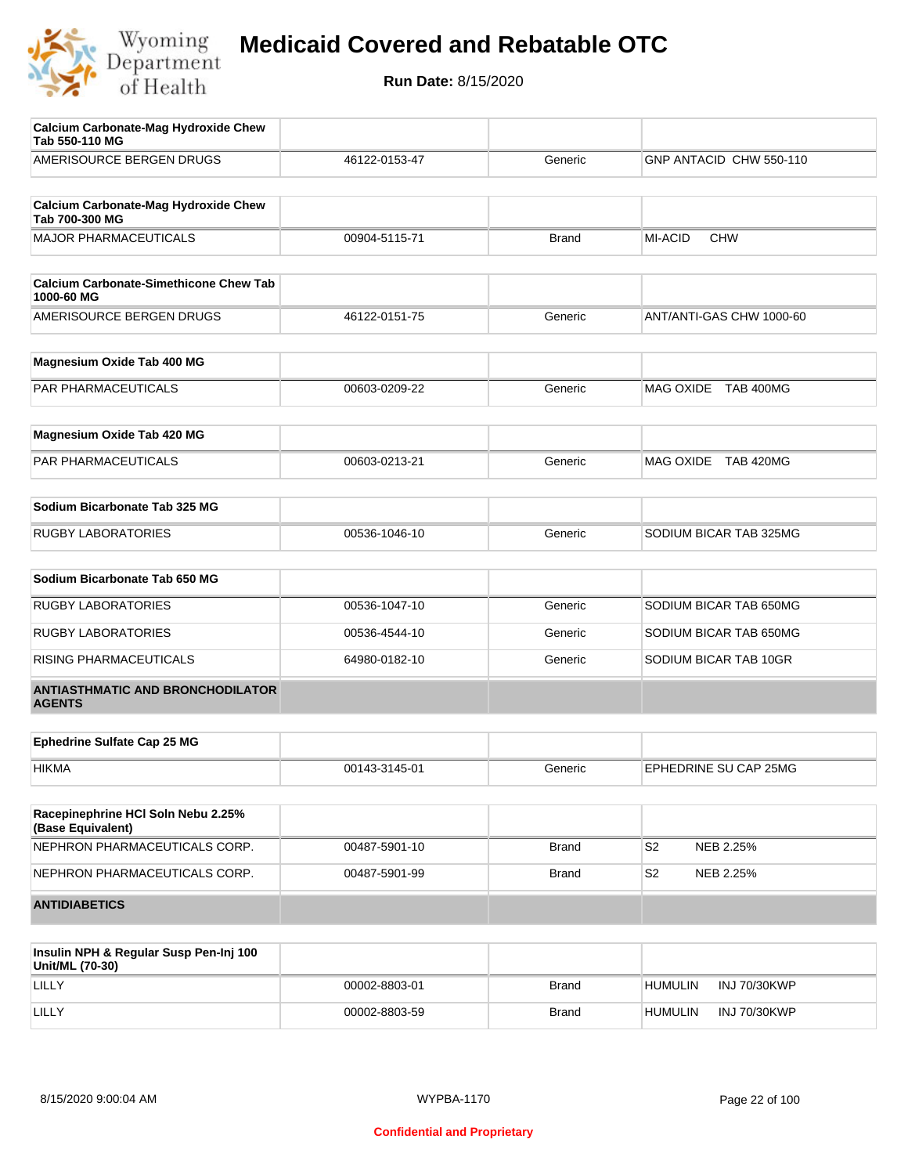

| <b>Calcium Carbonate-Mag Hydroxide Chew</b><br>Tab 550-110 MG |               |              |                             |
|---------------------------------------------------------------|---------------|--------------|-----------------------------|
| AMERISOURCE BERGEN DRUGS                                      | 46122-0153-47 | Generic      | GNP ANTACID CHW 550-110     |
| <b>Calcium Carbonate-Mag Hydroxide Chew</b><br>Tab 700-300 MG |               |              |                             |
| <b>MAJOR PHARMACEUTICALS</b>                                  | 00904-5115-71 | <b>Brand</b> | MI-ACID<br><b>CHW</b>       |
| <b>Calcium Carbonate-Simethicone Chew Tab</b><br>1000-60 MG   |               |              |                             |
| AMERISOURCE BERGEN DRUGS                                      | 46122-0151-75 | Generic      | ANT/ANTI-GAS CHW 1000-60    |
| Magnesium Oxide Tab 400 MG                                    |               |              |                             |
| PAR PHARMACEUTICALS                                           | 00603-0209-22 | Generic      | MAG OXIDE TAB 400MG         |
| Magnesium Oxide Tab 420 MG                                    |               |              |                             |
| PAR PHARMACEUTICALS                                           | 00603-0213-21 | Generic      | MAG OXIDE TAB 420MG         |
| Sodium Bicarbonate Tab 325 MG                                 |               |              |                             |
| <b>RUGBY LABORATORIES</b>                                     | 00536-1046-10 | Generic      | SODIUM BICAR TAB 325MG      |
| Sodium Bicarbonate Tab 650 MG                                 |               |              |                             |
| <b>RUGBY LABORATORIES</b>                                     | 00536-1047-10 | Generic      | SODIUM BICAR TAB 650MG      |
| <b>RUGBY LABORATORIES</b>                                     | 00536-4544-10 | Generic      | SODIUM BICAR TAB 650MG      |
| RISING PHARMACEUTICALS                                        | 64980-0182-10 | Generic      | SODIUM BICAR TAB 10GR       |
| <b>ANTIASTHMATIC AND BRONCHODILATOR</b><br><b>AGENTS</b>      |               |              |                             |
| <b>Ephedrine Sulfate Cap 25 MG</b>                            |               |              |                             |
| <b>HIKMA</b>                                                  | 00143-3145-01 | Generic      | EPHEDRINE SU CAP 25MG       |
| Racepinephrine HCI Soln Nebu 2.25%<br>(Base Equivalent)       |               |              |                             |
| NEPHRON PHARMACEUTICALS CORP.                                 | 00487-5901-10 | Brand        | S <sub>2</sub><br>NEB 2.25% |
| NEPHRON PHARMACEUTICALS CORP.                                 | 00487-5901-99 | <b>Brand</b> | S <sub>2</sub><br>NEB 2.25% |
| <b>ANTIDIABETICS</b>                                          |               |              |                             |
| Insulin NPH & Regular Susp Pen-Inj 100                        |               |              |                             |

| Insulin NPH & Regular Susp Pen-Inj 100<br>Unit/ML (70-30) |               |              |                                |
|-----------------------------------------------------------|---------------|--------------|--------------------------------|
| LILLY                                                     | 00002-8803-01 | Brand        | INJ 70/30KWP<br><b>HUMULIN</b> |
| LILLY                                                     | 00002-8803-59 | <b>Brand</b> | INJ 70/30KWP<br>HUMULIN        |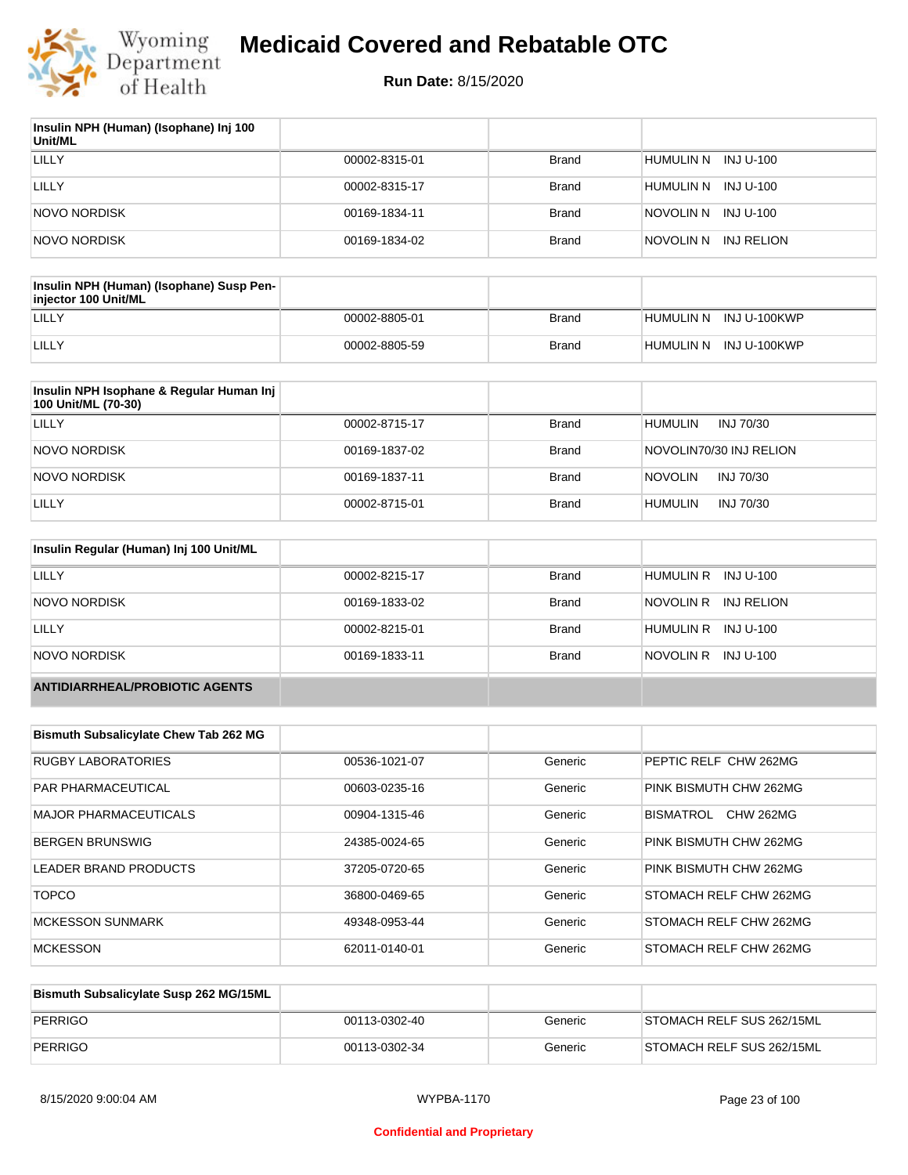

| Insulin NPH (Human) (Isophane) Inj 100<br>Unit/ML |               |              |                         |
|---------------------------------------------------|---------------|--------------|-------------------------|
| LILLY                                             | 00002-8315-01 | <b>Brand</b> | HUMULIN N<br>INJ U-100  |
| LILLY                                             | 00002-8315-17 | <b>Brand</b> | HUMULIN N<br>INJ U-100  |
| NOVO NORDISK                                      | 00169-1834-11 | <b>Brand</b> | NOVOLIN N INJ U-100     |
| NOVO NORDISK                                      | 00169-1834-02 | <b>Brand</b> | NOVOLIN N<br>INJ RELION |

| Insulin NPH (Human) (Isophane) Susp Pen-<br>injector 100 Unit/ML |               |              |                        |
|------------------------------------------------------------------|---------------|--------------|------------------------|
| LILLY                                                            | 00002-8805-01 | Brand        | HUMULIN N INJ U-100KWP |
| LILLY                                                            | 00002-8805-59 | <b>Brand</b> | HUMULIN N INJ U-100KWP |

| Insulin NPH Isophane & Regular Human Inj<br>100 Unit/ML (70-30) |               |              |                             |
|-----------------------------------------------------------------|---------------|--------------|-----------------------------|
| LILLY                                                           | 00002-8715-17 | Brand        | INJ 70/30<br>HUMULIN        |
| <b>NOVO NORDISK</b>                                             | 00169-1837-02 | <b>Brand</b> | NOVOLIN70/30 INJ RELION     |
| <b>NOVO NORDISK</b>                                             | 00169-1837-11 | <b>Brand</b> | <b>NOVOLIN</b><br>INJ 70/30 |
| LILLY                                                           | 00002-8715-01 | <b>Brand</b> | HUMULIN<br>INJ 70/30        |

| Insulin Regular (Human) Inj 100 Unit/ML |               |              |                         |
|-----------------------------------------|---------------|--------------|-------------------------|
| LILLY                                   | 00002-8215-17 | <b>Brand</b> | HUMULIN R INJ U-100     |
| NOVO NORDISK                            | 00169-1833-02 | <b>Brand</b> | NOVOLIN R<br>INJ RELION |
| LILLY                                   | 00002-8215-01 | <b>Brand</b> | HUMULIN R INJ U-100     |
| <b>NOVO NORDISK</b>                     | 00169-1833-11 | <b>Brand</b> | NOVOLIN R<br>INJ U-100  |
| <b>ANTIDIARRHEAL/PROBIOTIC AGENTS</b>   |               |              |                         |

| <b>Bismuth Subsalicylate Chew Tab 262 MG</b> |               |         |                               |
|----------------------------------------------|---------------|---------|-------------------------------|
| <b>RUGBY LABORATORIES</b>                    | 00536-1021-07 | Generic | PEPTIC RELF CHW 262MG         |
| <b>PAR PHARMACEUTICAL</b>                    | 00603-0235-16 | Generic | PINK BISMUTH CHW 262MG        |
| <b>MAJOR PHARMACEUTICALS</b>                 | 00904-1315-46 | Generic | BISMATROL<br><b>CHW 262MG</b> |
| <b>BERGEN BRUNSWIG</b>                       | 24385-0024-65 | Generic | PINK BISMUTH CHW 262MG        |
| <b>LEADER BRAND PRODUCTS</b>                 | 37205-0720-65 | Generic | PINK BISMUTH CHW 262MG        |
| <b>TOPCO</b>                                 | 36800-0469-65 | Generic | STOMACH RELF CHW 262MG        |
| <b>MCKESSON SUNMARK</b>                      | 49348-0953-44 | Generic | STOMACH RELF CHW 262MG        |
| <b>MCKESSON</b>                              | 62011-0140-01 | Generic | STOMACH RELF CHW 262MG        |

| Bismuth Subsalicylate Susp 262 MG/15ML |               |         |                           |
|----------------------------------------|---------------|---------|---------------------------|
| PERRIGO                                | 00113-0302-40 | Generic | STOMACH RELF SUS 262/15ML |
| <b>PERRIGO</b>                         | 00113-0302-34 | Generic | STOMACH RELF SUS 262/15ML |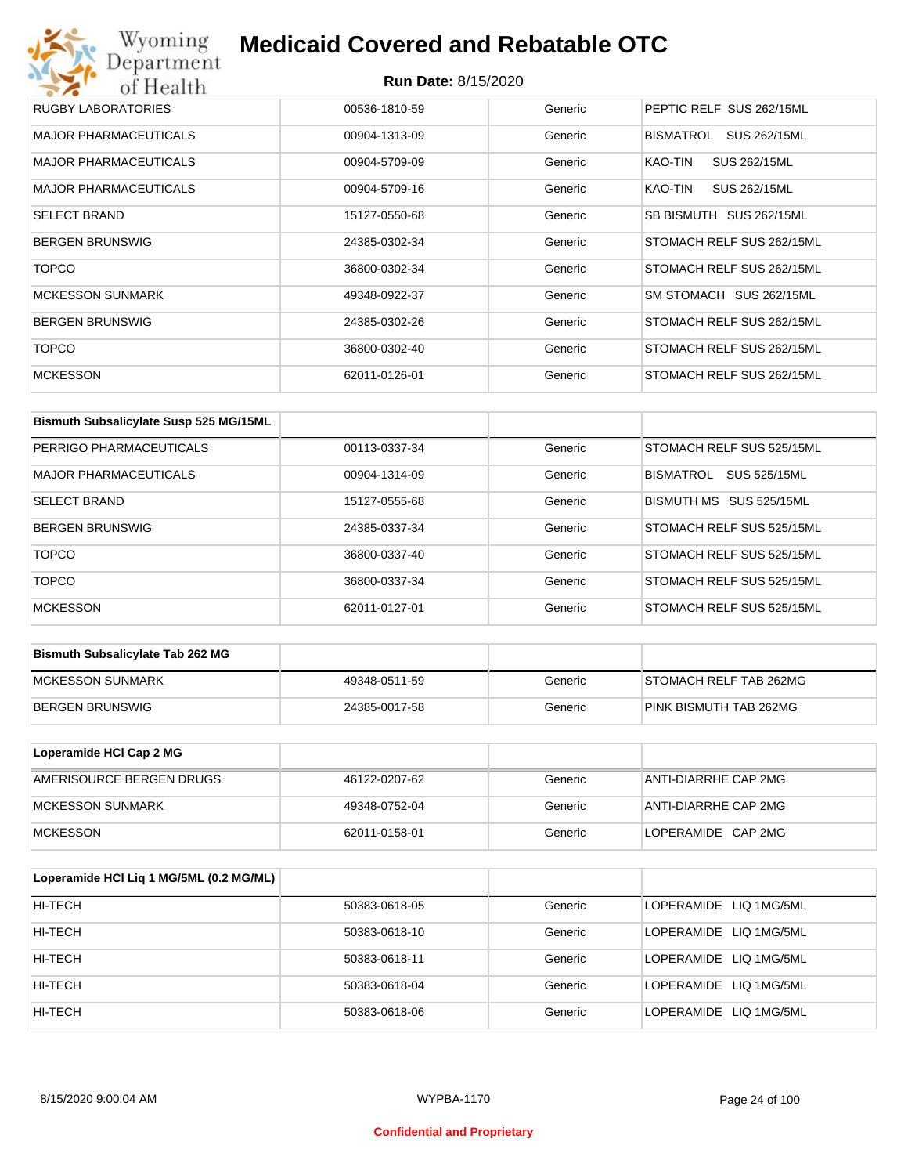## Wyoming<br>Department<br>of Health **Medicaid Covered and Rebatable OTC**

| RUGBY LABORATORIES           | 00536-1810-59 | Generic | PEPTIC RELF SUS 262/15ML  |
|------------------------------|---------------|---------|---------------------------|
| <b>MAJOR PHARMACEUTICALS</b> | 00904-1313-09 | Generic | BISMATROL<br>SUS 262/15ML |
| <b>MAJOR PHARMACEUTICALS</b> | 00904-5709-09 | Generic | SUS 262/15ML<br>KAO-TIN   |
| <b>MAJOR PHARMACEUTICALS</b> | 00904-5709-16 | Generic | SUS 262/15ML<br>KAO-TIN   |
| <b>SELECT BRAND</b>          | 15127-0550-68 | Generic | SB BISMUTH SUS 262/15ML   |
| <b>BERGEN BRUNSWIG</b>       | 24385-0302-34 | Generic | STOMACH RELF SUS 262/15ML |
| <b>TOPCO</b>                 | 36800-0302-34 | Generic | STOMACH RELF SUS 262/15ML |
| <b>MCKESSON SUNMARK</b>      | 49348-0922-37 | Generic | SM STOMACH SUS 262/15ML   |
| <b>BERGEN BRUNSWIG</b>       | 24385-0302-26 | Generic | STOMACH RELF SUS 262/15ML |
| <b>TOPCO</b>                 | 36800-0302-40 | Generic | STOMACH RELF SUS 262/15ML |
| <b>MCKESSON</b>              | 62011-0126-01 | Generic | STOMACH RELF SUS 262/15ML |

| Bismuth Subsalicylate Susp 525 MG/15ML |               |         |                                  |
|----------------------------------------|---------------|---------|----------------------------------|
| PERRIGO PHARMACEUTICALS                | 00113-0337-34 | Generic | STOMACH RELF SUS 525/15ML        |
| <b>MAJOR PHARMACEUTICALS</b>           | 00904-1314-09 | Generic | <b>BISMATROL</b><br>SUS 525/15ML |
| <b>SELECT BRAND</b>                    | 15127-0555-68 | Generic | BISMUTH MS SUS 525/15ML          |
| <b>BERGEN BRUNSWIG</b>                 | 24385-0337-34 | Generic | STOMACH RELF SUS 525/15ML        |
| <b>TOPCO</b>                           | 36800-0337-40 | Generic | STOMACH RELF SUS 525/15ML        |
| <b>TOPCO</b>                           | 36800-0337-34 | Generic | STOMACH RELF SUS 525/15ML        |
| <b>MCKESSON</b>                        | 62011-0127-01 | Generic | STOMACH RELF SUS 525/15ML        |

| <b>Bismuth Subsalicylate Tab 262 MG</b> |               |         |                        |
|-----------------------------------------|---------------|---------|------------------------|
| <b>IMCKESSON SUNMARK</b>                | 49348-0511-59 | Generic | STOMACH RELF TAB 262MG |
| BERGEN BRUNSWIG                         | 24385-0017-58 | Generic | PINK BISMUTH TAB 262MG |

| Loperamide HCI Cap 2 MG  |               |         |                      |
|--------------------------|---------------|---------|----------------------|
| AMERISOURCE BERGEN DRUGS | 46122-0207-62 | Generic | ANTI-DIARRHE CAP 2MG |
| IMCKESSON SUNMARK        | 49348-0752-04 | Generic | ANTI-DIARRHE CAP 2MG |
| <b>IMCKESSON</b>         | 62011-0158-01 | Generic | LOPERAMIDE CAP 2MG   |

| Loperamide HCI Liq 1 MG/5ML (0.2 MG/ML) |               |         |                        |
|-----------------------------------------|---------------|---------|------------------------|
| HI-TECH                                 | 50383-0618-05 | Generic | LOPERAMIDE LIQ 1MG/5ML |
| HI-TECH                                 | 50383-0618-10 | Generic | LOPERAMIDE LIQ 1MG/5ML |
| HI-TECH                                 | 50383-0618-11 | Generic | LOPERAMIDE LIQ 1MG/5ML |
| HI-TECH                                 | 50383-0618-04 | Generic | LOPERAMIDE LIQ 1MG/5ML |
| HI-TECH                                 | 50383-0618-06 | Generic | LOPERAMIDE LIQ 1MG/5ML |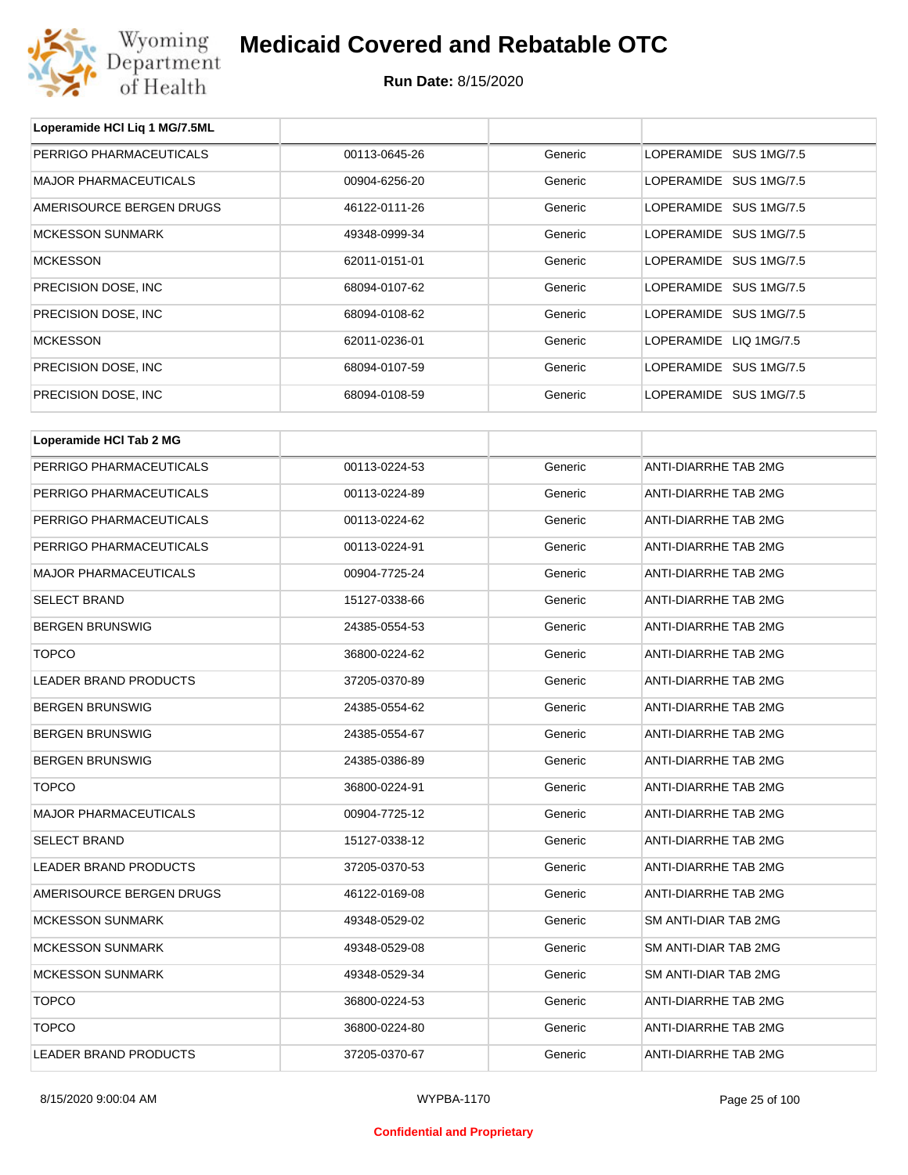

**Loperamide HCl Liq 1 MG/7.5ML**

## **Medicaid Covered and Rebatable OTC**

| PERRIGO PHARMACEUTICALS      | 00113-0645-26 | Generic | LOPERAMIDE SUS 1MG/7.5 |
|------------------------------|---------------|---------|------------------------|
| <b>MAJOR PHARMACEUTICALS</b> | 00904-6256-20 | Generic | LOPERAMIDE SUS 1MG/7.5 |
| AMERISOURCE BERGEN DRUGS     | 46122-0111-26 | Generic | LOPERAMIDE SUS 1MG/7.5 |
| <b>MCKESSON SUNMARK</b>      | 49348-0999-34 | Generic | LOPERAMIDE SUS 1MG/7.5 |
| <b>MCKESSON</b>              | 62011-0151-01 | Generic | LOPERAMIDE SUS 1MG/7.5 |
| PRECISION DOSE, INC.         | 68094-0107-62 | Generic | LOPERAMIDE SUS 1MG/7.5 |
| PRECISION DOSE, INC          | 68094-0108-62 | Generic | LOPERAMIDE SUS 1MG/7.5 |
| <b>MCKESSON</b>              | 62011-0236-01 | Generic | LOPERAMIDE LIQ 1MG/7.5 |
| PRECISION DOSE, INC          | 68094-0107-59 | Generic | LOPERAMIDE SUS 1MG/7.5 |
| PRECISION DOSE, INC          | 68094-0108-59 | Generic | LOPERAMIDE SUS 1MG/7.5 |
|                              |               |         |                        |
| Loperamide HCI Tab 2 MG      |               |         |                        |
| PERRIGO PHARMACEUTICALS      | 00113-0224-53 | Generic | ANTI-DIARRHE TAB 2MG   |
| PERRIGO PHARMACEUTICALS      | 00113-0224-89 | Generic | ANTI-DIARRHE TAB 2MG   |
| PERRIGO PHARMACEUTICALS      | 00113-0224-62 | Generic | ANTI-DIARRHE TAB 2MG   |
| PERRIGO PHARMACEUTICALS      | 00113-0224-91 | Generic | ANTI-DIARRHE TAB 2MG   |
| <b>MAJOR PHARMACEUTICALS</b> | 00904-7725-24 | Generic | ANTI-DIARRHE TAB 2MG   |
| <b>SELECT BRAND</b>          | 15127-0338-66 | Generic | ANTI-DIARRHE TAB 2MG   |
| <b>BERGEN BRUNSWIG</b>       | 24385-0554-53 | Generic | ANTI-DIARRHE TAB 2MG   |
| <b>TOPCO</b>                 | 36800-0224-62 | Generic | ANTI-DIARRHE TAB 2MG   |
| LEADER BRAND PRODUCTS        | 37205-0370-89 | Generic | ANTI-DIARRHE TAB 2MG   |
| <b>BERGEN BRUNSWIG</b>       | 24385-0554-62 | Generic | ANTI-DIARRHE TAB 2MG   |
| <b>BERGEN BRUNSWIG</b>       | 24385-0554-67 | Generic | ANTI-DIARRHE TAB 2MG   |
| <b>BERGEN BRUNSWIG</b>       | 24385-0386-89 | Generic | ANTI-DIARRHE TAB 2MG   |
| <b>TOPCO</b>                 | 36800-0224-91 | Generic | ANTI-DIARRHE TAB 2MG   |
| MAJOR PHARMACEUTICALS        | 00904-7725-12 | Generic | ANTI-DIARRHE TAB 2MG   |
| <b>SELECT BRAND</b>          | 15127-0338-12 | Generic | ANTI-DIARRHE TAB 2MG   |
| LEADER BRAND PRODUCTS        | 37205-0370-53 | Generic | ANTI-DIARRHE TAB 2MG   |
| AMERISOURCE BERGEN DRUGS     | 46122-0169-08 | Generic | ANTI-DIARRHE TAB 2MG   |
| <b>MCKESSON SUNMARK</b>      | 49348-0529-02 | Generic | SM ANTI-DIAR TAB 2MG   |
| <b>MCKESSON SUNMARK</b>      | 49348-0529-08 | Generic | SM ANTI-DIAR TAB 2MG   |
| <b>MCKESSON SUNMARK</b>      | 49348-0529-34 | Generic | SM ANTI-DIAR TAB 2MG   |
| <b>TOPCO</b>                 | 36800-0224-53 | Generic | ANTI-DIARRHE TAB 2MG   |
| <b>TOPCO</b>                 | 36800-0224-80 | Generic | ANTI-DIARRHE TAB 2MG   |
| LEADER BRAND PRODUCTS        | 37205-0370-67 | Generic | ANTI-DIARRHE TAB 2MG   |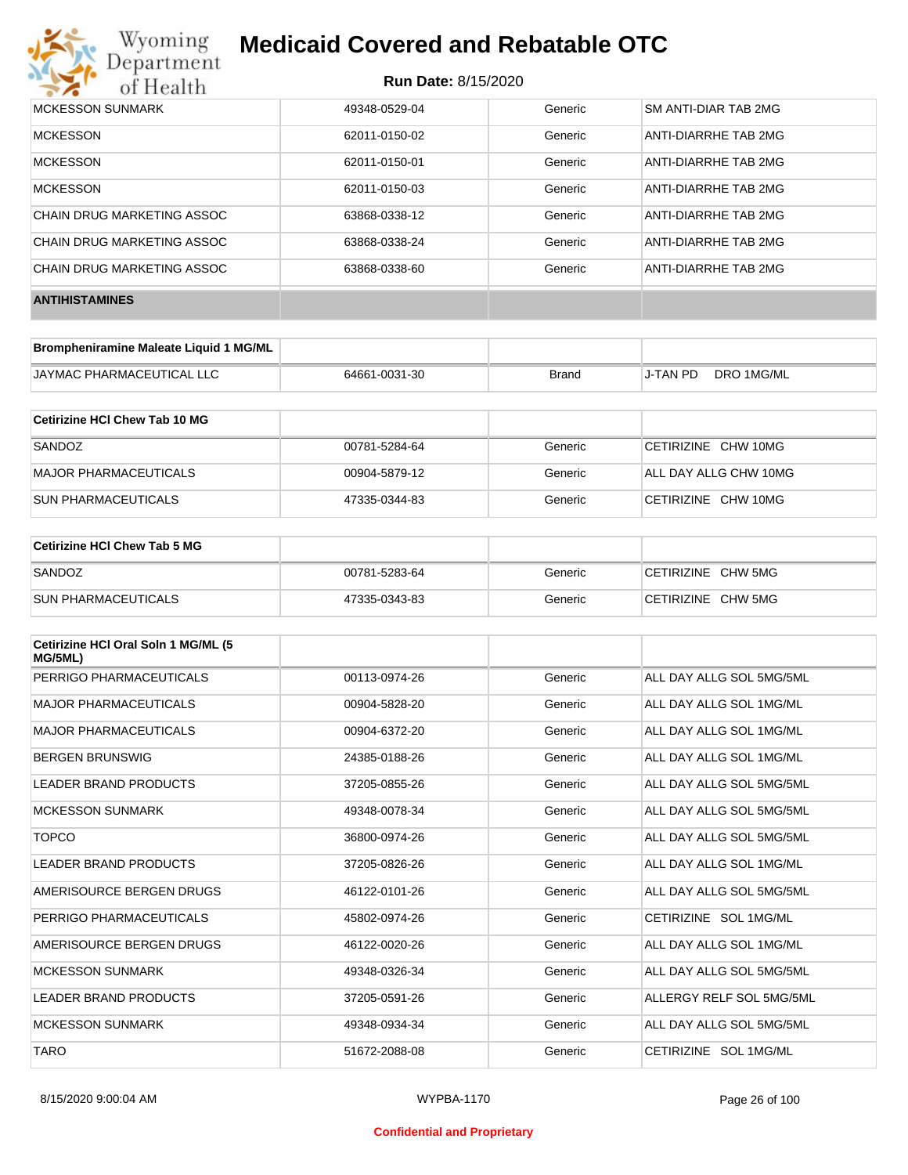

| <b>MCKESSON SUNMARK</b>    | 49348-0529-04 | Generic | <b>SM ANTI-DIAR TAB 2MG</b> |
|----------------------------|---------------|---------|-----------------------------|
| <b>MCKESSON</b>            | 62011-0150-02 | Generic | ANTI-DIARRHE TAB 2MG        |
| <b>MCKESSON</b>            | 62011-0150-01 | Generic | ANTI-DIARRHE TAB 2MG        |
| <b>MCKESSON</b>            | 62011-0150-03 | Generic | ANTI-DIARRHE TAB 2MG        |
| CHAIN DRUG MARKETING ASSOC | 63868-0338-12 | Generic | ANTI-DIARRHE TAB 2MG        |
| CHAIN DRUG MARKETING ASSOC | 63868-0338-24 | Generic | ANTI-DIARRHE TAB 2MG        |
| CHAIN DRUG MARKETING ASSOC | 63868-0338-60 | Generic | ANTI-DIARRHE TAB 2MG        |
| <b>ANTIHISTAMINES</b>      |               |         |                             |

| Brompheniramine Maleate Liquid 1 MG/ML |               |       |          |            |
|----------------------------------------|---------------|-------|----------|------------|
| JAYMAC PHARMACEUTICAL LLC              | 64661-0031-30 | Brand | J-TAN PD | DRO 1MG/ML |

| Cetirizine HCI Chew Tab 10 MG |               |         |                       |
|-------------------------------|---------------|---------|-----------------------|
| SANDOZ                        | 00781-5284-64 | Generic | CETIRIZINE CHW 10MG   |
| MAJOR PHARMACEUTICALS         | 00904-5879-12 | Generic | ALL DAY ALLG CHW 10MG |
| <b>SUN PHARMACEUTICALS</b>    | 47335-0344-83 | Generic | CETIRIZINE CHW 10MG   |

| ∣Cetirizine HCl Chew Tab 5 MG |               |         |                    |
|-------------------------------|---------------|---------|--------------------|
| SANDOZ                        | 00781-5283-64 | Generic | CETIRIZINE CHW 5MG |
| <b>SUN PHARMACEUTICALS</b>    | 47335-0343-83 | Generic | CETIRIZINE CHW 5MG |

| Cetirizine HCI Oral Soln 1 MG/ML (5<br>MG/5ML) |               |         |                          |
|------------------------------------------------|---------------|---------|--------------------------|
| PERRIGO PHARMACEUTICALS                        | 00113-0974-26 | Generic | ALL DAY ALLG SOL 5MG/5ML |
| <b>MAJOR PHARMACEUTICALS</b>                   | 00904-5828-20 | Generic | ALL DAY ALLG SOL 1MG/ML  |
| <b>MAJOR PHARMACEUTICALS</b>                   | 00904-6372-20 | Generic | ALL DAY ALLG SOL 1MG/ML  |
| <b>BERGEN BRUNSWIG</b>                         | 24385-0188-26 | Generic | ALL DAY ALLG SOL 1MG/ML  |
| LEADER BRAND PRODUCTS                          | 37205-0855-26 | Generic | ALL DAY ALLG SOL 5MG/5ML |
| <b>MCKESSON SUNMARK</b>                        | 49348-0078-34 | Generic | ALL DAY ALLG SOL 5MG/5ML |
| <b>TOPCO</b>                                   | 36800-0974-26 | Generic | ALL DAY ALLG SOL 5MG/5ML |
| <b>LEADER BRAND PRODUCTS</b>                   | 37205-0826-26 | Generic | ALL DAY ALLG SOL 1MG/ML  |
| AMERISOURCE BERGEN DRUGS                       | 46122-0101-26 | Generic | ALL DAY ALLG SOL 5MG/5ML |
| PERRIGO PHARMACEUTICALS                        | 45802-0974-26 | Generic | CETIRIZINE SOL 1MG/ML    |
| AMERISOURCE BERGEN DRUGS                       | 46122-0020-26 | Generic | ALL DAY ALLG SOL 1MG/ML  |
| <b>MCKESSON SUNMARK</b>                        | 49348-0326-34 | Generic | ALL DAY ALLG SOL 5MG/5ML |
| <b>LEADER BRAND PRODUCTS</b>                   | 37205-0591-26 | Generic | ALLERGY RELF SOL 5MG/5ML |
| <b>MCKESSON SUNMARK</b>                        | 49348-0934-34 | Generic | ALL DAY ALLG SOL 5MG/5ML |
| <b>TARO</b>                                    | 51672-2088-08 | Generic | CETIRIZINE SOL 1MG/ML    |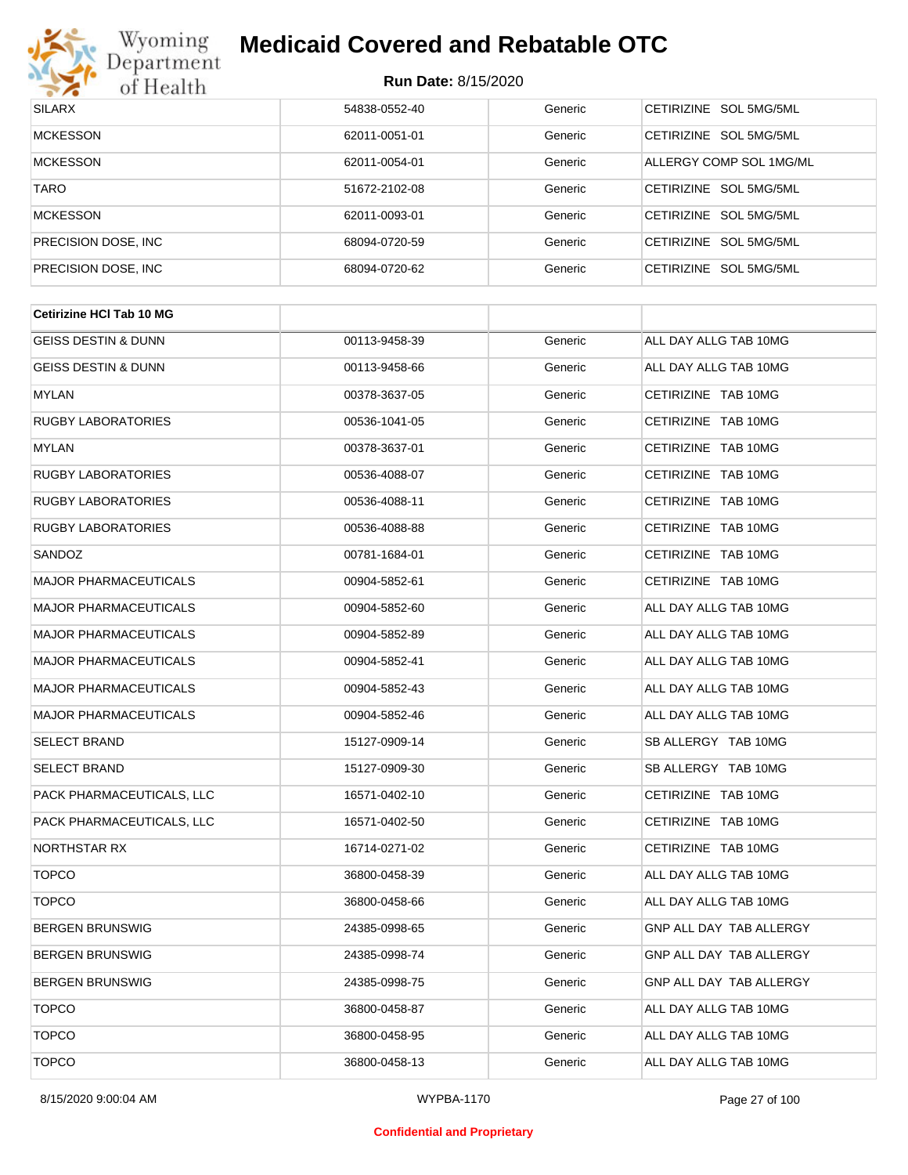

| <b>SILARX</b>        | 54838-0552-40 | Generic | CETIRIZINE SOL 5MG/5ML  |
|----------------------|---------------|---------|-------------------------|
| <b>MCKESSON</b>      | 62011-0051-01 | Generic | CETIRIZINE SOL 5MG/5ML  |
| <b>MCKESSON</b>      | 62011-0054-01 | Generic | ALLERGY COMP SOL 1MG/ML |
| <b>TARO</b>          | 51672-2102-08 | Generic | CETIRIZINE SOL 5MG/5ML  |
| <b>MCKESSON</b>      | 62011-0093-01 | Generic | CETIRIZINE SOL 5MG/5ML  |
| PRECISION DOSE, INC. | 68094-0720-59 | Generic | CETIRIZINE SOL 5MG/5ML  |
| PRECISION DOSE, INC. | 68094-0720-62 | Generic | CETIRIZINE SOL 5MG/5ML  |

| 00113-9458-39 | Generic | ALL DAY ALLG TAB 10MG   |
|---------------|---------|-------------------------|
| 00113-9458-66 | Generic | ALL DAY ALLG TAB 10MG   |
| 00378-3637-05 | Generic | CETIRIZINE TAB 10MG     |
| 00536-1041-05 | Generic | CETIRIZINE TAB 10MG     |
| 00378-3637-01 | Generic | CETIRIZINE TAB 10MG     |
| 00536-4088-07 | Generic | CETIRIZINE TAB 10MG     |
| 00536-4088-11 | Generic | CETIRIZINE TAB 10MG     |
| 00536-4088-88 | Generic | CETIRIZINE TAB 10MG     |
| 00781-1684-01 | Generic | CETIRIZINE TAB 10MG     |
| 00904-5852-61 | Generic | CETIRIZINE TAB 10MG     |
| 00904-5852-60 | Generic | ALL DAY ALLG TAB 10MG   |
| 00904-5852-89 | Generic | ALL DAY ALLG TAB 10MG   |
| 00904-5852-41 | Generic | ALL DAY ALLG TAB 10MG   |
| 00904-5852-43 | Generic | ALL DAY ALLG TAB 10MG   |
| 00904-5852-46 | Generic | ALL DAY ALLG TAB 10MG   |
| 15127-0909-14 | Generic | SB ALLERGY TAB 10MG     |
| 15127-0909-30 | Generic | SB ALLERGY TAB 10MG     |
| 16571-0402-10 | Generic | CETIRIZINE TAB 10MG     |
| 16571-0402-50 | Generic | CETIRIZINE TAB 10MG     |
| 16714-0271-02 | Generic | CETIRIZINE TAB 10MG     |
| 36800-0458-39 | Generic | ALL DAY ALLG TAB 10MG   |
| 36800-0458-66 | Generic | ALL DAY ALLG TAB 10MG   |
| 24385-0998-65 | Generic | GNP ALL DAY TAB ALLERGY |
| 24385-0998-74 | Generic | GNP ALL DAY TAB ALLERGY |
| 24385-0998-75 | Generic | GNP ALL DAY TAB ALLERGY |
| 36800-0458-87 | Generic | ALL DAY ALLG TAB 10MG   |
| 36800-0458-95 | Generic | ALL DAY ALLG TAB 10MG   |
| 36800-0458-13 | Generic | ALL DAY ALLG TAB 10MG   |
|               |         |                         |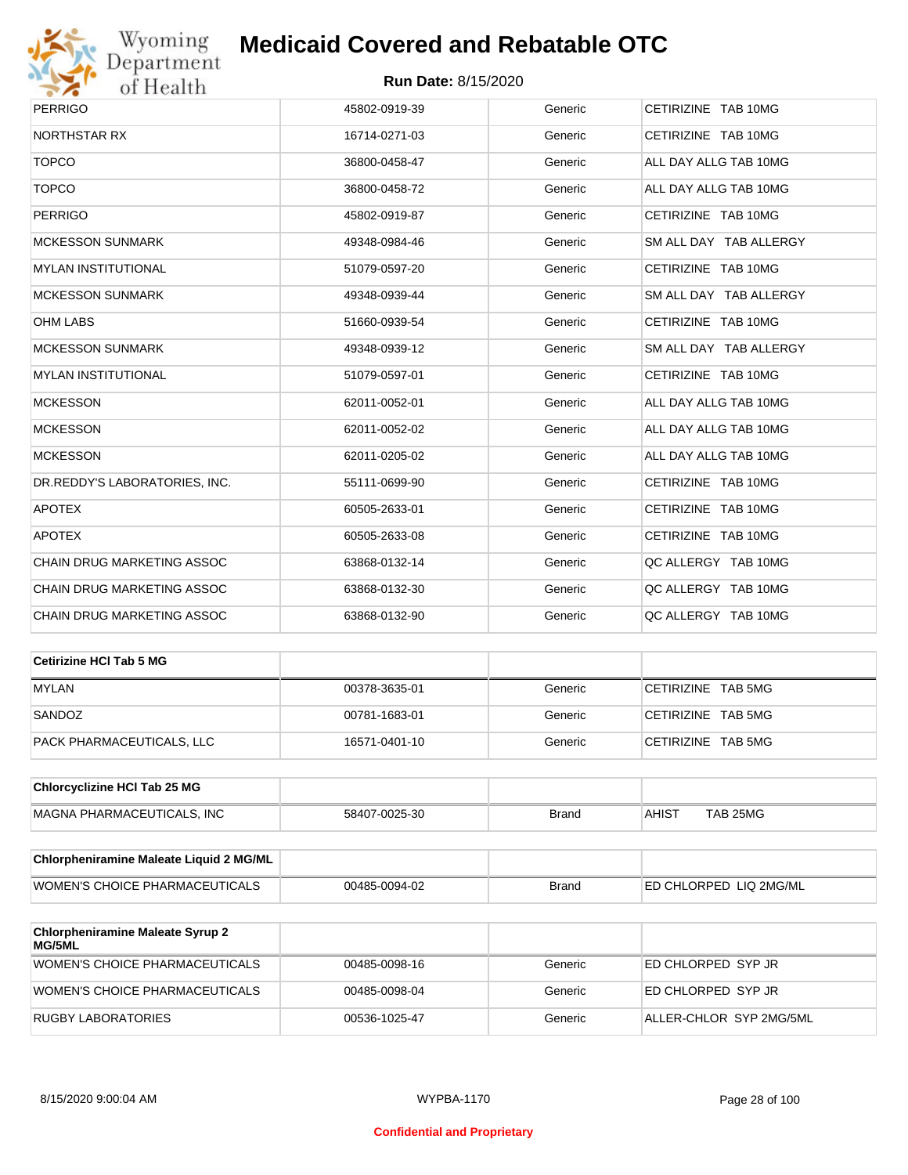

# Wyoming<br>Department<br>of Health

## **Medicaid Covered and Rebatable OTC**

| <b>PERRIGO</b>                    | 45802-0919-39 | Generic | CETIRIZINE TAB 10MG    |
|-----------------------------------|---------------|---------|------------------------|
| <b>NORTHSTAR RX</b>               | 16714-0271-03 | Generic | CETIRIZINE TAB 10MG    |
| <b>TOPCO</b>                      | 36800-0458-47 | Generic | ALL DAY ALLG TAB 10MG  |
| <b>TOPCO</b>                      | 36800-0458-72 | Generic | ALL DAY ALLG TAB 10MG  |
| <b>PERRIGO</b>                    | 45802-0919-87 | Generic | CETIRIZINE TAB 10MG    |
| <b>MCKESSON SUNMARK</b>           | 49348-0984-46 | Generic | SM ALL DAY TAB ALLERGY |
| <b>MYLAN INSTITUTIONAL</b>        | 51079-0597-20 | Generic | CETIRIZINE TAB 10MG    |
| <b>MCKESSON SUNMARK</b>           | 49348-0939-44 | Generic | SM ALL DAY TAB ALLERGY |
| <b>OHM LABS</b>                   | 51660-0939-54 | Generic | CETIRIZINE TAB 10MG    |
| <b>MCKESSON SUNMARK</b>           | 49348-0939-12 | Generic | SM ALL DAY TAB ALLERGY |
| <b>MYLAN INSTITUTIONAL</b>        | 51079-0597-01 | Generic | CETIRIZINE TAB 10MG    |
| <b>MCKESSON</b>                   | 62011-0052-01 | Generic | ALL DAY ALLG TAB 10MG  |
| <b>MCKESSON</b>                   | 62011-0052-02 | Generic | ALL DAY ALLG TAB 10MG  |
| <b>MCKESSON</b>                   | 62011-0205-02 | Generic | ALL DAY ALLG TAB 10MG  |
| DR.REDDY'S LABORATORIES, INC.     | 55111-0699-90 | Generic | CETIRIZINE TAB 10MG    |
| <b>APOTEX</b>                     | 60505-2633-01 | Generic | CETIRIZINE TAB 10MG    |
| <b>APOTEX</b>                     | 60505-2633-08 | Generic | CETIRIZINE TAB 10MG    |
| CHAIN DRUG MARKETING ASSOC        | 63868-0132-14 | Generic | QC ALLERGY TAB 10MG    |
| CHAIN DRUG MARKETING ASSOC        | 63868-0132-30 | Generic | QC ALLERGY TAB 10MG    |
| <b>CHAIN DRUG MARKETING ASSOC</b> | 63868-0132-90 | Generic | OC ALLERGY TAB 10MG    |

| Cetirizine HCI Tab 5 MG   |               |         |                    |
|---------------------------|---------------|---------|--------------------|
| <b>MYLAN</b>              | 00378-3635-01 | Generic | CETIRIZINE TAB 5MG |
| SANDOZ                    | 00781-1683-01 | Generic | CETIRIZINE TAB 5MG |
| PACK PHARMACEUTICALS, LLC | 16571-0401-10 | Generic | CETIRIZINE TAB 5MG |

| <b>Chlorcyclizine HCI Tab 25 MG</b> |               |       |       |          |
|-------------------------------------|---------------|-------|-------|----------|
| MAGNA PHARMACEUTICALS. INC          | 58407-0025-30 | Brand | AHIS1 | TAB 25MG |

| <b>Chlorpheniramine Maleate Liquid 2 MG/ML</b> |               |              |                                |
|------------------------------------------------|---------------|--------------|--------------------------------|
| <b>WOMEN'S CHOICE PHARMACEUTICALS</b>          | 00485-0094-02 | <b>Brand</b> | <b>LED CHLORPED LIQ 2MG/ML</b> |

| <b>Chlorpheniramine Maleate Syrup 2</b><br>MG/5ML |               |         |                         |
|---------------------------------------------------|---------------|---------|-------------------------|
| WOMEN'S CHOICE PHARMACEUTICALS                    | 00485-0098-16 | Generic | ED CHLORPED SYP JR      |
| WOMEN'S CHOICE PHARMACEUTICALS                    | 00485-0098-04 | Generic | ED CHLORPED SYP JR      |
| RUGBY LABORATORIES                                | 00536-1025-47 | Generic | ALLER-CHLOR SYP 2MG/5ML |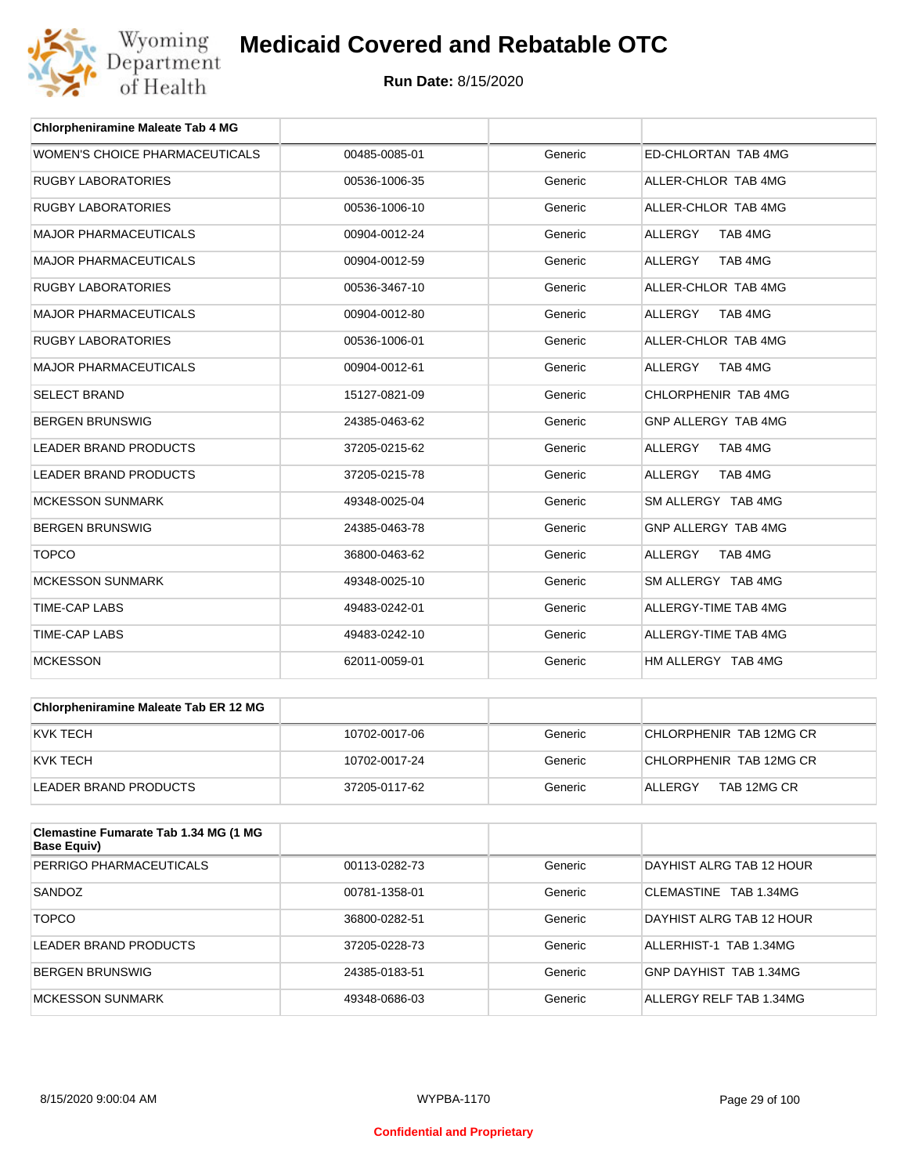

| <b>Chlorpheniramine Maleate Tab 4 MG</b> |               |         |                           |
|------------------------------------------|---------------|---------|---------------------------|
| WOMEN'S CHOICE PHARMACEUTICALS           | 00485-0085-01 | Generic | ED-CHLORTAN TAB 4MG       |
| <b>RUGBY LABORATORIES</b>                | 00536-1006-35 | Generic | ALLER-CHLOR TAB 4MG       |
| <b>RUGBY LABORATORIES</b>                | 00536-1006-10 | Generic | ALLER-CHLOR TAB 4MG       |
| <b>MAJOR PHARMACEUTICALS</b>             | 00904-0012-24 | Generic | <b>ALLERGY</b><br>TAB 4MG |
| <b>MAJOR PHARMACEUTICALS</b>             | 00904-0012-59 | Generic | <b>ALLERGY</b><br>TAB 4MG |
| <b>RUGBY LABORATORIES</b>                | 00536-3467-10 | Generic | ALLER-CHLOR TAB 4MG       |
| <b>MAJOR PHARMACEUTICALS</b>             | 00904-0012-80 | Generic | <b>ALLERGY</b><br>TAB 4MG |
| <b>RUGBY LABORATORIES</b>                | 00536-1006-01 | Generic | ALLER-CHLOR TAB 4MG       |
| <b>MAJOR PHARMACEUTICALS</b>             | 00904-0012-61 | Generic | ALLERGY<br>TAB 4MG        |
| <b>SELECT BRAND</b>                      | 15127-0821-09 | Generic | CHLORPHENIR TAB 4MG       |
| <b>BERGEN BRUNSWIG</b>                   | 24385-0463-62 | Generic | GNP ALLERGY TAB 4MG       |
| <b>LEADER BRAND PRODUCTS</b>             | 37205-0215-62 | Generic | <b>ALLERGY</b><br>TAB 4MG |
| <b>LEADER BRAND PRODUCTS</b>             | 37205-0215-78 | Generic | <b>ALLERGY</b><br>TAB 4MG |
| <b>MCKESSON SUNMARK</b>                  | 49348-0025-04 | Generic | SM ALLERGY TAB 4MG        |
| <b>BERGEN BRUNSWIG</b>                   | 24385-0463-78 | Generic | GNP ALLERGY TAB 4MG       |
| <b>TOPCO</b>                             | 36800-0463-62 | Generic | <b>ALLERGY</b><br>TAB 4MG |
| <b>MCKESSON SUNMARK</b>                  | 49348-0025-10 | Generic | SM ALLERGY TAB 4MG        |
| <b>TIME-CAP LABS</b>                     | 49483-0242-01 | Generic | ALLERGY-TIME TAB 4MG      |
| <b>TIME-CAP LABS</b>                     | 49483-0242-10 | Generic | ALLERGY-TIME TAB 4MG      |
| <b>MCKESSON</b>                          | 62011-0059-01 | Generic | HM ALLERGY TAB 4MG        |

| Chlorpheniramine Maleate Tab ER 12 MG |               |         |                         |
|---------------------------------------|---------------|---------|-------------------------|
| KVK TECH                              | 10702-0017-06 | Generic | CHLORPHENIR TAB 12MG CR |
| IKVK TECH                             | 10702-0017-24 | Generic | CHLORPHENIR TAB 12MG CR |
| LEADER BRAND PRODUCTS                 | 37205-0117-62 | Generic | TAB 12MG CR<br>ALLERGY  |

| Clemastine Fumarate Tab 1.34 MG (1 MG<br>Base Equiv) |               |         |                          |
|------------------------------------------------------|---------------|---------|--------------------------|
| PERRIGO PHARMACEUTICALS                              | 00113-0282-73 | Generic | DAYHIST ALRG TAB 12 HOUR |
| SANDOZ                                               | 00781-1358-01 | Generic | CLEMASTINE TAB 1.34MG    |
| <b>TOPCO</b>                                         | 36800-0282-51 | Generic | DAYHIST ALRG TAB 12 HOUR |
| LEADER BRAND PRODUCTS                                | 37205-0228-73 | Generic | ALLERHIST-1 TAB 1.34MG   |
| <b>BERGEN BRUNSWIG</b>                               | 24385-0183-51 | Generic | GNP DAYHIST TAB 1.34MG   |
| MCKESSON SUNMARK                                     | 49348-0686-03 | Generic | ALLERGY RELF TAB 1.34MG  |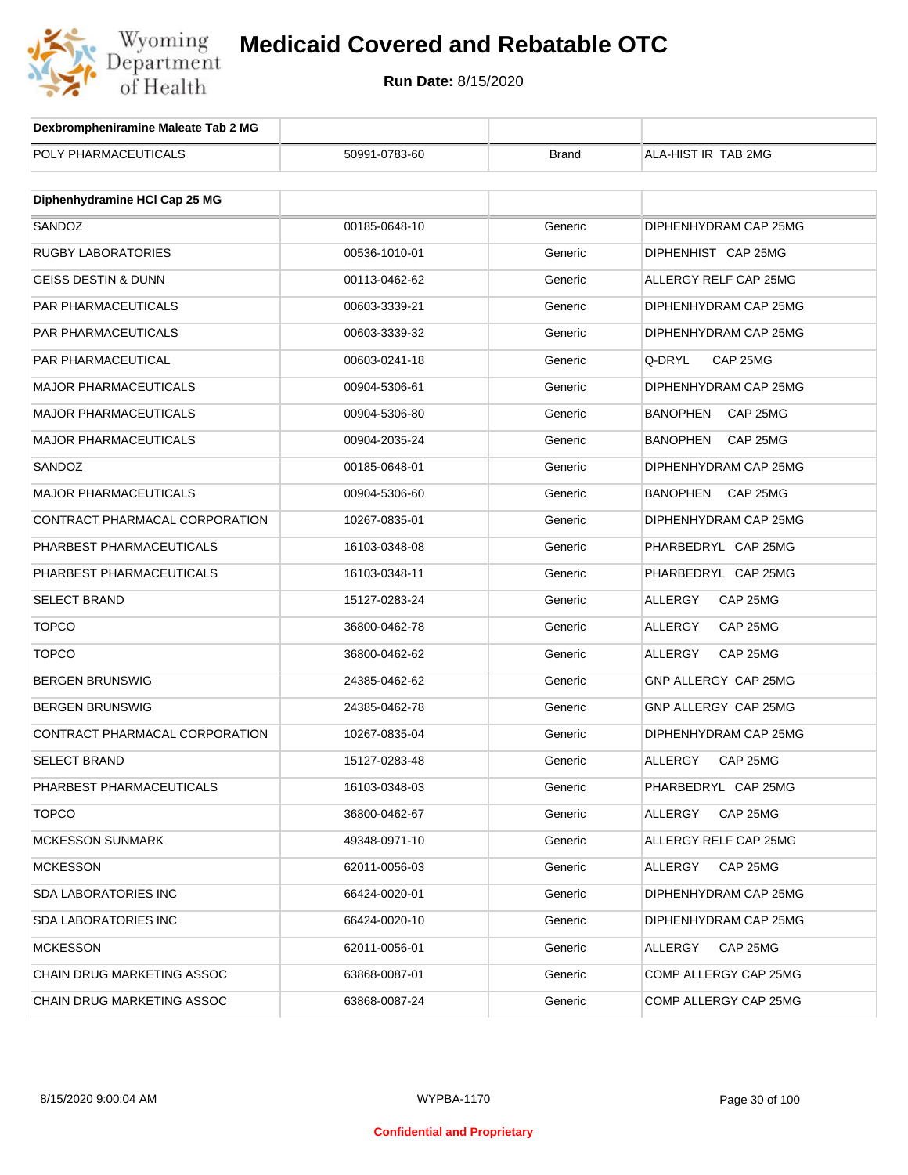

| Dexbrompheniramine Maleate Tab 2 MG |               |              |                             |
|-------------------------------------|---------------|--------------|-----------------------------|
| POLY PHARMACEUTICALS                | 50991-0783-60 | <b>Brand</b> | ALA-HIST IR TAB 2MG         |
|                                     |               |              |                             |
| Diphenhydramine HCI Cap 25 MG       |               |              |                             |
| SANDOZ                              | 00185-0648-10 | Generic      | DIPHENHYDRAM CAP 25MG       |
| <b>RUGBY LABORATORIES</b>           | 00536-1010-01 | Generic      | DIPHENHIST CAP 25MG         |
| <b>GEISS DESTIN &amp; DUNN</b>      | 00113-0462-62 | Generic      | ALLERGY RELF CAP 25MG       |
| PAR PHARMACEUTICALS                 | 00603-3339-21 | Generic      | DIPHENHYDRAM CAP 25MG       |
| <b>PAR PHARMACEUTICALS</b>          | 00603-3339-32 | Generic      | DIPHENHYDRAM CAP 25MG       |
| PAR PHARMACEUTICAL                  | 00603-0241-18 | Generic      | Q-DRYL<br>CAP 25MG          |
| <b>MAJOR PHARMACEUTICALS</b>        | 00904-5306-61 | Generic      | DIPHENHYDRAM CAP 25MG       |
| <b>MAJOR PHARMACEUTICALS</b>        | 00904-5306-80 | Generic      | BANOPHEN<br>CAP 25MG        |
| <b>MAJOR PHARMACEUTICALS</b>        | 00904-2035-24 | Generic      | <b>BANOPHEN</b><br>CAP 25MG |
| SANDOZ                              | 00185-0648-01 | Generic      | DIPHENHYDRAM CAP 25MG       |
| <b>MAJOR PHARMACEUTICALS</b>        | 00904-5306-60 | Generic      | <b>BANOPHEN</b><br>CAP 25MG |
| CONTRACT PHARMACAL CORPORATION      | 10267-0835-01 | Generic      | DIPHENHYDRAM CAP 25MG       |
| PHARBEST PHARMACEUTICALS            | 16103-0348-08 | Generic      | PHARBEDRYL CAP 25MG         |
| PHARBEST PHARMACEUTICALS            | 16103-0348-11 | Generic      | PHARBEDRYL CAP 25MG         |
| <b>SELECT BRAND</b>                 | 15127-0283-24 | Generic      | <b>ALLERGY</b><br>CAP 25MG  |
| <b>TOPCO</b>                        | 36800-0462-78 | Generic      | ALLERGY<br>CAP 25MG         |
| <b>TOPCO</b>                        | 36800-0462-62 | Generic      | ALLERGY<br>CAP 25MG         |
| <b>BERGEN BRUNSWIG</b>              | 24385-0462-62 | Generic      | GNP ALLERGY CAP 25MG        |
| <b>BERGEN BRUNSWIG</b>              | 24385-0462-78 | Generic      | GNP ALLERGY CAP 25MG        |
| CONTRACT PHARMACAL CORPORATION      | 10267-0835-04 | Generic      | DIPHENHYDRAM CAP 25MG       |
| SELECT BRAND                        | 15127-0283-48 | Generic      | ALLERGY<br>CAP 25MG         |
| PHARBEST PHARMACEUTICALS            | 16103-0348-03 | Generic      | PHARBEDRYL CAP 25MG         |
| <b>TOPCO</b>                        | 36800-0462-67 | Generic      | ALLERGY<br>CAP 25MG         |
| <b>MCKESSON SUNMARK</b>             | 49348-0971-10 | Generic      | ALLERGY RELF CAP 25MG       |
| <b>MCKESSON</b>                     | 62011-0056-03 | Generic      | CAP 25MG<br>ALLERGY         |
| <b>SDA LABORATORIES INC</b>         | 66424-0020-01 | Generic      | DIPHENHYDRAM CAP 25MG       |
| <b>SDA LABORATORIES INC</b>         | 66424-0020-10 | Generic      | DIPHENHYDRAM CAP 25MG       |
| <b>MCKESSON</b>                     | 62011-0056-01 | Generic      | ALLERGY<br>CAP 25MG         |
| CHAIN DRUG MARKETING ASSOC          | 63868-0087-01 | Generic      | COMP ALLERGY CAP 25MG       |
| CHAIN DRUG MARKETING ASSOC          | 63868-0087-24 | Generic      | COMP ALLERGY CAP 25MG       |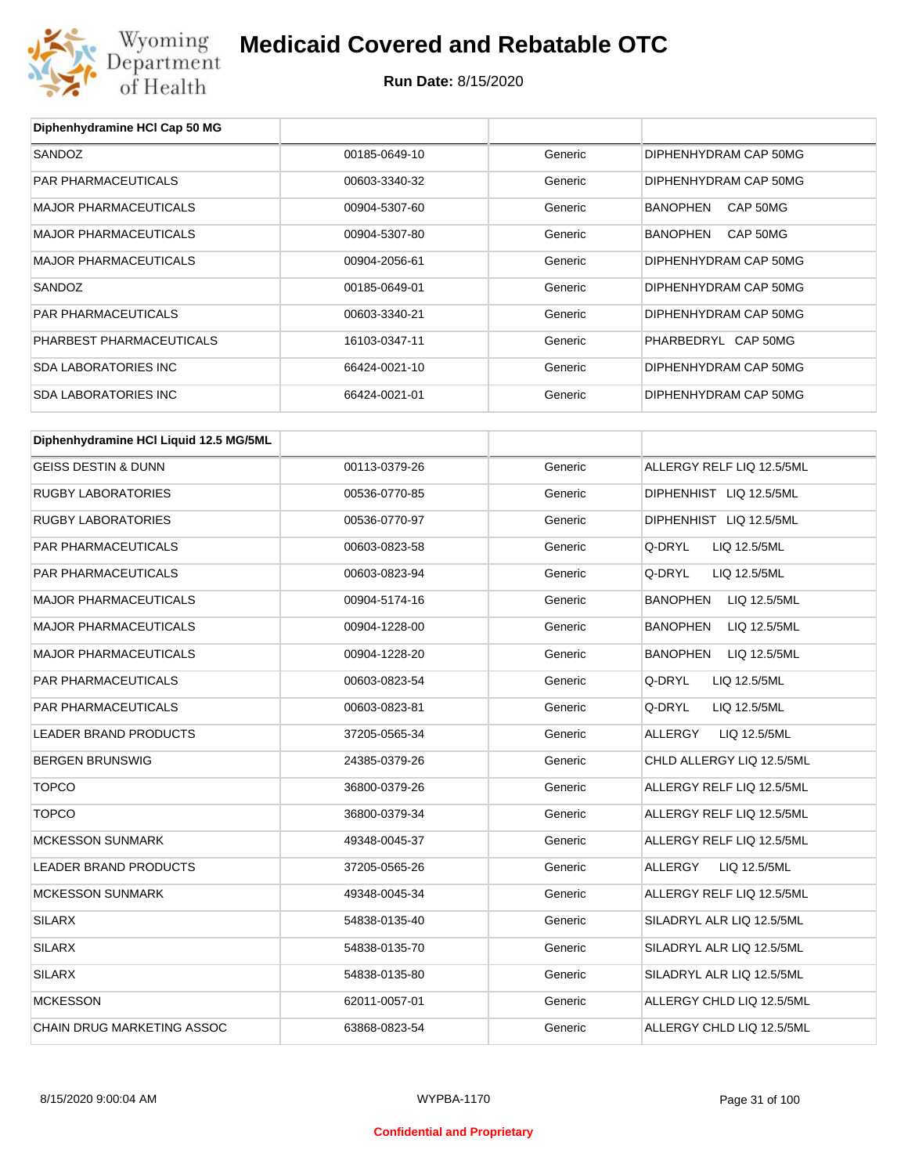

**Diphenhydramine HCl Cap 50 MG**

## **Medicaid Covered and Rebatable OTC**

| SANDOZ                                 | 00185-0649-10 | Generic | DIPHENHYDRAM CAP 50MG     |
|----------------------------------------|---------------|---------|---------------------------|
| PAR PHARMACEUTICALS                    | 00603-3340-32 | Generic | DIPHENHYDRAM CAP 50MG     |
| <b>MAJOR PHARMACEUTICALS</b>           | 00904-5307-60 | Generic | BANOPHEN CAP 50MG         |
| <b>MAJOR PHARMACEUTICALS</b>           | 00904-5307-80 | Generic | BANOPHEN CAP 50MG         |
| <b>MAJOR PHARMACEUTICALS</b>           | 00904-2056-61 | Generic | DIPHENHYDRAM CAP 50MG     |
| SANDOZ                                 | 00185-0649-01 | Generic | DIPHENHYDRAM CAP 50MG     |
| PAR PHARMACEUTICALS                    | 00603-3340-21 | Generic | DIPHENHYDRAM CAP 50MG     |
| PHARBEST PHARMACEUTICALS               | 16103-0347-11 | Generic | PHARBEDRYL CAP 50MG       |
| <b>SDA LABORATORIES INC</b>            | 66424-0021-10 | Generic | DIPHENHYDRAM CAP 50MG     |
| <b>SDA LABORATORIES INC</b>            | 66424-0021-01 | Generic | DIPHENHYDRAM CAP 50MG     |
|                                        |               |         |                           |
| Diphenhydramine HCI Liquid 12.5 MG/5ML |               |         |                           |
| <b>GEISS DESTIN &amp; DUNN</b>         | 00113-0379-26 | Generic | ALLERGY RELF LIQ 12.5/5ML |
| <b>RUGBY LABORATORIES</b>              | 00536-0770-85 | Generic | DIPHENHIST LIQ 12.5/5ML   |
| <b>RUGBY LABORATORIES</b>              | 00536-0770-97 | Generic | DIPHENHIST LIQ 12.5/5ML   |
| PAR PHARMACEUTICALS                    | 00603-0823-58 | Generic | Q-DRYL<br>LIQ 12.5/5ML    |
| PAR PHARMACEUTICALS                    | 00603-0823-94 | Generic | Q-DRYL<br>LIQ 12.5/5ML    |
| <b>MAJOR PHARMACEUTICALS</b>           | 00904-5174-16 | Generic | BANOPHEN<br>LIQ 12.5/5ML  |
| <b>MAJOR PHARMACEUTICALS</b>           | 00904-1228-00 | Generic | BANOPHEN<br>LIQ 12.5/5ML  |
| <b>MAJOR PHARMACEUTICALS</b>           | 00904-1228-20 | Generic | BANOPHEN<br>LIQ 12.5/5ML  |
| PAR PHARMACEUTICALS                    | 00603-0823-54 | Generic | Q-DRYL<br>LIQ 12.5/5ML    |
| PAR PHARMACEUTICALS                    | 00603-0823-81 | Generic | Q-DRYL<br>LIQ 12.5/5ML    |
| LEADER BRAND PRODUCTS                  | 37205-0565-34 | Generic | ALLERGY<br>LIQ 12.5/5ML   |
| <b>BERGEN BRUNSWIG</b>                 | 24385-0379-26 | Generic | CHLD ALLERGY LIQ 12.5/5ML |
| <b>TOPCO</b>                           | 36800-0379-26 | Generic | ALLERGY RELF LIQ 12.5/5ML |
| <b>TOPCO</b>                           | 36800-0379-34 | Generic | ALLERGY RELF LIQ 12.5/5ML |
| <b>MCKESSON SUNMARK</b>                | 49348-0045-37 | Generic | ALLERGY RELF LIQ 12.5/5ML |
| <b>LEADER BRAND PRODUCTS</b>           | 37205-0565-26 | Generic | ALLERGY<br>LIQ 12.5/5ML   |
| <b>MCKESSON SUNMARK</b>                | 49348-0045-34 | Generic | ALLERGY RELF LIQ 12.5/5ML |
| SILARX                                 | 54838-0135-40 | Generic | SILADRYL ALR LIQ 12.5/5ML |
| <b>SILARX</b>                          | 54838-0135-70 | Generic | SILADRYL ALR LIQ 12.5/5ML |
| <b>SILARX</b>                          | 54838-0135-80 | Generic | SILADRYL ALR LIQ 12.5/5ML |
| <b>MCKESSON</b>                        | 62011-0057-01 | Generic | ALLERGY CHLD LIQ 12.5/5ML |
| CHAIN DRUG MARKETING ASSOC             | 63868-0823-54 | Generic | ALLERGY CHLD LIQ 12.5/5ML |
|                                        |               |         |                           |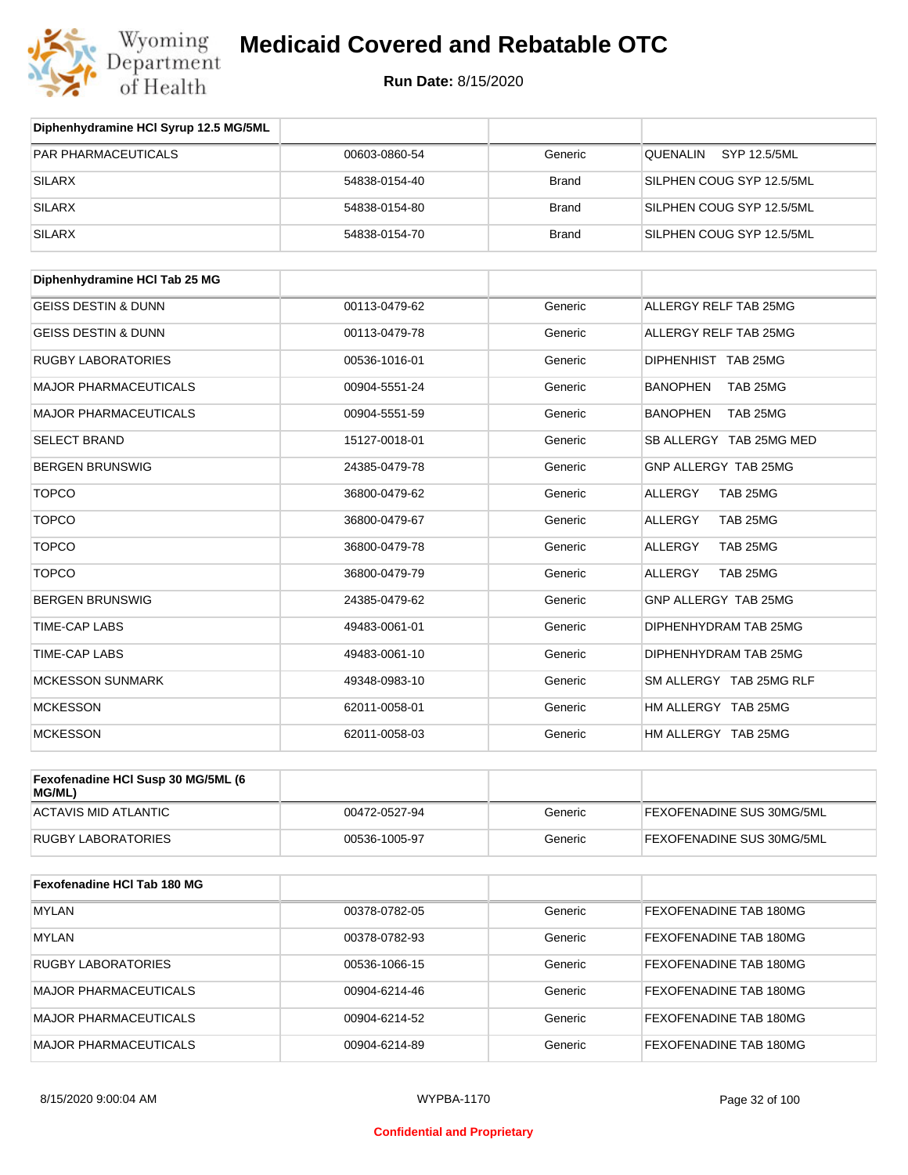

| Diphenhydramine HCI Syrup 12.5 MG/5ML        |               |              |                             |
|----------------------------------------------|---------------|--------------|-----------------------------|
| <b>PAR PHARMACEUTICALS</b>                   | 00603-0860-54 | Generic      | SYP 12.5/5ML<br>QUENALIN    |
| <b>SILARX</b>                                | 54838-0154-40 | <b>Brand</b> | SILPHEN COUG SYP 12.5/5ML   |
| <b>SILARX</b>                                | 54838-0154-80 | <b>Brand</b> | SILPHEN COUG SYP 12.5/5ML   |
| <b>SILARX</b>                                | 54838-0154-70 | <b>Brand</b> | SILPHEN COUG SYP 12.5/5ML   |
| Diphenhydramine HCI Tab 25 MG                |               |              |                             |
|                                              |               |              |                             |
| <b>GEISS DESTIN &amp; DUNN</b>               | 00113-0479-62 | Generic      | ALLERGY RELF TAB 25MG       |
| <b>GEISS DESTIN &amp; DUNN</b>               | 00113-0479-78 | Generic      | ALLERGY RELF TAB 25MG       |
| <b>RUGBY LABORATORIES</b>                    | 00536-1016-01 | Generic      | DIPHENHIST TAB 25MG         |
| <b>MAJOR PHARMACEUTICALS</b>                 | 00904-5551-24 | Generic      | <b>BANOPHEN</b><br>TAB 25MG |
| <b>MAJOR PHARMACEUTICALS</b>                 | 00904-5551-59 | Generic      | <b>BANOPHEN</b><br>TAB 25MG |
| <b>SELECT BRAND</b>                          | 15127-0018-01 | Generic      | SB ALLERGY TAB 25MG MED     |
| <b>BERGEN BRUNSWIG</b>                       | 24385-0479-78 | Generic      | GNP ALLERGY TAB 25MG        |
| <b>TOPCO</b>                                 | 36800-0479-62 | Generic      | TAB 25MG<br><b>ALLERGY</b>  |
| <b>TOPCO</b>                                 | 36800-0479-67 | Generic      | TAB 25MG<br><b>ALLERGY</b>  |
| <b>TOPCO</b>                                 | 36800-0479-78 | Generic      | TAB 25MG<br>ALLERGY         |
| <b>TOPCO</b>                                 | 36800-0479-79 | Generic      | TAB 25MG<br>ALLERGY         |
| <b>BERGEN BRUNSWIG</b>                       | 24385-0479-62 | Generic      | GNP ALLERGY TAB 25MG        |
| TIME-CAP LABS                                | 49483-0061-01 | Generic      | DIPHENHYDRAM TAB 25MG       |
| <b>TIME-CAP LABS</b>                         | 49483-0061-10 | Generic      | DIPHENHYDRAM TAB 25MG       |
| <b>MCKESSON SUNMARK</b>                      | 49348-0983-10 | Generic      | SM ALLERGY TAB 25MG RLF     |
| <b>MCKESSON</b>                              | 62011-0058-01 | Generic      | HM ALLERGY TAB 25MG         |
| <b>MCKESSON</b>                              | 62011-0058-03 | Generic      | HM ALLERGY TAB 25MG         |
|                                              |               |              |                             |
| Fexofenadine HCI Susp 30 MG/5ML (6<br>MG/ML) |               |              |                             |
| <b>ACTAVIS MID ATLANTIC</b>                  | 00472-0527-94 | Generic      | FEXOFENADINE SUS 30MG/5ML   |
| <b>RUGBY LABORATORIES</b>                    | 00536-1005-97 | Generic      | FEXOFENADINE SUS 30MG/5ML   |
|                                              |               |              |                             |
| Fexofenadine HCI Tab 180 MG                  |               |              |                             |
| <b>MYLAN</b>                                 | 00378-0782-05 | Generic      | FEXOFENADINE TAB 180MG      |
| <b>MYLAN</b>                                 | 00378-0782-93 | Generic      | FEXOFENADINE TAB 180MG      |
| <b>RUGBY LABORATORIES</b>                    | 00536-1066-15 | Generic      | FEXOFENADINE TAB 180MG      |
| <b>MAJOR PHARMACEUTICALS</b>                 | 00904-6214-46 | Generic      | FEXOFENADINE TAB 180MG      |
| <b>MAJOR PHARMACEUTICALS</b>                 | 00904-6214-52 | Generic      | FEXOFENADINE TAB 180MG      |
| <b>MAJOR PHARMACEUTICALS</b>                 | 00904-6214-89 | Generic      | FEXOFENADINE TAB 180MG      |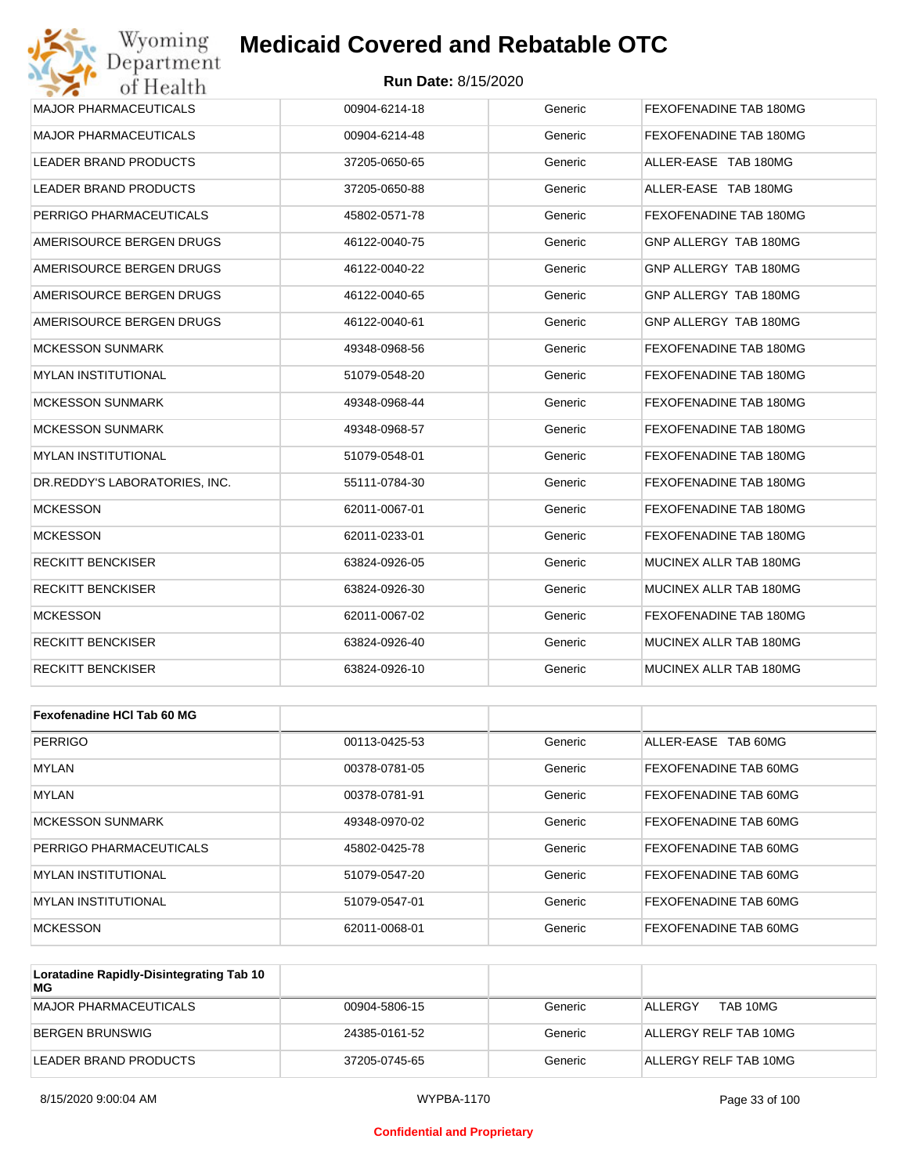#### **Run Date:** 8/15/2020

| Wyoming                       | <b>Medicaid Covered and Rebatable OTC</b> |         |                        |
|-------------------------------|-------------------------------------------|---------|------------------------|
| Department<br>of Health       | <b>Run Date: 8/15/2020</b>                |         |                        |
| <b>MAJOR PHARMACEUTICALS</b>  | 00904-6214-18                             | Generic | FEXOFENADINE TAB 180MG |
| <b>MAJOR PHARMACEUTICALS</b>  | 00904-6214-48                             | Generic | FEXOFENADINE TAB 180MG |
| LEADER BRAND PRODUCTS         | 37205-0650-65                             | Generic | ALLER-EASE TAB 180MG   |
| <b>LEADER BRAND PRODUCTS</b>  | 37205-0650-88                             | Generic | ALLER-EASE TAB 180MG   |
| PERRIGO PHARMACEUTICALS       | 45802-0571-78                             | Generic | FEXOFENADINE TAB 180MG |
| AMERISOURCE BERGEN DRUGS      | 46122-0040-75                             | Generic | GNP ALLERGY TAB 180MG  |
| AMERISOURCE BERGEN DRUGS      | 46122-0040-22                             | Generic | GNP ALLERGY TAB 180MG  |
| AMERISOURCE BERGEN DRUGS      | 46122-0040-65                             | Generic | GNP ALLERGY TAB 180MG  |
| AMERISOURCE BERGEN DRUGS      | 46122-0040-61                             | Generic | GNP ALLERGY TAB 180MG  |
| <b>MCKESSON SUNMARK</b>       | 49348-0968-56                             | Generic | FEXOFENADINE TAB 180MG |
| <b>MYLAN INSTITUTIONAL</b>    | 51079-0548-20                             | Generic | FEXOFENADINE TAB 180MG |
| <b>MCKESSON SUNMARK</b>       | 49348-0968-44                             | Generic | FEXOFENADINE TAB 180MG |
| <b>MCKESSON SUNMARK</b>       | 49348-0968-57                             | Generic | FEXOFENADINE TAB 180MG |
| <b>MYLAN INSTITUTIONAL</b>    | 51079-0548-01                             | Generic | FEXOFENADINE TAB 180MG |
| DR.REDDY'S LABORATORIES, INC. | 55111-0784-30                             | Generic | FEXOFENADINE TAB 180MG |
| <b>MCKESSON</b>               | 62011-0067-01                             | Generic | FEXOFENADINE TAB 180MG |
| <b>MCKESSON</b>               | 62011-0233-01                             | Generic | FEXOFENADINE TAB 180MG |
| RECKITT BENCKISER             | 63824-0926-05                             | Generic | MUCINEX ALLR TAB 180MG |
| <b>RECKITT BENCKISER</b>      | 63824-0926-30                             | Generic | MUCINEX ALLR TAB 180MG |
| <b>MCKESSON</b>               | 62011-0067-02                             | Generic | FEXOFENADINE TAB 180MG |
| <b>RECKITT BENCKISER</b>      | 63824-0926-40                             | Generic | MUCINEX ALLR TAB 180MG |
| RECKITT BENCKISER             | 63824-0926-10                             | Generic | MUCINEX ALLR TAB 180MG |
| Fexofenadine HCI Tab 60 MG    |                                           |         |                        |
| <b>PERRIGO</b>                | 00113-0425-53                             | Generic | ALLER-EASE TAB 60MG    |
| <b>MYLAN</b>                  | 00378-0781-05                             | Generic | FEXOFENADINE TAB 60MG  |

| MYLAN                      | 00378-0781-05 | Generic | FEXOFENADINE TAB 60MG |
|----------------------------|---------------|---------|-----------------------|
| <b>MYLAN</b>               | 00378-0781-91 | Generic | FEXOFENADINE TAB 60MG |
| <b>MCKESSON SUNMARK</b>    | 49348-0970-02 | Generic | FEXOFENADINE TAB 60MG |
| PERRIGO PHARMACEUTICALS    | 45802-0425-78 | Generic | FEXOFENADINE TAB 60MG |
| IMYLAN INSTITUTIONAL       | 51079-0547-20 | Generic | FEXOFENADINE TAB 60MG |
| <b>MYLAN INSTITUTIONAL</b> | 51079-0547-01 | Generic | FEXOFENADINE TAB 60MG |
| <b>MCKESSON</b>            | 62011-0068-01 | Generic | FEXOFENADINE TAB 60MG |

| Loratadine Rapidly-Disintegrating Tab 10<br>MG |               |         |                       |
|------------------------------------------------|---------------|---------|-----------------------|
| MAJOR PHARMACEUTICALS                          | 00904-5806-15 | Generic | TAB 10MG<br>ALL FRGY  |
| BERGEN BRUNSWIG                                | 24385-0161-52 | Generic | ALLERGY RELF TAB 10MG |
| LEADER BRAND PRODUCTS                          | 37205-0745-65 | Generic | ALLERGY RELF TAB 10MG |

#### **Confidential and Proprietary**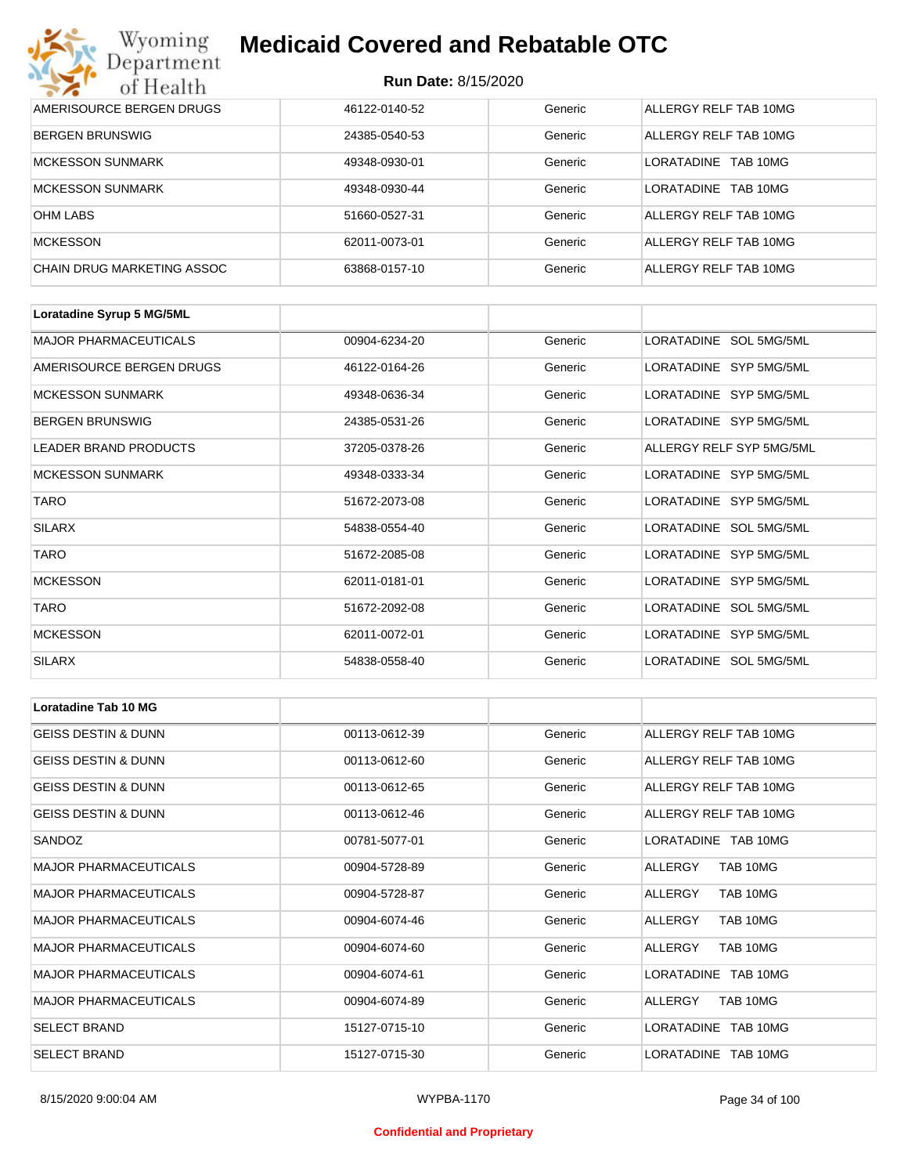| Wyoming<br>Department      | <b>Medicaid Covered and Rebatable OTC</b><br><b>Run Date: 8/15/2020</b> |         |                         |  |
|----------------------------|-------------------------------------------------------------------------|---------|-------------------------|--|
| of Health                  |                                                                         |         |                         |  |
| AMERISOURCE BERGEN DRUGS   | 46122-0140-52                                                           | Generic | ALLERGY RELF TAB 10MG   |  |
| <b>BERGEN BRUNSWIG</b>     | 24385-0540-53                                                           | Generic | ALLERGY RELF TAB 10MG   |  |
| <b>MCKESSON SUNMARK</b>    | 49348-0930-01                                                           | Generic | I ORATADINE<br>TAB 10MG |  |
| <b>MCKESSON SUNMARK</b>    | 49348-0930-44                                                           | Generic | LORATADINE<br>TAB 10MG  |  |
| <b>OHM LABS</b>            | 51660-0527-31                                                           | Generic | ALLERGY RELF TAB 10MG   |  |
| <b>MCKESSON</b>            | 62011-0073-01                                                           | Generic | ALLERGY RELF TAB 10MG   |  |
| CHAIN DRUG MARKETING ASSOC | 63868-0157-10                                                           | Generic | ALLERGY RELF TAB 10MG   |  |

| Loratadine Syrup 5 MG/5ML    |               |         |                          |
|------------------------------|---------------|---------|--------------------------|
| <b>MAJOR PHARMACEUTICALS</b> | 00904-6234-20 | Generic | LORATADINE SOL 5MG/5ML   |
| AMERISOURCE BERGEN DRUGS     | 46122-0164-26 | Generic | LORATADINE SYP 5MG/5ML   |
| <b>MCKESSON SUNMARK</b>      | 49348-0636-34 | Generic | LORATADINE SYP 5MG/5ML   |
| <b>BERGEN BRUNSWIG</b>       | 24385-0531-26 | Generic | LORATADINE SYP 5MG/5ML   |
| <b>LEADER BRAND PRODUCTS</b> | 37205-0378-26 | Generic | ALLERGY RELF SYP 5MG/5ML |
| <b>MCKESSON SUNMARK</b>      | 49348-0333-34 | Generic | LORATADINE SYP 5MG/5ML   |
| <b>TARO</b>                  | 51672-2073-08 | Generic | LORATADINE SYP 5MG/5ML   |
| <b>SILARX</b>                | 54838-0554-40 | Generic | LORATADINE SOL 5MG/5ML   |
| <b>TARO</b>                  | 51672-2085-08 | Generic | LORATADINE SYP 5MG/5ML   |
| <b>MCKESSON</b>              | 62011-0181-01 | Generic | LORATADINE SYP 5MG/5ML   |
| <b>TARO</b>                  | 51672-2092-08 | Generic | LORATADINE SOL 5MG/5ML   |
| <b>MCKESSON</b>              | 62011-0072-01 | Generic | LORATADINE SYP 5MG/5ML   |
| <b>SILARX</b>                | 54838-0558-40 | Generic | LORATADINE SOL 5MG/5ML   |

| <b>Loratadine Tab 10 MG</b>    |               |         |                       |
|--------------------------------|---------------|---------|-----------------------|
| <b>GEISS DESTIN &amp; DUNN</b> | 00113-0612-39 | Generic | ALLERGY RELF TAB 10MG |
| <b>GEISS DESTIN &amp; DUNN</b> | 00113-0612-60 | Generic | ALLERGY RELF TAB 10MG |
| <b>GEISS DESTIN &amp; DUNN</b> | 00113-0612-65 | Generic | ALLERGY RELF TAB 10MG |
| <b>GEISS DESTIN &amp; DUNN</b> | 00113-0612-46 | Generic | ALLERGY RELF TAB 10MG |
| SANDOZ                         | 00781-5077-01 | Generic | LORATADINE TAB 10MG   |
| <b>MAJOR PHARMACEUTICALS</b>   | 00904-5728-89 | Generic | ALLERGY<br>TAB 10MG   |
| <b>MAJOR PHARMACEUTICALS</b>   | 00904-5728-87 | Generic | ALLERGY<br>TAB 10MG   |
| <b>MAJOR PHARMACEUTICALS</b>   | 00904-6074-46 | Generic | TAB 10MG<br>ALLERGY   |
| <b>MAJOR PHARMACEUTICALS</b>   | 00904-6074-60 | Generic | TAB 10MG<br>ALLERGY   |
| <b>MAJOR PHARMACEUTICALS</b>   | 00904-6074-61 | Generic | LORATADINE TAB 10MG   |
| <b>MAJOR PHARMACEUTICALS</b>   | 00904-6074-89 | Generic | TAB 10MG<br>ALLERGY   |
| <b>SELECT BRAND</b>            | 15127-0715-10 | Generic | LORATADINE TAB 10MG   |
| <b>SELECT BRAND</b>            | 15127-0715-30 | Generic | LORATADINE TAB 10MG   |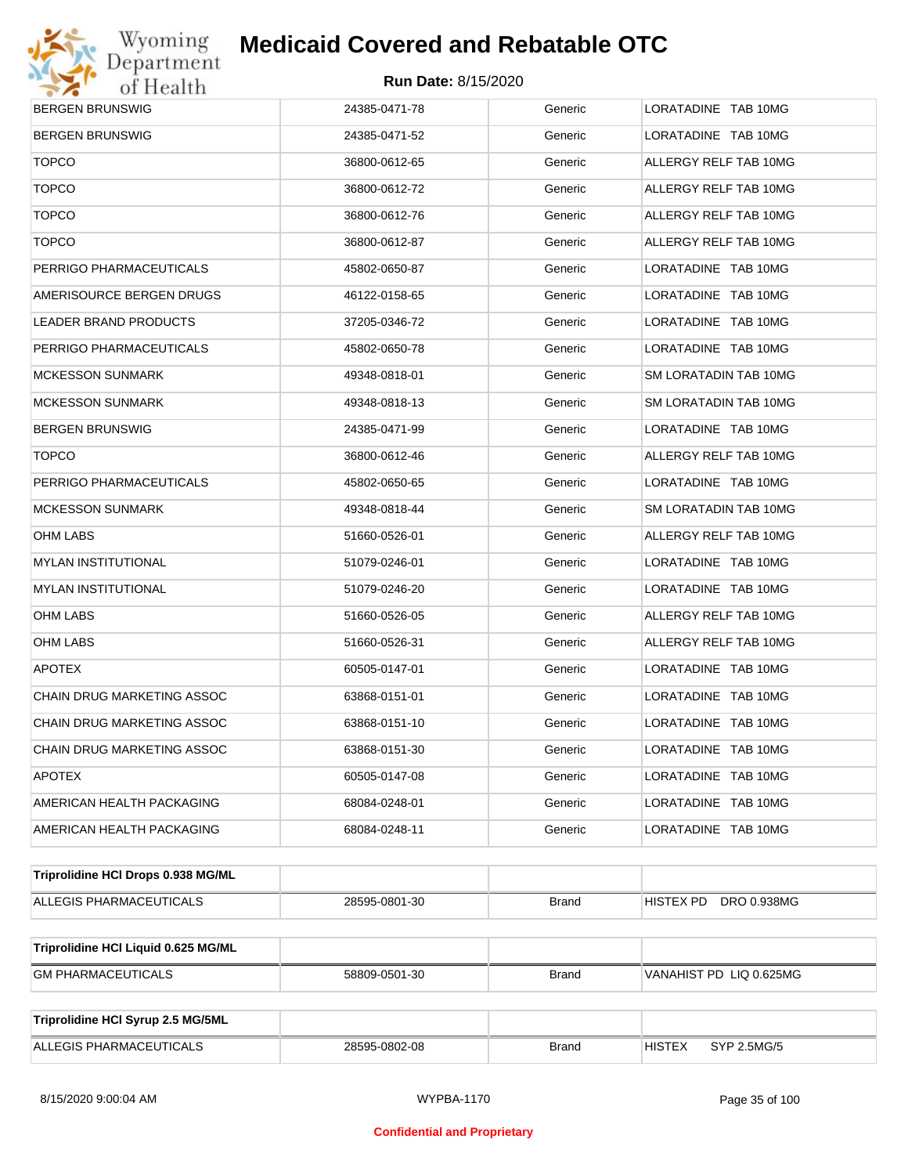

| <b>BERGEN BRUNSWIG</b>              | 24385-0471-78 | Generic      | LORATADINE TAB 10MG          |  |  |
|-------------------------------------|---------------|--------------|------------------------------|--|--|
| BERGEN BRUNSWIG                     | 24385-0471-52 | Generic      | LORATADINE TAB 10MG          |  |  |
| <b>TOPCO</b>                        | 36800-0612-65 | Generic      | ALLERGY RELF TAB 10MG        |  |  |
| <b>TOPCO</b>                        | 36800-0612-72 | Generic      | ALLERGY RELF TAB 10MG        |  |  |
| <b>TOPCO</b>                        | 36800-0612-76 | Generic      | ALLERGY RELF TAB 10MG        |  |  |
| <b>TOPCO</b>                        | 36800-0612-87 | Generic      | ALLERGY RELF TAB 10MG        |  |  |
| PERRIGO PHARMACEUTICALS             | 45802-0650-87 | Generic      | LORATADINE TAB 10MG          |  |  |
| AMERISOURCE BERGEN DRUGS            | 46122-0158-65 | Generic      | LORATADINE TAB 10MG          |  |  |
| LEADER BRAND PRODUCTS               | 37205-0346-72 | Generic      | LORATADINE TAB 10MG          |  |  |
| PERRIGO PHARMACEUTICALS             | 45802-0650-78 | Generic      | LORATADINE TAB 10MG          |  |  |
| MCKESSON SUNMARK                    | 49348-0818-01 | Generic      | SM LORATADIN TAB 10MG        |  |  |
| MCKESSON SUNMARK                    | 49348-0818-13 | Generic      | SM LORATADIN TAB 10MG        |  |  |
| BERGEN BRUNSWIG                     | 24385-0471-99 | Generic      | LORATADINE TAB 10MG          |  |  |
| <b>TOPCO</b>                        | 36800-0612-46 | Generic      | ALLERGY RELF TAB 10MG        |  |  |
| PERRIGO PHARMACEUTICALS             | 45802-0650-65 | Generic      | LORATADINE TAB 10MG          |  |  |
| MCKESSON SUNMARK                    | 49348-0818-44 | Generic      | SM LORATADIN TAB 10MG        |  |  |
| OHM LABS                            | 51660-0526-01 | Generic      | ALLERGY RELF TAB 10MG        |  |  |
| MYLAN INSTITUTIONAL                 | 51079-0246-01 | Generic      | LORATADINE TAB 10MG          |  |  |
| MYLAN INSTITUTIONAL                 | 51079-0246-20 | Generic      | LORATADINE TAB 10MG          |  |  |
| OHM LABS                            | 51660-0526-05 | Generic      | ALLERGY RELF TAB 10MG        |  |  |
| OHM LABS                            | 51660-0526-31 | Generic      | ALLERGY RELF TAB 10MG        |  |  |
| <b>APOTEX</b>                       | 60505-0147-01 | Generic      | LORATADINE TAB 10MG          |  |  |
| CHAIN DRUG MARKETING ASSOC          | 63868-0151-01 | Generic      | LORATADINE TAB 10MG          |  |  |
| CHAIN DRUG MARKETING ASSOC          | 63868-0151-10 | Generic      | LORATADINE TAB 10MG          |  |  |
| CHAIN DRUG MARKETING ASSOC          | 63868-0151-30 | Generic      | LORATADINE TAB 10MG          |  |  |
| <b>APOTEX</b>                       | 60505-0147-08 | Generic      | LORATADINE TAB 10MG          |  |  |
| AMERICAN HEALTH PACKAGING           | 68084-0248-01 | Generic      | LORATADINE TAB 10MG          |  |  |
| AMERICAN HEALTH PACKAGING           | 68084-0248-11 | Generic      | LORATADINE TAB 10MG          |  |  |
| Triprolidine HCI Drops 0.938 MG/ML  |               |              |                              |  |  |
| ALLEGIS PHARMACEUTICALS             | 28595-0801-30 | <b>Brand</b> | DRO 0.938MG<br>HISTEX PD     |  |  |
| Triprolidine HCI Liquid 0.625 MG/ML |               |              |                              |  |  |
| <b>GM PHARMACEUTICALS</b>           | 58809-0501-30 | <b>Brand</b> | VANAHIST PD LIQ 0.625MG      |  |  |
|                                     |               |              |                              |  |  |
| Triprolidine HCI Syrup 2.5 MG/5ML   |               |              |                              |  |  |
| ALLEGIS PHARMACEUTICALS             | 28595-0802-08 | <b>Brand</b> | <b>HISTEX</b><br>SYP 2.5MG/5 |  |  |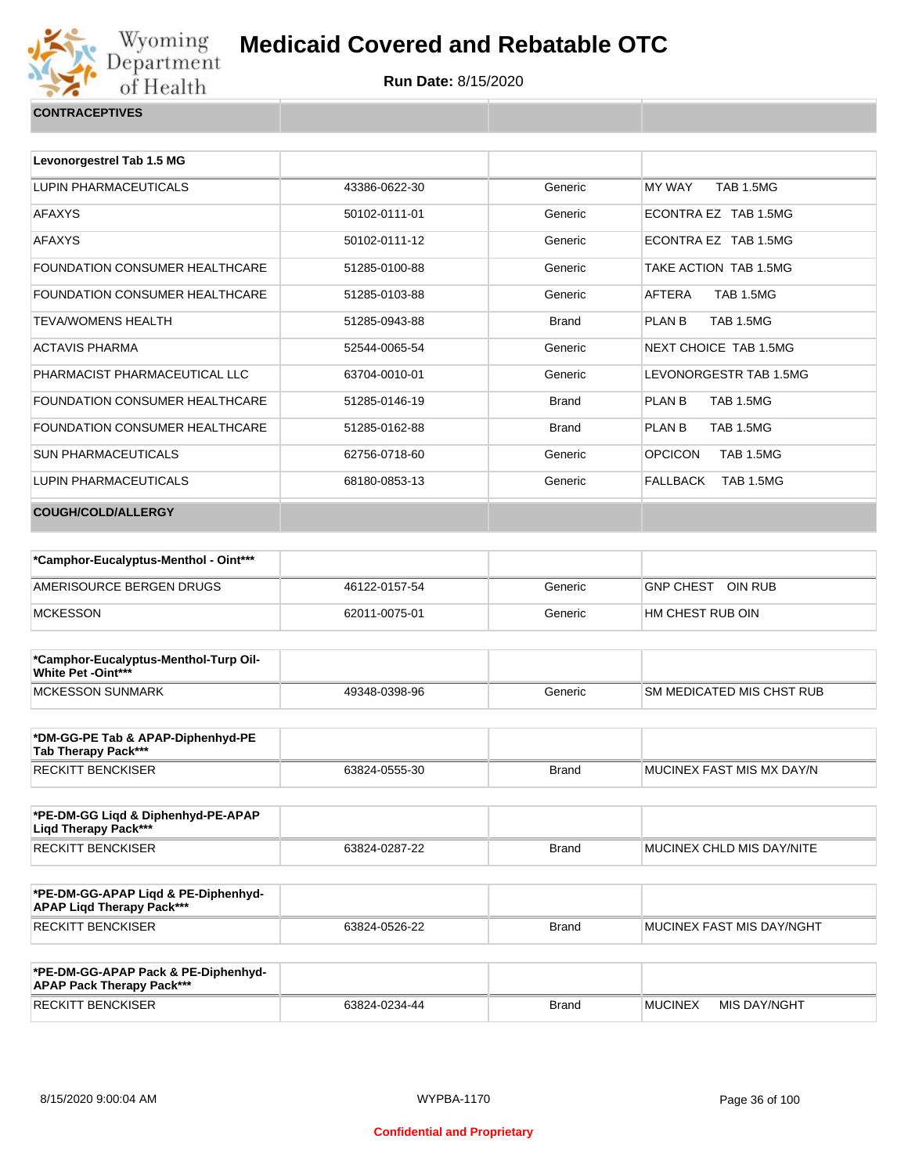

| <b>CONTRACEPTIVES</b> |  |
|-----------------------|--|
|                       |  |

| Levonorgestrel Tab 1.5 MG             |               |              |                                    |
|---------------------------------------|---------------|--------------|------------------------------------|
|                                       |               |              |                                    |
| LUPIN PHARMACEUTICALS                 | 43386-0622-30 | Generic      | MY WAY<br><b>TAB 1.5MG</b>         |
| <b>AFAXYS</b>                         | 50102-0111-01 | Generic      | ECONTRA EZ TAB 1.5MG               |
| <b>AFAXYS</b>                         | 50102-0111-12 | Generic      | ECONTRA EZ TAB 1.5MG               |
| <b>FOUNDATION CONSUMER HEALTHCARE</b> | 51285-0100-88 | Generic      | TAKE ACTION TAB 1.5MG              |
| <b>FOUNDATION CONSUMER HEALTHCARE</b> | 51285-0103-88 | Generic      | <b>TAB 1.5MG</b><br>AFTERA         |
| TFVA/WOMFNS HFAI TH                   | 51285-0943-88 | <b>Brand</b> | PLAN B<br><b>TAB 1.5MG</b>         |
| <b>ACTAVIS PHARMA</b>                 | 52544-0065-54 | Generic      | NEXT CHOICE TAB 1.5MG              |
| PHARMACIST PHARMACEUTICAL LLC         | 63704-0010-01 | Generic      | LEVONORGESTR TAB 1.5MG             |
| <b>FOUNDATION CONSUMER HEALTHCARE</b> | 51285-0146-19 | <b>Brand</b> | PLAN B<br><b>TAB 1.5MG</b>         |
| <b>FOUNDATION CONSUMER HEALTHCARE</b> | 51285-0162-88 | <b>Brand</b> | PLAN B<br><b>TAB 1.5MG</b>         |
| <b>SUN PHARMACEUTICALS</b>            | 62756-0718-60 | Generic      | <b>OPCICON</b><br><b>TAB 1.5MG</b> |
| <b>LUPIN PHARMACEUTICALS</b>          | 68180-0853-13 | Generic      | FALLBACK<br>TAB 1.5MG              |
| <b>COUGH/COLD/ALLERGY</b>             |               |              |                                    |

| *Camphor-Eucalyptus-Menthol - Oint*** |               |         |                             |
|---------------------------------------|---------------|---------|-----------------------------|
| AMERISOURCE BERGEN DRUGS              | 46122-0157-54 | Generic | OIN RUB<br><b>GNP CHEST</b> |
| <b>MCKESSON</b>                       | 62011-0075-01 | Generic | HM CHEST RUB OIN            |

| *Camphor-Eucalyptus-Menthol-Turp Oil-<br><b>White Pet -Oint***</b> |               |         |                                  |
|--------------------------------------------------------------------|---------------|---------|----------------------------------|
| MCKESSON SUNMARK                                                   | 49348-0398-96 | Generic | <b>SM MEDICATED MIS CHST RUB</b> |

| *DM-GG-PE Tab & APAP-Diphenhyd-PE<br>Tab Therapy Pack*** |               |       |                           |
|----------------------------------------------------------|---------------|-------|---------------------------|
| <b>RECKITT BENCKISER</b>                                 | 63824-0555-30 | Brand | MUCINEX FAST MIS MX DAY/N |

| *PE-DM-GG Ligd & Diphenhyd-PE-APAP<br>Ligd Therapy Pack*** |               |              |                           |
|------------------------------------------------------------|---------------|--------------|---------------------------|
| <b>RECKITT BENCKISER</b>                                   | 63824-0287-22 | <b>Brand</b> | MUCINEX CHLD MIS DAY/NITE |

| *PE-DM-GG-APAP Ligd & PE-Diphenhyd-<br><b>APAP Ligd Therapy Pack***</b> |               |       |                           |
|-------------------------------------------------------------------------|---------------|-------|---------------------------|
| RECKITT BENCKISER                                                       | 63824-0526-22 | Brand | MUCINEX FAST MIS DAY/NGHT |

| *PE-DM-GG-APAP Pack & PE-Diphenhyd-<br><b>APAP Pack Therapy Pack***</b> |               |              |                |              |
|-------------------------------------------------------------------------|---------------|--------------|----------------|--------------|
| <b>RECKITT BENCKISER</b>                                                | 63824-0234-44 | <b>Brand</b> | <b>MUCINEX</b> | MIS DAY/NGHT |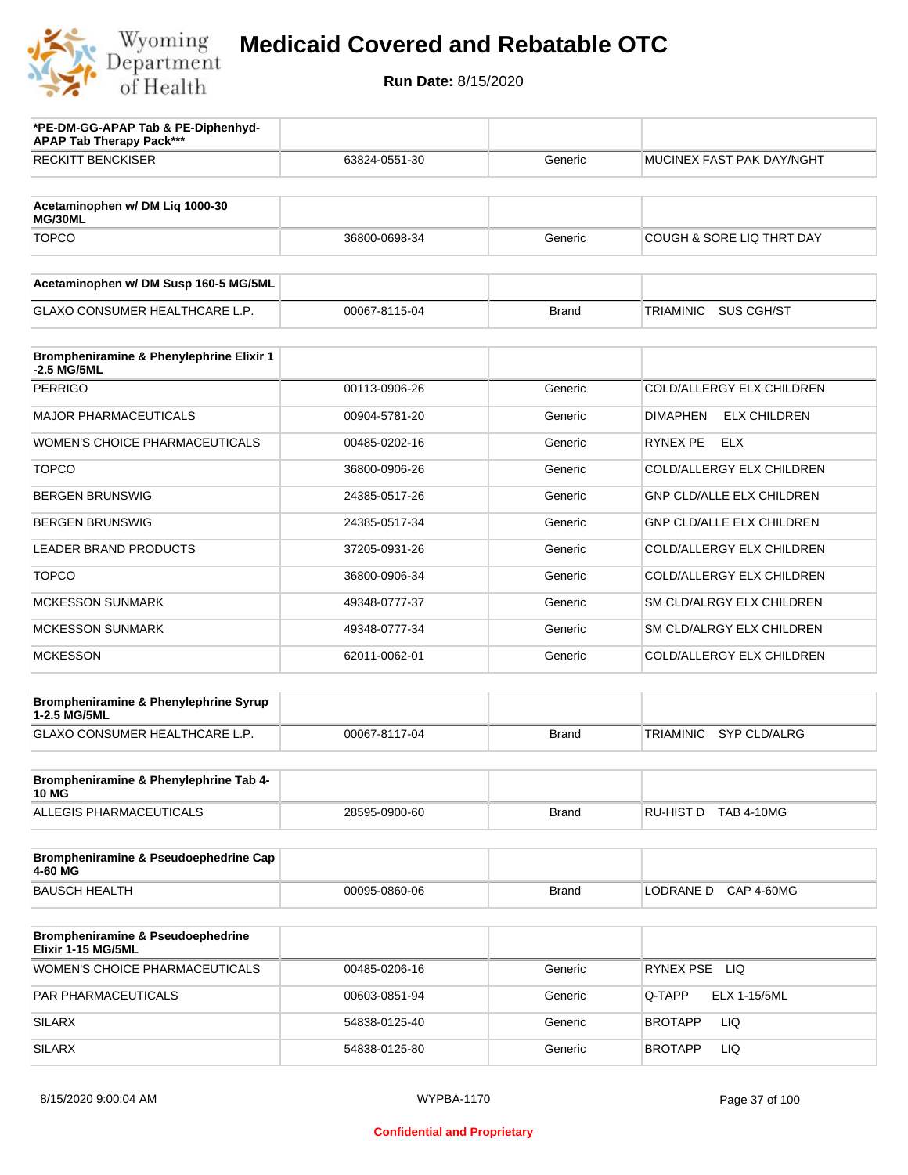

| *PE-DM-GG-APAP Tab & PE-Diphenhyd-<br><b>APAP Tab Therapy Pack***</b> |               |              |                                         |
|-----------------------------------------------------------------------|---------------|--------------|-----------------------------------------|
| <b>RECKITT BENCKISER</b>                                              | 63824-0551-30 | Generic      | MUCINEX FAST PAK DAY/NGHT               |
| Acetaminophen w/ DM Liq 1000-30<br>MG/30ML                            |               |              |                                         |
| <b>TOPCO</b>                                                          | 36800-0698-34 | Generic      | <b>COUGH &amp; SORE LIQ THRT DAY</b>    |
| Acetaminophen w/ DM Susp 160-5 MG/5ML                                 |               |              |                                         |
| <b>GLAXO CONSUMER HEALTHCARE L.P.</b>                                 | 00067-8115-04 | <b>Brand</b> | TRIAMINIC<br>SUS CGH/ST                 |
| Brompheniramine & Phenylephrine Elixir 1<br>-2.5 MG/5ML               |               |              |                                         |
| <b>PERRIGO</b>                                                        | 00113-0906-26 | Generic      | COLD/ALLERGY ELX CHILDREN               |
| <b>MAJOR PHARMACEUTICALS</b>                                          | 00904-5781-20 | Generic      | <b>ELX CHILDREN</b><br><b>DIMAPHEN</b>  |
| WOMEN'S CHOICE PHARMACEUTICALS                                        | 00485-0202-16 | Generic      | RYNEX PE<br><b>ELX</b>                  |
| <b>TOPCO</b>                                                          | 36800-0906-26 | Generic      | COLD/ALLERGY ELX CHILDREN               |
| <b>BERGEN BRUNSWIG</b>                                                | 24385-0517-26 | Generic      | <b>GNP CLD/ALLE ELX CHILDREN</b>        |
| <b>BERGEN BRUNSWIG</b>                                                | 24385-0517-34 | Generic      | <b>GNP CLD/ALLE ELX CHILDREN</b>        |
| <b>LEADER BRAND PRODUCTS</b>                                          | 37205-0931-26 | Generic      | COLD/ALLERGY ELX CHILDREN               |
| <b>TOPCO</b>                                                          | 36800-0906-34 | Generic      | COLD/ALLERGY ELX CHILDREN               |
| <b>MCKESSON SUNMARK</b>                                               | 49348-0777-37 | Generic      | SM CLD/ALRGY ELX CHILDREN               |
| <b>MCKESSON SUNMARK</b>                                               | 49348-0777-34 | Generic      | SM CLD/ALRGY ELX CHILDREN               |
| <b>MCKESSON</b>                                                       | 62011-0062-01 | Generic      | COLD/ALLERGY ELX CHILDREN               |
| Brompheniramine & Phenylephrine Syrup<br>1-2.5 MG/5ML                 |               |              |                                         |
| GLAXO CONSUMER HEALTHCARE L.P.                                        | 00067-8117-04 | <b>Brand</b> | <b>TRIAMINIC</b><br><b>SYP CLD/ALRG</b> |
| Brompheniramine & Phenylephrine Tab 4-<br><b>10 MG</b>                |               |              |                                         |
| ALLEGIS PHARMACEUTICALS                                               | 28595-0900-60 | <b>Brand</b> | RU-HIST D TAB 4-10MG                    |
| Brompheniramine & Pseudoephedrine Cap<br>4-60 MG                      |               |              |                                         |
| <b>BAUSCH HEALTH</b>                                                  | 00095-0860-06 | <b>Brand</b> | LODRANE D CAP 4-60MG                    |
| Brompheniramine & Pseudoephedrine<br>Elixir 1-15 MG/5ML               |               |              |                                         |
| <b>WOMEN'S CHOICE PHARMACEUTICALS</b>                                 | 00485-0206-16 | Generic      | RYNEX PSE LIQ                           |
| PAR PHARMACEUTICALS                                                   | 00603-0851-94 | Generic      | Q-TAPP<br>ELX 1-15/5ML                  |
| <b>SILARX</b>                                                         | 54838-0125-40 | Generic      | LIQ<br>BROTAPP                          |
| <b>SILARX</b>                                                         | 54838-0125-80 | Generic      | LIQ<br>BROTAPP                          |
|                                                                       |               |              |                                         |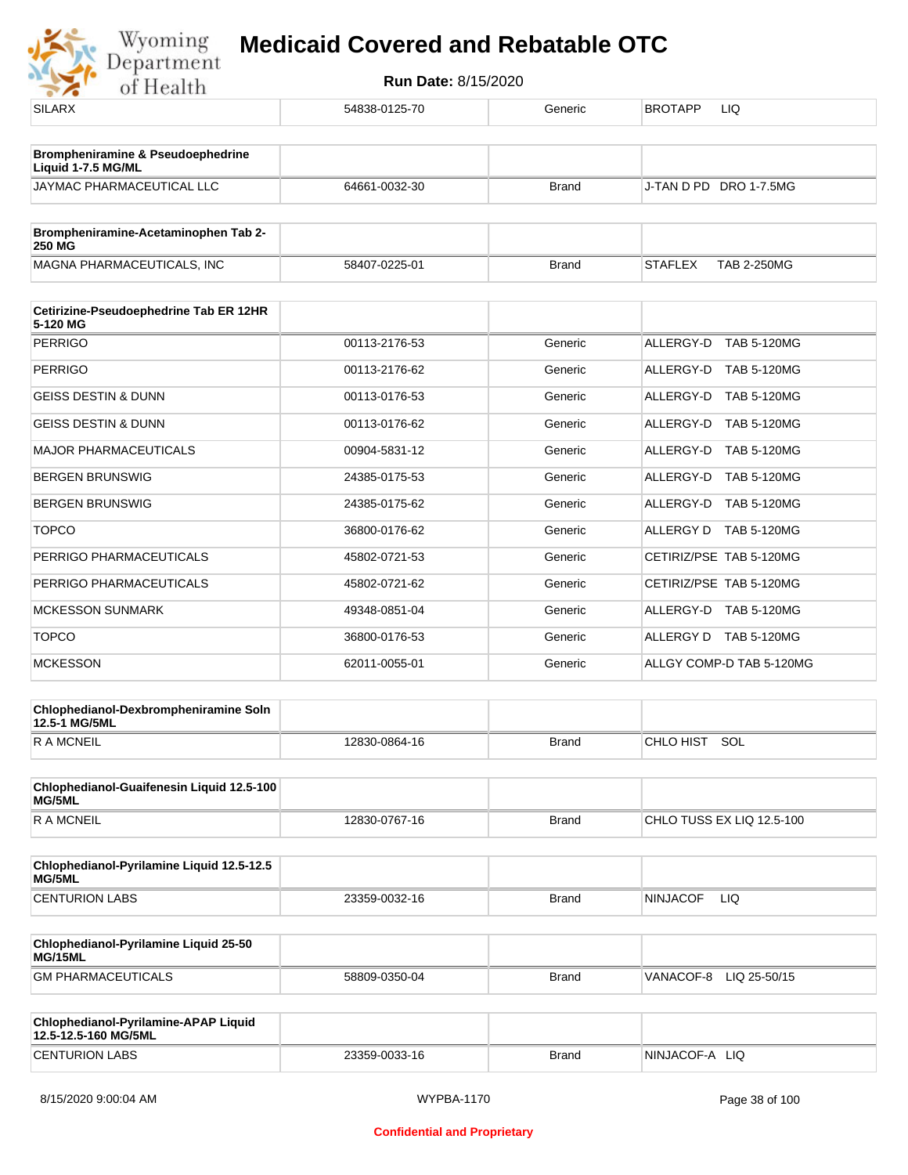

| $\cdots$                                               |               |              |                                      |
|--------------------------------------------------------|---------------|--------------|--------------------------------------|
| <b>SILARX</b>                                          | 54838-0125-70 | Generic      | BROTAPP<br>LIQ                       |
| Brompheniramine & Pseudoephedrine                      |               |              |                                      |
| Liquid 1-7.5 MG/ML                                     |               |              |                                      |
| JAYMAC PHARMACEUTICAL LLC                              | 64661-0032-30 | <b>Brand</b> | J-TAN D PD DRO 1-7.5MG               |
| Brompheniramine-Acetaminophen Tab 2-<br><b>250 MG</b>  |               |              |                                      |
| MAGNA PHARMACEUTICALS, INC                             | 58407-0225-01 | <b>Brand</b> | <b>TAB 2-250MG</b><br><b>STAFLEX</b> |
| Cetirizine-Pseudoephedrine Tab ER 12HR                 |               |              |                                      |
| 5-120 MG                                               |               |              |                                      |
| <b>PERRIGO</b>                                         | 00113-2176-53 | Generic      | ALLERGY-D<br><b>TAB 5-120MG</b>      |
| <b>PERRIGO</b>                                         | 00113-2176-62 | Generic      | ALLERGY-D TAB 5-120MG                |
| <b>GEISS DESTIN &amp; DUNN</b>                         | 00113-0176-53 | Generic      | ALLERGY-D TAB 5-120MG                |
| <b>GEISS DESTIN &amp; DUNN</b>                         | 00113-0176-62 | Generic      | ALLERGY-D TAB 5-120MG                |
| <b>MAJOR PHARMACEUTICALS</b>                           | 00904-5831-12 | Generic      | ALLERGY-D TAB 5-120MG                |
| <b>BERGEN BRUNSWIG</b>                                 | 24385-0175-53 | Generic      | ALLERGY-D TAB 5-120MG                |
| <b>BERGEN BRUNSWIG</b>                                 | 24385-0175-62 | Generic      | ALLERGY-D TAB 5-120MG                |
| <b>TOPCO</b>                                           | 36800-0176-62 | Generic      | ALLERGY D TAB 5-120MG                |
| PERRIGO PHARMACEUTICALS                                | 45802-0721-53 | Generic      | CETIRIZ/PSE TAB 5-120MG              |
| PERRIGO PHARMACEUTICALS                                | 45802-0721-62 | Generic      | CETIRIZ/PSE TAB 5-120MG              |
| <b>MCKESSON SUNMARK</b>                                | 49348-0851-04 | Generic      | ALLERGY-D TAB 5-120MG                |
| <b>TOPCO</b>                                           | 36800-0176-53 | Generic      | ALLERGY D TAB 5-120MG                |
| <b>MCKESSON</b>                                        | 62011-0055-01 | Generic      | ALLGY COMP-D TAB 5-120MG             |
| Chlophedianol-Dexbrompheniramine Soln<br>12.5-1 MG/5ML |               |              |                                      |
| <b>RAMCNEIL</b>                                        | 12830-0864-16 | <b>Brand</b> | CHLO HIST SOL                        |
| Chlophedianol-Guaifenesin Liquid 12.5-100              |               |              |                                      |
| MG/5ML<br><b>RAMCNEIL</b>                              |               |              |                                      |
|                                                        | 12830-0767-16 | <b>Brand</b> | CHLO TUSS EX LIQ 12.5-100            |
| Chlophedianol-Pyrilamine Liquid 12.5-12.5<br>MG/5ML    |               |              |                                      |
| <b>CENTURION LABS</b>                                  | 23359-0032-16 | <b>Brand</b> | <b>NINJACOF</b><br>LIQ               |
| Chlophedianol-Pyrilamine Liquid 25-50<br>MG/15ML       |               |              |                                      |
| <b>GM PHARMACEUTICALS</b>                              | 58809-0350-04 | <b>Brand</b> | VANACOF-8 LIQ 25-50/15               |
| Chlophedianol-Pyrilamine-APAP Liquid                   |               |              |                                      |
| 12.5-12.5-160 MG/5ML                                   |               |              | NINJACOF-A LIQ                       |
| <b>CENTURION LABS</b>                                  | 23359-0033-16 | <b>Brand</b> |                                      |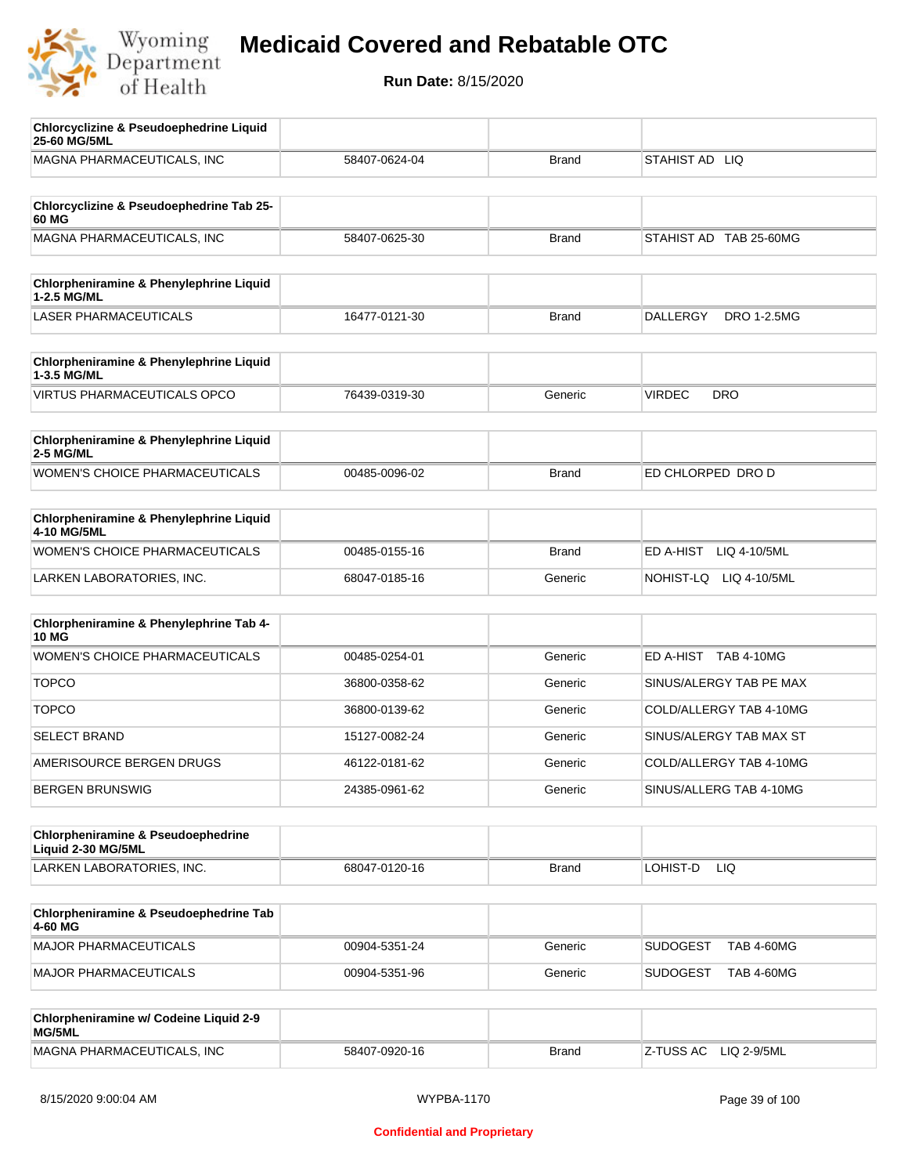

| <b>Chlorcyclizine &amp; Pseudoephedrine Liquid</b><br>25-60 MG/5ML |               |              |                                       |
|--------------------------------------------------------------------|---------------|--------------|---------------------------------------|
| MAGNA PHARMACEUTICALS, INC                                         | 58407-0624-04 | <b>Brand</b> | STAHIST AD LIQ                        |
| Chlorcyclizine & Pseudoephedrine Tab 25-                           |               |              |                                       |
| 60 MG<br>MAGNA PHARMACEUTICALS, INC                                | 58407-0625-30 | <b>Brand</b> | STAHIST AD TAB 25-60MG                |
|                                                                    |               |              |                                       |
| Chlorpheniramine & Phenylephrine Liquid<br>1-2.5 MG/ML             |               |              |                                       |
| <b>LASER PHARMACEUTICALS</b>                                       | 16477-0121-30 | <b>Brand</b> | <b>DALLERGY</b><br><b>DRO 1-2.5MG</b> |
| Chlorpheniramine & Phenylephrine Liquid<br>1-3.5 MG/ML             |               |              |                                       |
| <b>VIRTUS PHARMACEUTICALS OPCO</b>                                 | 76439-0319-30 | Generic      | <b>VIRDEC</b><br><b>DRO</b>           |
| Chlorpheniramine & Phenylephrine Liquid<br><b>2-5 MG/ML</b>        |               |              |                                       |
| <b>WOMEN'S CHOICE PHARMACEUTICALS</b>                              | 00485-0096-02 | <b>Brand</b> | ED CHLORPED DRO D                     |
| <b>Chlorpheniramine &amp; Phenylephrine Liquid</b><br>4-10 MG/5ML  |               |              |                                       |
| WOMEN'S CHOICE PHARMACEUTICALS                                     | 00485-0155-16 | <b>Brand</b> | ED A-HIST<br>LIQ 4-10/5ML             |
| LARKEN LABORATORIES, INC.                                          | 68047-0185-16 | Generic      | NOHIST-LQ LIQ 4-10/5ML                |
| Chlorpheniramine & Phenylephrine Tab 4-<br><b>10 MG</b>            |               |              |                                       |
| <b>WOMEN'S CHOICE PHARMACEUTICALS</b>                              | 00485-0254-01 | Generic      | ED A-HIST TAB 4-10MG                  |
| <b>TOPCO</b>                                                       | 36800-0358-62 | Generic      | SINUS/ALERGY TAB PE MAX               |
| <b>TOPCO</b>                                                       | 36800-0139-62 | Generic      | COLD/ALLERGY TAB 4-10MG               |
| <b>SELECT BRAND</b>                                                | 15127-0082-24 | Generic      | SINUS/ALERGY TAB MAX ST               |
| AMERISOURCE BERGEN DRUGS                                           | 46122-0181-62 | Generic      | COLD/ALLERGY TAB 4-10MG               |
| <b>BERGEN BRUNSWIG</b>                                             | 24385-0961-62 | Generic      | SINUS/ALLERG TAB 4-10MG               |
| Chlorpheniramine & Pseudoephedrine<br>Liquid 2-30 MG/5ML           |               |              |                                       |
| LARKEN LABORATORIES, INC.                                          | 68047-0120-16 | <b>Brand</b> | LOHIST-D<br>LIQ.                      |
| Chlorpheniramine & Pseudoephedrine Tab<br>4-60 MG                  |               |              |                                       |
| <b>MAJOR PHARMACEUTICALS</b>                                       | 00904-5351-24 | Generic      | <b>SUDOGEST</b><br><b>TAB 4-60MG</b>  |
| <b>MAJOR PHARMACEUTICALS</b>                                       | 00904-5351-96 | Generic      | <b>SUDOGEST</b><br><b>TAB 4-60MG</b>  |
| Chlorpheniramine w/ Codeine Liquid 2-9<br>MG/5ML                   |               |              |                                       |
| MAGNA PHARMACEUTICALS, INC                                         | 58407-0920-16 | <b>Brand</b> | Z-TUSS AC<br>LIQ 2-9/5ML              |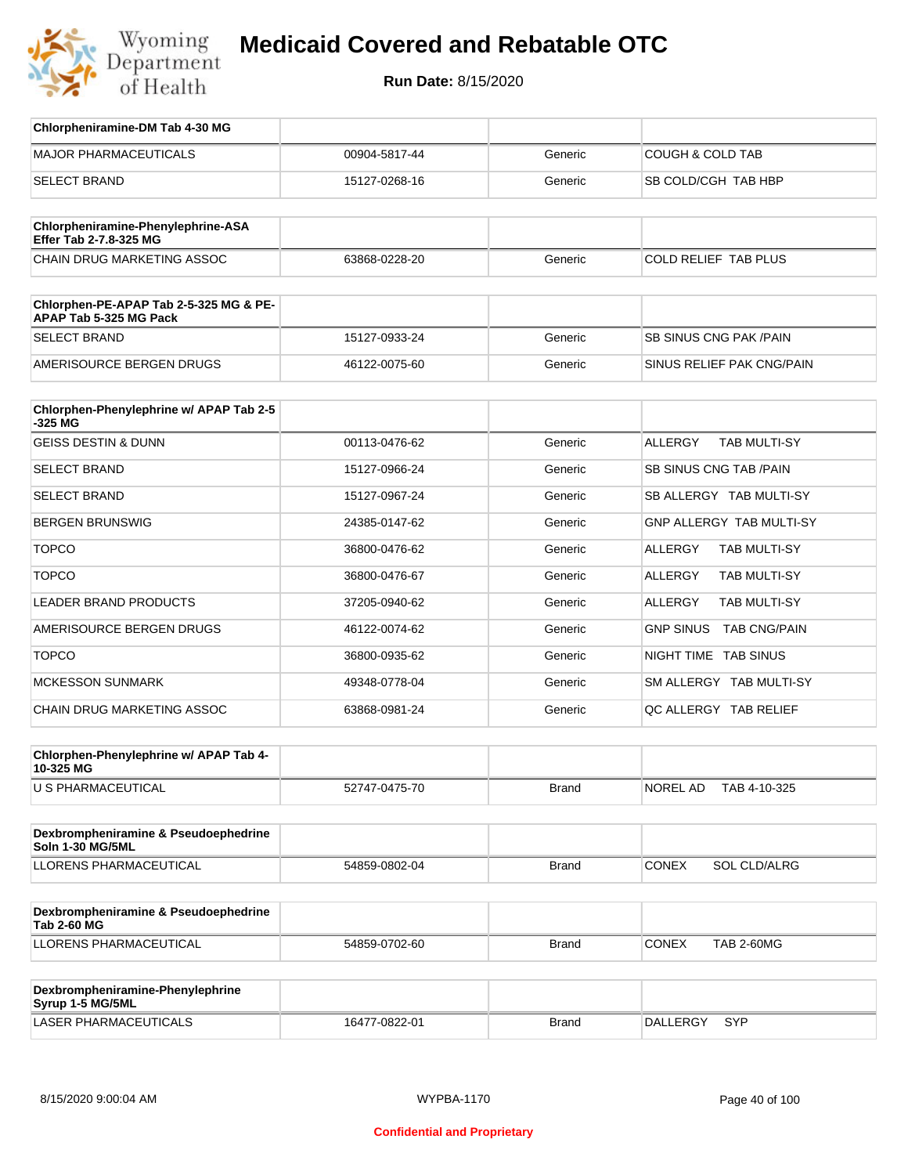

## **Medicaid Covered and Rebatable OTC**

**Run Date:** 8/15/2020

| Chlorpheniramine-DM Tab 4-30 MG                                  |               |              |                                       |
|------------------------------------------------------------------|---------------|--------------|---------------------------------------|
| <b>MAJOR PHARMACEUTICALS</b>                                     | 00904-5817-44 | Generic      | <b>COUGH &amp; COLD TAB</b>           |
| <b>SELECT BRAND</b>                                              | 15127-0268-16 | Generic      | SB COLD/CGH TAB HBP                   |
|                                                                  |               |              |                                       |
| Chlorpheniramine-Phenylephrine-ASA<br>Effer Tab 2-7.8-325 MG     |               |              |                                       |
| CHAIN DRUG MARKETING ASSOC                                       | 63868-0228-20 | Generic      | COLD RELIEF TAB PLUS                  |
| Chlorphen-PE-APAP Tab 2-5-325 MG & PE-<br>APAP Tab 5-325 MG Pack |               |              |                                       |
| <b>SELECT BRAND</b>                                              | 15127-0933-24 | Generic      | SB SINUS CNG PAK / PAIN               |
| AMERISOURCE BERGEN DRUGS                                         | 46122-0075-60 | Generic      | SINUS RELIEF PAK CNG/PAIN             |
| Chlorphen-Phenylephrine w/ APAP Tab 2-5<br>$-325$ MG             |               |              |                                       |
| <b>GEISS DESTIN &amp; DUNN</b>                                   | 00113-0476-62 | Generic      | <b>ALLERGY</b><br><b>TAB MULTI-SY</b> |
| <b>SELECT BRAND</b>                                              | 15127-0966-24 | Generic      | SB SINUS CNG TAB / PAIN               |
| <b>SELECT BRAND</b>                                              | 15127-0967-24 | Generic      | SB ALLERGY TAB MULTI-SY               |
| <b>BERGEN BRUNSWIG</b>                                           | 24385-0147-62 | Generic      | <b>GNP ALLERGY TAB MULTI-SY</b>       |
| <b>TOPCO</b>                                                     | 36800-0476-62 | Generic      | <b>ALLERGY</b><br>TAB MULTI-SY        |
| <b>TOPCO</b>                                                     | 36800-0476-67 | Generic      | ALLERGY<br>TAB MULTI-SY               |
| LEADER BRAND PRODUCTS                                            | 37205-0940-62 | Generic      | <b>ALLERGY</b><br>TAB MULTI-SY        |
| AMERISOURCE BERGEN DRUGS                                         | 46122-0074-62 | Generic      | GNP SINUS TAB CNG/PAIN                |
| <b>TOPCO</b>                                                     | 36800-0935-62 | Generic      | NIGHT TIME TAB SINUS                  |
| <b>MCKESSON SUNMARK</b>                                          | 49348-0778-04 | Generic      | SM ALLERGY TAB MULTI-SY               |
| CHAIN DRUG MARKETING ASSOC                                       | 63868-0981-24 | Generic      | QC ALLERGY TAB RELIEF                 |
| Chlorphen-Phenylephrine w/ APAP Tab 4-<br>10-325 MG              |               |              |                                       |
| U S PHARMACEUTICAL                                               | 52747-0475-70 | <b>Brand</b> | NOREL AD<br>TAB 4-10-325              |
|                                                                  |               |              |                                       |
| Dexbrompheniramine & Pseudoephedrine<br>Soln 1-30 MG/5ML         |               |              |                                       |
| LLORENS PHARMACEUTICAL                                           | 54859-0802-04 | <b>Brand</b> | <b>CONEX</b><br><b>SOL CLD/ALRG</b>   |
| Dexbrompheniramine & Pseudoephedrine<br><b>Tab 2-60 MG</b>       |               |              |                                       |
| <b>LLORENS PHARMACEUTICAL</b>                                    | 54859-0702-60 | <b>Brand</b> | CONEX<br><b>TAB 2-60MG</b>            |
|                                                                  |               |              |                                       |
| Dexbrompheniramine-Phenylephrine<br>Syrup 1-5 MG/5ML             |               |              |                                       |
| <b>LASER PHARMACEUTICALS</b>                                     | 16477-0822-01 | <b>Brand</b> | DALLERGY<br>SYP                       |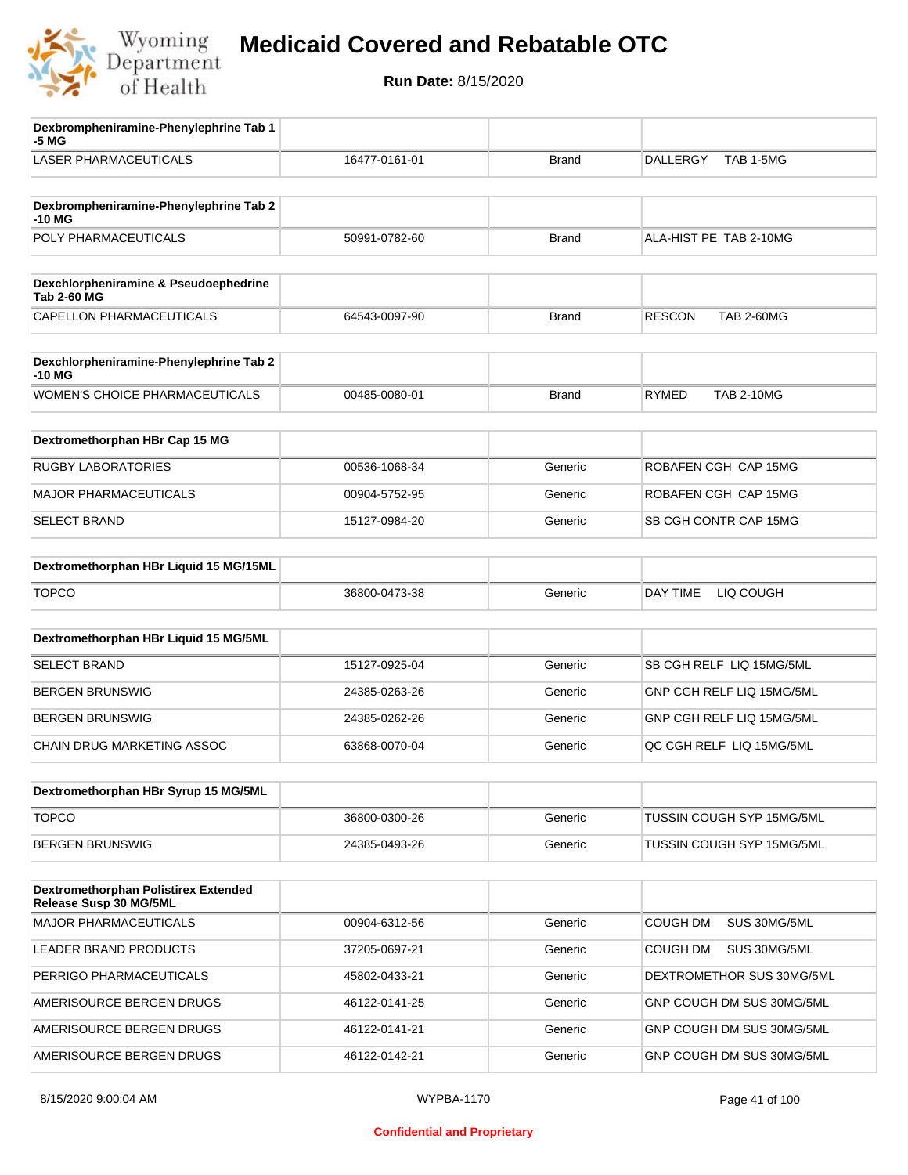

| Dexbrompheniramine-Phenylephrine Tab 1<br>-5 MG                |               |              |                                    |
|----------------------------------------------------------------|---------------|--------------|------------------------------------|
| <b>LASER PHARMACEUTICALS</b>                                   | 16477-0161-01 | <b>Brand</b> | TAB 1-5MG<br><b>DALLERGY</b>       |
|                                                                |               |              |                                    |
| Dexbrompheniramine-Phenylephrine Tab 2<br>-10 MG               |               |              |                                    |
| POLY PHARMACEUTICALS                                           | 50991-0782-60 | <b>Brand</b> | ALA-HIST PE TAB 2-10MG             |
|                                                                |               |              |                                    |
| Dexchlorpheniramine & Pseudoephedrine<br><b>Tab 2-60 MG</b>    |               |              |                                    |
| CAPELLON PHARMACEUTICALS                                       | 64543-0097-90 | <b>Brand</b> | <b>RESCON</b><br><b>TAB 2-60MG</b> |
| Dexchlorpheniramine-Phenylephrine Tab 2<br>-10 MG              |               |              |                                    |
| <b>WOMEN'S CHOICE PHARMACEUTICALS</b>                          | 00485-0080-01 | <b>Brand</b> | <b>RYMED</b><br><b>TAB 2-10MG</b>  |
| Dextromethorphan HBr Cap 15 MG                                 |               |              |                                    |
| <b>RUGBY LABORATORIES</b>                                      | 00536-1068-34 | Generic      | ROBAFEN CGH CAP 15MG               |
| <b>MAJOR PHARMACEUTICALS</b>                                   | 00904-5752-95 | Generic      | ROBAFEN CGH CAP 15MG               |
| <b>SELECT BRAND</b>                                            | 15127-0984-20 | Generic      | SB CGH CONTR CAP 15MG              |
|                                                                |               |              |                                    |
| Dextromethorphan HBr Liquid 15 MG/15ML                         |               |              |                                    |
| <b>TOPCO</b>                                                   | 36800-0473-38 | Generic      | DAY TIME<br>LIQ COUGH              |
| Dextromethorphan HBr Liquid 15 MG/5ML                          |               |              |                                    |
| <b>SELECT BRAND</b>                                            | 15127-0925-04 | Generic      | SB CGH RELF LIQ 15MG/5ML           |
| <b>BERGEN BRUNSWIG</b>                                         | 24385-0263-26 | Generic      | GNP CGH RELF LIQ 15MG/5ML          |
| <b>BERGEN BRUNSWIG</b>                                         | 24385-0262-26 | Generic      | GNP CGH RELF LIQ 15MG/5ML          |
| CHAIN DRUG MARKETING ASSOC                                     | 63868-0070-04 | Generic      | QC CGH RELF LIQ 15MG/5ML           |
| Dextromethorphan HBr Syrup 15 MG/5ML                           |               |              |                                    |
|                                                                |               |              |                                    |
| <b>TOPCO</b>                                                   | 36800-0300-26 | Generic      | TUSSIN COUGH SYP 15MG/5ML          |
| <b>BERGEN BRUNSWIG</b>                                         | 24385-0493-26 | Generic      | TUSSIN COUGH SYP 15MG/5ML          |
| Dextromethorphan Polistirex Extended<br>Release Susp 30 MG/5ML |               |              |                                    |
| <b>MAJOR PHARMACEUTICALS</b>                                   | 00904-6312-56 | Generic      | <b>COUGH DM</b><br>SUS 30MG/5ML    |
| LEADER BRAND PRODUCTS                                          | 37205-0697-21 | Generic      | COUGH DM<br>SUS 30MG/5ML           |
| PERRIGO PHARMACEUTICALS                                        | 45802-0433-21 | Generic      | DEXTROMETHOR SUS 30MG/5ML          |
| AMERISOURCE BERGEN DRUGS                                       | 46122-0141-25 | Generic      | GNP COUGH DM SUS 30MG/5ML          |
| AMERISOURCE BERGEN DRUGS                                       | 46122-0141-21 | Generic      | GNP COUGH DM SUS 30MG/5ML          |
| AMERISOURCE BERGEN DRUGS                                       | 46122-0142-21 | Generic      | GNP COUGH DM SUS 30MG/5ML          |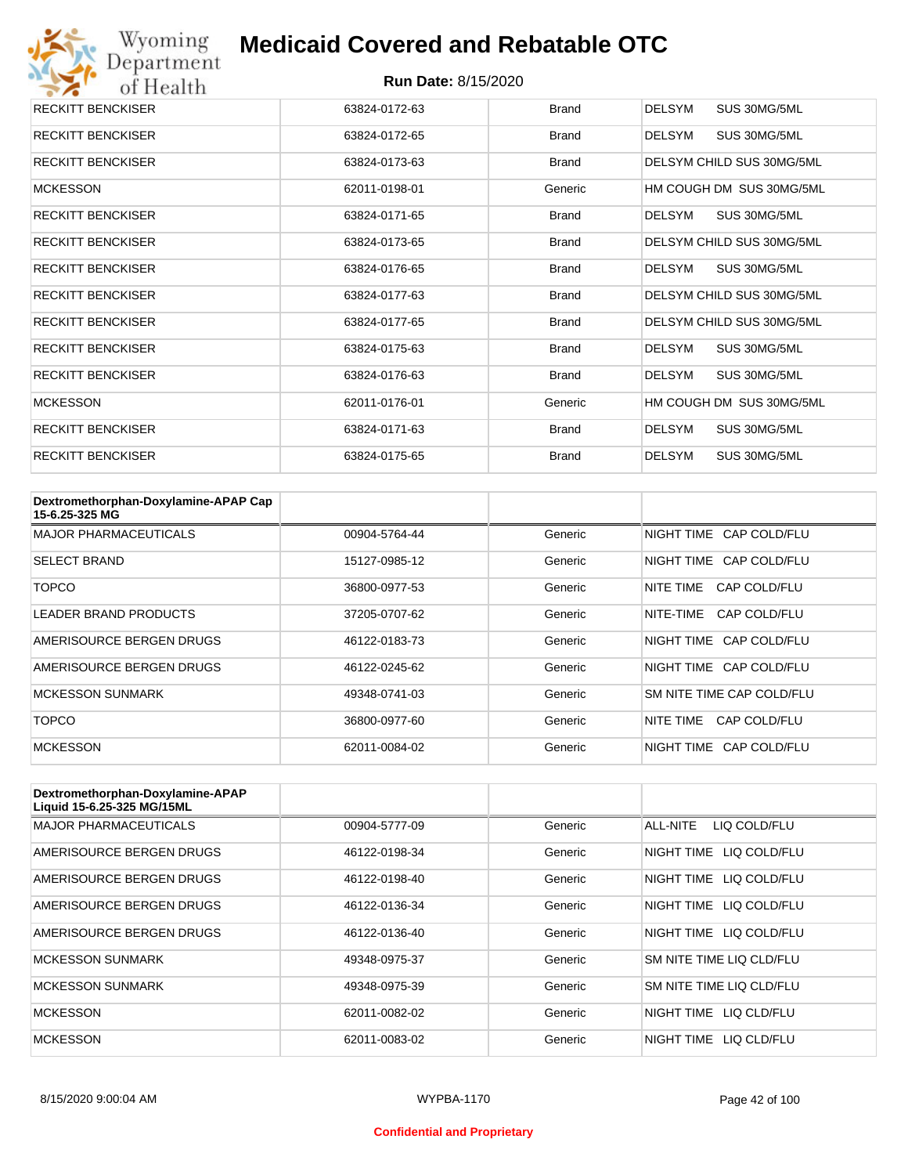

| <b>RECKITT BENCKISER</b> | 63824-0172-63 | <b>Brand</b> | <b>DELSYM</b><br>SUS 30MG/5ML |
|--------------------------|---------------|--------------|-------------------------------|
| <b>RECKITT BENCKISER</b> | 63824-0172-65 | Brand        | <b>DELSYM</b><br>SUS 30MG/5ML |
| <b>RECKITT BENCKISER</b> | 63824-0173-63 | <b>Brand</b> | DELSYM CHILD SUS 30MG/5ML     |
| <b>MCKESSON</b>          | 62011-0198-01 | Generic      | HM COUGH DM SUS 30MG/5ML      |
| <b>RECKITT BENCKISER</b> | 63824-0171-65 | Brand        | DELSYM<br>SUS 30MG/5ML        |
| <b>RECKITT BENCKISER</b> | 63824-0173-65 | Brand        | DELSYM CHILD SUS 30MG/5ML     |
| <b>RECKITT BENCKISER</b> | 63824-0176-65 | <b>Brand</b> | DELSYM<br>SUS 30MG/5ML        |
| <b>RECKITT BENCKISER</b> | 63824-0177-63 | <b>Brand</b> | DELSYM CHILD SUS 30MG/5ML     |
| <b>RECKITT BENCKISER</b> | 63824-0177-65 | <b>Brand</b> | DELSYM CHILD SUS 30MG/5ML     |
| <b>RECKITT BENCKISER</b> | 63824-0175-63 | <b>Brand</b> | <b>DELSYM</b><br>SUS 30MG/5ML |
| <b>RECKITT BENCKISER</b> | 63824-0176-63 | <b>Brand</b> | <b>DELSYM</b><br>SUS 30MG/5ML |
| <b>MCKESSON</b>          | 62011-0176-01 | Generic      | HM COUGH DM SUS 30MG/5ML      |
| <b>RECKITT BENCKISER</b> | 63824-0171-63 | Brand        | <b>DELSYM</b><br>SUS 30MG/5ML |
| <b>RECKITT BENCKISER</b> | 63824-0175-65 | <b>Brand</b> | <b>DELSYM</b><br>SUS 30MG/5ML |

| Dextromethorphan-Doxylamine-APAP Cap<br>15-6.25-325 MG |               |         |                           |
|--------------------------------------------------------|---------------|---------|---------------------------|
| <b>MAJOR PHARMACEUTICALS</b>                           | 00904-5764-44 | Generic | NIGHT TIME CAP COLD/FLU   |
| <b>SELECT BRAND</b>                                    | 15127-0985-12 | Generic | NIGHT TIME CAP COLD/FLU   |
| TOPCO                                                  | 36800-0977-53 | Generic | CAP COLD/FLU<br>NITE TIME |
| <b>LEADER BRAND PRODUCTS</b>                           | 37205-0707-62 | Generic | CAP COLD/FLU<br>NITE-TIME |
| AMERISOURCE BERGEN DRUGS                               | 46122-0183-73 | Generic | NIGHT TIME CAP COLD/FLU   |
| AMERISOURCE BERGEN DRUGS                               | 46122-0245-62 | Generic | NIGHT TIME CAP COLD/FLU   |
| <b>MCKESSON SUNMARK</b>                                | 49348-0741-03 | Generic | SM NITE TIME CAP COLD/FLU |
| TOPCO                                                  | 36800-0977-60 | Generic | CAP COLD/FLU<br>NITE TIME |
| <b>MCKESSON</b>                                        | 62011-0084-02 | Generic | NIGHT TIME CAP COLD/FLU   |

| Dextromethorphan-Doxylamine-APAP<br>Liquid 15-6.25-325 MG/15ML |               |         |                            |
|----------------------------------------------------------------|---------------|---------|----------------------------|
| <b>MAJOR PHARMACEUTICALS</b>                                   | 00904-5777-09 | Generic | ALL-NITE<br>LIQ COLD/FLU   |
| AMERISOURCE BERGEN DRUGS                                       | 46122-0198-34 | Generic | NIGHT TIME<br>LIQ COLD/FLU |
| AMERISOURCE BERGEN DRUGS                                       | 46122-0198-40 | Generic | NIGHT TIME<br>LIQ COLD/FLU |
| AMERISOURCE BERGEN DRUGS                                       | 46122-0136-34 | Generic | NIGHT TIME<br>LIQ COLD/FLU |
| AMERISOURCE BERGEN DRUGS                                       | 46122-0136-40 | Generic | NIGHT TIME LIQ COLD/FLU    |
| <b>MCKESSON SUNMARK</b>                                        | 49348-0975-37 | Generic | SM NITE TIME LIQ CLD/FLU   |
| <b>MCKESSON SUNMARK</b>                                        | 49348-0975-39 | Generic | SM NITE TIME LIQ CLD/FLU   |
| <b>MCKESSON</b>                                                | 62011-0082-02 | Generic | NIGHT TIME<br>LIQ CLD/FLU  |
| <b>MCKESSON</b>                                                | 62011-0083-02 | Generic | NIGHT TIME<br>LIO CLD/FLU  |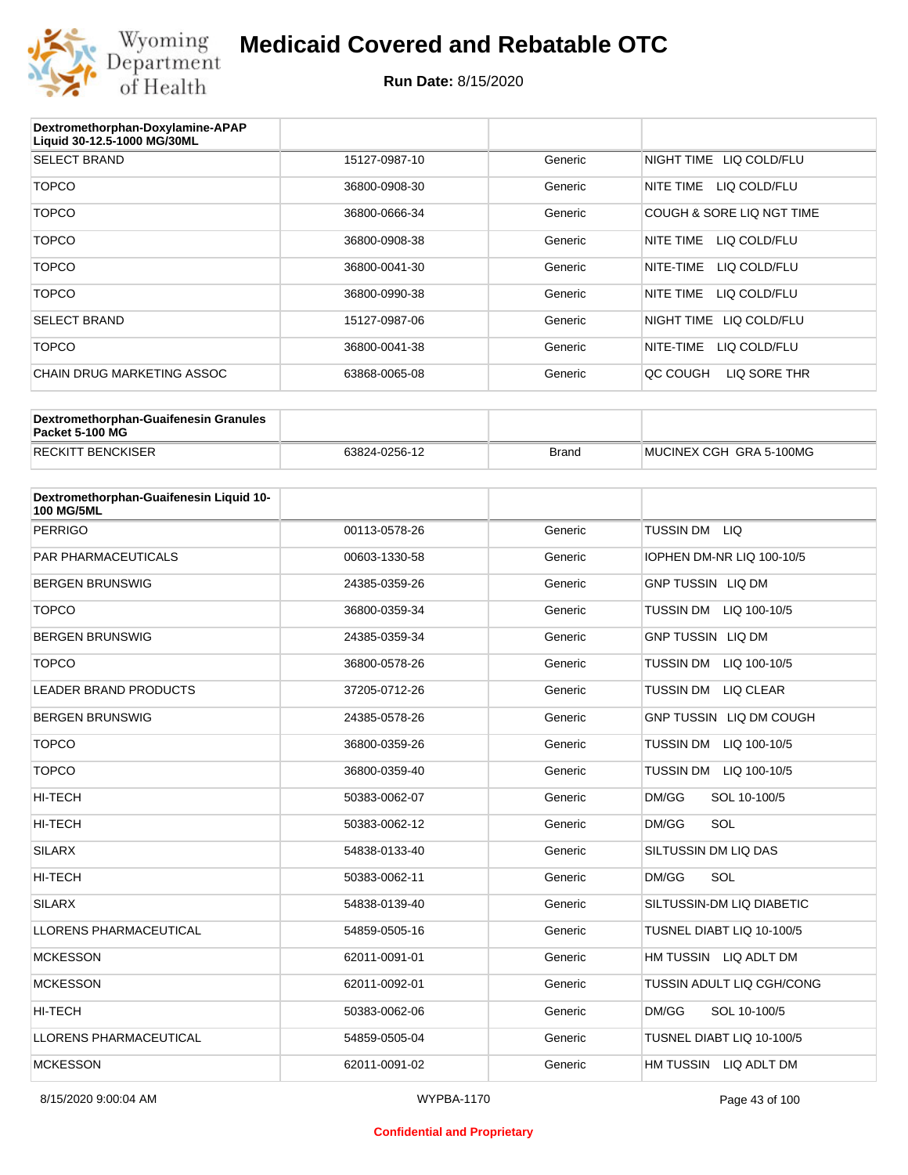

| Dextromethorphan-Doxylamine-APAP<br>Liquid 30-12.5-1000 MG/30ML |               |         |                            |
|-----------------------------------------------------------------|---------------|---------|----------------------------|
| <b>SELECT BRAND</b>                                             | 15127-0987-10 | Generic | NIGHT TIME LIQ COLD/FLU    |
| <b>TOPCO</b>                                                    | 36800-0908-30 | Generic | NITE TIME<br>LIQ COLD/FLU  |
| <b>TOPCO</b>                                                    | 36800-0666-34 | Generic | COUGH & SORE LIQ NGT TIME  |
| <b>TOPCO</b>                                                    | 36800-0908-38 | Generic | NITE TIME<br>LIQ COLD/FLU  |
| <b>TOPCO</b>                                                    | 36800-0041-30 | Generic | NITE-TIME<br>LIQ COLD/FLU  |
| <b>TOPCO</b>                                                    | 36800-0990-38 | Generic | LIQ COLD/FLU<br>NITE TIME  |
| <b>SELECT BRAND</b>                                             | 15127-0987-06 | Generic | NIGHT TIME<br>LIQ COLD/FLU |
| <b>TOPCO</b>                                                    | 36800-0041-38 | Generic | NITE-TIME<br>LIQ COLD/FLU  |
| CHAIN DRUG MARKETING ASSOC                                      | 63868-0065-08 | Generic | LIQ SORE THR<br>QC COUGH   |

| Dextromethorphan-Guaifenesin Granules<br>Packet 5-100 MG |               |              |                         |
|----------------------------------------------------------|---------------|--------------|-------------------------|
| <b>RECKITT BENCKISER</b>                                 | 63824-0256-12 | <b>Brand</b> | MUCINEX CGH GRA 5-100MG |

| Dextromethorphan-Guaifenesin Liquid 10-<br><b>100 MG/5ML</b> |               |         |                                  |
|--------------------------------------------------------------|---------------|---------|----------------------------------|
| <b>PERRIGO</b>                                               | 00113-0578-26 | Generic | TUSSIN DM LIQ                    |
| <b>PAR PHARMACEUTICALS</b>                                   | 00603-1330-58 | Generic | IOPHEN DM-NR LIQ 100-10/5        |
| <b>BERGEN BRUNSWIG</b>                                       | 24385-0359-26 | Generic | <b>GNP TUSSIN LIQ DM</b>         |
| <b>TOPCO</b>                                                 | 36800-0359-34 | Generic | <b>TUSSIN DM</b><br>LIQ 100-10/5 |
| <b>BERGEN BRUNSWIG</b>                                       | 24385-0359-34 | Generic | <b>GNP TUSSIN LIQ DM</b>         |
| <b>TOPCO</b>                                                 | 36800-0578-26 | Generic | <b>TUSSIN DM</b><br>LIQ 100-10/5 |
| <b>LEADER BRAND PRODUCTS</b>                                 | 37205-0712-26 | Generic | <b>TUSSIN DM</b><br>LIQ CLEAR    |
| <b>BERGEN BRUNSWIG</b>                                       | 24385-0578-26 | Generic | GNP TUSSIN LIQ DM COUGH          |
| <b>TOPCO</b>                                                 | 36800-0359-26 | Generic | <b>TUSSIN DM</b><br>LIQ 100-10/5 |
| <b>TOPCO</b>                                                 | 36800-0359-40 | Generic | TUSSIN DM<br>LIQ 100-10/5        |
| <b>HI-TECH</b>                                               | 50383-0062-07 | Generic | DM/GG<br>SOL 10-100/5            |
| <b>HI-TECH</b>                                               | 50383-0062-12 | Generic | SOL<br>DM/GG                     |
| <b>SILARX</b>                                                | 54838-0133-40 | Generic | SILTUSSIN DM LIQ DAS             |
| HI-TECH                                                      | 50383-0062-11 | Generic | SOL<br>DM/GG                     |
| <b>SILARX</b>                                                | 54838-0139-40 | Generic | SILTUSSIN-DM LIQ DIABETIC        |
| <b>LLORENS PHARMACEUTICAL</b>                                | 54859-0505-16 | Generic | TUSNEL DIABT LIQ 10-100/5        |
| <b>MCKESSON</b>                                              | 62011-0091-01 | Generic | HM TUSSIN LIQ ADLT DM            |
| <b>MCKESSON</b>                                              | 62011-0092-01 | Generic | TUSSIN ADULT LIQ CGH/CONG        |
| <b>HI-TECH</b>                                               | 50383-0062-06 | Generic | DM/GG<br>SOL 10-100/5            |
| <b>LLORENS PHARMACEUTICAL</b>                                | 54859-0505-04 | Generic | TUSNEL DIABT LIQ 10-100/5        |
| <b>MCKESSON</b>                                              | 62011-0091-02 | Generic | HM TUSSIN LIQ ADLT DM            |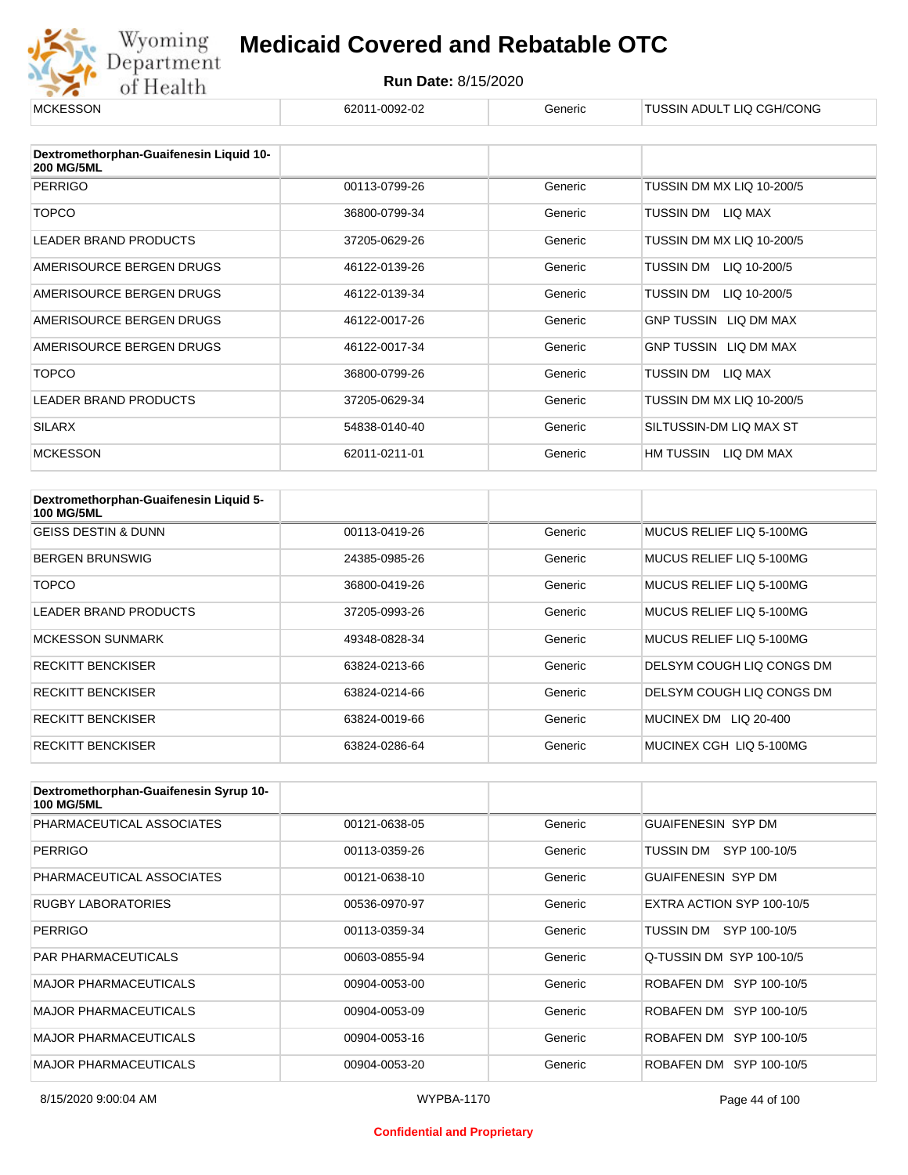

#### **Run Date:** 8/15/2020

| <b>MCKESSON</b>                                              | 62011-0092-02 | Generic | TUSSIN ADULT LIQ CGH/CONG    |
|--------------------------------------------------------------|---------------|---------|------------------------------|
|                                                              |               |         |                              |
| Dextromethorphan-Guaifenesin Liquid 10-<br><b>200 MG/5ML</b> |               |         |                              |
| <b>PERRIGO</b>                                               | 00113-0799-26 | Generic | TUSSIN DM MX LIQ 10-200/5    |
| <b>TOPCO</b>                                                 | 36800-0799-34 | Generic | TUSSIN DM<br>LIQ MAX         |
| <b>LEADER BRAND PRODUCTS</b>                                 | 37205-0629-26 | Generic | TUSSIN DM MX LIQ 10-200/5    |
| AMERISOURCE BERGEN DRUGS                                     | 46122-0139-26 | Generic | TUSSIN DM<br>LIQ 10-200/5    |
| AMERISOURCE BERGEN DRUGS                                     | 46122-0139-34 | Generic | TUSSIN DM<br>LIQ 10-200/5    |
| AMERISOURCE BERGEN DRUGS                                     | 46122-0017-26 | Generic | <b>GNP TUSSIN LIQ DM MAX</b> |
| AMERISOURCE BERGEN DRUGS                                     | 46122-0017-34 | Generic | GNP TUSSIN LIQ DM MAX        |
| <b>TOPCO</b>                                                 | 36800-0799-26 | Generic | LIQ MAX<br>TUSSIN DM         |
| <b>LEADER BRAND PRODUCTS</b>                                 | 37205-0629-34 | Generic | TUSSIN DM MX LIQ 10-200/5    |
| <b>SILARX</b>                                                | 54838-0140-40 | Generic | SILTUSSIN-DM LIQ MAX ST      |
| <b>MCKESSON</b>                                              | 62011-0211-01 | Generic | HM TUSSIN<br>LIQ DM MAX      |

| Dextromethorphan-Guaifenesin Liquid 5-<br><b>100 MG/5ML</b> |               |         |                           |
|-------------------------------------------------------------|---------------|---------|---------------------------|
| <b>GEISS DESTIN &amp; DUNN</b>                              | 00113-0419-26 | Generic | MUCUS RELIEF LIQ 5-100MG  |
| <b>BERGEN BRUNSWIG</b>                                      | 24385-0985-26 | Generic | MUCUS RELIEF LIQ 5-100MG  |
| TOPCO                                                       | 36800-0419-26 | Generic | MUCUS RELIEF LIQ 5-100MG  |
| LEADER BRAND PRODUCTS                                       | 37205-0993-26 | Generic | MUCUS RELIEF LIQ 5-100MG  |
| <b>MCKESSON SUNMARK</b>                                     | 49348-0828-34 | Generic | MUCUS RELIEF LIQ 5-100MG  |
| <b>RECKITT BENCKISER</b>                                    | 63824-0213-66 | Generic | DELSYM COUGH LIQ CONGS DM |
| <b>RECKITT BENCKISER</b>                                    | 63824-0214-66 | Generic | DELSYM COUGH LIQ CONGS DM |
| <b>RECKITT BENCKISER</b>                                    | 63824-0019-66 | Generic | MUCINEX DM LIQ 20-400     |
| <b>RECKITT BENCKISER</b>                                    | 63824-0286-64 | Generic | MUCINEX CGH LIQ 5-100MG   |

| Dextromethorphan-Guaifenesin Syrup 10-<br><b>100 MG/5ML</b> |               |         |                           |
|-------------------------------------------------------------|---------------|---------|---------------------------|
| PHARMACEUTICAL ASSOCIATES                                   | 00121-0638-05 | Generic | <b>GUAIFENESIN SYP DM</b> |
| <b>PERRIGO</b>                                              | 00113-0359-26 | Generic | TUSSIN DM SYP 100-10/5    |
| PHARMACEUTICAL ASSOCIATES                                   | 00121-0638-10 | Generic | <b>GUAIFENESIN SYP DM</b> |
| <b>RUGBY LABORATORIES</b>                                   | 00536-0970-97 | Generic | EXTRA ACTION SYP 100-10/5 |
| <b>PERRIGO</b>                                              | 00113-0359-34 | Generic | TUSSIN DM SYP 100-10/5    |
| <b>PAR PHARMACEUTICALS</b>                                  | 00603-0855-94 | Generic | Q-TUSSIN DM SYP 100-10/5  |
| <b>MAJOR PHARMACEUTICALS</b>                                | 00904-0053-00 | Generic | ROBAFEN DM SYP 100-10/5   |
| <b>MAJOR PHARMACEUTICALS</b>                                | 00904-0053-09 | Generic | ROBAFEN DM SYP 100-10/5   |
| <b>MAJOR PHARMACEUTICALS</b>                                | 00904-0053-16 | Generic | ROBAFEN DM SYP 100-10/5   |
| <b>MAJOR PHARMACEUTICALS</b>                                | 00904-0053-20 | Generic | ROBAFEN DM SYP 100-10/5   |

#### **Confidential and Proprietary**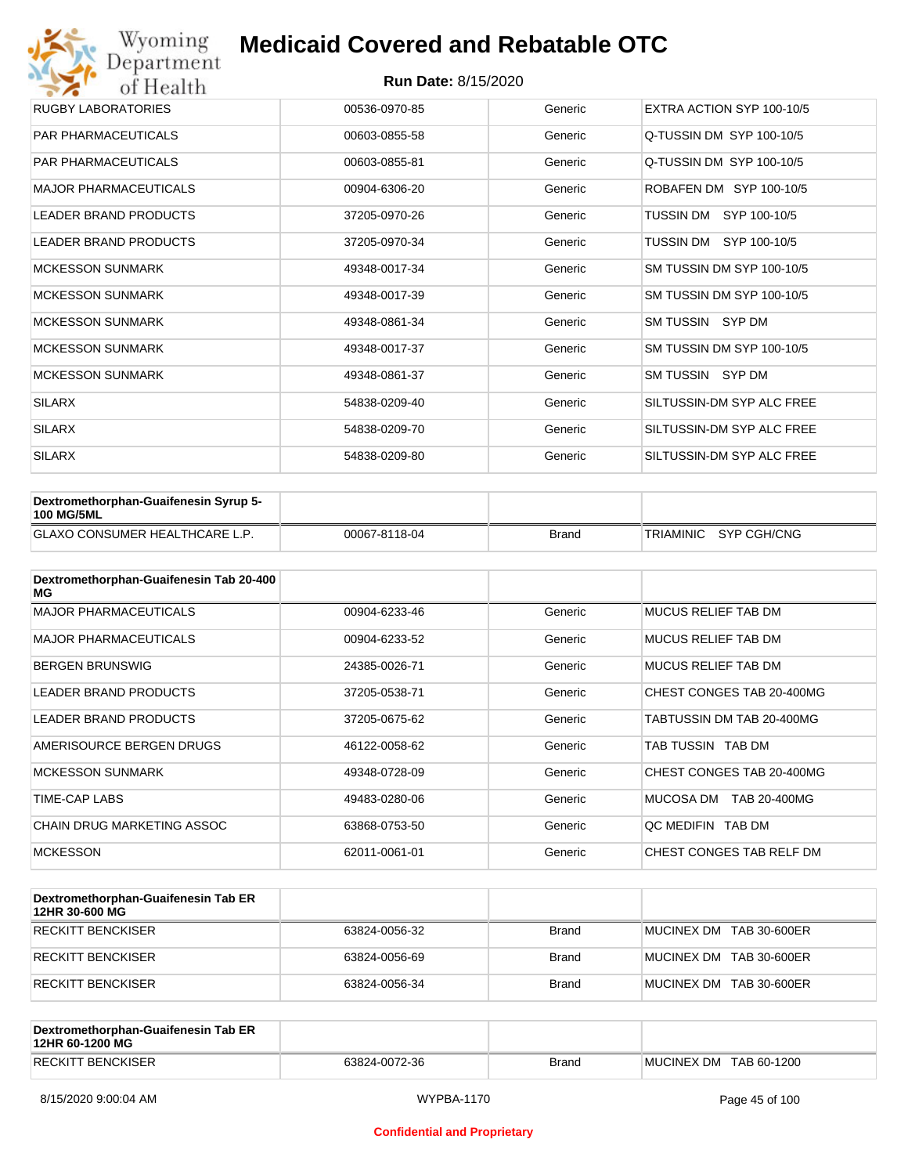| Wyoming<br>Department        | <b>Medicaid Covered and Rebatable OTC</b> |         |                           |  |  |  |
|------------------------------|-------------------------------------------|---------|---------------------------|--|--|--|
| of Health                    | <b>Run Date: 8/15/2020</b>                |         |                           |  |  |  |
| <b>RUGBY LABORATORIES</b>    | 00536-0970-85                             | Generic | EXTRA ACTION SYP 100-10/5 |  |  |  |
| PAR PHARMACEUTICALS          | 00603-0855-58                             | Generic | Q-TUSSIN DM SYP 100-10/5  |  |  |  |
| <b>PAR PHARMACEUTICALS</b>   | 00603-0855-81                             | Generic | Q-TUSSIN DM SYP 100-10/5  |  |  |  |
| <b>MAJOR PHARMACEUTICALS</b> | 00904-6306-20                             | Generic | ROBAFEN DM SYP 100-10/5   |  |  |  |
| <b>LEADER BRAND PRODUCTS</b> | 37205-0970-26                             | Generic | SYP 100-10/5<br>TUSSIN DM |  |  |  |
| <b>LEADER BRAND PRODUCTS</b> | 37205-0970-34                             | Generic | TUSSIN DM<br>SYP 100-10/5 |  |  |  |
| <b>MCKESSON SUNMARK</b>      | 49348-0017-34                             | Generic | SM TUSSIN DM SYP 100-10/5 |  |  |  |
| <b>MCKESSON SUNMARK</b>      | 49348-0017-39                             | Generic | SM TUSSIN DM SYP 100-10/5 |  |  |  |
| <b>MCKESSON SUNMARK</b>      | 49348-0861-34                             | Generic | SM TUSSIN SYP DM          |  |  |  |
| <b>MCKESSON SUNMARK</b>      | 49348-0017-37                             | Generic | SM TUSSIN DM SYP 100-10/5 |  |  |  |
| <b>MCKESSON SUNMARK</b>      | 49348-0861-37                             | Generic | SM TUSSIN SYP DM          |  |  |  |
| <b>SILARX</b>                | 54838-0209-40                             | Generic | SILTUSSIN-DM SYP ALC FREE |  |  |  |
| <b>SILARX</b>                | 54838-0209-70                             | Generic | SILTUSSIN-DM SYP ALC FREE |  |  |  |
| <b>SILARX</b>                | 54838-0209-80                             | Generic | SILTUSSIN-DM SYP ALC FREE |  |  |  |

| Dextromethorphan-Guaifenesin Syrup 5-<br><b>100 MG/5ML</b> |               |              |                       |
|------------------------------------------------------------|---------------|--------------|-----------------------|
| <b>GLAXO CONSUMER HEALTHCARE L.P.</b>                      | 00067-8118-04 | <b>Brand</b> | TRIAMINIC SYP CGH/CNG |

| Dextromethorphan-Guaifenesin Tab 20-400<br>MG |               |         |                            |
|-----------------------------------------------|---------------|---------|----------------------------|
| <b>MAJOR PHARMACEUTICALS</b>                  | 00904-6233-46 | Generic | <b>MUCUS RELIEF TAB DM</b> |
| <b>MAJOR PHARMACEUTICALS</b>                  | 00904-6233-52 | Generic | MUCUS RELIEF TAB DM        |
| <b>BERGEN BRUNSWIG</b>                        | 24385-0026-71 | Generic | <b>MUCUS RELIEF TAB DM</b> |
| <b>LEADER BRAND PRODUCTS</b>                  | 37205-0538-71 | Generic | CHEST CONGES TAB 20-400MG  |
| <b>LEADER BRAND PRODUCTS</b>                  | 37205-0675-62 | Generic | TABTUSSIN DM TAB 20-400MG  |
| AMERISOURCE BERGEN DRUGS                      | 46122-0058-62 | Generic | TAB TUSSIN TAB DM          |
| <b>MCKESSON SUNMARK</b>                       | 49348-0728-09 | Generic | CHEST CONGES TAB 20-400MG  |
| TIME-CAP LABS                                 | 49483-0280-06 | Generic | MUCOSA DM<br>TAB 20-400MG  |
| <b>CHAIN DRUG MARKETING ASSOC</b>             | 63868-0753-50 | Generic | OC MEDIFIN TAB DM          |
| <b>MCKESSON</b>                               | 62011-0061-01 | Generic | CHEST CONGES TAB RELF DM   |

| Dextromethorphan-Guaifenesin Tab ER<br>12HR 30-600 MG |               |              |                         |
|-------------------------------------------------------|---------------|--------------|-------------------------|
| RECKITT BENCKISER                                     | 63824-0056-32 | <b>Brand</b> | MUCINEX DM TAB 30-600ER |
| RECKITT BENCKISER                                     | 63824-0056-69 | <b>Brand</b> | MUCINEX DM TAB 30-600ER |
| RECKITT BENCKISER                                     | 63824-0056-34 | <b>Brand</b> | MUCINEX DM TAB 30-600ER |

| Dextromethorphan-Guaifenesin Tab ER<br>12HR 60-1200 MG |               |       |                        |
|--------------------------------------------------------|---------------|-------|------------------------|
| <b>RECKITT BENCKISER</b>                               | 63824-0072-36 | Brand | MUCINEX DM TAB 60-1200 |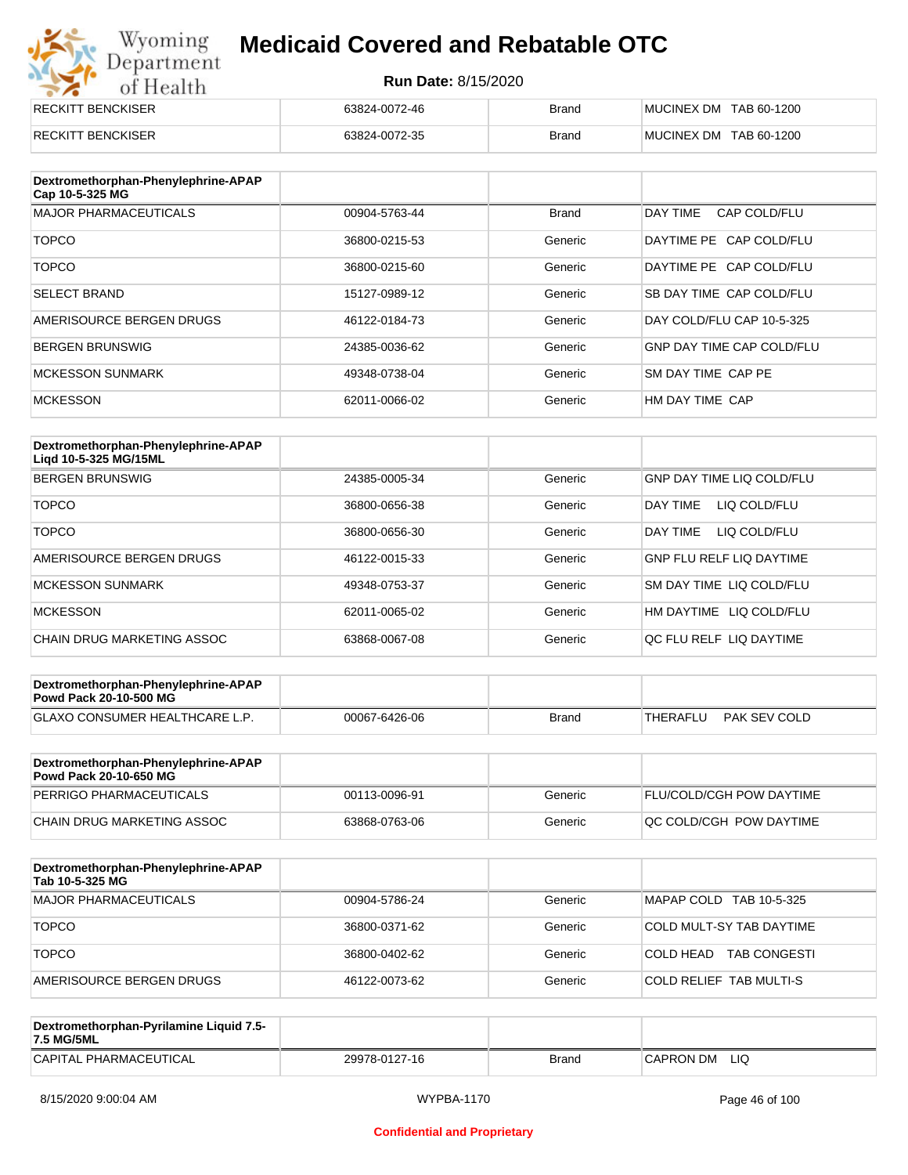# Wyoming<br>Department<br>of Health

## **Medicaid Covered and Rebatable OTC**

| <b>RECKITT BENCKISER</b> | 63824-0072-46 | <b>Brand</b> | MUCINEX DM TAB 60-1200 |
|--------------------------|---------------|--------------|------------------------|
| <b>RECKITT BENCKISER</b> | 63824-0072-35 | <b>Brand</b> | MUCINEX DM TAB 60-1200 |

| Dextromethorphan-Phenylephrine-APAP<br>Cap 10-5-325 MG |               |              |                                  |
|--------------------------------------------------------|---------------|--------------|----------------------------------|
| <b>MAJOR PHARMACEUTICALS</b>                           | 00904-5763-44 | <b>Brand</b> | DAY TIME<br>CAP COLD/FLU         |
| <b>TOPCO</b>                                           | 36800-0215-53 | Generic      | DAYTIME PE CAP COLD/FLU          |
| <b>TOPCO</b>                                           | 36800-0215-60 | Generic      | DAYTIME PE CAP COLD/FLU          |
| <b>SELECT BRAND</b>                                    | 15127-0989-12 | Generic      | SB DAY TIME CAP COLD/FLU         |
| AMERISOURCE BERGEN DRUGS                               | 46122-0184-73 | Generic      | DAY COLD/FLU CAP 10-5-325        |
| <b>BERGEN BRUNSWIG</b>                                 | 24385-0036-62 | Generic      | <b>GNP DAY TIME CAP COLD/FLU</b> |
| <b>MCKESSON SUNMARK</b>                                | 49348-0738-04 | Generic      | SM DAY TIME CAP PE               |
| <b>MCKESSON</b>                                        | 62011-0066-02 | Generic      | HM DAY TIME CAP                  |

| Dextromethorphan-Phenylephrine-APAP<br>Ligd 10-5-325 MG/15ML |               |         |                                  |
|--------------------------------------------------------------|---------------|---------|----------------------------------|
| <b>BERGEN BRUNSWIG</b>                                       | 24385-0005-34 | Generic | <b>GNP DAY TIME LIQ COLD/FLU</b> |
| <b>TOPCO</b>                                                 | 36800-0656-38 | Generic | LIQ COLD/FLU<br>DAY TIME         |
| <b>TOPCO</b>                                                 | 36800-0656-30 | Generic | DAY TIME<br>LIQ COLD/FLU         |
| AMERISOURCE BERGEN DRUGS                                     | 46122-0015-33 | Generic | <b>GNP FLU RELF LIQ DAYTIME</b>  |
| MCKESSON SUNMARK                                             | 49348-0753-37 | Generic | SM DAY TIME LIQ COLD/FLU         |
| <b>MCKESSON</b>                                              | 62011-0065-02 | Generic | LIQ COLD/FLU<br>HM DAYTIME       |
| CHAIN DRUG MARKETING ASSOC                                   | 63868-0067-08 | Generic | QC FLU RELF LIQ DAYTIME          |

| Dextromethorphan-Phenylephrine-APAP<br><b>Powd Pack 20-10-500 MG</b> |               |       |          |              |
|----------------------------------------------------------------------|---------------|-------|----------|--------------|
| <b>GLAXO CONSUMER HEALTHCARE L.P.</b>                                | 00067-6426-06 | Brand | THERAFLU | PAK SEV COLD |
|                                                                      |               |       |          |              |

| Dextromethorphan-Phenylephrine-APAP<br><b>Powd Pack 20-10-650 MG</b> |               |         |                                 |
|----------------------------------------------------------------------|---------------|---------|---------------------------------|
| PERRIGO PHARMACEUTICALS                                              | 00113-0096-91 | Generic | <b>FLU/COLD/CGH POW DAYTIME</b> |
| CHAIN DRUG MARKETING ASSOC                                           | 63868-0763-06 | Generic | IQC COLD/CGH POW DAYTIME        |

| Dextromethorphan-Phenylephrine-APAP<br>Tab 10-5-325 MG |               |         |                                  |
|--------------------------------------------------------|---------------|---------|----------------------------------|
| MAJOR PHARMACEUTICALS                                  | 00904-5786-24 | Generic | MAPAP COLD TAB 10-5-325          |
| <b>TOPCO</b>                                           | 36800-0371-62 | Generic | COLD MULT-SY TAB DAYTIME         |
| <b>TOPCO</b>                                           | 36800-0402-62 | Generic | <b>TAB CONGESTI</b><br>COLD HEAD |
| AMERISOURCE BERGEN DRUGS                               | 46122-0073-62 | Generic | <b>COLD RELIEF TAB MULTI-S</b>   |

| Dextromethorphan-Pyrilamine Liquid 7.5-<br>7.5 MG/5ML |               |       |                  |
|-------------------------------------------------------|---------------|-------|------------------|
| CAPITAL PHARMACEUTICAL                                | 29978-0127-16 | Brand | LIQ<br>CAPRON DM |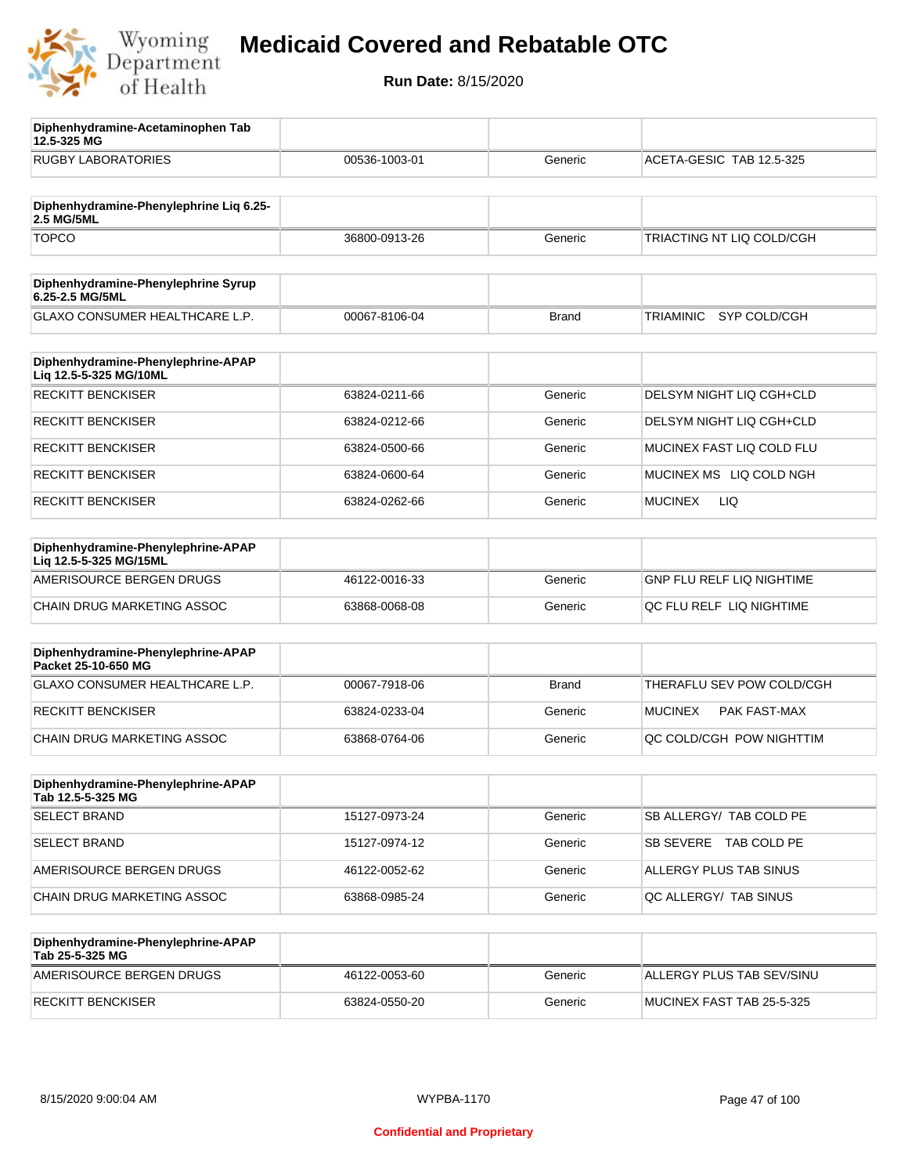

**12.5-325 MG**

**Diphenhydramine-Acetaminophen Tab** 

## **Medicaid Covered and Rebatable OTC**

| <b>RUGBY LABORATORIES</b>                                    | 00536-1003-01 | Generic      | ACETA-GESIC TAB 12.5-325         |
|--------------------------------------------------------------|---------------|--------------|----------------------------------|
|                                                              |               |              |                                  |
| Diphenhydramine-Phenylephrine Liq 6.25-<br>2.5 MG/5ML        |               |              |                                  |
| <b>TOPCO</b>                                                 | 36800-0913-26 | Generic      | TRIACTING NT LIQ COLD/CGH        |
| Diphenhydramine-Phenylephrine Syrup<br>6.25-2.5 MG/5ML       |               |              |                                  |
| GLAXO CONSUMER HEALTHCARE L.P.                               | 00067-8106-04 | <b>Brand</b> | <b>TRIAMINIC</b><br>SYP COLD/CGH |
| Diphenhydramine-Phenylephrine-APAP<br>Liq 12.5-5-325 MG/10ML |               |              |                                  |
| <b>RECKITT BENCKISER</b>                                     | 63824-0211-66 | Generic      | DELSYM NIGHT LIQ CGH+CLD         |
| <b>RECKITT BENCKISER</b>                                     | 63824-0212-66 | Generic      | DELSYM NIGHT LIQ CGH+CLD         |
| <b>RECKITT BENCKISER</b>                                     | 63824-0500-66 | Generic      | MUCINEX FAST LIQ COLD FLU        |
| <b>RECKITT BENCKISER</b>                                     | 63824-0600-64 | Generic      | MUCINEX MS LIQ COLD NGH          |
| <b>RECKITT BENCKISER</b>                                     | 63824-0262-66 | Generic      | <b>MUCINEX</b><br>LIQ            |
| Diphenhydramine-Phenylephrine-APAP<br>Liq 12.5-5-325 MG/15ML |               |              |                                  |
| AMERISOURCE BERGEN DRUGS                                     | 46122-0016-33 | Generic      | <b>GNP FLU RELF LIQ NIGHTIME</b> |
| CHAIN DRUG MARKETING ASSOC                                   | 63868-0068-08 | Generic      | QC FLU RELF LIQ NIGHTIME         |
| Diphenhydramine-Phenylephrine-APAP<br>Packet 25-10-650 MG    |               |              |                                  |
| GLAXO CONSUMER HEALTHCARE L.P.                               | 00067-7918-06 | <b>Brand</b> | THERAFLU SEV POW COLD/CGH        |
| <b>RECKITT BENCKISER</b>                                     | 63824-0233-04 | Generic      | <b>MUCINEX</b><br>PAK FAST-MAX   |
| CHAIN DRUG MARKETING ASSOC                                   | 63868-0764-06 | Generic      | QC COLD/CGH POW NIGHTTIM         |
| Diphenhydramine-Phenylephrine-APAP<br>Tab 12.5-5-325 MG      |               |              |                                  |
| <b>SELECT BRAND</b>                                          | 15127-0973-24 | Generic      | SB ALLERGY/ TAB COLD PE          |
| <b>SELECT BRAND</b>                                          | 15127-0974-12 | Generic      | SB SEVERE TAB COLD PE            |
| AMERISOURCE BERGEN DRUGS                                     | 46122-0052-62 | Generic      | ALLERGY PLUS TAB SINUS           |
| CHAIN DRUG MARKETING ASSOC                                   | 63868-0985-24 | Generic      | QC ALLERGY/ TAB SINUS            |
| Diphenhydramine-Phenylephrine-APAP<br>Tab 25-5-325 MG        |               |              |                                  |
| AMERISOURCE BERGEN DRUGS                                     | 46122-0053-60 | Generic      | ALLERGY PLUS TAB SEV/SINU        |
| <b>RECKITT BENCKISER</b>                                     | 63824-0550-20 | Generic      | MUCINEX FAST TAB 25-5-325        |
|                                                              |               |              |                                  |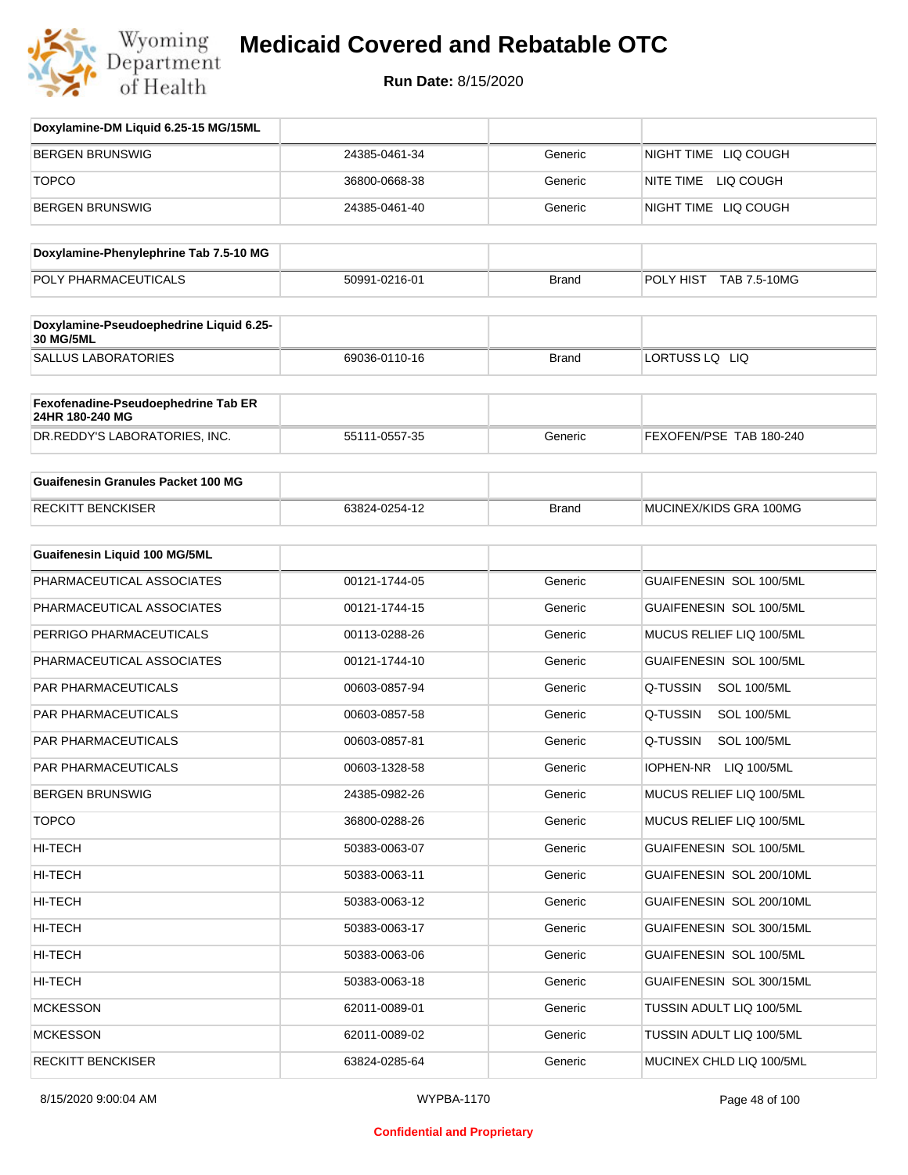

| Doxylamine-DM Liquid 6.25-15 MG/15ML                        |               |              |                                 |
|-------------------------------------------------------------|---------------|--------------|---------------------------------|
| <b>BERGEN BRUNSWIG</b>                                      | 24385-0461-34 | Generic      | NIGHT TIME LIQ COUGH            |
| <b>TOPCO</b>                                                | 36800-0668-38 | Generic      | NITE TIME LIQ COUGH             |
| <b>BERGEN BRUNSWIG</b>                                      | 24385-0461-40 | Generic      | NIGHT TIME LIQ COUGH            |
| Doxylamine-Phenylephrine Tab 7.5-10 MG                      |               |              |                                 |
| POLY PHARMACEUTICALS                                        | 50991-0216-01 | <b>Brand</b> | POLY HIST TAB 7.5-10MG          |
|                                                             |               |              |                                 |
| Doxylamine-Pseudoephedrine Liquid 6.25-<br><b>30 MG/5ML</b> |               |              |                                 |
| <b>SALLUS LABORATORIES</b>                                  | 69036-0110-16 | <b>Brand</b> | LORTUSS LQ LIQ                  |
| Fexofenadine-Pseudoephedrine Tab ER<br>24HR 180-240 MG      |               |              |                                 |
| DR.REDDY'S LABORATORIES, INC.                               | 55111-0557-35 | Generic      | FEXOFEN/PSE TAB 180-240         |
| <b>Guaifenesin Granules Packet 100 MG</b>                   |               |              |                                 |
| <b>RECKITT BENCKISER</b>                                    | 63824-0254-12 | <b>Brand</b> | MUCINEX/KIDS GRA 100MG          |
| Guaifenesin Liquid 100 MG/5ML                               |               |              |                                 |
| PHARMACEUTICAL ASSOCIATES                                   | 00121-1744-05 | Generic      | GUAIFENESIN SOL 100/5ML         |
| PHARMACEUTICAL ASSOCIATES                                   | 00121-1744-15 | Generic      | GUAIFENESIN SOL 100/5ML         |
| PERRIGO PHARMACEUTICALS                                     | 00113-0288-26 | Generic      | MUCUS RELIEF LIQ 100/5ML        |
| PHARMACEUTICAL ASSOCIATES                                   | 00121-1744-10 | Generic      | GUAIFENESIN SOL 100/5ML         |
| PAR PHARMACEUTICALS                                         | 00603-0857-94 | Generic      | Q-TUSSIN<br><b>SOL 100/5ML</b>  |
| PAR PHARMACEUTICALS                                         | 00603-0857-58 | Generic      | Q-TUSSIN<br><b>SOL 100/5ML</b>  |
| PAR PHARMACEUTICALS                                         | 00603-0857-81 | Generic      | Q-TUSSIN<br><b>SOL 100/5ML</b>  |
| PAR PHARMACEUTICALS                                         | 00603-1328-58 | Generic      | <b>IOPHEN-NR</b><br>LIQ 100/5ML |
| <b>BERGEN BRUNSWIG</b>                                      | 24385-0982-26 | Generic      | MUCUS RELIEF LIQ 100/5ML        |
| <b>TOPCO</b>                                                | 36800-0288-26 | Generic      | MUCUS RELIEF LIQ 100/5ML        |
| HI-TECH                                                     | 50383-0063-07 | Generic      | GUAIFENESIN SOL 100/5ML         |
| HI-TECH                                                     | 50383-0063-11 | Generic      | GUAIFENESIN SOL 200/10ML        |
| HI-TECH                                                     | 50383-0063-12 | Generic      | GUAIFENESIN SOL 200/10ML        |
| HI-TECH                                                     | 50383-0063-17 | Generic      | GUAIFENESIN SOL 300/15ML        |
| HI-TECH                                                     | 50383-0063-06 | Generic      | GUAIFENESIN SOL 100/5ML         |
| HI-TECH                                                     | 50383-0063-18 | Generic      | GUAIFENESIN SOL 300/15ML        |
| <b>MCKESSON</b>                                             | 62011-0089-01 | Generic      | TUSSIN ADULT LIQ 100/5ML        |
| <b>MCKESSON</b>                                             | 62011-0089-02 | Generic      | TUSSIN ADULT LIQ 100/5ML        |
| <b>RECKITT BENCKISER</b>                                    | 63824-0285-64 | Generic      | MUCINEX CHLD LIQ 100/5ML        |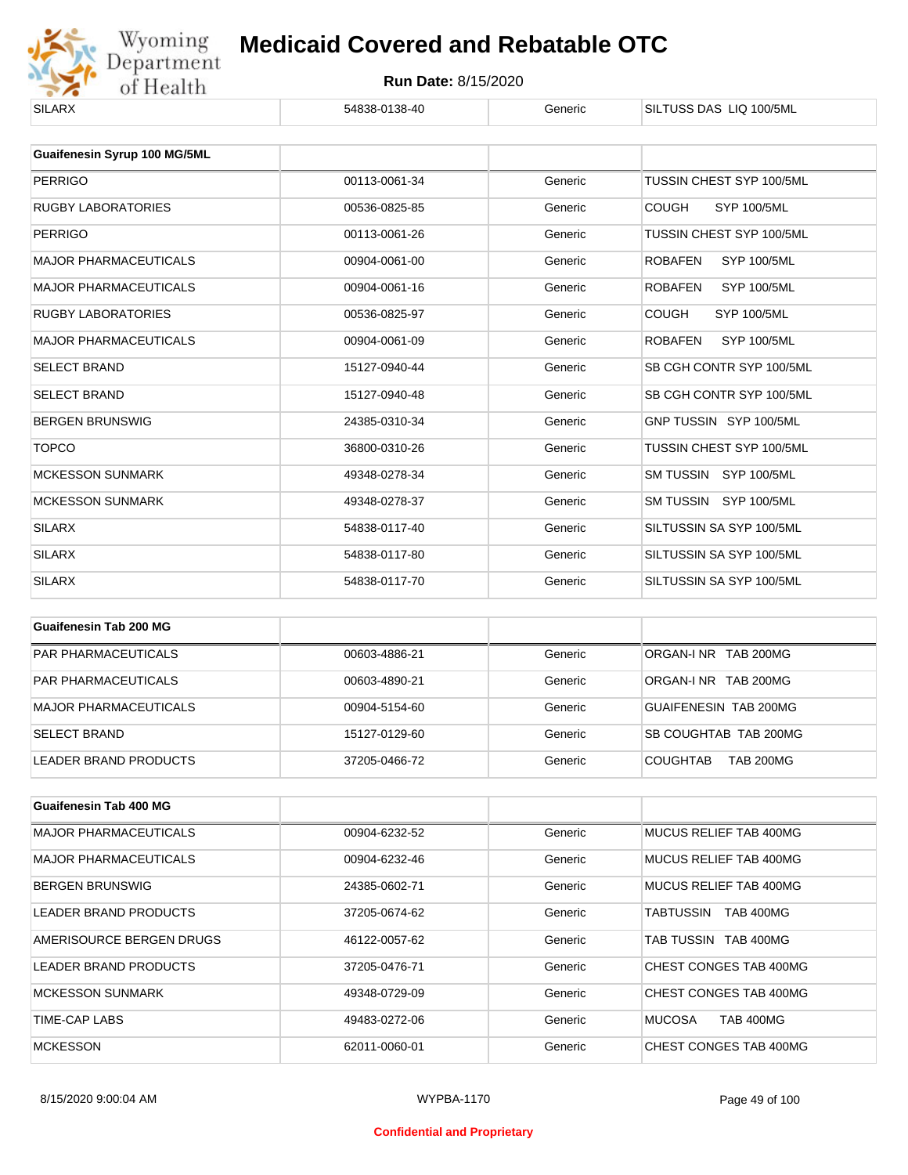

| <b>SILARX</b>                | 54838-0138-40 | Generic | SILTUSS DAS LIQ 100/5ML              |
|------------------------------|---------------|---------|--------------------------------------|
| Guaifenesin Syrup 100 MG/5ML |               |         |                                      |
| <b>PERRIGO</b>               | 00113-0061-34 | Generic | TUSSIN CHEST SYP 100/5ML             |
| <b>RUGBY LABORATORIES</b>    | 00536-0825-85 | Generic | <b>COUGH</b><br><b>SYP 100/5ML</b>   |
| <b>PERRIGO</b>               | 00113-0061-26 | Generic | TUSSIN CHEST SYP 100/5ML             |
| <b>MAJOR PHARMACEUTICALS</b> | 00904-0061-00 | Generic | <b>SYP 100/5ML</b><br><b>ROBAFEN</b> |
| <b>MAJOR PHARMACEUTICALS</b> | 00904-0061-16 | Generic | <b>ROBAFEN</b><br><b>SYP 100/5ML</b> |
| <b>RUGBY LABORATORIES</b>    | 00536-0825-97 | Generic | <b>COUGH</b><br><b>SYP 100/5ML</b>   |
| <b>MAJOR PHARMACEUTICALS</b> | 00904-0061-09 | Generic | <b>ROBAFEN</b><br><b>SYP 100/5ML</b> |
| <b>SELECT BRAND</b>          | 15127-0940-44 | Generic | SB CGH CONTR SYP 100/5ML             |
| <b>SELECT BRAND</b>          | 15127-0940-48 | Generic | SB CGH CONTR SYP 100/5ML             |
| <b>BERGEN BRUNSWIG</b>       | 24385-0310-34 | Generic | GNP TUSSIN SYP 100/5ML               |
| <b>TOPCO</b>                 | 36800-0310-26 | Generic | TUSSIN CHEST SYP 100/5ML             |
| <b>MCKESSON SUNMARK</b>      | 49348-0278-34 | Generic | SM TUSSIN SYP 100/5ML                |
| <b>MCKESSON SUNMARK</b>      | 49348-0278-37 | Generic | SM TUSSIN SYP 100/5ML                |
| <b>SILARX</b>                | 54838-0117-40 | Generic | SILTUSSIN SA SYP 100/5ML             |
| <b>SILARX</b>                | 54838-0117-80 | Generic | SILTUSSIN SA SYP 100/5ML             |
| <b>SILARX</b>                | 54838-0117-70 | Generic | SILTUSSIN SA SYP 100/5ML             |
|                              |               |         |                                      |

| Guaifenesin Tab 200 MG     |               |         |                                     |
|----------------------------|---------------|---------|-------------------------------------|
| <b>PAR PHARMACEUTICALS</b> | 00603-4886-21 | Generic | ORGAN-INR TAB 200MG                 |
| <b>PAR PHARMACEUTICALS</b> | 00603-4890-21 | Generic | ORGAN-INR TAB 200MG                 |
| MAJOR PHARMACEUTICALS      | 00904-5154-60 | Generic | <b>GUAIFENESIN TAB 200MG</b>        |
| <b>SELECT BRAND</b>        | 15127-0129-60 | Generic | SB COUGHTAB TAB 200MG               |
| LEADER BRAND PRODUCTS      | 37205-0466-72 | Generic | <b>COUGHTAB</b><br><b>TAB 200MG</b> |

| Guaifenesin Tab 400 MG       |               |         |                                   |
|------------------------------|---------------|---------|-----------------------------------|
| <b>MAJOR PHARMACEUTICALS</b> | 00904-6232-52 | Generic | MUCUS RELIEF TAB 400MG            |
| <b>MAJOR PHARMACEUTICALS</b> | 00904-6232-46 | Generic | MUCUS RELIEF TAB 400MG            |
| <b>BERGEN BRUNSWIG</b>       | 24385-0602-71 | Generic | MUCUS RELIEF TAB 400MG            |
| LEADER BRAND PRODUCTS        | 37205-0674-62 | Generic | <b>TAB 400MG</b><br>TABTUSSIN     |
| AMERISOURCE BERGEN DRUGS     | 46122-0057-62 | Generic | TAB TUSSIN TAB 400MG              |
| LEADER BRAND PRODUCTS        | 37205-0476-71 | Generic | CHEST CONGES TAB 400MG            |
| <b>MCKESSON SUNMARK</b>      | 49348-0729-09 | Generic | CHEST CONGES TAB 400MG            |
| TIME-CAP LABS                | 49483-0272-06 | Generic | <b>MUCOSA</b><br><b>TAB 400MG</b> |
| <b>MCKESSON</b>              | 62011-0060-01 | Generic | CHEST CONGES TAB 400MG            |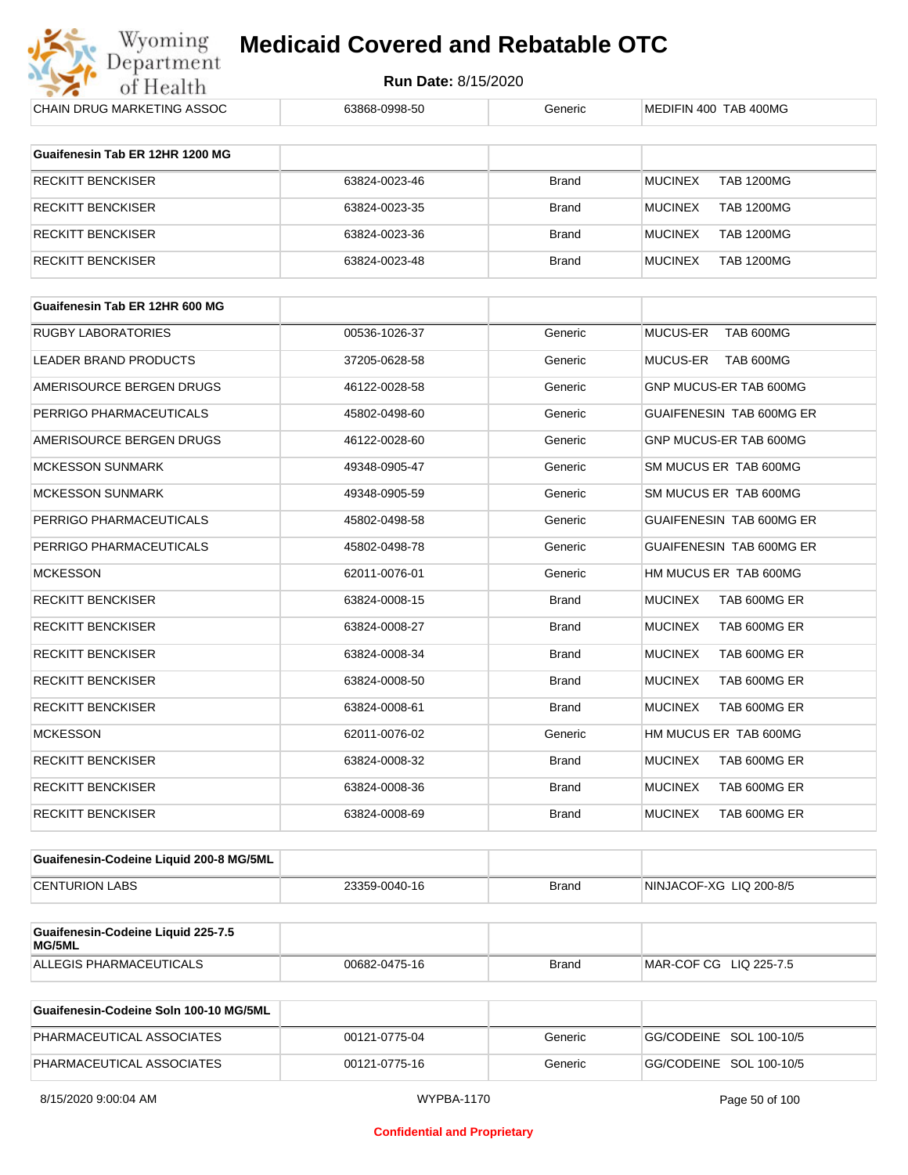

| CHAIN DRUG MARKETING ASSOC                   | 63868-0998-50 | Generic      | MEDIFIN 400 TAB 400MG               |
|----------------------------------------------|---------------|--------------|-------------------------------------|
|                                              |               |              |                                     |
| Guaifenesin Tab ER 12HR 1200 MG              |               |              |                                     |
| RECKITT BENCKISER                            | 63824-0023-46 | Brand        | <b>MUCINEX</b><br><b>TAB 1200MG</b> |
| RECKITT BENCKISER                            | 63824-0023-35 | <b>Brand</b> | <b>MUCINEX</b><br><b>TAB 1200MG</b> |
| RECKITT BENCKISER                            | 63824-0023-36 | <b>Brand</b> | <b>MUCINEX</b><br><b>TAB 1200MG</b> |
| RECKITT BENCKISER                            | 63824-0023-48 | <b>Brand</b> | <b>MUCINEX</b><br><b>TAB 1200MG</b> |
|                                              |               |              |                                     |
| Guaifenesin Tab ER 12HR 600 MG               |               |              |                                     |
| RUGBY LABORATORIES                           | 00536-1026-37 | Generic      | MUCUS-ER<br>TAB 600MG               |
| LEADER BRAND PRODUCTS                        | 37205-0628-58 | Generic      | MUCUS-ER TAB 600MG                  |
| AMERISOURCE BERGEN DRUGS                     | 46122-0028-58 | Generic      | GNP MUCUS-ER TAB 600MG              |
| PERRIGO PHARMACEUTICALS                      | 45802-0498-60 | Generic      | GUAIFENESIN TAB 600MG ER            |
| AMERISOURCE BERGEN DRUGS                     | 46122-0028-60 | Generic      | GNP MUCUS-ER TAB 600MG              |
| <b>MCKESSON SUNMARK</b>                      | 49348-0905-47 | Generic      | SM MUCUS ER TAB 600MG               |
| <b>MCKESSON SUNMARK</b>                      | 49348-0905-59 | Generic      | SM MUCUS ER TAB 600MG               |
| PERRIGO PHARMACEUTICALS                      | 45802-0498-58 | Generic      | GUAIFENESIN TAB 600MG ER            |
| PERRIGO PHARMACEUTICALS                      | 45802-0498-78 | Generic      | GUAIFENESIN TAB 600MG ER            |
| <b>MCKESSON</b>                              | 62011-0076-01 | Generic      | HM MUCUS ER TAB 600MG               |
| RECKITT BENCKISER                            | 63824-0008-15 | Brand        | <b>MUCINEX</b><br>TAB 600MG ER      |
| RECKITT BENCKISER                            | 63824-0008-27 | <b>Brand</b> | <b>MUCINEX</b><br>TAB 600MG ER      |
| RECKITT BENCKISER                            | 63824-0008-34 | Brand        | <b>MUCINEX</b><br>TAB 600MG ER      |
| RECKITT BENCKISER                            | 63824-0008-50 | <b>Brand</b> | <b>MUCINEX</b><br>TAB 600MG ER      |
| RECKITT BENCKISER                            | 63824-0008-61 | Brand        | <b>MUCINEX</b><br>TAB 600MG ER      |
| <b>MCKESSON</b>                              | 62011-0076-02 | Generic      | HM MUCUS ER TAB 600MG               |
| RECKITT BENCKISER                            | 63824-0008-32 | Brand        | <b>MUCINEX</b><br>TAB 600MG ER      |
| RECKITT BENCKISER                            | 63824-0008-36 | <b>Brand</b> | MUCINEX<br>TAB 600MG ER             |
| <b>RECKITT BENCKISER</b>                     | 63824-0008-69 | <b>Brand</b> | <b>MUCINEX</b><br>TAB 600MG ER      |
|                                              |               |              |                                     |
| Guaifenesin-Codeine Liquid 200-8 MG/5ML      |               |              |                                     |
| <b>CENTURION LABS</b>                        | 23359-0040-16 | <b>Brand</b> | NINJACOF-XG LIQ 200-8/5             |
|                                              |               |              |                                     |
| Guaifenesin-Codeine Liquid 225-7.5<br>MG/5ML |               |              |                                     |
| ALLEGIS PHARMACEUTICALS                      | 00682-0475-16 | Brand        | MAR-COF CG LIQ 225-7.5              |

| Guaifenesin-Codeine Soln 100-10 MG/5ML |               |         |                         |
|----------------------------------------|---------------|---------|-------------------------|
| PHARMACEUTICAL ASSOCIATES              | 00121-0775-04 | Generic | GG/CODEINE SOL 100-10/5 |
| PHARMACEUTICAL ASSOCIATES              | 00121-0775-16 | Generic | GG/CODEINE SOL 100-10/5 |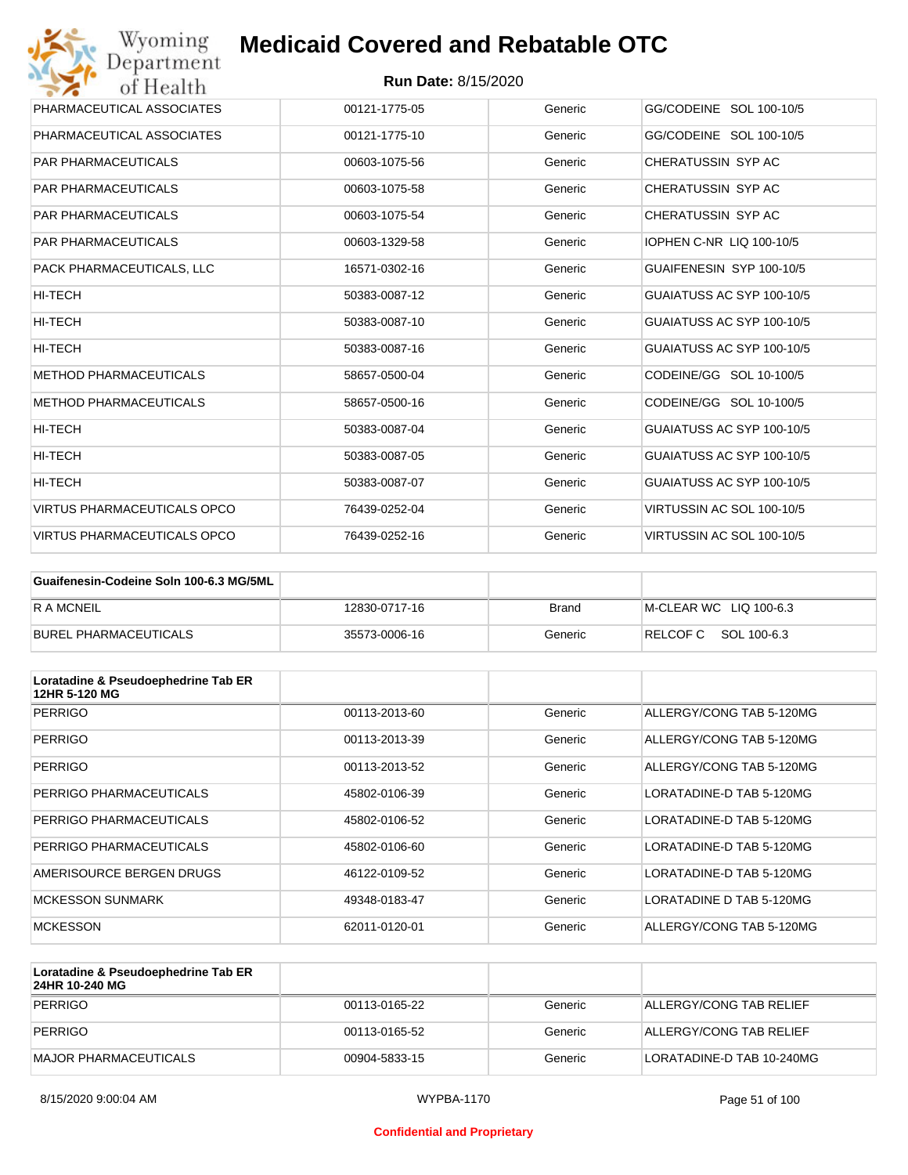| Wyoming<br>Department              | <b>Medicaid Covered and Rebatable OTC</b> |         |                                 |
|------------------------------------|-------------------------------------------|---------|---------------------------------|
| of Health                          | <b>Run Date: 8/15/2020</b>                |         |                                 |
| PHARMACEUTICAL ASSOCIATES          | 00121-1775-05                             | Generic | GG/CODEINE SOL 100-10/5         |
| PHARMACEUTICAL ASSOCIATES          | 00121-1775-10                             | Generic | GG/CODEINE SOL 100-10/5         |
| <b>PAR PHARMACEUTICALS</b>         | 00603-1075-56                             | Generic | CHERATUSSIN SYP AC              |
| <b>PAR PHARMACEUTICALS</b>         | 00603-1075-58                             | Generic | CHERATUSSIN SYP AC              |
| <b>PAR PHARMACEUTICALS</b>         | 00603-1075-54                             | Generic | CHERATUSSIN SYP AC              |
| <b>PAR PHARMACEUTICALS</b>         | 00603-1329-58                             | Generic | <b>IOPHEN C-NR LIQ 100-10/5</b> |
| PACK PHARMACEUTICALS, LLC          | 16571-0302-16                             | Generic | GUAIFENESIN SYP 100-10/5        |
| <b>HI-TECH</b>                     | 50383-0087-12                             | Generic | GUAIATUSS AC SYP 100-10/5       |
| HI-TECH                            | 50383-0087-10                             | Generic | GUAIATUSS AC SYP 100-10/5       |
| HI-TECH                            | 50383-0087-16                             | Generic | GUAIATUSS AC SYP 100-10/5       |
| <b>METHOD PHARMACEUTICALS</b>      | 58657-0500-04                             | Generic | CODEINE/GG SOL 10-100/5         |
| <b>METHOD PHARMACEUTICALS</b>      | 58657-0500-16                             | Generic | CODEINE/GG SOL 10-100/5         |
| HI-TECH                            | 50383-0087-04                             | Generic | GUAIATUSS AC SYP 100-10/5       |
| HI-TECH                            | 50383-0087-05                             | Generic | GUAIATUSS AC SYP 100-10/5       |
| HI-TECH                            | 50383-0087-07                             | Generic | GUAIATUSS AC SYP 100-10/5       |
| <b>VIRTUS PHARMACEUTICALS OPCO</b> | 76439-0252-04                             | Generic | VIRTUSSIN AC SOL 100-10/5       |
| <b>VIRTUS PHARMACEUTICALS OPCO</b> | 76439-0252-16                             | Generic | VIRTUSSIN AC SOL 100-10/5       |

| Guaifenesin-Codeine Soln 100-6.3 MG/5ML |               |         |                        |
|-----------------------------------------|---------------|---------|------------------------|
| R A MCNEIL                              | 12830-0717-16 | Brand   | M-CLEAR WC LIQ 100-6.3 |
| BUREL PHARMACEUTICALS                   | 35573-0006-16 | Generic | RELCOF C SOL 100-6.3   |

| Loratadine & Pseudoephedrine Tab ER<br>12HR 5-120 MG |               |         |                          |
|------------------------------------------------------|---------------|---------|--------------------------|
| <b>PERRIGO</b>                                       | 00113-2013-60 | Generic | ALLERGY/CONG TAB 5-120MG |
| <b>PERRIGO</b>                                       | 00113-2013-39 | Generic | ALLERGY/CONG TAB 5-120MG |
| <b>PERRIGO</b>                                       | 00113-2013-52 | Generic | ALLERGY/CONG TAB 5-120MG |
| PERRIGO PHARMACEUTICALS                              | 45802-0106-39 | Generic | LORATADINE-D TAB 5-120MG |
| PERRIGO PHARMACEUTICALS                              | 45802-0106-52 | Generic | LORATADINE-D TAB 5-120MG |
| PERRIGO PHARMACEUTICALS                              | 45802-0106-60 | Generic | LORATADINE-D TAB 5-120MG |
| AMERISOURCE BERGEN DRUGS                             | 46122-0109-52 | Generic | LORATADINE-D TAB 5-120MG |
| <b>MCKESSON SUNMARK</b>                              | 49348-0183-47 | Generic | LORATADINE D TAB 5-120MG |
| <b>MCKESSON</b>                                      | 62011-0120-01 | Generic | ALLERGY/CONG TAB 5-120MG |

| Loratadine & Pseudoephedrine Tab ER<br>24HR 10-240 MG |               |         |                           |
|-------------------------------------------------------|---------------|---------|---------------------------|
| PERRIGO                                               | 00113-0165-22 | Generic | ALLERGY/CONG TAB RELIEF   |
| PERRIGO                                               | 00113-0165-52 | Generic | ALLERGY/CONG TAB RELIEF   |
| MAJOR PHARMACEUTICALS                                 | 00904-5833-15 | Generic | LORATADINE-D TAB 10-240MG |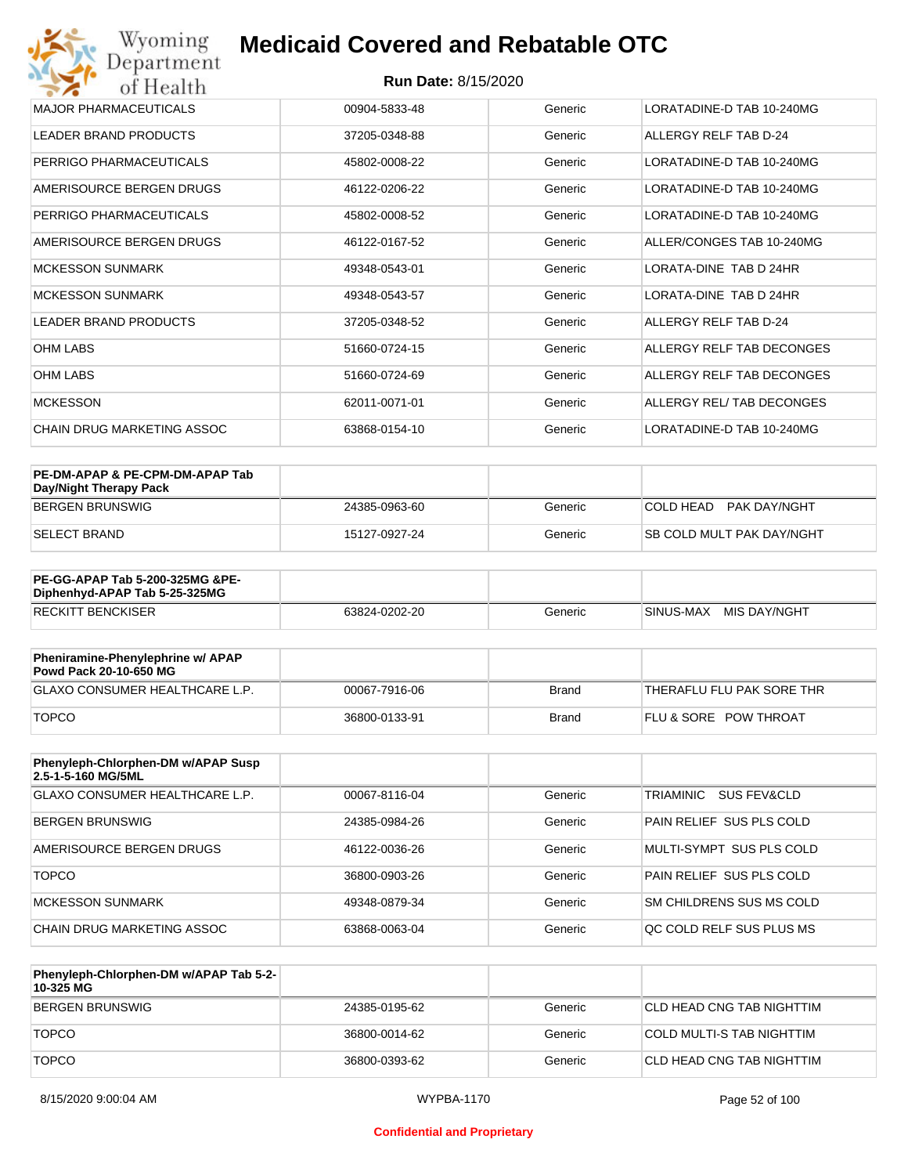| Wyoming<br><b>Medicaid Covered and Rebatable OTC</b><br>Department |                            |         |                           |  |
|--------------------------------------------------------------------|----------------------------|---------|---------------------------|--|
| of Health                                                          | <b>Run Date: 8/15/2020</b> |         |                           |  |
| <b>MAJOR PHARMACEUTICALS</b>                                       | 00904-5833-48              | Generic | LORATADINE-D TAB 10-240MG |  |
| <b>LEADER BRAND PRODUCTS</b>                                       | 37205-0348-88              | Generic | ALLERGY RELF TAB D-24     |  |
| PERRIGO PHARMACEUTICALS                                            | 45802-0008-22              | Generic | LORATADINE-D TAB 10-240MG |  |
| AMERISOURCE BERGEN DRUGS                                           | 46122-0206-22              | Generic | LORATADINE-D TAB 10-240MG |  |
| PERRIGO PHARMACEUTICALS                                            | 45802-0008-52              | Generic | LORATADINE-D TAB 10-240MG |  |
| AMERISOURCE BERGEN DRUGS                                           | 46122-0167-52              | Generic | ALLER/CONGES TAB 10-240MG |  |
| <b>MCKESSON SUNMARK</b>                                            | 49348-0543-01              | Generic | LORATA-DINE TAB D 24HR    |  |
| <b>MCKESSON SUNMARK</b>                                            | 49348-0543-57              | Generic | LORATA-DINE TAB D 24HR    |  |
| <b>LEADER BRAND PRODUCTS</b>                                       | 37205-0348-52              | Generic | ALLERGY RELF TAB D-24     |  |
| <b>OHM LABS</b>                                                    | 51660-0724-15              | Generic | ALLERGY RELF TAB DECONGES |  |
| <b>OHM LABS</b>                                                    | 51660-0724-69              | Generic | ALLERGY RELF TAB DECONGES |  |
| <b>MCKESSON</b>                                                    | 62011-0071-01              | Generic | ALLERGY REL/ TAB DECONGES |  |
| <b>CHAIN DRUG MARKETING ASSOC</b>                                  | 63868-0154-10              | Generic | LORATADINE-D TAB 10-240MG |  |

| PE-DM-APAP & PE-CPM-DM-APAP Tab<br>Day/Night Therapy Pack |               |         |                                  |
|-----------------------------------------------------------|---------------|---------|----------------------------------|
| BERGEN BRUNSWIG                                           | 24385-0963-60 | Generic | COLD HEAD<br>PAK DAY/NGHT        |
| ISELECT BRAND                                             | 15127-0927-24 | Generic | <b>SB COLD MULT PAK DAY/NGHT</b> |

| <b>PE-GG-APAP Tab 5-200-325MG &amp;PE-</b><br>Diphenhyd-APAP Tab 5-25-325MG |               |         |                           |
|-----------------------------------------------------------------------------|---------------|---------|---------------------------|
| <b>RECKITT BENCKISER</b>                                                    | 63824-0202-20 | Generic | MIS DAY/NGHT<br>SINUS-MAX |

| Pheniramine-Phenylephrine w/ APAP<br>Powd Pack 20-10-650 MG |               |              |                                  |
|-------------------------------------------------------------|---------------|--------------|----------------------------------|
| GLAXO CONSUMER HEALTHCARE L.P.                              | 00067-7916-06 | Brand        | THERAFLU FLU PAK SORE THR        |
| <b>TOPCO</b>                                                | 36800-0133-91 | <b>Brand</b> | <b>FLU &amp; SORE POW THROAT</b> |

| Phenyleph-Chlorphen-DM w/APAP Susp<br>2.5-1-5-160 MG/5ML |               |         |                          |
|----------------------------------------------------------|---------------|---------|--------------------------|
| GLAXO CONSUMER HEALTHCARE L.P.                           | 00067-8116-04 | Generic | TRIAMINIC<br>SUS FEV&CLD |
| BERGEN BRUNSWIG                                          | 24385-0984-26 | Generic | PAIN RELIEF SUS PLS COLD |
| AMERISOURCE BERGEN DRUGS                                 | 46122-0036-26 | Generic | MULTI-SYMPT SUS PLS COLD |
| <b>TOPCO</b>                                             | 36800-0903-26 | Generic | PAIN RELIEF SUS PLS COLD |
| MCKESSON SUNMARK                                         | 49348-0879-34 | Generic | SM CHILDRENS SUS MS COLD |
| CHAIN DRUG MARKETING ASSOC                               | 63868-0063-04 | Generic | OC COLD RELF SUS PLUS MS |

| Phenyleph-Chlorphen-DM w/APAP Tab 5-2-<br>10-325 MG |               |         |                           |
|-----------------------------------------------------|---------------|---------|---------------------------|
| <b>BERGEN BRUNSWIG</b>                              | 24385-0195-62 | Generic | CLD HEAD CNG TAB NIGHTTIM |
| <b>TOPCO</b>                                        | 36800-0014-62 | Generic | COLD MULTI-S TAB NIGHTTIM |
| <b>TOPCO</b>                                        | 36800-0393-62 | Generic | CLD HEAD CNG TAB NIGHTTIM |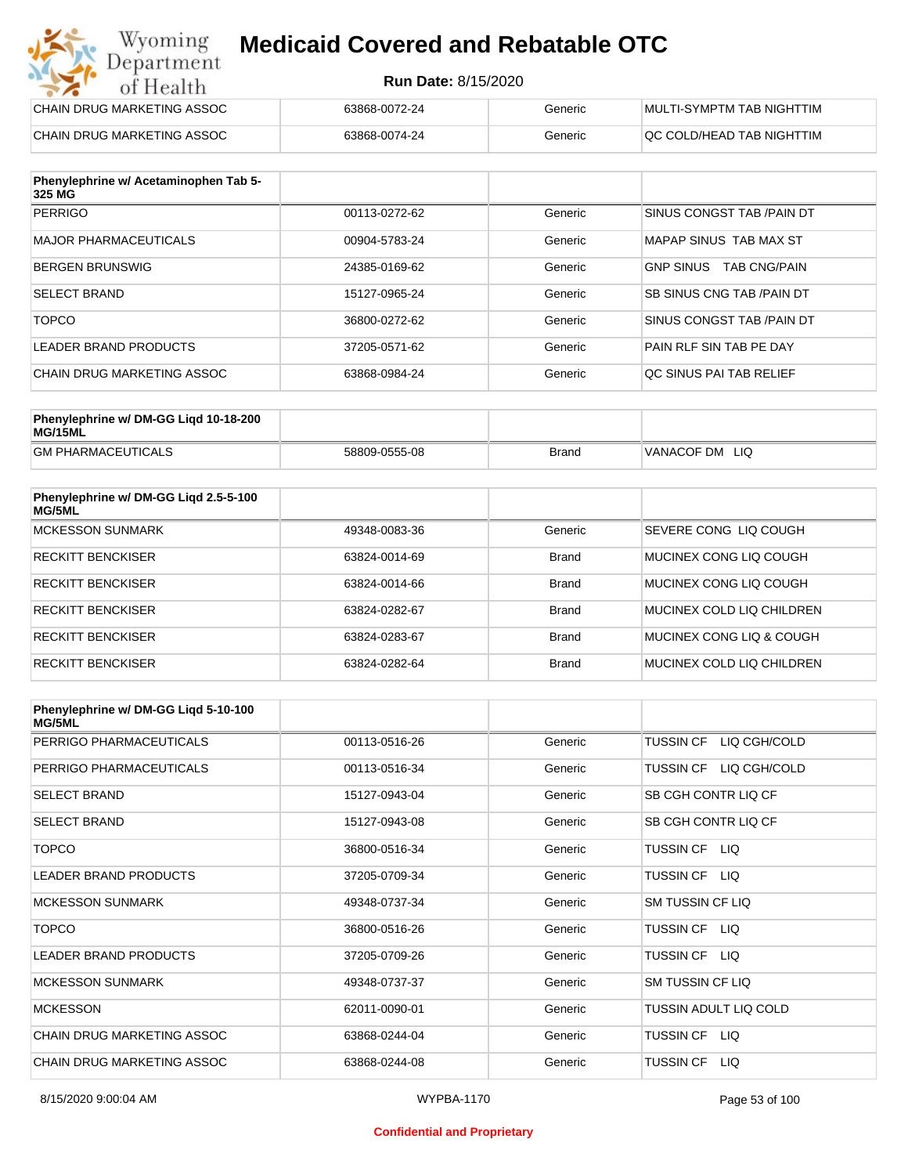#### **Run Date:** 8/15/2020

| Wyoming<br><b>Medicaid Covered and Rebatable OTC</b><br>Department |                            |         |                           |  |
|--------------------------------------------------------------------|----------------------------|---------|---------------------------|--|
| of Health                                                          | <b>Run Date: 8/15/2020</b> |         |                           |  |
| CHAIN DRUG MARKETING ASSOC                                         | 63868-0072-24              | Generic | MULTI-SYMPTM TAB NIGHTTIM |  |
| CHAIN DRUG MARKETING ASSOC                                         | 63868-0074-24              | Generic | QC COLD/HEAD TAB NIGHTTIM |  |

| Phenylephrine w/ Acetaminophen Tab 5-<br>325 MG |               |         |                                         |
|-------------------------------------------------|---------------|---------|-----------------------------------------|
| <b>PERRIGO</b>                                  | 00113-0272-62 | Generic | SINUS CONGST TAB /PAIN DT               |
| MAJOR PHARMACEUTICALS                           | 00904-5783-24 | Generic | MAPAP SINUS TAB MAX ST                  |
| <b>BERGEN BRUNSWIG</b>                          | 24385-0169-62 | Generic | <b>GNP SINUS</b><br><b>TAB CNG/PAIN</b> |
| <b>SELECT BRAND</b>                             | 15127-0965-24 | Generic | <b>SB SINUS CNG TAB /PAIN DT</b>        |
| <b>TOPCO</b>                                    | 36800-0272-62 | Generic | SINUS CONGST TAB /PAIN DT               |
| LEADER BRAND PRODUCTS                           | 37205-0571-62 | Generic | <b>PAIN RLF SIN TAB PE DAY</b>          |
| CHAIN DRUG MARKETING ASSOC                      | 63868-0984-24 | Generic | OC SINUS PAI TAB RELIEF                 |

| Phenylephrine w/ DM-GG Ligd 10-18-200<br>MG/15ML |               |              |                   |
|--------------------------------------------------|---------------|--------------|-------------------|
| <b>GM PHARMACEUTICALS</b>                        | 58809-0555-08 | <b>Brand</b> | VANACOF DM<br>LIQ |

| Phenylephrine w/ DM-GG Ligd 2.5-5-100<br><b>MG/5ML</b> |               |              |                           |
|--------------------------------------------------------|---------------|--------------|---------------------------|
| <b>MCKESSON SUNMARK</b>                                | 49348-0083-36 | Generic      | SEVERE CONG LIO COUGH     |
| <b>RECKITT BENCKISER</b>                               | 63824-0014-69 | <b>Brand</b> | MUCINEX CONG LIQ COUGH    |
| <b>RECKITT BENCKISER</b>                               | 63824-0014-66 | Brand        | MUCINEX CONG LIO COUGH    |
| <b>RECKITT BENCKISER</b>                               | 63824-0282-67 | <b>Brand</b> | MUCINEX COLD LIQ CHILDREN |
| <b>RECKITT BENCKISER</b>                               | 63824-0283-67 | <b>Brand</b> | MUCINEX CONG LIQ & COUGH  |
| <b>RECKITT BENCKISER</b>                               | 63824-0282-64 | <b>Brand</b> | MUCINEX COLD LIQ CHILDREN |

| Phenylephrine w/ DM-GG Ligd 5-10-100<br><b>MG/5ML</b> |               |         |                                  |
|-------------------------------------------------------|---------------|---------|----------------------------------|
| PERRIGO PHARMACEUTICALS                               | 00113-0516-26 | Generic | <b>TUSSIN CF</b><br>LIQ CGH/COLD |
| PERRIGO PHARMACEUTICALS                               | 00113-0516-34 | Generic | LIQ CGH/COLD<br>TUSSIN CF        |
| <b>SELECT BRAND</b>                                   | 15127-0943-04 | Generic | SB CGH CONTR LIQ CF              |
| <b>SELECT BRAND</b>                                   | 15127-0943-08 | Generic | SB CGH CONTR LIQ CF              |
| <b>TOPCO</b>                                          | 36800-0516-34 | Generic | TUSSIN CF LIQ                    |
| <b>LEADER BRAND PRODUCTS</b>                          | 37205-0709-34 | Generic | <b>TUSSIN CF</b><br>LIQ.         |
| <b>MCKESSON SUNMARK</b>                               | 49348-0737-34 | Generic | SM TUSSIN CF LIQ                 |
| <b>TOPCO</b>                                          | 36800-0516-26 | Generic | TUSSIN CF LIQ                    |
| <b>LEADER BRAND PRODUCTS</b>                          | 37205-0709-26 | Generic | TUSSIN CF LIQ                    |
| <b>MCKESSON SUNMARK</b>                               | 49348-0737-37 | Generic | <b>SM TUSSIN CF LIQ</b>          |
| <b>MCKESSON</b>                                       | 62011-0090-01 | Generic | TUSSIN ADULT LIQ COLD            |
| CHAIN DRUG MARKETING ASSOC                            | 63868-0244-04 | Generic | <b>TUSSIN CF</b><br>LIQ.         |
| CHAIN DRUG MARKETING ASSOC                            | 63868-0244-08 | Generic | <b>TUSSIN CF</b><br>LIQ.         |

#### **Confidential and Proprietary**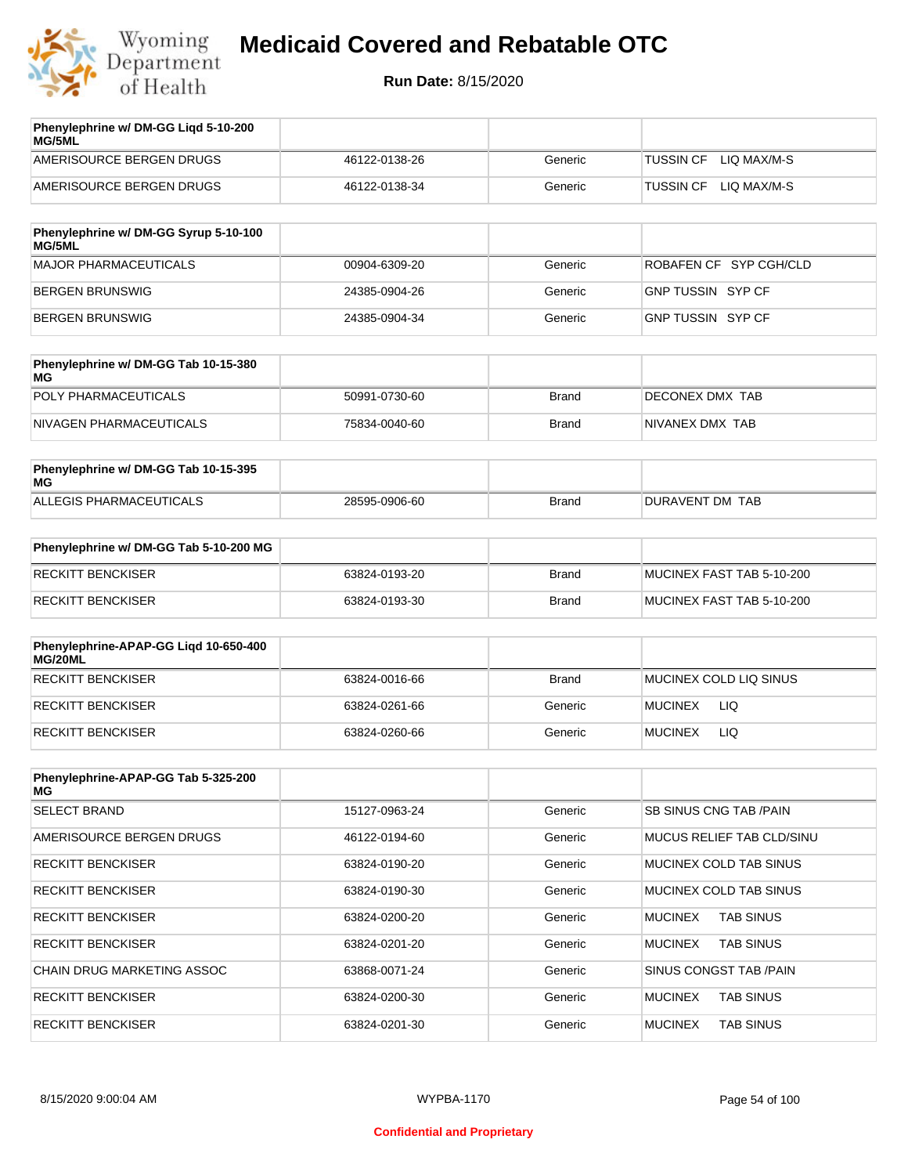

| Phenylephrine w/ DM-GG Ligd 5-10-200<br>MG/5ML |               |         |                                 |
|------------------------------------------------|---------------|---------|---------------------------------|
| AMERISOURCE BERGEN DRUGS                       | 46122-0138-26 | Generic | LIO MAX/M-S<br><b>TUSSIN CF</b> |
| AMERISOURCE BERGEN DRUGS                       | 46122-0138-34 | Generic | LIO MAX/M-S<br><b>TUSSIN CF</b> |
|                                                |               |         |                                 |

| Phenylephrine w/ DM-GG Syrup 5-10-100<br>MG/5ML |               |         |                          |
|-------------------------------------------------|---------------|---------|--------------------------|
| MAJOR PHARMACEUTICALS                           | 00904-6309-20 | Generic | ROBAFEN CF SYP CGH/CLD   |
| BERGEN BRUNSWIG                                 | 24385-0904-26 | Generic | <b>GNP TUSSIN SYP CF</b> |
| BERGEN BRUNSWIG                                 | 24385-0904-34 | Generic | GNP TUSSIN SYP CF        |

| Phenylephrine w/ DM-GG Tab 10-15-380<br>MG |               |       |                 |
|--------------------------------------------|---------------|-------|-----------------|
| POLY PHARMACEUTICALS                       | 50991-0730-60 | Brand | DECONEX DMX TAB |
| NIVAGEN PHARMACEUTICALS                    | 75834-0040-60 | Brand | NIVANEX DMX TAB |

| Phenylephrine w/ DM-GG Tab 10-15-395<br>MG |               |       |                 |
|--------------------------------------------|---------------|-------|-----------------|
| ALLEGIS PHARMACEUTICALS                    | 28595-0906-60 | Brand | DURAVENT DM TAB |

| Phenylephrine w/ DM-GG Tab 5-10-200 MG |               |       |                           |
|----------------------------------------|---------------|-------|---------------------------|
| RECKITT BENCKISER                      | 63824-0193-20 | Brand | MUCINEX FAST TAB 5-10-200 |
| RECKITT BENCKISER                      | 63824-0193-30 | Brand | MUCINEX FAST TAB 5-10-200 |

| Phenylephrine-APAP-GG Ligd 10-650-400<br>MG/20ML |               |              |                              |
|--------------------------------------------------|---------------|--------------|------------------------------|
| <b>RECKITT BENCKISER</b>                         | 63824-0016-66 | <b>Brand</b> | MUCINEX COLD LIQ SINUS       |
| <b>RECKITT BENCKISER</b>                         | 63824-0261-66 | Generic      | <b>LIQ</b><br><b>MUCINEX</b> |
| RECKITT BENCKISER                                | 63824-0260-66 | Generic      | <b>LIQ</b><br><b>MUCINEX</b> |

| Phenylephrine-APAP-GG Tab 5-325-200<br>MG |               |         |                                    |
|-------------------------------------------|---------------|---------|------------------------------------|
| <b>SELECT BRAND</b>                       | 15127-0963-24 | Generic | SB SINUS CNG TAB /PAIN             |
| AMERISOURCE BERGEN DRUGS                  | 46122-0194-60 | Generic | MUCUS RELIEF TAB CLD/SINU          |
| <b>RECKITT BENCKISER</b>                  | 63824-0190-20 | Generic | MUCINEX COLD TAB SINUS             |
| <b>RECKITT BENCKISER</b>                  | 63824-0190-30 | Generic | MUCINEX COLD TAB SINUS             |
| <b>RECKITT BENCKISER</b>                  | 63824-0200-20 | Generic | <b>TAB SINUS</b><br><b>MUCINEX</b> |
| <b>RECKITT BENCKISER</b>                  | 63824-0201-20 | Generic | <b>TAB SINUS</b><br><b>MUCINEX</b> |
| <b>CHAIN DRUG MARKETING ASSOC</b>         | 63868-0071-24 | Generic | SINUS CONGST TAB /PAIN             |
| <b>RECKITT BENCKISER</b>                  | 63824-0200-30 | Generic | <b>MUCINEX</b><br><b>TAB SINUS</b> |
| <b>RECKITT BENCKISER</b>                  | 63824-0201-30 | Generic | <b>MUCINEX</b><br><b>TAB SINUS</b> |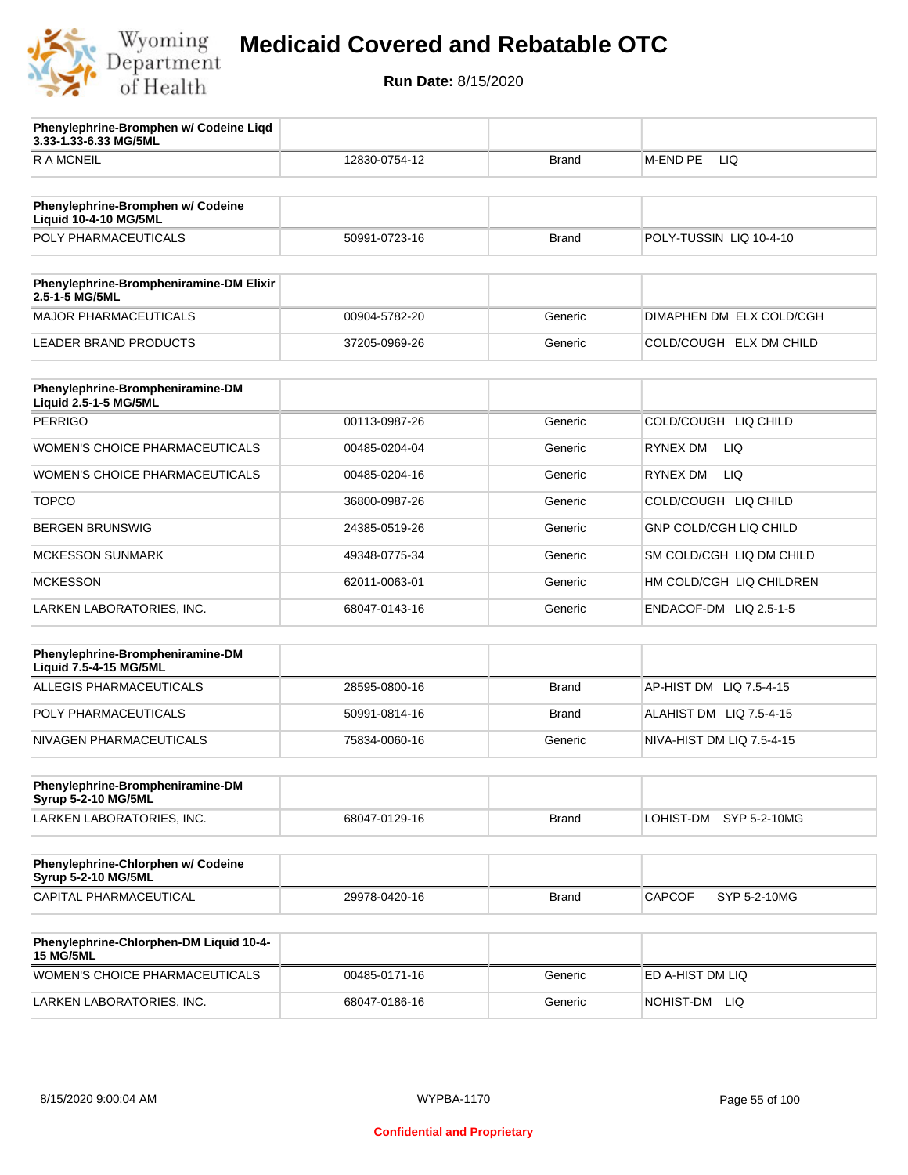

**3.33-1.33-6.33 MG/5ML**

**Phenylephrine-Bromphen w/ Codeine Liqd** 

## **Medicaid Covered and Rebatable OTC**

| R A MCNEIL                                                        | 12830-0754-12 | Brand        | M-END PE<br>LIQ               |
|-------------------------------------------------------------------|---------------|--------------|-------------------------------|
|                                                                   |               |              |                               |
| Phenylephrine-Bromphen w/ Codeine<br><b>Liquid 10-4-10 MG/5ML</b> |               |              |                               |
| POLY PHARMACEUTICALS                                              | 50991-0723-16 | <b>Brand</b> | POLY-TUSSIN LIQ 10-4-10       |
| Phenylephrine-Brompheniramine-DM Elixir<br>2.5-1-5 MG/5ML         |               |              |                               |
| <b>MAJOR PHARMACEUTICALS</b>                                      | 00904-5782-20 | Generic      | DIMAPHEN DM ELX COLD/CGH      |
| <b>LEADER BRAND PRODUCTS</b>                                      | 37205-0969-26 | Generic      | COLD/COUGH ELX DM CHILD       |
|                                                                   |               |              |                               |
| Phenylephrine-Brompheniramine-DM<br>Liquid 2.5-1-5 MG/5ML         |               |              |                               |
| <b>PERRIGO</b>                                                    | 00113-0987-26 | Generic      | COLD/COUGH LIQ CHILD          |
| WOMEN'S CHOICE PHARMACEUTICALS                                    | 00485-0204-04 | Generic      | RYNEX DM<br>LIQ.              |
| WOMEN'S CHOICE PHARMACEUTICALS                                    | 00485-0204-16 | Generic      | <b>LIQ</b><br><b>RYNEX DM</b> |
| <b>TOPCO</b>                                                      | 36800-0987-26 | Generic      | COLD/COUGH LIQ CHILD          |
| <b>BERGEN BRUNSWIG</b>                                            | 24385-0519-26 | Generic      | <b>GNP COLD/CGH LIQ CHILD</b> |
| <b>MCKESSON SUNMARK</b>                                           | 49348-0775-34 | Generic      | SM COLD/CGH LIQ DM CHILD      |
| <b>MCKESSON</b>                                                   | 62011-0063-01 | Generic      | HM COLD/CGH LIQ CHILDREN      |
| LARKEN LABORATORIES, INC.                                         | 68047-0143-16 | Generic      | ENDACOF-DM LIQ 2.5-1-5        |
|                                                                   |               |              |                               |
| Phenylephrine-Brompheniramine-DM<br>Liquid 7.5-4-15 MG/5ML        |               |              |                               |
| <b>ALLEGIS PHARMACEUTICALS</b>                                    | 28595-0800-16 | <b>Brand</b> | AP-HIST DM LIQ 7.5-4-15       |
| POLY PHARMACEUTICALS                                              | 50991-0814-16 | Brand        | ALAHIST DM LIQ 7.5-4-15       |
| NIVAGEN PHARMACEUTICALS                                           | 75834-0060-16 | Generic      | NIVA-HIST DM LIQ 7.5-4-15     |
| Phenylephrine-Brompheniramine-DM                                  |               |              |                               |
| <b>Syrup 5-2-10 MG/5ML</b>                                        |               |              |                               |
| LARKEN LABORATORIES, INC.                                         | 68047-0129-16 | <b>Brand</b> | LOHIST-DM<br>SYP 5-2-10MG     |
| Phenylephrine-Chlorphen w/ Codeine<br><b>Syrup 5-2-10 MG/5ML</b>  |               |              |                               |
| CAPITAL PHARMACEUTICAL                                            | 29978-0420-16 | <b>Brand</b> | <b>CAPCOF</b><br>SYP 5-2-10MG |
|                                                                   |               |              |                               |
| Phenylephrine-Chlorphen-DM Liquid 10-4-<br><b>15 MG/5ML</b>       |               |              |                               |
| WOMEN'S CHOICE PHARMACEUTICALS                                    | 00485-0171-16 | Generic      | ED A-HIST DM LIQ              |
| LARKEN LABORATORIES, INC.                                         | 68047-0186-16 | Generic      | NOHIST-DM LIQ                 |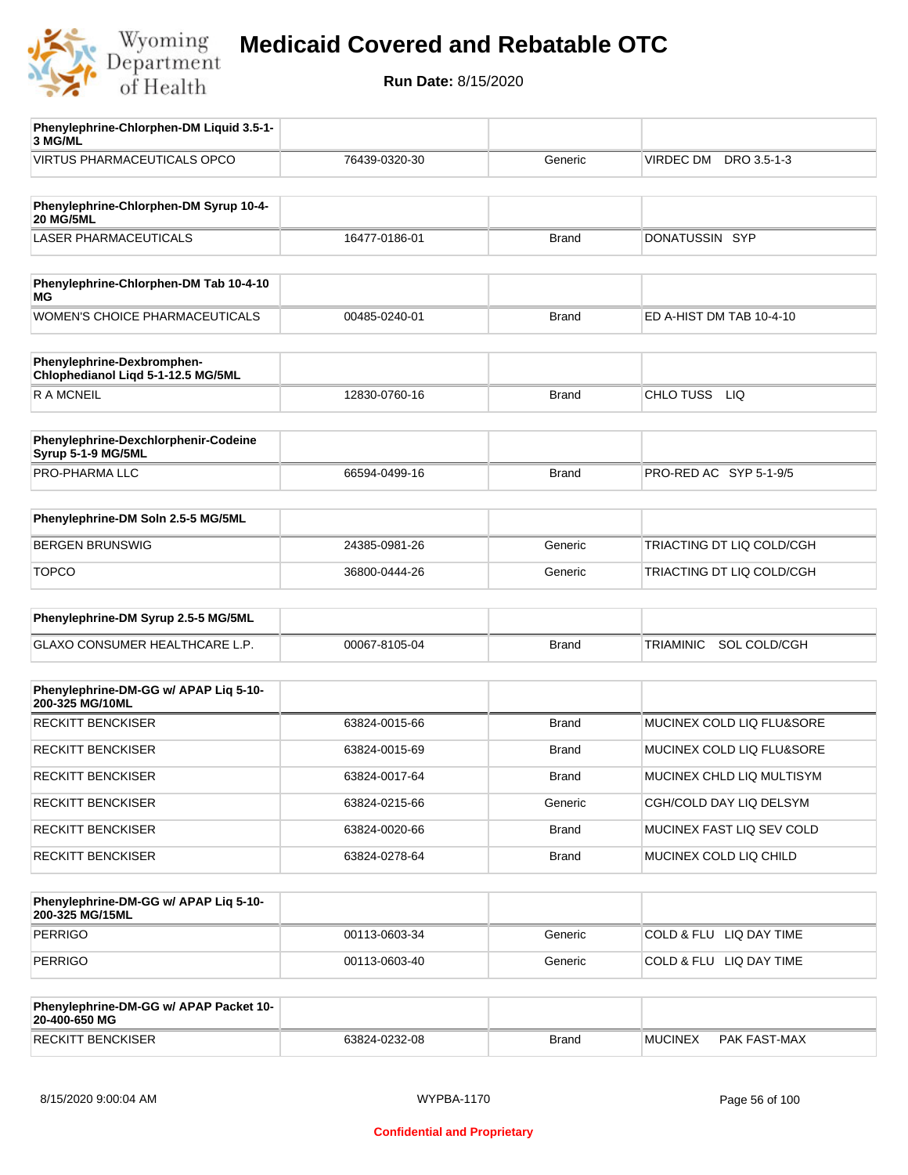

**Run Date:** 8/15/2020

| Phenylephrine-Chlorphen-DM Liquid 3.5-1-<br>3 MG/ML              |               |              |                                  |
|------------------------------------------------------------------|---------------|--------------|----------------------------------|
| <b>VIRTUS PHARMACEUTICALS OPCO</b>                               | 76439-0320-30 | Generic      | VIRDEC DM<br>DRO 3.5-1-3         |
|                                                                  |               |              |                                  |
| Phenylephrine-Chlorphen-DM Syrup 10-4-<br><b>20 MG/5ML</b>       |               |              |                                  |
| <b>LASER PHARMACEUTICALS</b>                                     | 16477-0186-01 | <b>Brand</b> | DONATUSSIN SYP                   |
|                                                                  |               |              |                                  |
| Phenylephrine-Chlorphen-DM Tab 10-4-10<br>МG                     |               |              |                                  |
| <b>WOMEN'S CHOICE PHARMACEUTICALS</b>                            | 00485-0240-01 | <b>Brand</b> | ED A-HIST DM TAB 10-4-10         |
| Phenylephrine-Dexbromphen-<br>Chlophedianol Liqd 5-1-12.5 MG/5ML |               |              |                                  |
| <b>RAMCNEIL</b>                                                  | 12830-0760-16 | <b>Brand</b> | CHLO TUSS<br>LIQ                 |
|                                                                  |               |              |                                  |
| Phenylephrine-Dexchlorphenir-Codeine<br>Syrup 5-1-9 MG/5ML       |               |              |                                  |
| PRO-PHARMA LLC                                                   | 66594-0499-16 | <b>Brand</b> | PRO-RED AC SYP 5-1-9/5           |
|                                                                  |               |              |                                  |
| Phenylephrine-DM Soln 2.5-5 MG/5ML                               |               |              |                                  |
| <b>BERGEN BRUNSWIG</b>                                           | 24385-0981-26 | Generic      | TRIACTING DT LIQ COLD/CGH        |
| <b>TOPCO</b>                                                     | 36800-0444-26 | Generic      | TRIACTING DT LIQ COLD/CGH        |
|                                                                  |               |              |                                  |
| Phenylephrine-DM Syrup 2.5-5 MG/5ML                              |               |              |                                  |
| GLAXO CONSUMER HEALTHCARE L.P.                                   | 00067-8105-04 | <b>Brand</b> | <b>TRIAMINIC</b><br>SOL COLD/CGH |
|                                                                  |               |              |                                  |
| Phenylephrine-DM-GG w/ APAP Liq 5-10-<br>200-325 MG/10ML         |               |              |                                  |
| <b>RECKITT BENCKISER</b>                                         | 63824-0015-66 | <b>Brand</b> | MUCINEX COLD LIQ FLU&SORE        |
| <b>RECKITT BENCKISER</b>                                         | 63824-0015-69 | <b>Brand</b> | MUCINEX COLD LIQ FLU&SORE        |
| <b>RECKITT BENCKISER</b>                                         | 63824-0017-64 | <b>Brand</b> | MUCINEX CHLD LIQ MULTISYM        |
| <b>RECKITT BENCKISER</b>                                         | 63824-0215-66 | Generic      | CGH/COLD DAY LIQ DELSYM          |
| <b>RECKITT BENCKISER</b>                                         | 63824-0020-66 | <b>Brand</b> | MUCINEX FAST LIQ SEV COLD        |
| RECKITT BENCKISER                                                | 63824-0278-64 | <b>Brand</b> | MUCINEX COLD LIQ CHILD           |
|                                                                  |               |              |                                  |
| Phenylephrine-DM-GG w/ APAP Liq 5-10-<br>200-325 MG/15ML         |               |              |                                  |
| <b>PERRIGO</b>                                                   | 00113-0603-34 | Generic      | COLD & FLU LIQ DAY TIME          |
| <b>PERRIGO</b>                                                   | 00113-0603-40 | Generic      | COLD & FLU LIQ DAY TIME          |
|                                                                  |               |              |                                  |
| Phenylephrine-DM-GG w/ APAP Packet 10-<br>20-400-650 MG          |               |              |                                  |

RECKITT BENCKISER 63824-0232-08 Brand MUCINEX PAK FAST-MAX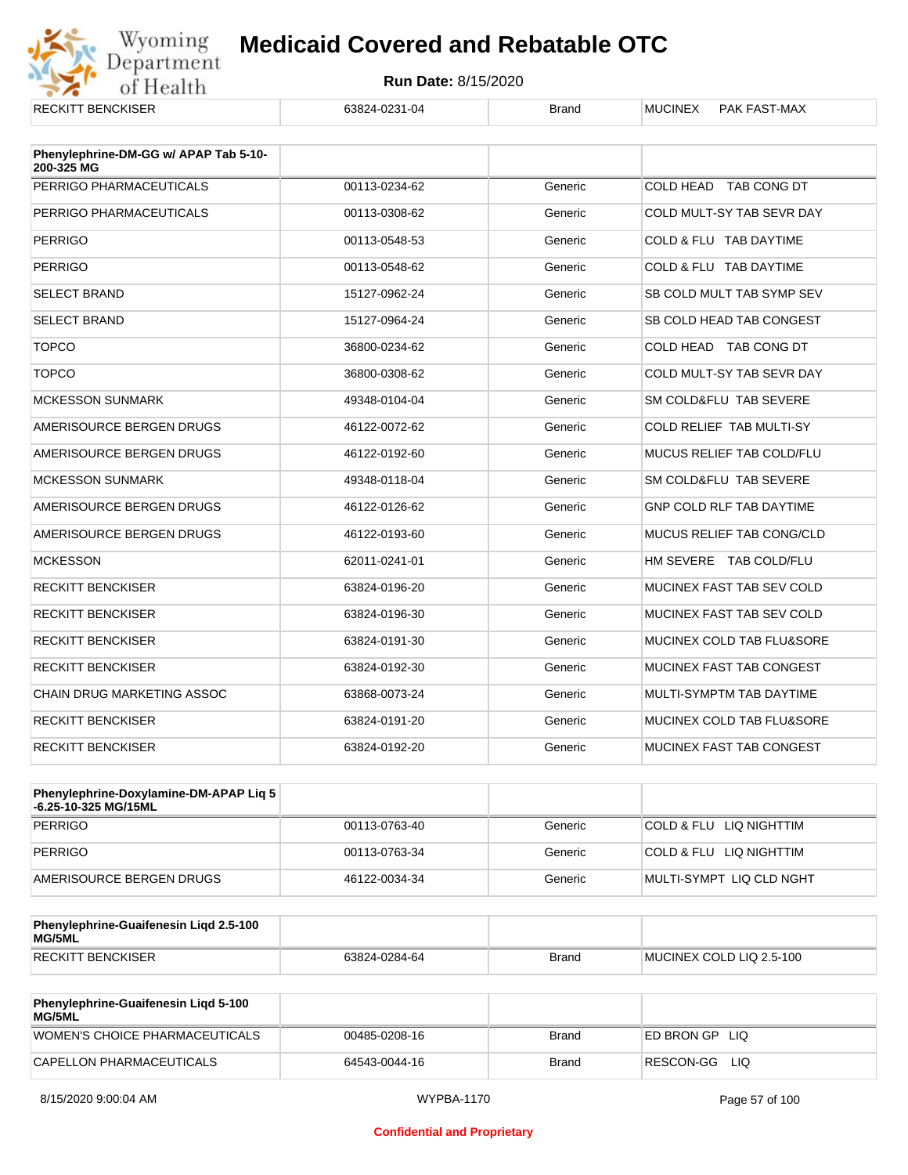

| <b>RECKITT BENCKISER</b>              | 63824-0231-04 | <b>Brand</b> | <b>MUCINEX</b><br>PAK FAST-MAX  |
|---------------------------------------|---------------|--------------|---------------------------------|
| Phenylephrine-DM-GG w/ APAP Tab 5-10- |               |              |                                 |
| 200-325 MG                            |               |              |                                 |
| PERRIGO PHARMACEUTICALS               | 00113-0234-62 | Generic      | COLD HEAD TAB CONG DT           |
| PERRIGO PHARMACEUTICALS               | 00113-0308-62 | Generic      | COLD MULT-SY TAB SEVR DAY       |
| <b>PERRIGO</b>                        | 00113-0548-53 | Generic      | COLD & FLU TAB DAYTIME          |
| <b>PERRIGO</b>                        | 00113-0548-62 | Generic      | COLD & FLU TAB DAYTIME          |
| <b>SELECT BRAND</b>                   | 15127-0962-24 | Generic      | SB COLD MULT TAB SYMP SEV       |
| <b>SELECT BRAND</b>                   | 15127-0964-24 | Generic      | SB COLD HEAD TAB CONGEST        |
| <b>TOPCO</b>                          | 36800-0234-62 | Generic      | COLD HEAD TAB CONG DT           |
| <b>TOPCO</b>                          | 36800-0308-62 | Generic      | COLD MULT-SY TAB SEVR DAY       |
| <b>MCKESSON SUNMARK</b>               | 49348-0104-04 | Generic      | SM COLD&FLU TAB SEVERE          |
| AMERISOURCE BERGEN DRUGS              | 46122-0072-62 | Generic      | <b>COLD RELIEF TAB MULTI-SY</b> |
| AMERISOURCE BERGEN DRUGS              | 46122-0192-60 | Generic      | MUCUS RELIEF TAB COLD/FLU       |
| <b>MCKESSON SUNMARK</b>               | 49348-0118-04 | Generic      | SM COLD&FLU TAB SEVERE          |
| AMERISOURCE BERGEN DRUGS              | 46122-0126-62 | Generic      | <b>GNP COLD RLF TAB DAYTIME</b> |
| AMERISOURCE BERGEN DRUGS              | 46122-0193-60 | Generic      | MUCUS RELIEF TAB CONG/CLD       |
| <b>MCKESSON</b>                       | 62011-0241-01 | Generic      | HM SEVERE TAB COLD/FLU          |
| <b>RECKITT BENCKISER</b>              | 63824-0196-20 | Generic      | MUCINEX FAST TAB SEV COLD       |
| <b>RECKITT BENCKISER</b>              | 63824-0196-30 | Generic      | MUCINEX FAST TAB SEV COLD       |
| <b>RECKITT BENCKISER</b>              | 63824-0191-30 | Generic      | MUCINEX COLD TAB FLU&SORE       |
| <b>RECKITT BENCKISER</b>              | 63824-0192-30 | Generic      | MUCINEX FAST TAB CONGEST        |
| <b>CHAIN DRUG MARKETING ASSOC</b>     | 63868-0073-24 | Generic      | MULTI-SYMPTM TAB DAYTIME        |
| <b>RECKITT BENCKISER</b>              | 63824-0191-20 | Generic      | MUCINEX COLD TAB FLU&SORE       |
| <b>RECKITT BENCKISER</b>              | 63824-0192-20 | Generic      | MUCINEX FAST TAB CONGEST        |

| Phenylephrine-Doxylamine-DM-APAP Liq 5<br>-6.25-10-325 MG/15ML |               |         |                          |
|----------------------------------------------------------------|---------------|---------|--------------------------|
| PERRIGO                                                        | 00113-0763-40 | Generic | COLD & FLU LIQ NIGHTTIM  |
| PERRIGO                                                        | 00113-0763-34 | Generic | COLD & FLU LIQ NIGHTTIM  |
| AMERISOURCE BERGEN DRUGS                                       | 46122-0034-34 | Generic | MULTI-SYMPT LIQ CLD NGHT |

| Phenylephrine-Guaifenesin Ligd 2.5-100<br>MG/5ML |               |              |                          |
|--------------------------------------------------|---------------|--------------|--------------------------|
| <b>RECKITT BENCKISER</b>                         | 63824-0284-64 | <b>Brand</b> | MUCINEX COLD LIQ 2.5-100 |

| <b>Phenylephrine-Guaifenesin Ligd 5-100</b><br><b>MG/5ML</b> |               |       |                    |
|--------------------------------------------------------------|---------------|-------|--------------------|
| WOMEN'S CHOICE PHARMACEUTICALS                               | 00485-0208-16 | Brand | ED BRON GPLIO      |
| CAPELLON PHARMACEUTICALS                                     | 64543-0044-16 | Brand | RESCON-GG<br>- LIQ |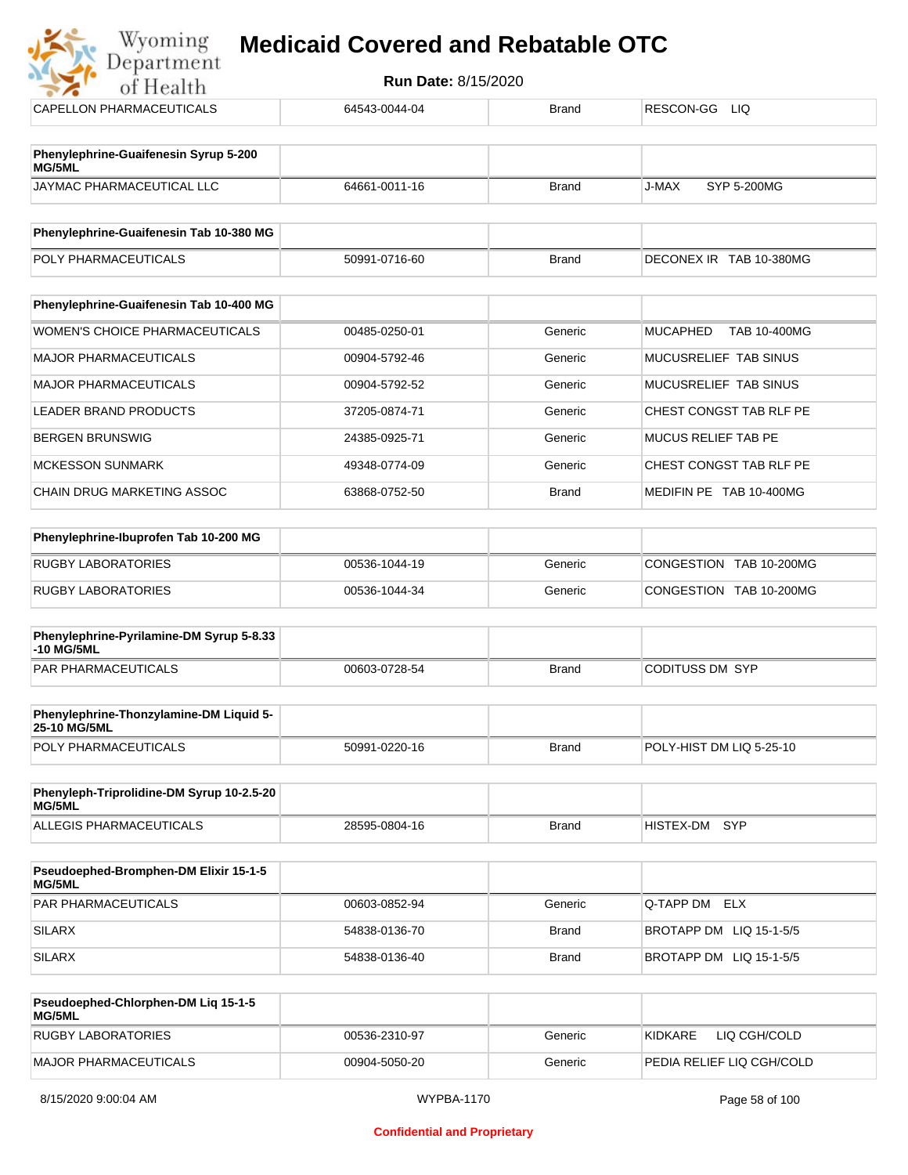| of Health                                               | Run Date: 8/15/2020 |              |                                        |
|---------------------------------------------------------|---------------------|--------------|----------------------------------------|
| CAPELLON PHARMACEUTICALS                                | 64543-0044-04       | <b>Brand</b> | RESCON-GG LIQ                          |
| Phenylephrine-Guaifenesin Syrup 5-200<br>MG/5ML         |                     |              |                                        |
| JAYMAC PHARMACEUTICAL LLC                               | 64661-0011-16       | <b>Brand</b> | J-MAX<br>SYP 5-200MG                   |
| Phenylephrine-Guaifenesin Tab 10-380 MG                 |                     |              |                                        |
| POLY PHARMACEUTICALS                                    | 50991-0716-60       | <b>Brand</b> | DECONEX IR TAB 10-380MG                |
| Phenylephrine-Guaifenesin Tab 10-400 MG                 |                     |              |                                        |
| <b>WOMEN'S CHOICE PHARMACEUTICALS</b>                   | 00485-0250-01       | Generic      | <b>MUCAPHED</b><br><b>TAB 10-400MG</b> |
| <b>MAJOR PHARMACEUTICALS</b>                            | 00904-5792-46       | Generic      | MUCUSRELIEF TAB SINUS                  |
| <b>MAJOR PHARMACEUTICALS</b>                            | 00904-5792-52       | Generic      | MUCUSRELIEF TAB SINUS                  |
| LEADER BRAND PRODUCTS                                   | 37205-0874-71       | Generic      | CHEST CONGST TAB RLF PE                |
| <b>BERGEN BRUNSWIG</b>                                  | 24385-0925-71       | Generic      | MUCUS RELIEF TAB PE                    |
| <b>MCKESSON SUNMARK</b>                                 | 49348-0774-09       | Generic      | CHEST CONGST TAB RLF PE                |
| CHAIN DRUG MARKETING ASSOC                              | 63868-0752-50       | <b>Brand</b> | MEDIFIN PE TAB 10-400MG                |
| Phenylephrine-Ibuprofen Tab 10-200 MG                   |                     |              |                                        |
| <b>RUGBY LABORATORIES</b>                               | 00536-1044-19       | Generic      | CONGESTION TAB 10-200MG                |
| <b>RUGBY LABORATORIES</b>                               | 00536-1044-34       | Generic      | CONGESTION TAB 10-200MG                |
| Phenylephrine-Pyrilamine-DM Syrup 5-8.33<br>-10 MG/5ML  |                     |              |                                        |
| PAR PHARMACEUTICALS                                     | 00603-0728-54       | <b>Brand</b> | <b>CODITUSS DM SYP</b>                 |
| Phenylephrine-Thonzylamine-DM Liquid 5-<br>25-10 MG/5ML |                     |              |                                        |
| POLY PHARMACEUTICALS                                    | 50991-0220-16       | <b>Brand</b> | POLY-HIST DM LIQ 5-25-10               |
| Phenyleph-Triprolidine-DM Syrup 10-2.5-20<br>MG/5ML     |                     |              |                                        |
| ALLEGIS PHARMACEUTICALS                                 | 28595-0804-16       | <b>Brand</b> | <b>SYP</b><br>HISTEX-DM                |

| <b>Pseudoephed-Bromphen-DM Elixir 15-1-5</b><br>MG/5ML |               |         |                         |
|--------------------------------------------------------|---------------|---------|-------------------------|
| PAR PHARMACEUTICALS                                    | 00603-0852-94 | Generic | <b>IQ-TAPP DM ELX</b>   |
| SILARX                                                 | 54838-0136-70 | Brand   | BROTAPP DM LIQ 15-1-5/5 |
| SILARX                                                 | 54838-0136-40 | Brand   | BROTAPP DM LIQ 15-1-5/5 |

| <b>Pseudoephed-Chlorphen-DM Lig 15-1-5</b><br>MG/5ML |               |         |                           |
|------------------------------------------------------|---------------|---------|---------------------------|
| RUGBY LABORATORIES                                   | 00536-2310-97 | Generic | KIDKARE<br>LIQ CGH/COLD   |
| <b>MAJOR PHARMACEUTICALS</b>                         | 00904-5050-20 | Generic | PEDIA RELIEF LIQ CGH/COLD |

 $\frac{1}{2}$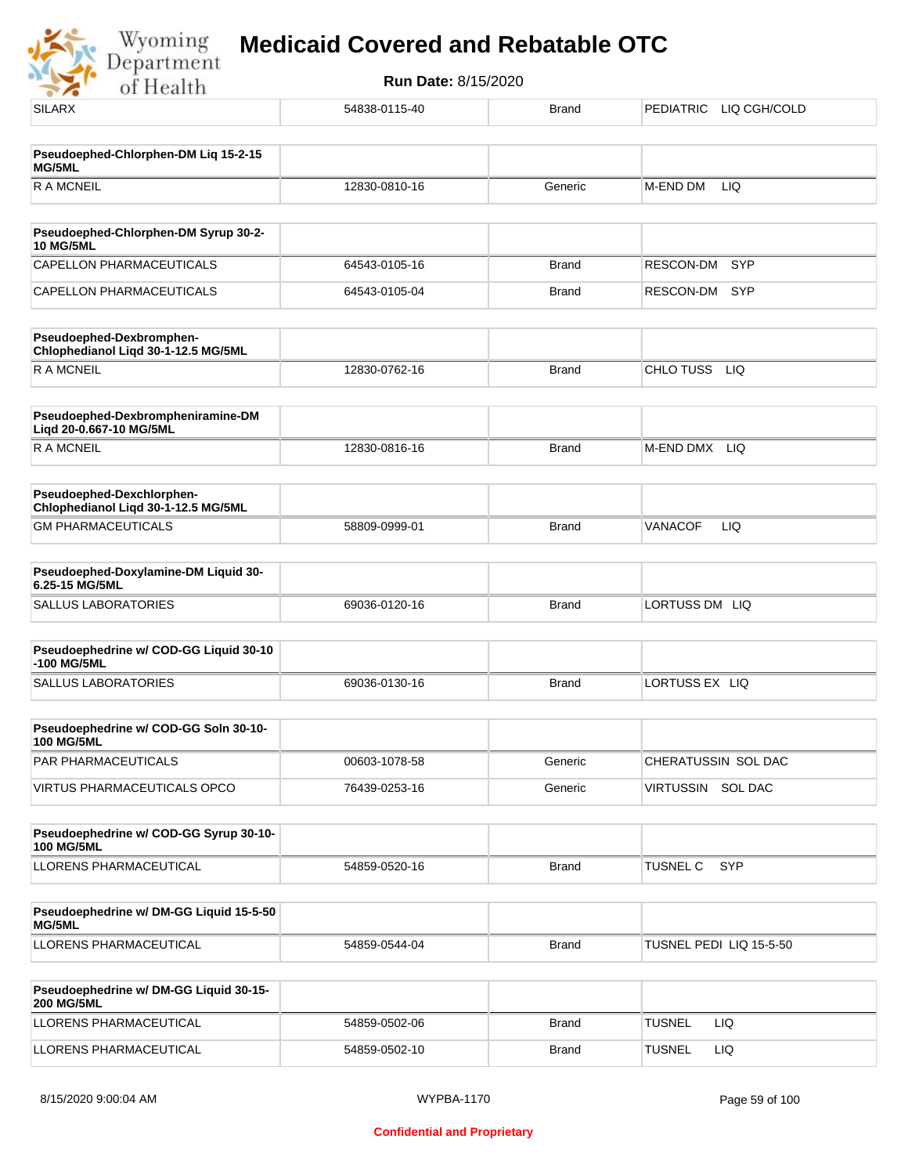Wyoming<br>Department<br>of Health

| .                                                                |               |              |                               |
|------------------------------------------------------------------|---------------|--------------|-------------------------------|
| <b>SILARX</b>                                                    | 54838-0115-40 | <b>Brand</b> | PEDIATRIC LIQ CGH/COLD        |
|                                                                  |               |              |                               |
| Pseudoephed-Chlorphen-DM Liq 15-2-15<br>MG/5ML                   |               |              |                               |
| <b>RAMCNEIL</b>                                                  | 12830-0810-16 | Generic      | LIQ<br>M-END DM               |
|                                                                  |               |              |                               |
| Pseudoephed-Chlorphen-DM Syrup 30-2-<br><b>10 MG/5ML</b>         |               |              |                               |
| CAPELLON PHARMACEUTICALS                                         | 64543-0105-16 | <b>Brand</b> | SYP<br>RESCON-DM              |
| CAPELLON PHARMACEUTICALS                                         | 64543-0105-04 | <b>Brand</b> | RESCON-DM<br><b>SYP</b>       |
| Pseudoephed-Dexbromphen-<br>Chlophedianol Liqd 30-1-12.5 MG/5ML  |               |              |                               |
| <b>RAMCNEIL</b>                                                  | 12830-0762-16 | <b>Brand</b> | CHLO TUSS LIQ                 |
| Pseudoephed-Dexbrompheniramine-DM<br>Liqd 20-0.667-10 MG/5ML     |               |              |                               |
| R A MCNEIL                                                       | 12830-0816-16 | <b>Brand</b> | M-END DMX LIQ                 |
| Pseudoephed-Dexchlorphen-<br>Chlophedianol Liqd 30-1-12.5 MG/5ML |               |              |                               |
| <b>GM PHARMACEUTICALS</b>                                        | 58809-0999-01 | <b>Brand</b> | LIQ<br><b>VANACOF</b>         |
| Pseudoephed-Doxylamine-DM Liquid 30-                             |               |              |                               |
| 6.25-15 MG/5ML                                                   |               |              |                               |
| <b>SALLUS LABORATORIES</b>                                       | 69036-0120-16 | <b>Brand</b> | LORTUSS DM LIQ                |
| Pseudoephedrine w/ COD-GG Liquid 30-10<br>-100 MG/5ML            |               |              |                               |
| <b>SALLUS LABORATORIES</b>                                       | 69036-0130-16 | <b>Brand</b> | LORTUSS EX LIQ                |
| Pseudoephedrine w/ COD-GG Soln 30-10-                            |               |              |                               |
| <b>100 MG/5ML</b><br>PAR PHARMACEUTICALS                         | 00603-1078-58 | Generic      | CHERATUSSIN SOL DAC           |
| VIRTUS PHARMACEUTICALS OPCO                                      | 76439-0253-16 | Generic      | VIRTUSSIN SOL DAC             |
|                                                                  |               |              |                               |
| Pseudoephedrine w/ COD-GG Syrup 30-10-<br><b>100 MG/5ML</b>      |               |              |                               |
| LLORENS PHARMACEUTICAL                                           | 54859-0520-16 | <b>Brand</b> | <b>SYP</b><br><b>TUSNEL C</b> |
| Pseudoephedrine w/ DM-GG Liquid 15-5-50                          |               |              |                               |
| MG/5ML                                                           |               |              |                               |
| LLORENS PHARMACEUTICAL                                           | 54859-0544-04 | <b>Brand</b> | TUSNEL PEDI LIQ 15-5-50       |
| Pseudoephedrine w/ DM-GG Liquid 30-15-<br><b>200 MG/5ML</b>      |               |              |                               |
| LLORENS PHARMACEUTICAL                                           | 54859-0502-06 | <b>Brand</b> | <b>TUSNEL</b><br>LIQ.         |
| LLORENS PHARMACEUTICAL                                           | 54859-0502-10 | <b>Brand</b> | <b>TUSNEL</b><br><b>LIQ</b>   |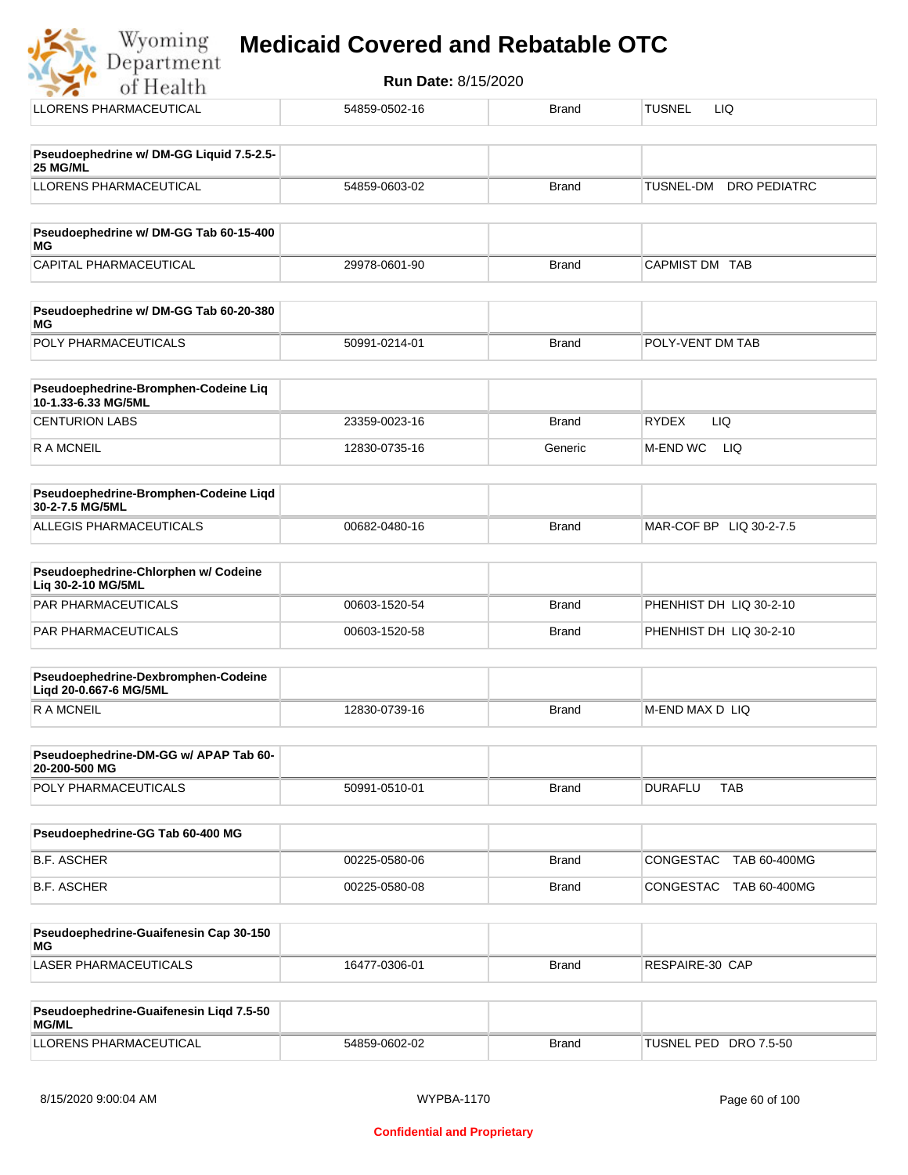| oming   | <b>Medicaid Covered and Rebatable OTC</b> |  |
|---------|-------------------------------------------|--|
| artment |                                           |  |

**Run Date:** 8/15/2020 of Health LLORENS PHARMACEUTICAL **1999** 54859-0502-16 Brand TUSNEL LIQ **Pseudoephedrine w/ DM-GG Liquid 7.5-2.5- 25 MG/ML** LLORENS PHARMACEUTICAL 54859-0603-02 Brand TUSNEL-DM DRO PEDIATRC **Pseudoephedrine w/ DM-GG Tab 60-15-400 MG** CAPITAL PHARMACEUTICAL  $29978-0601-90$ Brand CAPMIST DM TAB **Pseudoephedrine w/ DM-GG Tab 60-20-380 MG** POLY PHARMACEUTICALS 50991-0214-01 Brand POLY-VENT DM TAB **Pseudoephedrine-Bromphen-Codeine Liq 10-1.33-6.33 MG/5ML** CENTURION LABS 23359-0023-16 Brand RYDEX LIQ R A MCNEIL **12830-0735-16** Generic M-END WC LIQ **Pseudoephedrine-Bromphen-Codeine Liqd 30-2-7.5 MG/5ML** ALLEGIS PHARMACEUTICALS 00682-0480-16 DATE: DETAIL BRAND MAR-COF BP LIQ 30-2-7.5 **Pseudoephedrine-Chlorphen w/ Codeine Liq 30-2-10 MG/5ML** PAR PHARMACEUTICALS 00603-1520-54 Brand PHENHIST DH LIQ 30-2-10 PAR PHARMACEUTICALS 
and the compact of the compact of the compact of the compact of the compact of the compact of the compact of the compact of the compact of the compact of the compact of the compact of the compact of th **Pseudoephedrine-Dexbromphen-Codeine Liqd 20-0.667-6 MG/5ML** R A MCNEIL **Example 2018** 12830-0739-16 Brand M-END MAX D LIQ **Pseudoephedrine-DM-GG w/ APAP Tab 60- 20-200-500 MG** POLY PHARMACEUTICALS 
and the solution of the solution of the state of the state of the state of the state of the state of the state of the state of the state of the state of the state of the state of the state of the stat **Pseudoephedrine-GG Tab 60-400 MG** B.F. ASCHER 00225-0580-06 Brand CONGESTAC TAB 60-400MG B.F. ASCHER 00225-0580-08 Brand CONGESTAC TAB 60-400MG **Pseudoephedrine-Guaifenesin Cap 30-150 MG** LASER PHARMACEUTICALS 16477-0306-01 Brand RESPAIRE-30 CAP

| Pseudoephedrine-Guaifenesin Ligd 7.5-50<br>MG/ML |               |       |                       |
|--------------------------------------------------|---------------|-------|-----------------------|
| LLORENS PHARMACEUTICAL                           | 54859-0602-02 | Brand | TUSNEL PED DRO 7.5-50 |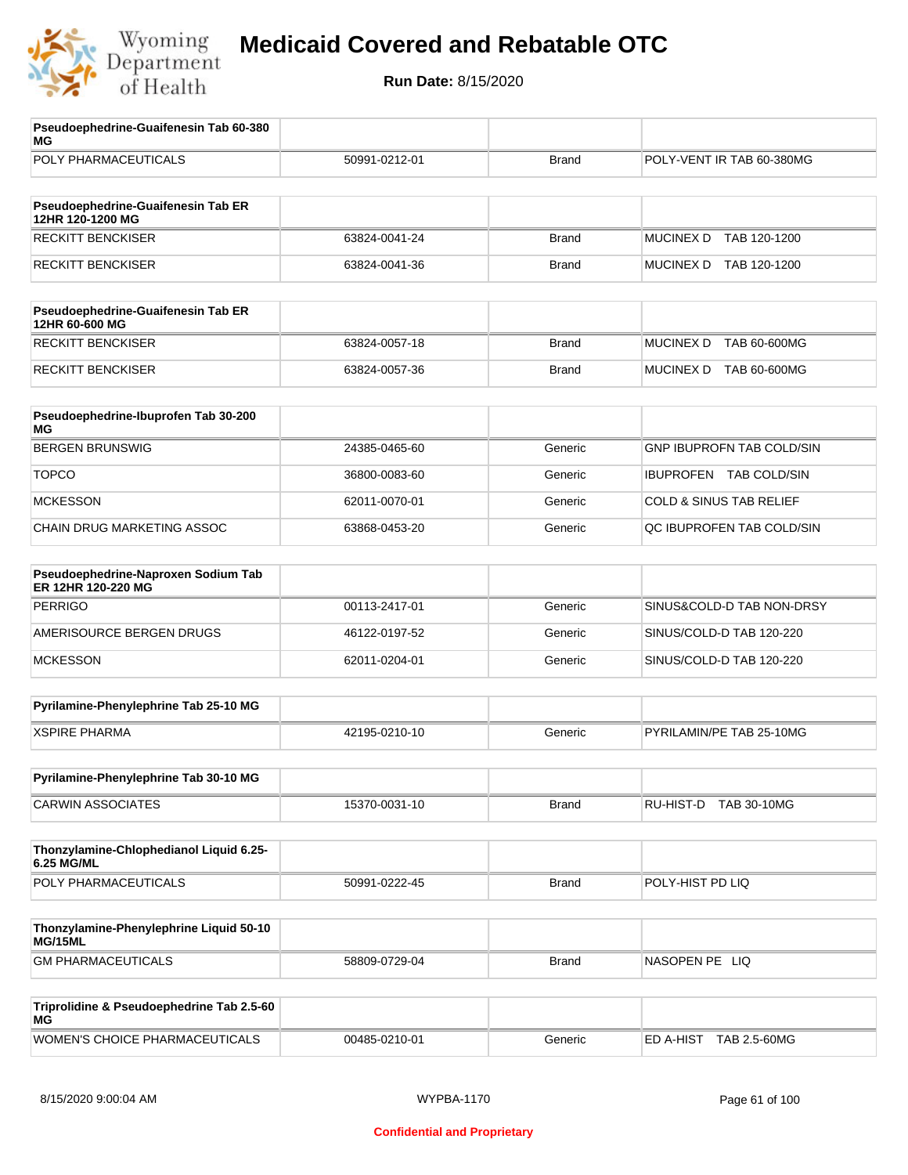

| Pseudoephedrine-Guaifenesin Tab 60-380<br>ΜG              |               |              |                                    |
|-----------------------------------------------------------|---------------|--------------|------------------------------------|
| POLY PHARMACEUTICALS                                      | 50991-0212-01 | <b>Brand</b> | POLY-VENT IR TAB 60-380MG          |
| Pseudoephedrine-Guaifenesin Tab ER                        |               |              |                                    |
| 12HR 120-1200 MG                                          |               |              |                                    |
| <b>RECKITT BENCKISER</b>                                  | 63824-0041-24 | <b>Brand</b> | <b>MUCINEX D</b><br>TAB 120-1200   |
| <b>RECKITT BENCKISER</b>                                  | 63824-0041-36 | <b>Brand</b> | MUCINEX D TAB 120-1200             |
| Pseudoephedrine-Guaifenesin Tab ER<br>12HR 60-600 MG      |               |              |                                    |
| <b>RECKITT BENCKISER</b>                                  | 63824-0057-18 | <b>Brand</b> | <b>MUCINEX D</b><br>TAB 60-600MG   |
| <b>RECKITT BENCKISER</b>                                  | 63824-0057-36 | <b>Brand</b> | MUCINEX D TAB 60-600MG             |
| Pseudoephedrine-Ibuprofen Tab 30-200<br>МG                |               |              |                                    |
| <b>BERGEN BRUNSWIG</b>                                    | 24385-0465-60 | Generic      | <b>GNP IBUPROFN TAB COLD/SIN</b>   |
| <b>TOPCO</b>                                              | 36800-0083-60 | Generic      | IBUPROFEN TAB COLD/SIN             |
| <b>MCKESSON</b>                                           | 62011-0070-01 | Generic      | <b>COLD &amp; SINUS TAB RELIEF</b> |
| <b>CHAIN DRUG MARKETING ASSOC</b>                         | 63868-0453-20 | Generic      | QC IBUPROFEN TAB COLD/SIN          |
| Pseudoephedrine-Naproxen Sodium Tab<br>ER 12HR 120-220 MG |               |              |                                    |
| <b>PERRIGO</b>                                            | 00113-2417-01 | Generic      | SINUS&COLD-D TAB NON-DRSY          |
| AMERISOURCE BERGEN DRUGS                                  | 46122-0197-52 | Generic      | SINUS/COLD-D TAB 120-220           |
| <b>MCKESSON</b>                                           | 62011-0204-01 | Generic      | SINUS/COLD-D TAB 120-220           |
| Pyrilamine-Phenylephrine Tab 25-10 MG                     |               |              |                                    |
| <b>XSPIRE PHARMA</b>                                      | 42195-0210-10 | Generic      | PYRILAMIN/PE TAB 25-10MG           |
| Pyrilamine-Phenylephrine Tab 30-10 MG                     |               |              |                                    |
| <b>CARWIN ASSOCIATES</b>                                  | 15370-0031-10 | <b>Brand</b> | RU-HIST-D TAB 30-10MG              |
| Thonzylamine-Chlophedianol Liquid 6.25-<br>6.25 MG/ML     |               |              |                                    |
| POLY PHARMACEUTICALS                                      | 50991-0222-45 | <b>Brand</b> | POLY-HIST PD LIQ                   |
| Thonzylamine-Phenylephrine Liquid 50-10                   |               |              |                                    |
| MG/15ML                                                   |               |              |                                    |
| <b>GM PHARMACEUTICALS</b>                                 | 58809-0729-04 | <b>Brand</b> | NASOPEN PE LIQ                     |
| Triprolidine & Pseudoephedrine Tab 2.5-60<br>МG           |               |              |                                    |
| WOMEN'S CHOICE PHARMACEUTICALS                            | 00485-0210-01 | Generic      | ED A-HIST TAB 2.5-60MG             |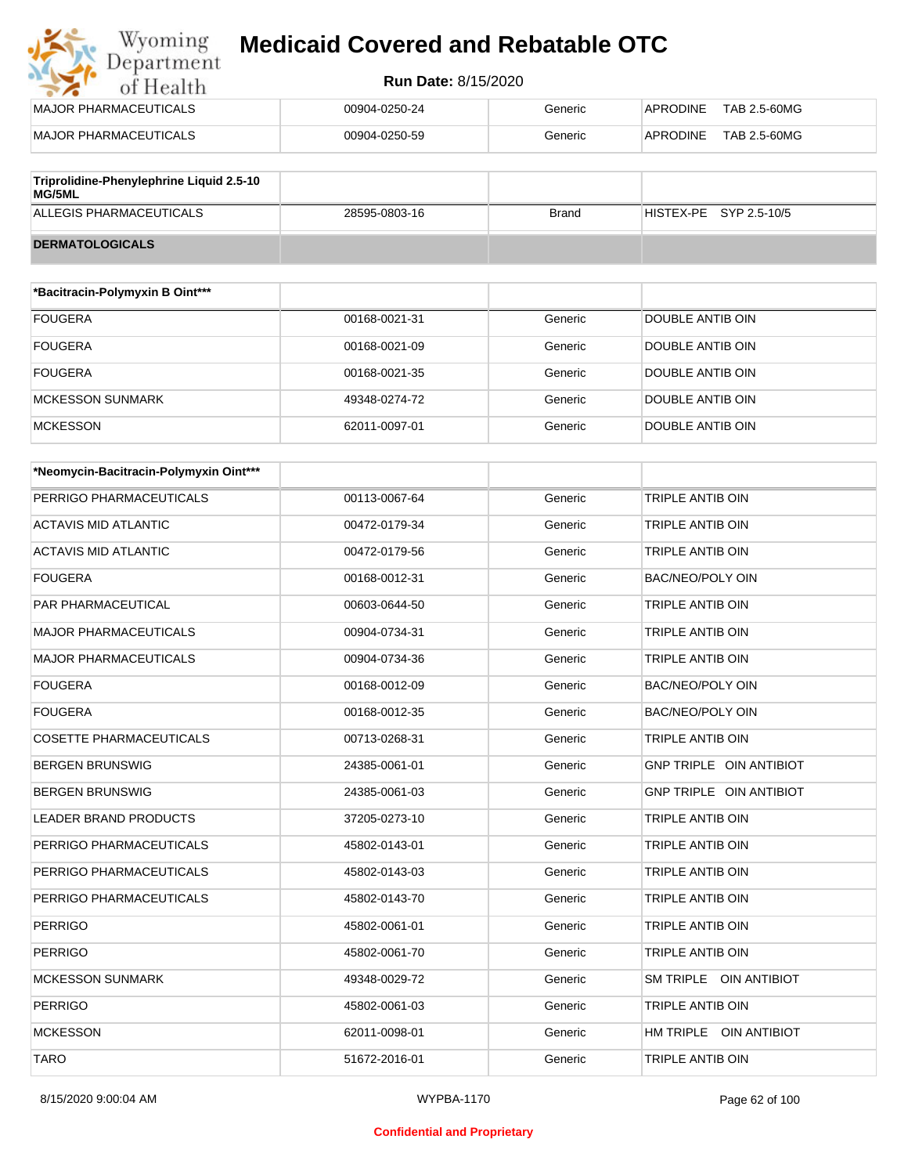## Wyoming<br>Department<br>of Health **Medicaid Covered and Rebatable OTC**

#### **Run Date:** 8/15/2020

| MAJOR PHARMACEUTICALS                              | 00904-0250-24 | Generic | TAB 2.5-60MG<br>APRODINE |
|----------------------------------------------------|---------------|---------|--------------------------|
| MAJOR PHARMACEUTICALS                              | 00904-0250-59 | Generic | TAB 2.5-60MG<br>APRODINE |
|                                                    |               |         |                          |
| Triprolidine-Phenylephrine Liquid 2.5-10<br>MC/EMI |               |         |                          |

| $\sim$ p. on an or received the properties $\sim$<br>MG/5ML |               |              |                        |
|-------------------------------------------------------------|---------------|--------------|------------------------|
| ALLEGIS PHARMACEUTICALS                                     | 28595-0803-16 | <b>Brand</b> | HISTEX-PE SYP 2.5-10/5 |
| <b>DERMATOLOGICALS</b>                                      |               |              |                        |

| *Bacitracin-Polymyxin B Oint*** |               |         |                  |
|---------------------------------|---------------|---------|------------------|
| <b>FOUGERA</b>                  | 00168-0021-31 | Generic | DOUBLE ANTIB OIN |
| <b>FOUGERA</b>                  | 00168-0021-09 | Generic | DOUBLE ANTIB OIN |
| <b>FOUGERA</b>                  | 00168-0021-35 | Generic | DOUBLE ANTIB OIN |
| <b>MCKESSON SUNMARK</b>         | 49348-0274-72 | Generic | DOUBLE ANTIB OIN |
| <b>MCKESSON</b>                 | 62011-0097-01 | Generic | DOUBLE ANTIB OIN |

| *Neomycin-Bacitracin-Polymyxin Oint*** |               |         |                         |
|----------------------------------------|---------------|---------|-------------------------|
| PERRIGO PHARMACEUTICALS                | 00113-0067-64 | Generic | <b>TRIPLE ANTIB OIN</b> |
| <b>ACTAVIS MID ATLANTIC</b>            | 00472-0179-34 | Generic | <b>TRIPLE ANTIB OIN</b> |
| ACTAVIS MID ATLANTIC                   | 00472-0179-56 | Generic | <b>TRIPLE ANTIB OIN</b> |
| <b>FOUGERA</b>                         | 00168-0012-31 | Generic | <b>BAC/NEO/POLY OIN</b> |
| <b>PAR PHARMACEUTICAL</b>              | 00603-0644-50 | Generic | <b>TRIPLE ANTIB OIN</b> |
| <b>MAJOR PHARMACEUTICALS</b>           | 00904-0734-31 | Generic | <b>TRIPLE ANTIB OIN</b> |
| <b>MAJOR PHARMACEUTICALS</b>           | 00904-0734-36 | Generic | <b>TRIPLE ANTIB OIN</b> |
| <b>FOUGERA</b>                         | 00168-0012-09 | Generic | BAC/NEO/POLY OIN        |
| <b>FOUGERA</b>                         | 00168-0012-35 | Generic | BAC/NEO/POLY OIN        |
| <b>COSETTE PHARMACEUTICALS</b>         | 00713-0268-31 | Generic | <b>TRIPLE ANTIB OIN</b> |
| <b>BERGEN BRUNSWIG</b>                 | 24385-0061-01 | Generic | GNP TRIPLE OIN ANTIBIOT |
| <b>BERGEN BRUNSWIG</b>                 | 24385-0061-03 | Generic | GNP TRIPLE OIN ANTIBIOT |
| <b>LEADER BRAND PRODUCTS</b>           | 37205-0273-10 | Generic | <b>TRIPLE ANTIB OIN</b> |
| PERRIGO PHARMACEUTICALS                | 45802-0143-01 | Generic | TRIPLE ANTIB OIN        |
| PERRIGO PHARMACEUTICALS                | 45802-0143-03 | Generic | <b>TRIPLE ANTIB OIN</b> |
| PERRIGO PHARMACEUTICALS                | 45802-0143-70 | Generic | <b>TRIPLE ANTIB OIN</b> |
| <b>PERRIGO</b>                         | 45802-0061-01 | Generic | <b>TRIPLE ANTIB OIN</b> |
| <b>PERRIGO</b>                         | 45802-0061-70 | Generic | <b>TRIPLE ANTIB OIN</b> |
| <b>MCKESSON SUNMARK</b>                | 49348-0029-72 | Generic | SM TRIPLE OIN ANTIBIOT  |
| <b>PERRIGO</b>                         | 45802-0061-03 | Generic | TRIPLE ANTIB OIN        |
| <b>MCKESSON</b>                        | 62011-0098-01 | Generic | HM TRIPLE OIN ANTIBIOT  |
| <b>TARO</b>                            | 51672-2016-01 | Generic | <b>TRIPLE ANTIB OIN</b> |

#### **Confidential and Proprietary**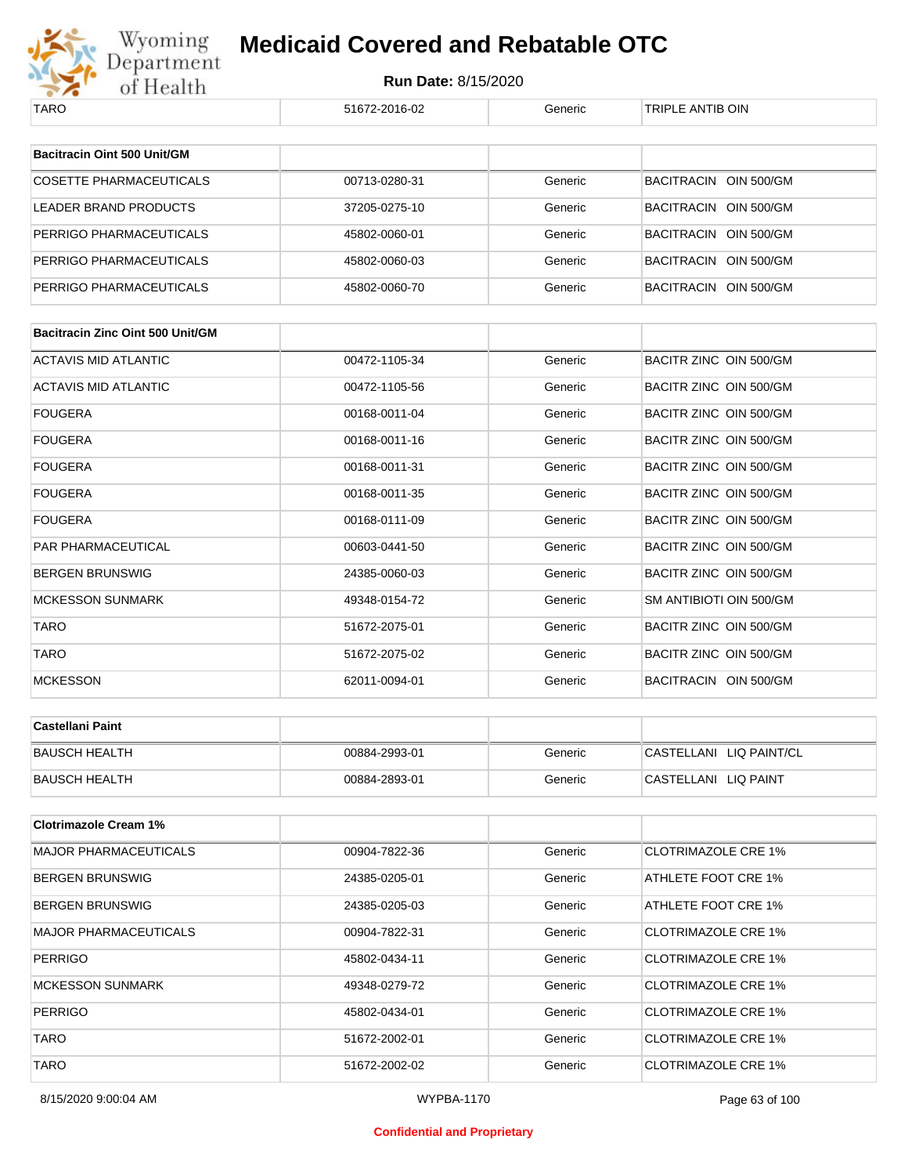

| TARO                                    | 51672-2016-02 | Generic | TRIPLE ANTIB OIN           |
|-----------------------------------------|---------------|---------|----------------------------|
|                                         |               |         |                            |
| Bacitracin Oint 500 Unit/GM             |               |         |                            |
| <b>COSETTE PHARMACEUTICALS</b>          | 00713-0280-31 | Generic | BACITRACIN OIN 500/GM      |
| LEADER BRAND PRODUCTS                   | 37205-0275-10 | Generic | BACITRACIN OIN 500/GM      |
| PERRIGO PHARMACEUTICALS                 | 45802-0060-01 | Generic | BACITRACIN OIN 500/GM      |
| PERRIGO PHARMACEUTICALS                 | 45802-0060-03 | Generic | BACITRACIN OIN 500/GM      |
| PERRIGO PHARMACEUTICALS                 | 45802-0060-70 | Generic | BACITRACIN OIN 500/GM      |
|                                         |               |         |                            |
| <b>Bacitracin Zinc Oint 500 Unit/GM</b> |               |         |                            |
| <b>ACTAVIS MID ATLANTIC</b>             | 00472-1105-34 | Generic | BACITR ZINC OIN 500/GM     |
| ACTAVIS MID ATLANTIC                    | 00472-1105-56 | Generic | BACITR ZINC OIN 500/GM     |
| FOUGERA                                 | 00168-0011-04 | Generic | BACITR ZINC OIN 500/GM     |
| FOUGERA                                 | 00168-0011-16 | Generic | BACITR ZINC OIN 500/GM     |
| FOUGERA                                 | 00168-0011-31 | Generic | BACITR ZINC OIN 500/GM     |
| FOUGERA                                 | 00168-0011-35 | Generic | BACITR ZINC OIN 500/GM     |
| FOUGERA                                 | 00168-0111-09 | Generic | BACITR ZINC OIN 500/GM     |
| PAR PHARMACEUTICAL                      | 00603-0441-50 | Generic | BACITR ZINC OIN 500/GM     |
| BERGEN BRUNSWIG                         | 24385-0060-03 | Generic | BACITR ZINC OIN 500/GM     |
| <b>MCKESSON SUNMARK</b>                 | 49348-0154-72 | Generic | SM ANTIBIOTI OIN 500/GM    |
| <b>TARO</b>                             | 51672-2075-01 | Generic | BACITR ZINC OIN 500/GM     |
| TARO                                    | 51672-2075-02 | Generic | BACITR ZINC OIN 500/GM     |
| <b>MCKESSON</b>                         | 62011-0094-01 | Generic | BACITRACIN OIN 500/GM      |
|                                         |               |         |                            |
| <b>Castellani Paint</b>                 |               |         |                            |
| <b>BAUSCH HEALTH</b>                    | 00884-2993-01 | Generic | CASTELLANI LIQ PAINT/CL    |
| <b>BAUSCH HEALTH</b>                    | 00884-2893-01 | Generic | CASTELLANI LIQ PAINT       |
| <b>Clotrimazole Cream 1%</b>            |               |         |                            |
| <b>MAJOR PHARMACEUTICALS</b>            | 00904-7822-36 | Generic | <b>CLOTRIMAZOLE CRE 1%</b> |
| BERGEN BRUNSWIG                         | 24385-0205-01 | Generic | ATHLETE FOOT CRE 1%        |
| BERGEN BRUNSWIG                         | 24385-0205-03 | Generic | ATHLETE FOOT CRE 1%        |
| <b>MAJOR PHARMACEUTICALS</b>            | 00904-7822-31 | Generic | <b>CLOTRIMAZOLE CRE 1%</b> |
|                                         |               |         |                            |
| PERRIGO                                 | 45802-0434-11 | Generic | <b>CLOTRIMAZOLE CRE 1%</b> |
| <b>MCKESSON SUNMARK</b>                 | 49348-0279-72 | Generic | <b>CLOTRIMAZOLE CRE 1%</b> |
| PERRIGO                                 | 45802-0434-01 | Generic | <b>CLOTRIMAZOLE CRE 1%</b> |
| TARO                                    | 51672-2002-01 | Generic | <b>CLOTRIMAZOLE CRE 1%</b> |
| <b>TARO</b>                             | 51672-2002-02 | Generic | <b>CLOTRIMAZOLE CRE 1%</b> |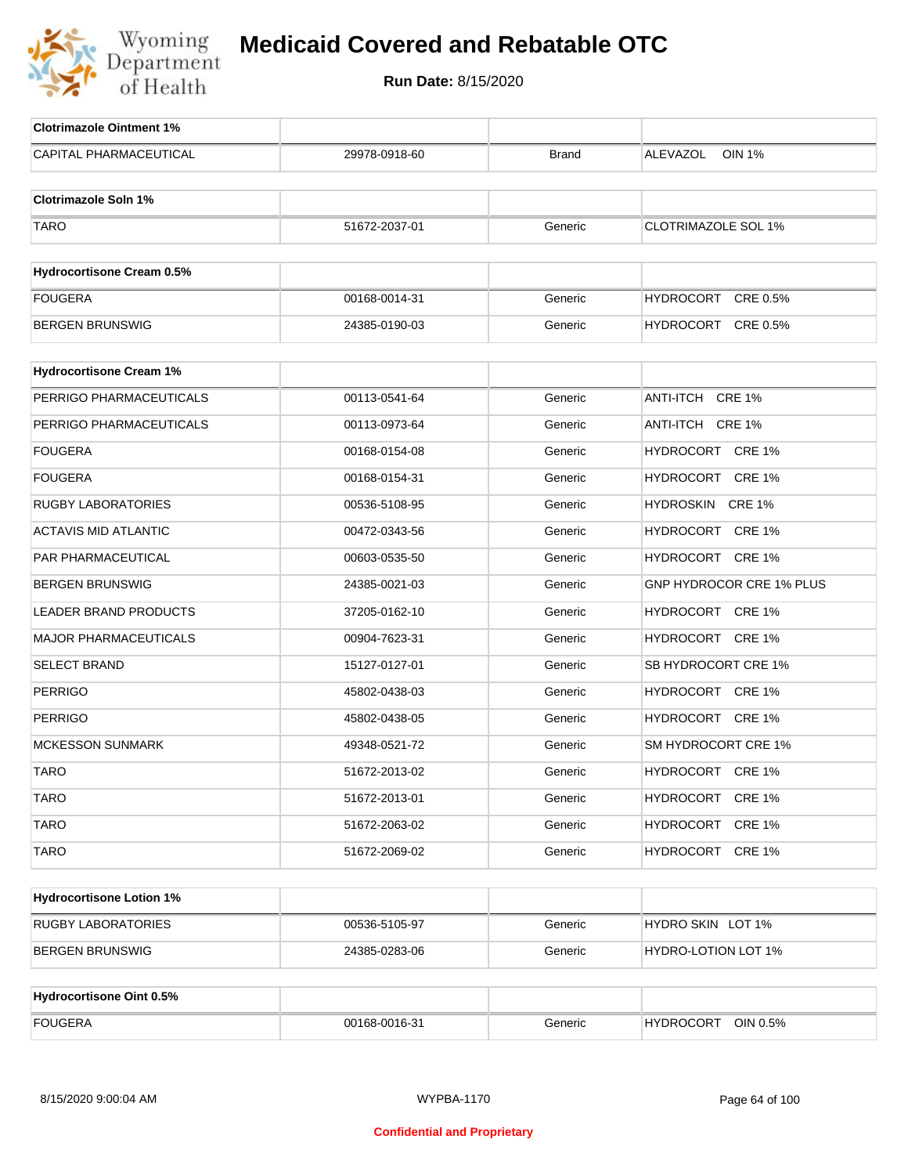

| <b>Clotrimazole Ointment 1%</b>  |               |              |                            |
|----------------------------------|---------------|--------------|----------------------------|
| CAPITAL PHARMACEUTICAL           | 29978-0918-60 | <b>Brand</b> | ALEVAZOL<br><b>OIN 1%</b>  |
| <b>Clotrimazole Soln 1%</b>      |               |              |                            |
|                                  |               |              |                            |
| <b>TARO</b>                      | 51672-2037-01 | Generic      | <b>CLOTRIMAZOLE SOL 1%</b> |
| <b>Hydrocortisone Cream 0.5%</b> |               |              |                            |
| <b>FOUGERA</b>                   | 00168-0014-31 | Generic      | HYDROCORT CRE 0.5%         |
| <b>BERGEN BRUNSWIG</b>           | 24385-0190-03 | Generic      | HYDROCORT CRE 0.5%         |
|                                  |               |              |                            |
| <b>Hydrocortisone Cream 1%</b>   |               |              |                            |
| PERRIGO PHARMACEUTICALS          | 00113-0541-64 | Generic      | ANTI-ITCH CRE 1%           |
| PERRIGO PHARMACEUTICALS          | 00113-0973-64 | Generic      | ANTI-ITCH CRE 1%           |
| <b>FOUGERA</b>                   | 00168-0154-08 | Generic      | HYDROCORT CRE 1%           |
| <b>FOUGERA</b>                   | 00168-0154-31 | Generic      | HYDROCORT CRE 1%           |
| <b>RUGBY LABORATORIES</b>        | 00536-5108-95 | Generic      | HYDROSKIN CRE 1%           |
| <b>ACTAVIS MID ATLANTIC</b>      | 00472-0343-56 | Generic      | HYDROCORT CRE 1%           |
| PAR PHARMACEUTICAL               | 00603-0535-50 | Generic      | HYDROCORT CRE 1%           |
| <b>BERGEN BRUNSWIG</b>           | 24385-0021-03 | Generic      | GNP HYDROCOR CRE 1% PLUS   |
| <b>LEADER BRAND PRODUCTS</b>     | 37205-0162-10 | Generic      | HYDROCORT CRE 1%           |
| <b>MAJOR PHARMACEUTICALS</b>     | 00904-7623-31 | Generic      | HYDROCORT CRE 1%           |
| <b>SELECT BRAND</b>              | 15127-0127-01 | Generic      | SB HYDROCORT CRE 1%        |
| <b>PERRIGO</b>                   | 45802-0438-03 | Generic      | HYDROCORT CRE 1%           |
| <b>PERRIGO</b>                   | 45802-0438-05 | Generic      | HYDROCORT CRE 1%           |
| <b>MCKESSON SUNMARK</b>          | 49348-0521-72 | Generic      | SM HYDROCORT CRE 1%        |
| <b>TARO</b>                      | 51672-2013-02 | Generic      | HYDROCORT CRE 1%           |
| <b>TARO</b>                      | 51672-2013-01 | Generic      | HYDROCORT CRE 1%           |
| <b>TARO</b>                      | 51672-2063-02 | Generic      | HYDROCORT CRE 1%           |
| <b>TARO</b>                      | 51672-2069-02 | Generic      | HYDROCORT CRE 1%           |
|                                  |               |              |                            |
| <b>Hydrocortisone Lotion 1%</b>  |               |              |                            |
| <b>RUGBY LABORATORIES</b>        | 00536-5105-97 | Generic      | HYDRO SKIN LOT 1%          |
| <b>BERGEN BRUNSWIG</b>           | 24385-0283-06 | Generic      | HYDRO-LOTION LOT 1%        |
| <b>Hydrocortisone Oint 0.5%</b>  |               |              |                            |
|                                  |               |              | HYDROCORT OIN 0.5%         |
| <b>FOUGERA</b>                   | 00168-0016-31 | Generic      |                            |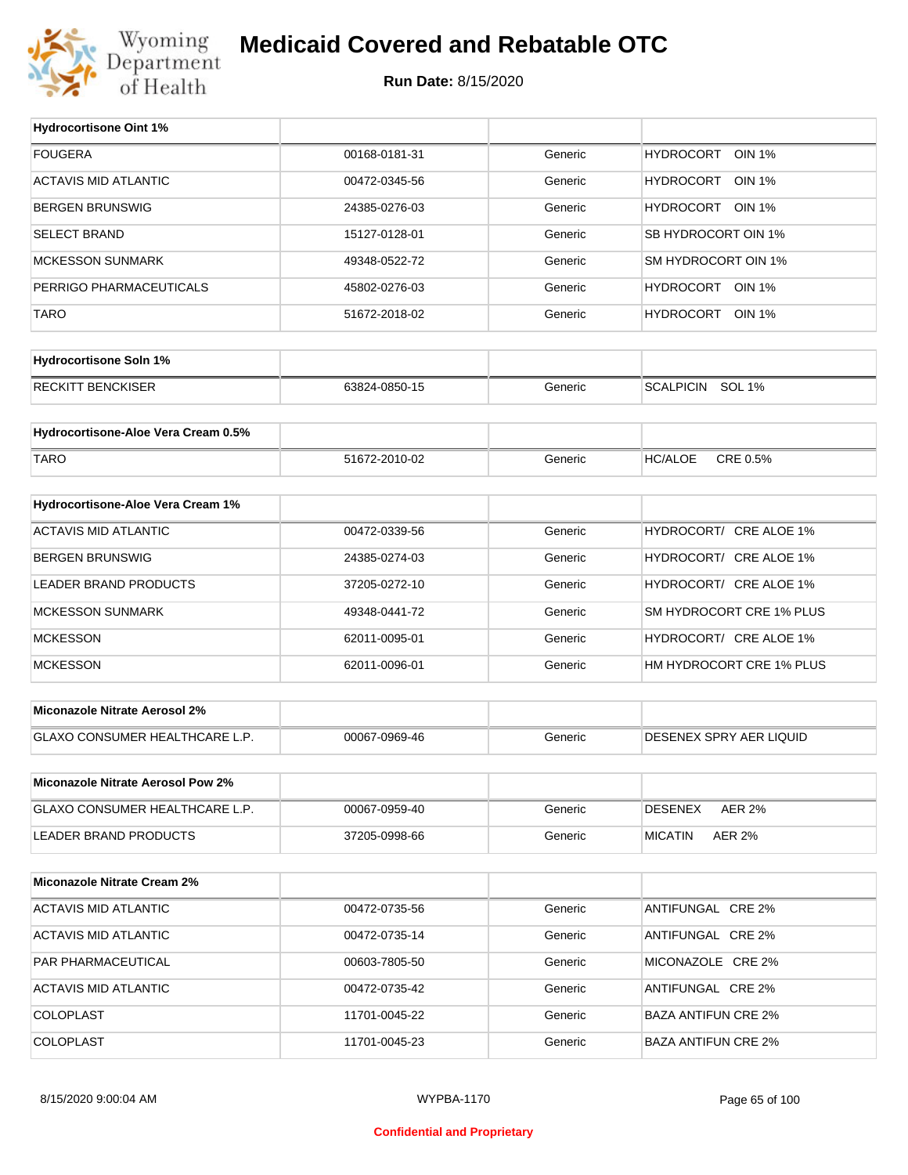

#### **Medicaid Covered and Rebatable OTC**

**Run Date:** 8/15/2020

 $\top$ 

| <b>FOUGERA</b><br>00168-0181-31<br><b>HYDROCORT</b><br><b>OIN 1%</b><br>Generic<br><b>ACTAVIS MID ATLANTIC</b><br>HYDROCORT OIN 1%<br>00472-0345-56<br>Generic<br><b>BERGEN BRUNSWIG</b><br>HYDROCORT OIN 1%<br>24385-0276-03<br>Generic<br><b>SELECT BRAND</b><br>SB HYDROCORT OIN 1%<br>15127-0128-01<br>Generic<br><b>MCKESSON SUNMARK</b><br>SM HYDROCORT OIN 1%<br>49348-0522-72<br>Generic<br>HYDROCORT OIN 1%<br>PERRIGO PHARMACEUTICALS<br>45802-0276-03<br>Generic<br><b>TARO</b><br>HYDROCORT OIN 1%<br>51672-2018-02<br>Generic<br><b>Hydrocortisone Soln 1%</b><br><b>RECKITT BENCKISER</b><br>SCALPICIN SOL 1%<br>63824-0850-15<br>Generic<br>Hydrocortisone-Aloe Vera Cream 0.5%<br>CRE 0.5%<br><b>TARO</b><br><b>HC/ALOE</b><br>51672-2010-02<br>Generic<br>Hydrocortisone-Aloe Vera Cream 1%<br><b>ACTAVIS MID ATLANTIC</b><br>HYDROCORT/ CRE ALOE 1%<br>00472-0339-56<br>Generic<br><b>BERGEN BRUNSWIG</b><br>HYDROCORT/ CRE ALOE 1%<br>24385-0274-03<br>Generic<br>HYDROCORT/ CRE ALOE 1%<br>LEADER BRAND PRODUCTS<br>37205-0272-10<br>Generic<br>SM HYDROCORT CRE 1% PLUS<br><b>MCKESSON SUNMARK</b><br>Generic<br>49348-0441-72<br><b>MCKESSON</b><br>HYDROCORT/ CRE ALOE 1%<br>62011-0095-01<br>Generic<br><b>MCKESSON</b><br>HM HYDROCORT CRE 1% PLUS<br>62011-0096-01<br>Generic<br><b>Miconazole Nitrate Aerosol 2%</b><br>GLAXO CONSUMER HEALTHCARE L.P.<br><b>DESENEX SPRY AER LIQUID</b><br>00067-0969-46<br>Generic<br>Miconazole Nitrate Aerosol Pow 2%<br>GLAXO CONSUMER HEALTHCARE L.P.<br>Generic<br><b>DESENEX</b><br><b>AER 2%</b><br>00067-0959-40<br>LEADER BRAND PRODUCTS<br><b>MICATIN</b><br>37205-0998-66<br>Generic<br><b>AER 2%</b><br><b>Miconazole Nitrate Cream 2%</b><br><b>ACTAVIS MID ATLANTIC</b><br>ANTIFUNGAL CRE 2%<br>00472-0735-56<br>Generic<br>ACTAVIS MID ATLANTIC<br>ANTIFUNGAL CRE 2%<br>00472-0735-14<br>Generic<br>PAR PHARMACEUTICAL<br>Generic<br>MICONAZOLE CRE 2%<br>00603-7805-50<br>ACTAVIS MID ATLANTIC<br>ANTIFUNGAL CRE 2%<br>00472-0735-42<br>Generic<br>COLOPLAST<br>Generic<br><b>BAZA ANTIFUN CRE 2%</b><br>11701-0045-22 | <b>Hydrocortisone Oint 1%</b> |  |  |
|-----------------------------------------------------------------------------------------------------------------------------------------------------------------------------------------------------------------------------------------------------------------------------------------------------------------------------------------------------------------------------------------------------------------------------------------------------------------------------------------------------------------------------------------------------------------------------------------------------------------------------------------------------------------------------------------------------------------------------------------------------------------------------------------------------------------------------------------------------------------------------------------------------------------------------------------------------------------------------------------------------------------------------------------------------------------------------------------------------------------------------------------------------------------------------------------------------------------------------------------------------------------------------------------------------------------------------------------------------------------------------------------------------------------------------------------------------------------------------------------------------------------------------------------------------------------------------------------------------------------------------------------------------------------------------------------------------------------------------------------------------------------------------------------------------------------------------------------------------------------------------------------------------------------------------------------------------------------------------------------------------------------------------------------------------------------------------------------------------|-------------------------------|--|--|
|                                                                                                                                                                                                                                                                                                                                                                                                                                                                                                                                                                                                                                                                                                                                                                                                                                                                                                                                                                                                                                                                                                                                                                                                                                                                                                                                                                                                                                                                                                                                                                                                                                                                                                                                                                                                                                                                                                                                                                                                                                                                                                     |                               |  |  |
|                                                                                                                                                                                                                                                                                                                                                                                                                                                                                                                                                                                                                                                                                                                                                                                                                                                                                                                                                                                                                                                                                                                                                                                                                                                                                                                                                                                                                                                                                                                                                                                                                                                                                                                                                                                                                                                                                                                                                                                                                                                                                                     |                               |  |  |
|                                                                                                                                                                                                                                                                                                                                                                                                                                                                                                                                                                                                                                                                                                                                                                                                                                                                                                                                                                                                                                                                                                                                                                                                                                                                                                                                                                                                                                                                                                                                                                                                                                                                                                                                                                                                                                                                                                                                                                                                                                                                                                     |                               |  |  |
|                                                                                                                                                                                                                                                                                                                                                                                                                                                                                                                                                                                                                                                                                                                                                                                                                                                                                                                                                                                                                                                                                                                                                                                                                                                                                                                                                                                                                                                                                                                                                                                                                                                                                                                                                                                                                                                                                                                                                                                                                                                                                                     |                               |  |  |
|                                                                                                                                                                                                                                                                                                                                                                                                                                                                                                                                                                                                                                                                                                                                                                                                                                                                                                                                                                                                                                                                                                                                                                                                                                                                                                                                                                                                                                                                                                                                                                                                                                                                                                                                                                                                                                                                                                                                                                                                                                                                                                     |                               |  |  |
|                                                                                                                                                                                                                                                                                                                                                                                                                                                                                                                                                                                                                                                                                                                                                                                                                                                                                                                                                                                                                                                                                                                                                                                                                                                                                                                                                                                                                                                                                                                                                                                                                                                                                                                                                                                                                                                                                                                                                                                                                                                                                                     |                               |  |  |
|                                                                                                                                                                                                                                                                                                                                                                                                                                                                                                                                                                                                                                                                                                                                                                                                                                                                                                                                                                                                                                                                                                                                                                                                                                                                                                                                                                                                                                                                                                                                                                                                                                                                                                                                                                                                                                                                                                                                                                                                                                                                                                     |                               |  |  |
|                                                                                                                                                                                                                                                                                                                                                                                                                                                                                                                                                                                                                                                                                                                                                                                                                                                                                                                                                                                                                                                                                                                                                                                                                                                                                                                                                                                                                                                                                                                                                                                                                                                                                                                                                                                                                                                                                                                                                                                                                                                                                                     |                               |  |  |
|                                                                                                                                                                                                                                                                                                                                                                                                                                                                                                                                                                                                                                                                                                                                                                                                                                                                                                                                                                                                                                                                                                                                                                                                                                                                                                                                                                                                                                                                                                                                                                                                                                                                                                                                                                                                                                                                                                                                                                                                                                                                                                     |                               |  |  |
|                                                                                                                                                                                                                                                                                                                                                                                                                                                                                                                                                                                                                                                                                                                                                                                                                                                                                                                                                                                                                                                                                                                                                                                                                                                                                                                                                                                                                                                                                                                                                                                                                                                                                                                                                                                                                                                                                                                                                                                                                                                                                                     |                               |  |  |
|                                                                                                                                                                                                                                                                                                                                                                                                                                                                                                                                                                                                                                                                                                                                                                                                                                                                                                                                                                                                                                                                                                                                                                                                                                                                                                                                                                                                                                                                                                                                                                                                                                                                                                                                                                                                                                                                                                                                                                                                                                                                                                     |                               |  |  |
|                                                                                                                                                                                                                                                                                                                                                                                                                                                                                                                                                                                                                                                                                                                                                                                                                                                                                                                                                                                                                                                                                                                                                                                                                                                                                                                                                                                                                                                                                                                                                                                                                                                                                                                                                                                                                                                                                                                                                                                                                                                                                                     |                               |  |  |
|                                                                                                                                                                                                                                                                                                                                                                                                                                                                                                                                                                                                                                                                                                                                                                                                                                                                                                                                                                                                                                                                                                                                                                                                                                                                                                                                                                                                                                                                                                                                                                                                                                                                                                                                                                                                                                                                                                                                                                                                                                                                                                     |                               |  |  |
|                                                                                                                                                                                                                                                                                                                                                                                                                                                                                                                                                                                                                                                                                                                                                                                                                                                                                                                                                                                                                                                                                                                                                                                                                                                                                                                                                                                                                                                                                                                                                                                                                                                                                                                                                                                                                                                                                                                                                                                                                                                                                                     |                               |  |  |
|                                                                                                                                                                                                                                                                                                                                                                                                                                                                                                                                                                                                                                                                                                                                                                                                                                                                                                                                                                                                                                                                                                                                                                                                                                                                                                                                                                                                                                                                                                                                                                                                                                                                                                                                                                                                                                                                                                                                                                                                                                                                                                     |                               |  |  |
|                                                                                                                                                                                                                                                                                                                                                                                                                                                                                                                                                                                                                                                                                                                                                                                                                                                                                                                                                                                                                                                                                                                                                                                                                                                                                                                                                                                                                                                                                                                                                                                                                                                                                                                                                                                                                                                                                                                                                                                                                                                                                                     |                               |  |  |
|                                                                                                                                                                                                                                                                                                                                                                                                                                                                                                                                                                                                                                                                                                                                                                                                                                                                                                                                                                                                                                                                                                                                                                                                                                                                                                                                                                                                                                                                                                                                                                                                                                                                                                                                                                                                                                                                                                                                                                                                                                                                                                     |                               |  |  |
|                                                                                                                                                                                                                                                                                                                                                                                                                                                                                                                                                                                                                                                                                                                                                                                                                                                                                                                                                                                                                                                                                                                                                                                                                                                                                                                                                                                                                                                                                                                                                                                                                                                                                                                                                                                                                                                                                                                                                                                                                                                                                                     |                               |  |  |
|                                                                                                                                                                                                                                                                                                                                                                                                                                                                                                                                                                                                                                                                                                                                                                                                                                                                                                                                                                                                                                                                                                                                                                                                                                                                                                                                                                                                                                                                                                                                                                                                                                                                                                                                                                                                                                                                                                                                                                                                                                                                                                     |                               |  |  |
|                                                                                                                                                                                                                                                                                                                                                                                                                                                                                                                                                                                                                                                                                                                                                                                                                                                                                                                                                                                                                                                                                                                                                                                                                                                                                                                                                                                                                                                                                                                                                                                                                                                                                                                                                                                                                                                                                                                                                                                                                                                                                                     |                               |  |  |
|                                                                                                                                                                                                                                                                                                                                                                                                                                                                                                                                                                                                                                                                                                                                                                                                                                                                                                                                                                                                                                                                                                                                                                                                                                                                                                                                                                                                                                                                                                                                                                                                                                                                                                                                                                                                                                                                                                                                                                                                                                                                                                     |                               |  |  |
|                                                                                                                                                                                                                                                                                                                                                                                                                                                                                                                                                                                                                                                                                                                                                                                                                                                                                                                                                                                                                                                                                                                                                                                                                                                                                                                                                                                                                                                                                                                                                                                                                                                                                                                                                                                                                                                                                                                                                                                                                                                                                                     |                               |  |  |
|                                                                                                                                                                                                                                                                                                                                                                                                                                                                                                                                                                                                                                                                                                                                                                                                                                                                                                                                                                                                                                                                                                                                                                                                                                                                                                                                                                                                                                                                                                                                                                                                                                                                                                                                                                                                                                                                                                                                                                                                                                                                                                     |                               |  |  |
|                                                                                                                                                                                                                                                                                                                                                                                                                                                                                                                                                                                                                                                                                                                                                                                                                                                                                                                                                                                                                                                                                                                                                                                                                                                                                                                                                                                                                                                                                                                                                                                                                                                                                                                                                                                                                                                                                                                                                                                                                                                                                                     |                               |  |  |
|                                                                                                                                                                                                                                                                                                                                                                                                                                                                                                                                                                                                                                                                                                                                                                                                                                                                                                                                                                                                                                                                                                                                                                                                                                                                                                                                                                                                                                                                                                                                                                                                                                                                                                                                                                                                                                                                                                                                                                                                                                                                                                     |                               |  |  |
|                                                                                                                                                                                                                                                                                                                                                                                                                                                                                                                                                                                                                                                                                                                                                                                                                                                                                                                                                                                                                                                                                                                                                                                                                                                                                                                                                                                                                                                                                                                                                                                                                                                                                                                                                                                                                                                                                                                                                                                                                                                                                                     |                               |  |  |
|                                                                                                                                                                                                                                                                                                                                                                                                                                                                                                                                                                                                                                                                                                                                                                                                                                                                                                                                                                                                                                                                                                                                                                                                                                                                                                                                                                                                                                                                                                                                                                                                                                                                                                                                                                                                                                                                                                                                                                                                                                                                                                     |                               |  |  |
|                                                                                                                                                                                                                                                                                                                                                                                                                                                                                                                                                                                                                                                                                                                                                                                                                                                                                                                                                                                                                                                                                                                                                                                                                                                                                                                                                                                                                                                                                                                                                                                                                                                                                                                                                                                                                                                                                                                                                                                                                                                                                                     |                               |  |  |
|                                                                                                                                                                                                                                                                                                                                                                                                                                                                                                                                                                                                                                                                                                                                                                                                                                                                                                                                                                                                                                                                                                                                                                                                                                                                                                                                                                                                                                                                                                                                                                                                                                                                                                                                                                                                                                                                                                                                                                                                                                                                                                     |                               |  |  |
|                                                                                                                                                                                                                                                                                                                                                                                                                                                                                                                                                                                                                                                                                                                                                                                                                                                                                                                                                                                                                                                                                                                                                                                                                                                                                                                                                                                                                                                                                                                                                                                                                                                                                                                                                                                                                                                                                                                                                                                                                                                                                                     |                               |  |  |
|                                                                                                                                                                                                                                                                                                                                                                                                                                                                                                                                                                                                                                                                                                                                                                                                                                                                                                                                                                                                                                                                                                                                                                                                                                                                                                                                                                                                                                                                                                                                                                                                                                                                                                                                                                                                                                                                                                                                                                                                                                                                                                     |                               |  |  |
|                                                                                                                                                                                                                                                                                                                                                                                                                                                                                                                                                                                                                                                                                                                                                                                                                                                                                                                                                                                                                                                                                                                                                                                                                                                                                                                                                                                                                                                                                                                                                                                                                                                                                                                                                                                                                                                                                                                                                                                                                                                                                                     |                               |  |  |
|                                                                                                                                                                                                                                                                                                                                                                                                                                                                                                                                                                                                                                                                                                                                                                                                                                                                                                                                                                                                                                                                                                                                                                                                                                                                                                                                                                                                                                                                                                                                                                                                                                                                                                                                                                                                                                                                                                                                                                                                                                                                                                     |                               |  |  |
| COLOPLAST<br>11701-0045-23<br>Generic<br><b>BAZA ANTIFUN CRE 2%</b>                                                                                                                                                                                                                                                                                                                                                                                                                                                                                                                                                                                                                                                                                                                                                                                                                                                                                                                                                                                                                                                                                                                                                                                                                                                                                                                                                                                                                                                                                                                                                                                                                                                                                                                                                                                                                                                                                                                                                                                                                                 |                               |  |  |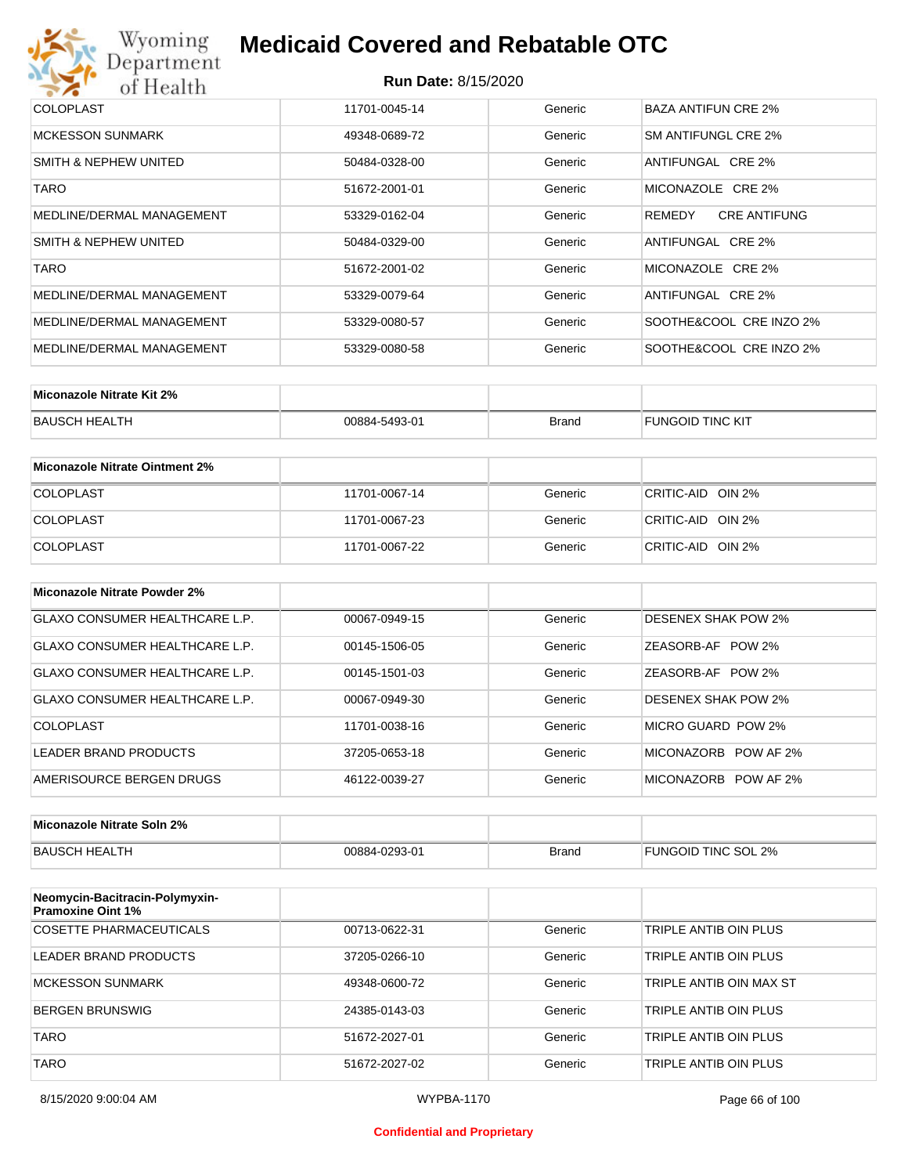## Wyoming<br>Department<br>of Health

## **Medicaid Covered and Rebatable OTC**

| <b>COLOPLAST</b>          | 11701-0045-14 | Generic | BAZA ANTIFUN CRE 2%           |
|---------------------------|---------------|---------|-------------------------------|
| MCKESSON SUNMARK          | 49348-0689-72 | Generic | SM ANTIFUNGL CRE 2%           |
| SMITH & NEPHEW UNITED     | 50484-0328-00 | Generic | ANTIFUNGAL CRE 2%             |
| <b>TARO</b>               | 51672-2001-01 | Generic | MICONAZOLE CRE 2%             |
| MEDLINE/DERMAL MANAGEMENT | 53329-0162-04 | Generic | <b>CRE ANTIFUNG</b><br>REMEDY |
| SMITH & NEPHEW UNITED     | 50484-0329-00 | Generic | ANTIFUNGAL CRE 2%             |
| <b>TARO</b>               | 51672-2001-02 | Generic | MICONAZOLE CRE 2%             |
| MEDLINE/DERMAL MANAGEMENT | 53329-0079-64 | Generic | ANTIFUNGAL CRE 2%             |
| MEDLINE/DERMAL MANAGEMENT | 53329-0080-57 | Generic | SOOTHE&COOL CRE INZO 2%       |
| MEDLINE/DERMAL MANAGEMENT | 53329-0080-58 | Generic | SOOTHE&COOL CRE INZO 2%       |

| Miconazole Nitrate Kit 2% |               |              |                         |
|---------------------------|---------------|--------------|-------------------------|
| BAUSCH HEALTH             | 00884-5493-01 | <b>Brand</b> | <b>FUNGOID TINC KIT</b> |

| Miconazole Nitrate Ointment 2% |               |         |                   |
|--------------------------------|---------------|---------|-------------------|
| <b>COLOPLAST</b>               | 11701-0067-14 | Generic | CRITIC-AID OIN 2% |
| <b>COLOPLAST</b>               | 11701-0067-23 | Generic | CRITIC-AID OIN 2% |
| <b>COLOPLAST</b>               | 11701-0067-22 | Generic | CRITIC-AID OIN 2% |

| Miconazole Nitrate Powder 2%          |               |         |                            |
|---------------------------------------|---------------|---------|----------------------------|
| <b>GLAXO CONSUMER HEALTHCARE L.P.</b> | 00067-0949-15 | Generic | <b>DESENEX SHAK POW 2%</b> |
| GLAXO CONSUMER HEALTHCARE L.P.        | 00145-1506-05 | Generic | ZEASORB-AF POW 2%          |
| GLAXO CONSUMER HEALTHCARE L.P.        | 00145-1501-03 | Generic | ZEASORB-AF POW 2%          |
| GLAXO CONSUMER HEALTHCARE L.P.        | 00067-0949-30 | Generic | <b>DESENEX SHAK POW 2%</b> |
| COLOPLAST                             | 11701-0038-16 | Generic | MICRO GUARD POW 2%         |
| LEADER BRAND PRODUCTS                 | 37205-0653-18 | Generic | MICONAZORB POW AF 2%       |
| AMERISOURCE BERGEN DRUGS              | 46122-0039-27 | Generic | MICONAZORB POW AF 2%       |

| Miconazole Nitrate Soln 2% |               |              |                     |
|----------------------------|---------------|--------------|---------------------|
| BAUSCH HEALTH              | 00884-0293-01 | <b>Brand</b> | FUNGOID TINC SOL 2% |

| Neomycin-Bacitracin-Polymyxin-<br><b>Pramoxine Oint 1%</b> |               |         |                         |
|------------------------------------------------------------|---------------|---------|-------------------------|
| COSETTE PHARMACEUTICALS                                    | 00713-0622-31 | Generic | TRIPLE ANTIB OIN PLUS   |
| LEADER BRAND PRODUCTS                                      | 37205-0266-10 | Generic | TRIPLE ANTIB OIN PLUS   |
| <b>MCKESSON SUNMARK</b>                                    | 49348-0600-72 | Generic | TRIPLE ANTIB OIN MAX ST |
| <b>BERGEN BRUNSWIG</b>                                     | 24385-0143-03 | Generic | TRIPLE ANTIB OIN PLUS   |
| <b>TARO</b>                                                | 51672-2027-01 | Generic | TRIPLE ANTIB OIN PLUS   |
| TARO                                                       | 51672-2027-02 | Generic | TRIPLE ANTIB OIN PLUS   |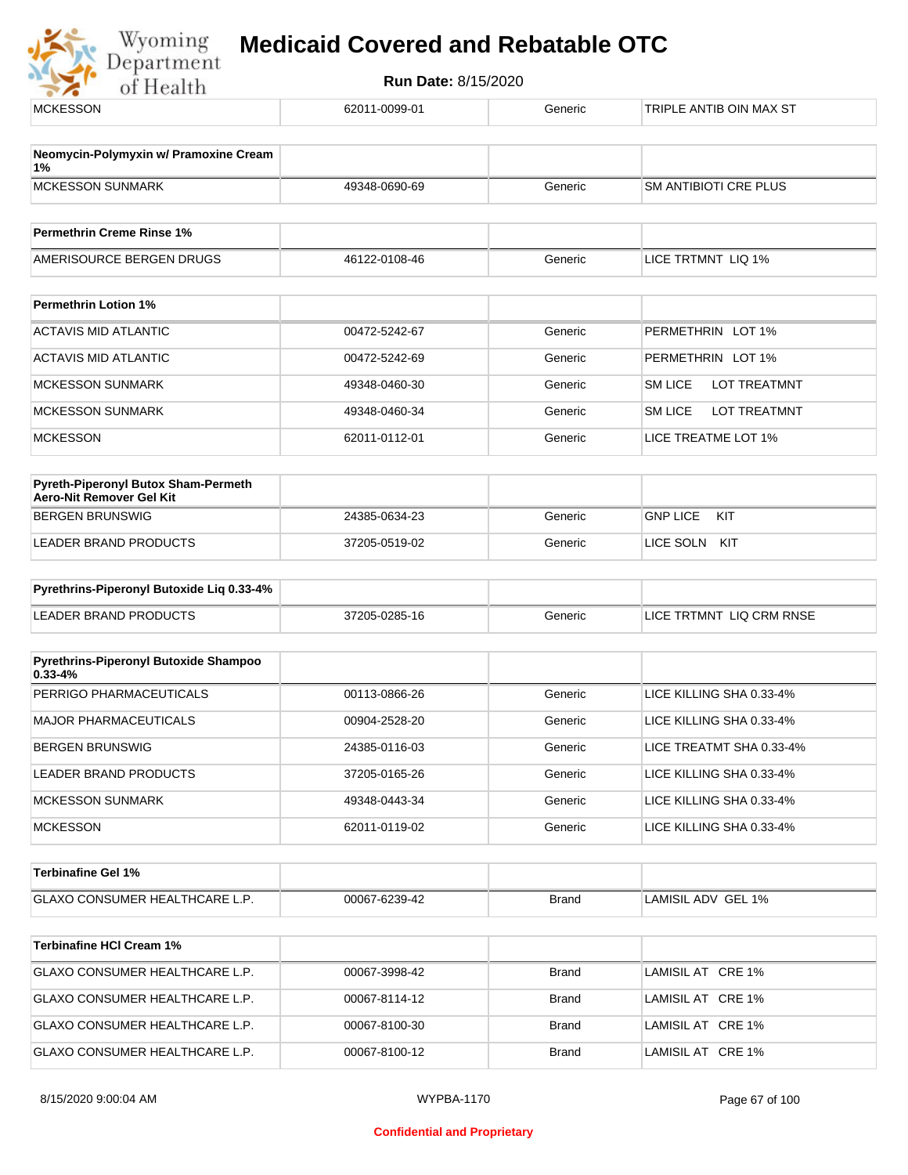

| <b>MCKESSON</b>                                                        | 62011-0099-01 | Generic      | TRIPLE ANTIB OIN MAX ST               |
|------------------------------------------------------------------------|---------------|--------------|---------------------------------------|
|                                                                        |               |              |                                       |
| Neomycin-Polymyxin w/ Pramoxine Cream<br>1%                            |               |              |                                       |
| <b>MCKESSON SUNMARK</b>                                                | 49348-0690-69 | Generic      | <b>SM ANTIBIOTI CRE PLUS</b>          |
| <b>Permethrin Creme Rinse 1%</b>                                       |               |              |                                       |
| AMERISOURCE BERGEN DRUGS                                               | 46122-0108-46 | Generic      | LICE TRTMNT LIQ 1%                    |
| <b>Permethrin Lotion 1%</b>                                            |               |              |                                       |
| <b>ACTAVIS MID ATLANTIC</b>                                            | 00472-5242-67 | Generic      | PERMETHRIN LOT 1%                     |
| <b>ACTAVIS MID ATLANTIC</b>                                            | 00472-5242-69 | Generic      | PERMETHRIN LOT 1%                     |
|                                                                        |               |              |                                       |
| <b>MCKESSON SUNMARK</b>                                                | 49348-0460-30 | Generic      | <b>SM LICE</b><br><b>LOT TREATMNT</b> |
| <b>MCKESSON SUNMARK</b>                                                | 49348-0460-34 | Generic      | <b>SM LICE</b><br><b>LOT TREATMNT</b> |
| <b>MCKESSON</b>                                                        | 62011-0112-01 | Generic      | LICE TREATME LOT 1%                   |
| <b>Pyreth-Piperonyl Butox Sham-Permeth</b><br>Aero-Nit Remover Gel Kit |               |              |                                       |
| <b>BERGEN BRUNSWIG</b>                                                 | 24385-0634-23 | Generic      | <b>GNP LICE</b><br>KIT                |
| <b>LEADER BRAND PRODUCTS</b>                                           | 37205-0519-02 | Generic      | LICE SOLN KIT                         |
| Pyrethrins-Piperonyl Butoxide Liq 0.33-4%                              |               |              |                                       |
| <b>LEADER BRAND PRODUCTS</b>                                           | 37205-0285-16 | Generic      | LICE TRTMNT LIQ CRM RNSE              |
|                                                                        |               |              |                                       |
| Pyrethrins-Piperonyl Butoxide Shampoo<br>$0.33 - 4%$                   |               |              |                                       |
| PERRIGO PHARMACEUTICALS                                                | 00113-0866-26 | Generic      | LICE KILLING SHA 0.33-4%              |
| <b>MAJOR PHARMACEUTICALS</b>                                           | 00904-2528-20 | Generic      | LICE KILLING SHA 0.33-4%              |
| <b>BERGEN BRUNSWIG</b>                                                 | 24385-0116-03 | Generic      | LICE TREATMT SHA 0.33-4%              |
| LEADER BRAND PRODUCTS                                                  | 37205-0165-26 | Generic      | LICE KILLING SHA 0.33-4%              |
| <b>MCKESSON SUNMARK</b>                                                | 49348-0443-34 | Generic      | LICE KILLING SHA 0.33-4%              |
| <b>MCKESSON</b>                                                        | 62011-0119-02 | Generic      | LICE KILLING SHA 0.33-4%              |
| <b>Terbinafine Gel 1%</b>                                              |               |              |                                       |
| GLAXO CONSUMER HEALTHCARE L.P.                                         | 00067-6239-42 | <b>Brand</b> | LAMISIL ADV GEL 1%                    |
|                                                                        |               |              |                                       |
| <b>Terbinafine HCI Cream 1%</b>                                        |               |              |                                       |
| GLAXO CONSUMER HEALTHCARE L.P.                                         | 00067-3998-42 | <b>Brand</b> | LAMISIL AT CRE 1%                     |
| GLAXO CONSUMER HEALTHCARE L.P.                                         | 00067-8114-12 | <b>Brand</b> | LAMISIL AT CRE 1%                     |
| GLAXO CONSUMER HEALTHCARE L.P.                                         | 00067-8100-30 | <b>Brand</b> | LAMISIL AT CRE 1%                     |
| GLAXO CONSUMER HEALTHCARE L.P.                                         | 00067-8100-12 | <b>Brand</b> | LAMISIL AT CRE 1%                     |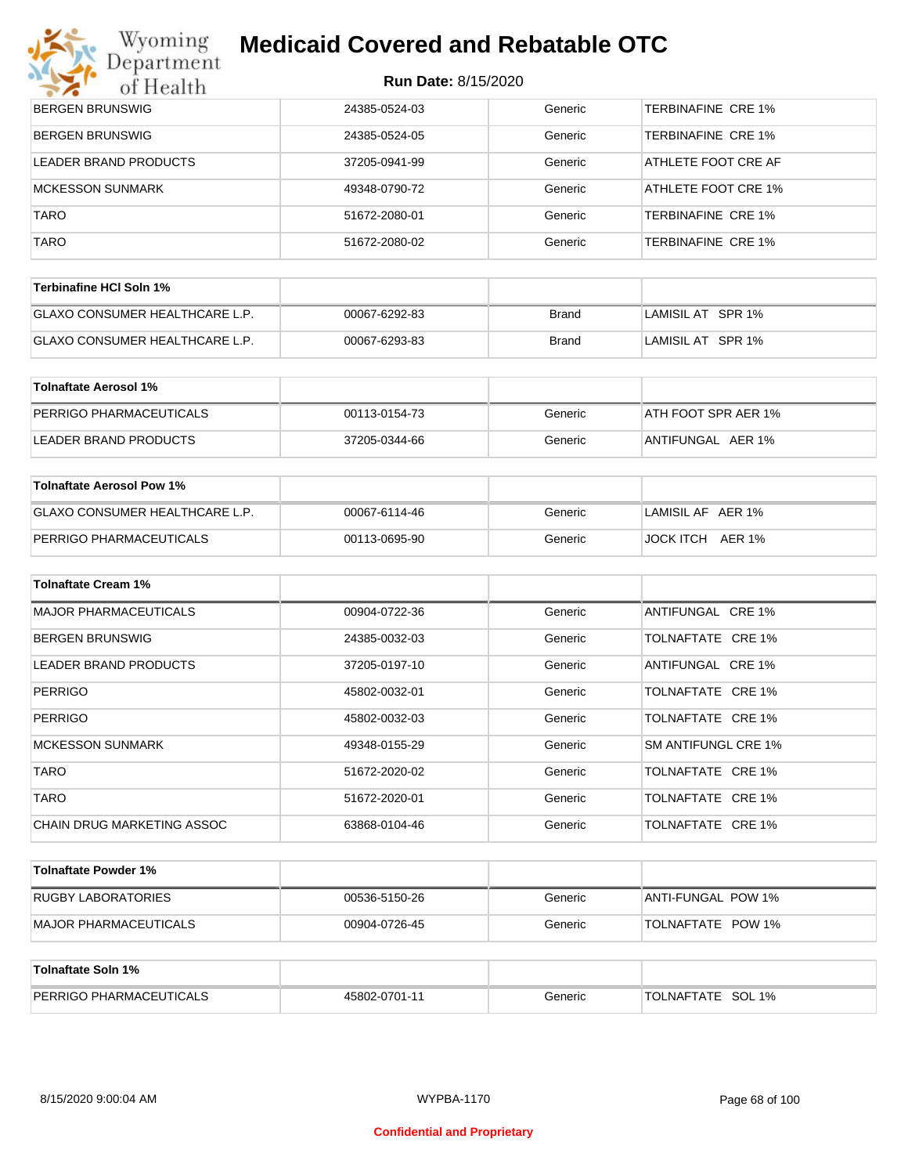## Wyoming<br>Department

## **Medicaid Covered and Rebatable OTC**

| $\geq$<br>of Health              | NUIL DAIC. OF ISIZUZU |              |                           |
|----------------------------------|-----------------------|--------------|---------------------------|
| <b>BERGEN BRUNSWIG</b>           | 24385-0524-03         | Generic      | TERBINAFINE CRE 1%        |
| <b>BERGEN BRUNSWIG</b>           | 24385-0524-05         | Generic      | TERBINAFINE CRE 1%        |
| LEADER BRAND PRODUCTS            | 37205-0941-99         | Generic      | ATHLETE FOOT CRE AF       |
| <b>MCKESSON SUNMARK</b>          | 49348-0790-72         | Generic      | ATHLETE FOOT CRE 1%       |
| <b>TARO</b>                      | 51672-2080-01         | Generic      | TERBINAFINE CRE 1%        |
| <b>TARO</b>                      | 51672-2080-02         | Generic      | <b>TERBINAFINE CRE 1%</b> |
| Terbinafine HCI Soln 1%          |                       |              |                           |
| GLAXO CONSUMER HEALTHCARE L.P.   | 00067-6292-83         | <b>Brand</b> | LAMISIL AT SPR 1%         |
| GLAXO CONSUMER HEALTHCARE L.P.   | 00067-6293-83         | <b>Brand</b> | LAMISIL AT SPR 1%         |
|                                  |                       |              |                           |
| <b>Tolnaftate Aerosol 1%</b>     |                       |              |                           |
| PERRIGO PHARMACEUTICALS          | 00113-0154-73         | Generic      | ATH FOOT SPR AER 1%       |
| LEADER BRAND PRODUCTS            | 37205-0344-66         | Generic      | ANTIFUNGAL AER 1%         |
| <b>Tolnaftate Aerosol Pow 1%</b> |                       |              |                           |
| GLAXO CONSUMER HEALTHCARE L.P.   | 00067-6114-46         | Generic      | LAMISIL AF AER 1%         |
| PERRIGO PHARMACEUTICALS          | 00113-0695-90         | Generic      | JOCK ITCH AER 1%          |
|                                  |                       |              |                           |
| <b>Tolnaftate Cream 1%</b>       |                       |              |                           |
| <b>MAJOR PHARMACEUTICALS</b>     | 00904-0722-36         | Generic      | ANTIFUNGAL CRE 1%         |
| <b>BERGEN BRUNSWIG</b>           | 24385-0032-03         | Generic      | TOLNAFTATE CRE 1%         |
| <b>LEADER BRAND PRODUCTS</b>     | 37205-0197-10         | Generic      | ANTIFUNGAL CRE 1%         |
| <b>PERRIGO</b>                   | 45802-0032-01         | Generic      | TOLNAFTATE CRE 1%         |
| <b>PERRIGO</b>                   | 45802-0032-03         | Generic      | TOLNAFTATE CRE 1%         |
| <b>MCKESSON SUNMARK</b>          | 49348-0155-29         | Generic      | SM ANTIFUNGL CRE 1%       |
| <b>TARO</b>                      | 51672-2020-02         | Generic      | TOLNAFTATE CRE 1%         |
| <b>TARO</b>                      | 51672-2020-01         | Generic      | TOLNAFTATE CRE 1%         |
| CHAIN DRUG MARKETING ASSOC       | 63868-0104-46         | Generic      | TOLNAFTATE CRE 1%         |
| <b>Tolnaftate Powder 1%</b>      |                       |              |                           |
| <b>RUGBY LABORATORIES</b>        | 00536-5150-26         | Generic      | ANTI-FUNGAL POW 1%        |
| MAJOR PHARMACEUTICALS            | 00904-0726-45         | Generic      | TOLNAFTATE POW 1%         |
|                                  |                       |              |                           |
| <b>Tolnaftate Soln 1%</b>        |                       |              |                           |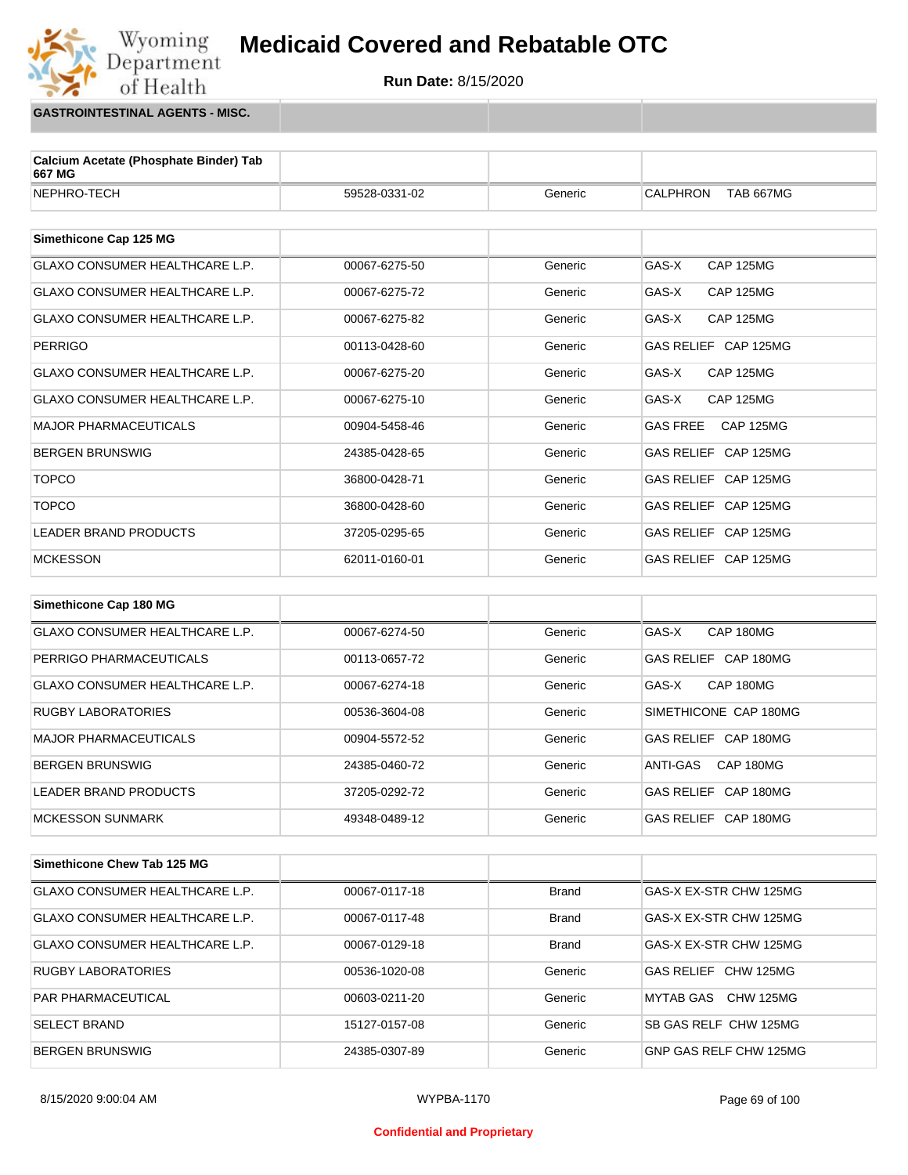**Run Date:** 8/15/2020

**GASTROINTESTINAL AGENTS - MISC.**

Wyoming<br>Department

of Health

| Calcium Acetate (Phosphate Binder) Tab<br>667 MG                                                                                                                                                                                                                                      |               |         |                                     |
|---------------------------------------------------------------------------------------------------------------------------------------------------------------------------------------------------------------------------------------------------------------------------------------|---------------|---------|-------------------------------------|
| NEPHRO-TECH                                                                                                                                                                                                                                                                           | 59528-0331-02 | Generic | <b>TAB 667MG</b><br>CALPHRON        |
| Simethicone Cap 125 MG                                                                                                                                                                                                                                                                |               |         |                                     |
| <b>GLAXO CONSUMER HEALTHCARE L.P.</b>                                                                                                                                                                                                                                                 | 00067-6275-50 | Generic | GAS-X<br><b>CAP 125MG</b>           |
| <b>GLAXO CONSUMER HEALTHCARE L.P.</b>                                                                                                                                                                                                                                                 | 00067-6275-72 | Generic | GAS-X<br><b>CAP 125MG</b>           |
| <b>GLAXO CONSUMER HEALTHCARE L.P.</b>                                                                                                                                                                                                                                                 | 00067-6275-82 | Generic | GAS-X<br><b>CAP 125MG</b>           |
| <b>PERRIGO</b>                                                                                                                                                                                                                                                                        | 00113-0428-60 | Generic | GAS RELIEF CAP 125MG                |
| <b>GLAXO CONSUMER HEALTHCARE L.P.</b>                                                                                                                                                                                                                                                 | 00067-6275-20 | Generic | GAS-X<br><b>CAP 125MG</b>           |
| GLAXO CONSUMER HEALTHCARE L.P.                                                                                                                                                                                                                                                        | 00067-6275-10 | Generic | GAS-X<br><b>CAP 125MG</b>           |
| <b>MAJOR PHARMACEUTICALS</b>                                                                                                                                                                                                                                                          | 00904-5458-46 | Generic | <b>GAS FREE</b><br><b>CAP 125MG</b> |
| <b>BERGEN BRUNSWIG</b>                                                                                                                                                                                                                                                                | 24385-0428-65 | Generic | GAS RELIEF CAP 125MG                |
| <b>TOPCO</b>                                                                                                                                                                                                                                                                          | 36800-0428-71 | Generic | GAS RELIEF CAP 125MG                |
| <b>TOPCO</b>                                                                                                                                                                                                                                                                          | 36800-0428-60 | Generic | GAS RELIEF CAP 125MG                |
| <b>LEADER BRAND PRODUCTS</b>                                                                                                                                                                                                                                                          | 37205-0295-65 | Generic | GAS RELIEF CAP 125MG                |
| <b>MCKESSON</b>                                                                                                                                                                                                                                                                       | 62011-0160-01 | Generic | GAS RELIEF CAP 125MG                |
|                                                                                                                                                                                                                                                                                       |               |         |                                     |
| Simethicone Cap 180 MG                                                                                                                                                                                                                                                                |               |         |                                     |
| <b>GLAXO CONSUMER HEALTHCARE L.P.</b>                                                                                                                                                                                                                                                 | 00067-6274-50 | Generic | GAS-X<br>CAP 180MG                  |
| PERRIGO PHARMACEUTICALS                                                                                                                                                                                                                                                               | 00113-0657-72 | Generic | GAS RELIEF CAP 180MG                |
| $Q$ $\wedge$ $\vee$ $Q$ $Q$ $Q$ $\wedge$ $Q$ $\wedge$ $M$ $R$ $R$ $\wedge$ $I$ $R$ $\wedge$ $I$ $R$ $\wedge$ $I$ $R$ $\wedge$ $R$ $\wedge$ $R$ $\wedge$ $R$ $\wedge$ $R$ $\wedge$ $R$ $\wedge$ $R$ $\wedge$ $R$ $\wedge$ $R$ $\wedge$ $R$ $\wedge$ $R$ $\wedge$ $R$ $\wedge$ $R$ $\w$ | 0000702110    |         | $\sim$ $\sim$<br>0.00100            |

| <b>GLAXO CONSUMER HEALTHCARE L.P.</b> | 00067-6274-18 | Generic | CAP 180MG<br>GAS-X    |
|---------------------------------------|---------------|---------|-----------------------|
| <b>RUGBY LABORATORIES</b>             | 00536-3604-08 | Generic | SIMETHICONE CAP 180MG |
| MAJOR PHARMACEUTICALS                 | 00904-5572-52 | Generic | GAS RELIEF CAP 180MG  |
| BERGEN BRUNSWIG                       | 24385-0460-72 | Generic | CAP 180MG<br>ANTI-GAS |
| LEADER BRAND PRODUCTS                 | 37205-0292-72 | Generic | GAS RELIEF CAP 180MG  |
| IMCKESSON SUNMARK                     | 49348-0489-12 | Generic | GAS RELIEF CAP 180MG  |

| Simethicone Chew Tab 125 MG           |               |              |                        |
|---------------------------------------|---------------|--------------|------------------------|
| <b>GLAXO CONSUMER HEALTHCARE L.P.</b> | 00067-0117-18 | <b>Brand</b> | GAS-X EX-STR CHW 125MG |
| <b>GLAXO CONSUMER HEALTHCARE L.P.</b> | 00067-0117-48 | <b>Brand</b> | GAS-X EX-STR CHW 125MG |
| <b>GLAXO CONSUMER HEALTHCARE L.P.</b> | 00067-0129-18 | <b>Brand</b> | GAS-X EX-STR CHW 125MG |
| <b>RUGBY LABORATORIES</b>             | 00536-1020-08 | Generic      | GAS RELIFE CHW 125MG   |
| <b>PAR PHARMACEUTICAL</b>             | 00603-0211-20 | Generic      | CHW 125MG<br>MYTAB GAS |
| <b>SELECT BRAND</b>                   | 15127-0157-08 | Generic      | SB GAS RELF CHW 125MG  |
| <b>BERGEN BRUNSWIG</b>                | 24385-0307-89 | Generic      | GNP GAS RELF CHW 125MG |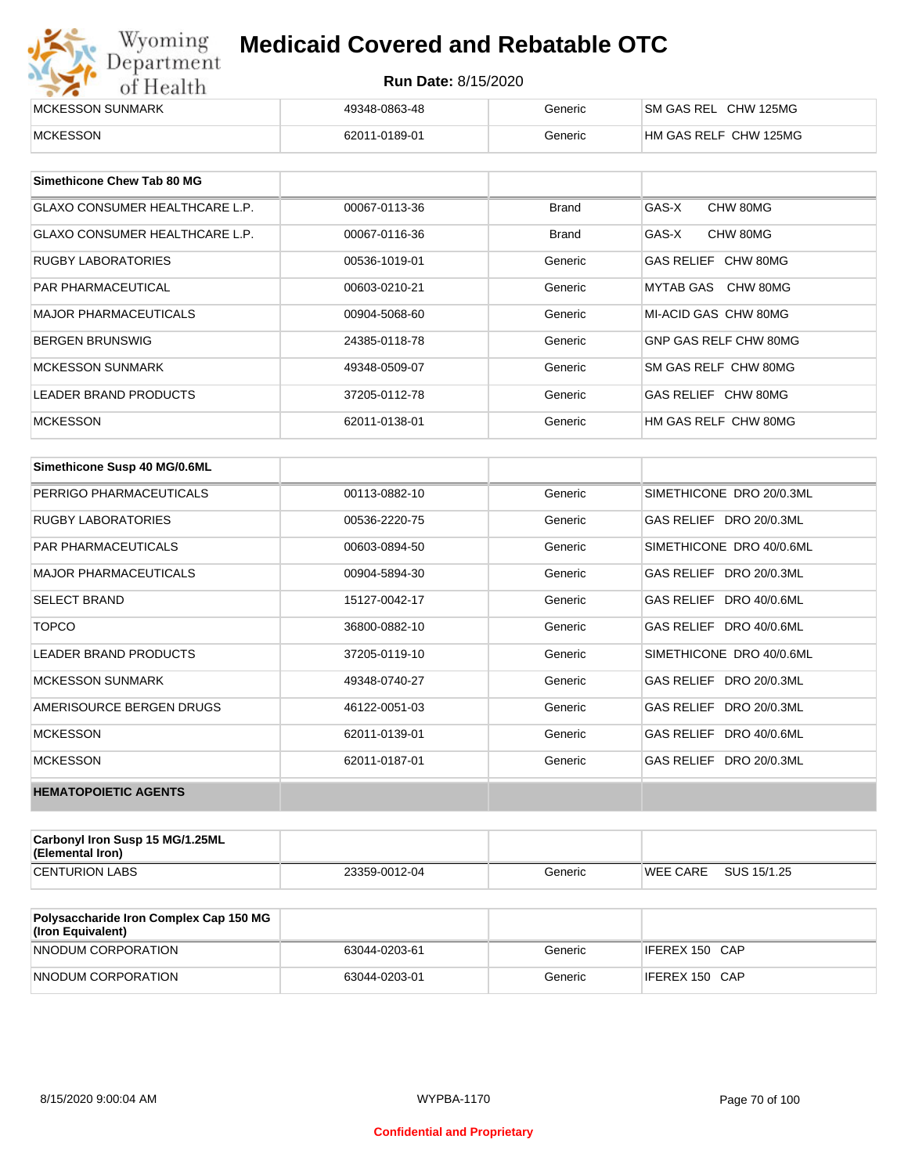| Wyoming<br><b>Medicaid Covered and Rebatable OTC</b><br>Department |                            |         |                       |  |
|--------------------------------------------------------------------|----------------------------|---------|-----------------------|--|
| of Health                                                          | <b>Run Date: 8/15/2020</b> |         |                       |  |
| MCKESSON SUNMARK                                                   | 49348-0863-48              | Generic | SM GAS REL CHW 125MG  |  |
| <b>MCKESSON</b>                                                    | 62011-0189-01              | Generic | HM GAS RELF CHW 125MG |  |

| Simethicone Chew Tab 80 MG     |               |              |                       |
|--------------------------------|---------------|--------------|-----------------------|
| GLAXO CONSUMER HEALTHCARE L.P. | 00067-0113-36 | Brand        | GAS-X<br>CHW 80MG     |
| GLAXO CONSUMER HEALTHCARE L.P. | 00067-0116-36 | <b>Brand</b> | GAS-X<br>CHW 80MG     |
| <b>RUGBY LABORATORIES</b>      | 00536-1019-01 | Generic      | GAS RELIEF CHW 80MG   |
| <b>PAR PHARMACEUTICAL</b>      | 00603-0210-21 | Generic      | MYTAB GAS CHW 80MG    |
| <b>MAJOR PHARMACEUTICALS</b>   | 00904-5068-60 | Generic      | MI-ACID GAS CHW 80MG  |
| <b>BERGEN BRUNSWIG</b>         | 24385-0118-78 | Generic      | GNP GAS RELF CHW 80MG |
| <b>MCKESSON SUNMARK</b>        | 49348-0509-07 | Generic      | SM GAS RELF CHW 80MG  |
| LEADER BRAND PRODUCTS          | 37205-0112-78 | Generic      | GAS RELIEF CHW 80MG   |
| <b>MCKESSON</b>                | 62011-0138-01 | Generic      | HM GAS RELF CHW 80MG  |

| Simethicone Susp 40 MG/0.6ML |               |         |                          |
|------------------------------|---------------|---------|--------------------------|
| PERRIGO PHARMACEUTICALS      | 00113-0882-10 | Generic | SIMETHICONE DRO 20/0.3ML |
| <b>RUGBY LABORATORIES</b>    | 00536-2220-75 | Generic | GAS RELIEF DRO 20/0.3ML  |
| <b>PAR PHARMACEUTICALS</b>   | 00603-0894-50 | Generic | SIMETHICONE DRO 40/0.6ML |
| <b>MAJOR PHARMACEUTICALS</b> | 00904-5894-30 | Generic | GAS RELIEF DRO 20/0.3ML  |
| <b>SELECT BRAND</b>          | 15127-0042-17 | Generic | GAS RELIEF DRO 40/0.6ML  |
| <b>TOPCO</b>                 | 36800-0882-10 | Generic | GAS RELIEF DRO 40/0.6ML  |
| <b>LEADER BRAND PRODUCTS</b> | 37205-0119-10 | Generic | SIMETHICONE DRO 40/0.6ML |
| <b>MCKESSON SUNMARK</b>      | 49348-0740-27 | Generic | GAS RELIEF DRO 20/0.3ML  |
| AMERISOURCE BERGEN DRUGS     | 46122-0051-03 | Generic | GAS RELIEF DRO 20/0.3ML  |
| <b>MCKESSON</b>              | 62011-0139-01 | Generic | GAS RELIEF DRO 40/0.6ML  |
| <b>MCKESSON</b>              | 62011-0187-01 | Generic | GAS RELIEF DRO 20/0.3ML  |
| <b>HEMATOPOIETIC AGENTS</b>  |               |         |                          |

| Carbonyl Iron Susp 15 MG/1.25ML<br>(Elemental Iron) |               |         |                 |             |
|-----------------------------------------------------|---------------|---------|-----------------|-------------|
| <b>CENTURION LABS</b>                               | 23359-0012-04 | Generic | <b>WEE CARE</b> | SUS 15/1.25 |

| <b>Polysaccharide Iron Complex Cap 150 MG</b><br>(Iron Equivalent) |               |         |                |
|--------------------------------------------------------------------|---------------|---------|----------------|
| NNODUM CORPORATION                                                 | 63044-0203-61 | Generic | IFEREX 150 CAP |
| NNODUM CORPORATION                                                 | 63044-0203-01 | Generic | IFEREX 150 CAP |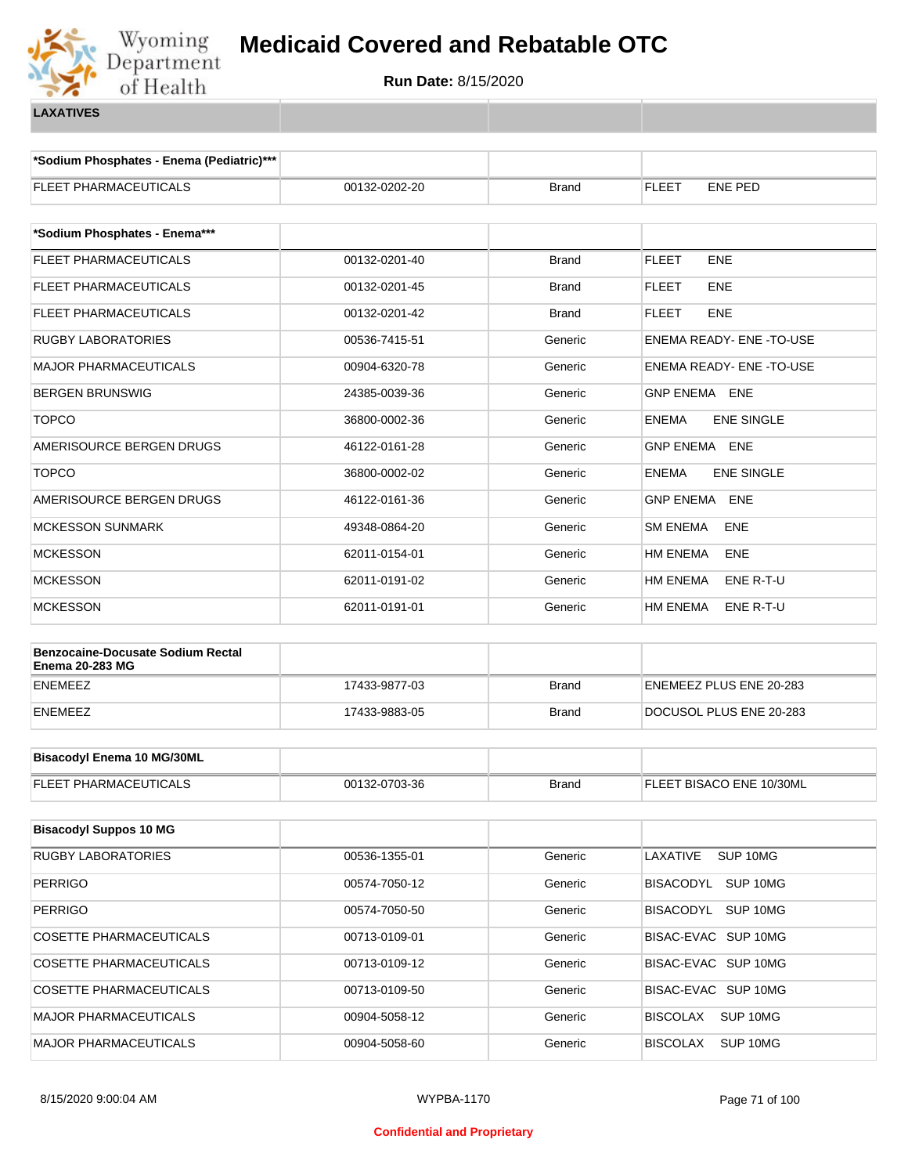

**\*Sodium Phosphates - Enema (Pediatric)\*\*\***

| FLEET PHARMACEUTICALS                    | 00132-0202-20 | Brand        | <b>ENE PED</b><br><b>FLEET</b>    |
|------------------------------------------|---------------|--------------|-----------------------------------|
| *Sodium Phosphates - Enema***            |               |              |                                   |
| FLEET PHARMACEUTICALS                    | 00132-0201-40 | <b>Brand</b> | ENE<br><b>FLEET</b>               |
| FLEET PHARMACEUTICALS                    | 00132-0201-45 | Brand        | <b>ENE</b><br><b>FLEET</b>        |
| FLEET PHARMACEUTICALS                    | 00132-0201-42 | <b>Brand</b> | <b>FLEET</b><br><b>ENE</b>        |
| <b>RUGBY LABORATORIES</b>                | 00536-7415-51 | Generic      | ENEMA READY- ENE -TO-USE          |
| <b>MAJOR PHARMACEUTICALS</b>             | 00904-6320-78 | Generic      | ENEMA READY- ENE -TO-USE          |
| <b>BERGEN BRUNSWIG</b>                   | 24385-0039-36 | Generic      | GNP ENEMA ENE                     |
| <b>TOPCO</b>                             | 36800-0002-36 | Generic      | <b>ENE SINGLE</b><br><b>ENEMA</b> |
| AMERISOURCE BERGEN DRUGS                 | 46122-0161-28 | Generic      | <b>GNP ENEMA ENE</b>              |
| <b>TOPCO</b>                             | 36800-0002-02 | Generic      | <b>ENEMA</b><br><b>ENE SINGLE</b> |
| AMERISOURCE BERGEN DRUGS                 | 46122-0161-36 | Generic      | <b>GNP ENEMA</b><br><b>ENE</b>    |
| <b>MCKESSON SUNMARK</b>                  | 49348-0864-20 | Generic      | <b>SM ENEMA</b><br>ENE            |
| <b>MCKESSON</b>                          | 62011-0154-01 | Generic      | <b>ENE</b><br>HM ENEMA            |
| <b>MCKESSON</b>                          | 62011-0191-02 | Generic      | HM ENEMA<br>ENE R-T-U             |
| <b>MCKESSON</b>                          | 62011-0191-01 | Generic      | HM ENEMA<br>ENE R-T-U             |
| <b>Benzocaine-Docusate Sodium Rectal</b> |               |              |                                   |
| <b>Enema 20-283 MG</b>                   |               |              |                                   |
| <b>ENEMEEZ</b>                           | 17433-9877-03 | <b>Brand</b> | ENEMEEZ PLUS ENE 20-283           |
| <b>ENEMEEZ</b>                           | 17433-9883-05 | <b>Brand</b> | DOCUSOL PLUS ENE 20-283           |
| <b>Bisacodyl Enema 10 MG/30ML</b>        |               |              |                                   |
|                                          |               |              |                                   |
| FLEET PHARMACEUTICALS                    | 00132-0703-36 | <b>Brand</b> | FLEET BISACO ENE 10/30ML          |
| <b>Bisacodyl Suppos 10 MG</b>            |               |              |                                   |
| <b>RUGBY LABORATORIES</b>                | 00536-1355-01 | Generic      | LAXATIVE<br>SUP 10MG              |
| <b>PERRIGO</b>                           | 00574-7050-12 | Generic      | BISACODYL SUP 10MG                |
| <b>PERRIGO</b>                           | 00574-7050-50 | Generic      | BISACODYL<br>SUP 10MG             |
| COSETTE PHARMACEUTICALS                  | 00713-0109-01 | Generic      | BISAC-EVAC SUP 10MG               |
| COSETTE PHARMACEUTICALS                  | 00713-0109-12 | Generic      | BISAC-EVAC SUP 10MG               |
| <b>COSETTE PHARMACEUTICALS</b>           | 00713-0109-50 | Generic      | BISAC-EVAC SUP 10MG               |
| MAJOR PHARMACEUTICALS                    | 00904-5058-12 | Generic      | <b>BISCOLAX</b><br>SUP 10MG       |
| <b>MAJOR PHARMACEUTICALS</b>             | 00904-5058-60 | Generic      | <b>BISCOLAX</b><br>SUP 10MG       |
|                                          |               |              |                                   |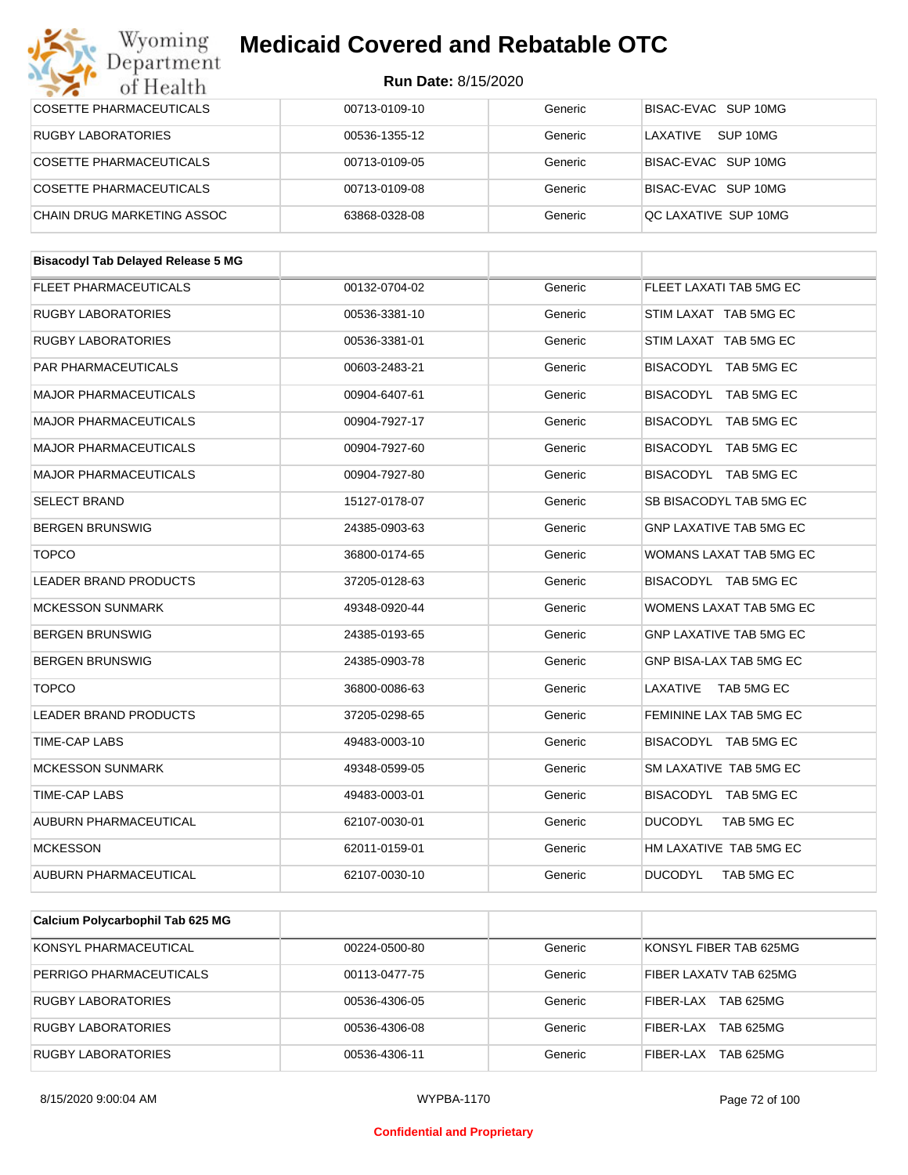| Department<br>of Health                   | <b>Run Date: 8/15/2020</b> |         |                                |
|-------------------------------------------|----------------------------|---------|--------------------------------|
| <b>COSETTE PHARMACEUTICALS</b>            | 00713-0109-10              | Generic | BISAC-EVAC SUP 10MG            |
| <b>RUGBY LABORATORIES</b>                 | 00536-1355-12              | Generic | LAXATIVE<br>SUP 10MG           |
| <b>COSETTE PHARMACEUTICALS</b>            | 00713-0109-05              | Generic | BISAC-EVAC SUP 10MG            |
| <b>COSETTE PHARMACEUTICALS</b>            | 00713-0109-08              | Generic | BISAC-EVAC SUP 10MG            |
| CHAIN DRUG MARKETING ASSOC                | 63868-0328-08              | Generic | QC LAXATIVE SUP 10MG           |
| <b>Bisacodyl Tab Delayed Release 5 MG</b> |                            |         |                                |
| <b>FLEET PHARMACEUTICALS</b>              | 00132-0704-02              | Generic | FLEET LAXATI TAB 5MG EC        |
| <b>RUGBY LABORATORIES</b>                 | 00536-3381-10              | Generic | STIM LAXAT TAB 5MG EC          |
| <b>RUGBY LABORATORIES</b>                 | 00536-3381-01              | Generic | STIM LAXAT TAB 5MG EC          |
| PAR PHARMACEUTICALS                       | 00603-2483-21              | Generic | BISACODYL TAB 5MG EC           |
| <b>MAJOR PHARMACEUTICALS</b>              | 00904-6407-61              | Generic | BISACODYL TAB 5MG EC           |
| <b>MAJOR PHARMACEUTICALS</b>              | 00904-7927-17              | Generic | BISACODYL TAB 5MG EC           |
| <b>MAJOR PHARMACEUTICALS</b>              | 00904-7927-60              | Generic | BISACODYL TAB 5MG EC           |
| <b>MAJOR PHARMACEUTICALS</b>              | 00904-7927-80              | Generic | BISACODYL TAB 5MG EC           |
| <b>SELECT BRAND</b>                       | 15127-0178-07              | Generic | SB BISACODYL TAB 5MG EC        |
| <b>BERGEN BRUNSWIG</b>                    | 24385-0903-63              | Generic | <b>GNP LAXATIVE TAB 5MG EC</b> |
| <b>TOPCO</b>                              | 36800-0174-65              | Generic | WOMANS LAXAT TAB 5MG EC        |
| <b>LEADER BRAND PRODUCTS</b>              | 37205-0128-63              | Generic | BISACODYL TAB 5MG EC           |
| MCKESSON SUNMARK                          | 49348-0920-44              | Generic | WOMENS LAXAT TAB 5MG EC        |
| <b>BERGEN BRUNSWIG</b>                    | 24385-0193-65              | Generic | <b>GNP LAXATIVE TAB 5MG EC</b> |
| <b>BERGEN BRUNSWIG</b>                    | 24385-0903-78              | Generic | GNP BISA-LAX TAB 5MG EC        |
| <b>TOPCO</b>                              | 36800-0086-63              | Generic | LAXATIVE TAB 5MG EC            |
| LEADER BRAND PRODUCTS                     | 37205-0298-65              | Generic | FEMININE LAX TAB 5MG EC        |
| TIME-CAP LABS                             | 49483-0003-10              | Generic | BISACODYL TAB 5MG EC           |
| <b>MCKESSON SUNMARK</b>                   | 49348-0599-05              | Generic | SM LAXATIVE TAB 5MG EC         |
| TIME-CAP LABS                             | 49483-0003-01              | Generic | BISACODYL TAB 5MG EC           |
| AUBURN PHARMACEUTICAL                     | 62107-0030-01              | Generic | <b>DUCODYL</b><br>TAB 5MG EC   |
| MCKESSON                                  | 62011-0159-01              | Generic | HM LAXATIVE TAB 5MG EC         |
| AUBURN PHARMACEUTICAL                     | 62107-0030-10              | Generic | <b>DUCODYL</b><br>TAB 5MG EC   |

| Calcium Polycarbophil Tab 625 MG |               |         |                        |
|----------------------------------|---------------|---------|------------------------|
| KONSYL PHARMACEUTICAL            | 00224-0500-80 | Generic | KONSYL FIBER TAB 625MG |
| PERRIGO PHARMACEUTICALS          | 00113-0477-75 | Generic | FIBER LAXATV TAB 625MG |
| RUGBY LABORATORIES               | 00536-4306-05 | Generic | TAB 625MG<br>FIBER-LAX |
| <b>RUGBY LABORATORIES</b>        | 00536-4306-08 | Generic | TAB 625MG<br>FIBER-LAX |
| <b>RUGBY LABORATORIES</b>        | 00536-4306-11 | Generic | TAB 625MG<br>FIBER-LAX |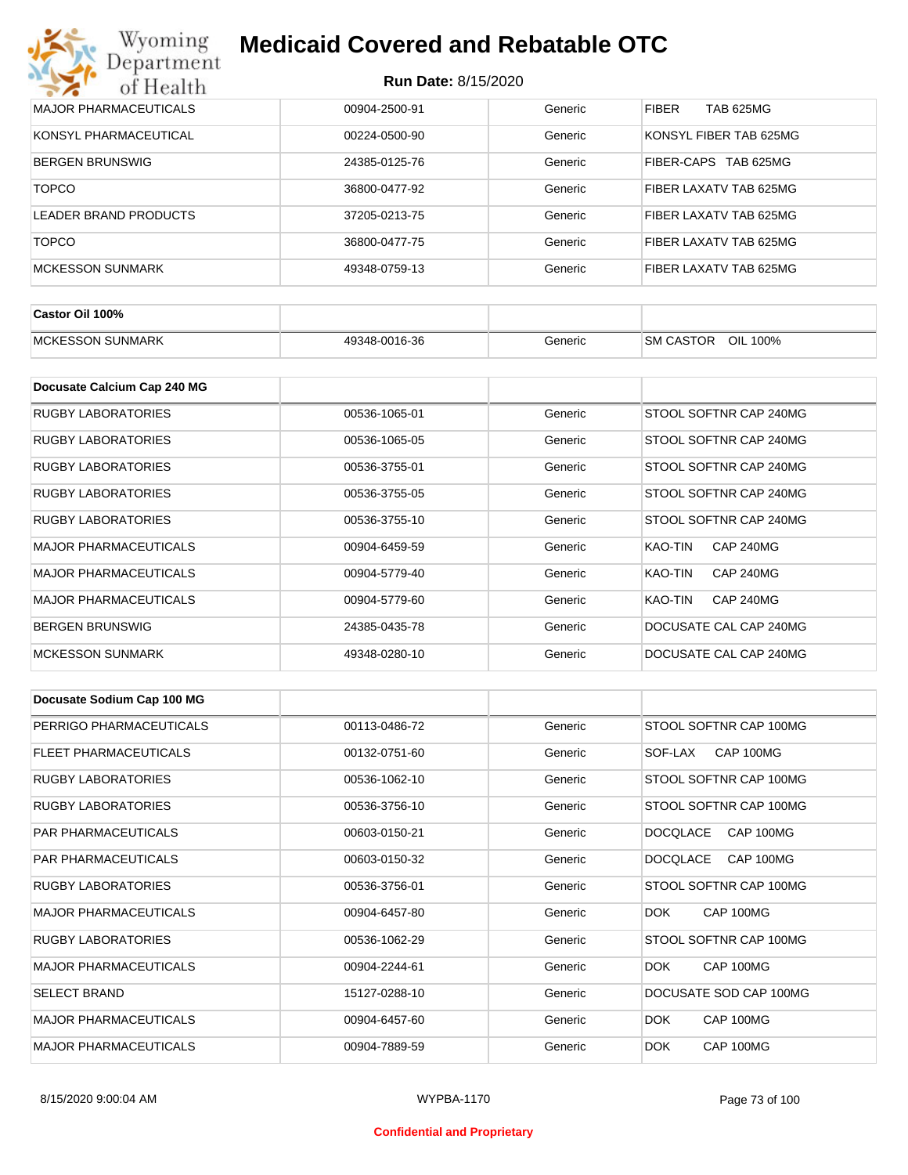| Wyoming<br><b>Medicaid Covered and Rebatable OTC</b><br>Department |                            |         |                                |  |  |
|--------------------------------------------------------------------|----------------------------|---------|--------------------------------|--|--|
| of Health                                                          | <b>Run Date: 8/15/2020</b> |         |                                |  |  |
| <b>MAJOR PHARMACEUTICALS</b>                                       | 00904-2500-91              | Generic | <b>FIBER</b><br>TAB 625MG      |  |  |
| KONSYL PHARMACEUTICAL                                              | 00224-0500-90              | Generic | KONSYL FIBER TAB 625MG         |  |  |
| <b>BERGEN BRUNSWIG</b>                                             | 24385-0125-76              | Generic | FIBER-CAPS<br><b>TAB 625MG</b> |  |  |
| <b>TOPCO</b>                                                       | 36800-0477-92              | Generic | FIBER LAXATV TAB 625MG         |  |  |
| LEADER BRAND PRODUCTS                                              | 37205-0213-75              | Generic | FIBER LAXATV TAB 625MG         |  |  |
| <b>TOPCO</b>                                                       | 36800-0477-75              | Generic | FIBER LAXATV TAB 625MG         |  |  |
| <b>MCKESSON SUNMARK</b>                                            | 49348-0759-13              | Generic | FIBER LAXATV TAB 625MG         |  |  |

| Castor Oil 100%                    |               |         |                                 |
|------------------------------------|---------------|---------|---------------------------------|
| <b>SUNMARK</b><br><b>IMCKESSON</b> | 49348-0016-36 | Beneric | OIL<br><b>SM CASTOR</b><br>100% |

| Docusate Calcium Cap 240 MG  |               |         |                             |
|------------------------------|---------------|---------|-----------------------------|
| <b>RUGBY LABORATORIES</b>    | 00536-1065-01 | Generic | STOOL SOFTNR CAP 240MG      |
| RUGBY LABORATORIES           | 00536-1065-05 | Generic | STOOL SOFTNR CAP 240MG      |
| RUGBY LABORATORIES           | 00536-3755-01 | Generic | STOOL SOFTNR CAP 240MG      |
| <b>RUGBY LABORATORIES</b>    | 00536-3755-05 | Generic | STOOL SOFTNR CAP 240MG      |
| <b>RUGBY LABORATORIES</b>    | 00536-3755-10 | Generic | STOOL SOFTNR CAP 240MG      |
| <b>MAJOR PHARMACEUTICALS</b> | 00904-6459-59 | Generic | <b>CAP 240MG</b><br>KAO-TIN |
| <b>MAJOR PHARMACEUTICALS</b> | 00904-5779-40 | Generic | <b>CAP 240MG</b><br>KAO-TIN |
| <b>MAJOR PHARMACEUTICALS</b> | 00904-5779-60 | Generic | KAO-TIN<br><b>CAP 240MG</b> |
| <b>BERGEN BRUNSWIG</b>       | 24385-0435-78 | Generic | DOCUSATE CAL CAP 240MG      |
| <b>MCKESSON SUNMARK</b>      | 49348-0280-10 | Generic | DOCUSATE CAL CAP 240MG      |

| Docusate Sodium Cap 100 MG   |               |         |                              |
|------------------------------|---------------|---------|------------------------------|
| PERRIGO PHARMACEUTICALS      | 00113-0486-72 | Generic | STOOL SOFTNR CAP 100MG       |
| FLEET PHARMACEUTICALS        | 00132-0751-60 | Generic | CAP 100MG<br>SOF-LAX         |
| <b>RUGBY LABORATORIES</b>    | 00536-1062-10 | Generic | STOOL SOFTNR CAP 100MG       |
| <b>RUGBY LABORATORIES</b>    | 00536-3756-10 | Generic | STOOL SOFTNR CAP 100MG       |
| <b>PAR PHARMACEUTICALS</b>   | 00603-0150-21 | Generic | <b>DOCQLACE</b><br>CAP 100MG |
| <b>PAR PHARMACEUTICALS</b>   | 00603-0150-32 | Generic | CAP 100MG<br><b>DOCQLACE</b> |
| <b>RUGBY LABORATORIES</b>    | 00536-3756-01 | Generic | STOOL SOFTNR CAP 100MG       |
| <b>MAJOR PHARMACEUTICALS</b> | 00904-6457-80 | Generic | CAP 100MG<br>DOK.            |
| <b>RUGBY LABORATORIES</b>    | 00536-1062-29 | Generic | STOOL SOFTNR CAP 100MG       |
| <b>MAJOR PHARMACEUTICALS</b> | 00904-2244-61 | Generic | DOK.<br>CAP 100MG            |
| <b>SELECT BRAND</b>          | 15127-0288-10 | Generic | DOCUSATE SOD CAP 100MG       |
| <b>MAJOR PHARMACEUTICALS</b> | 00904-6457-60 | Generic | <b>DOK</b><br>CAP 100MG      |
| <b>MAJOR PHARMACEUTICALS</b> | 00904-7889-59 | Generic | CAP 100MG<br>DOK.            |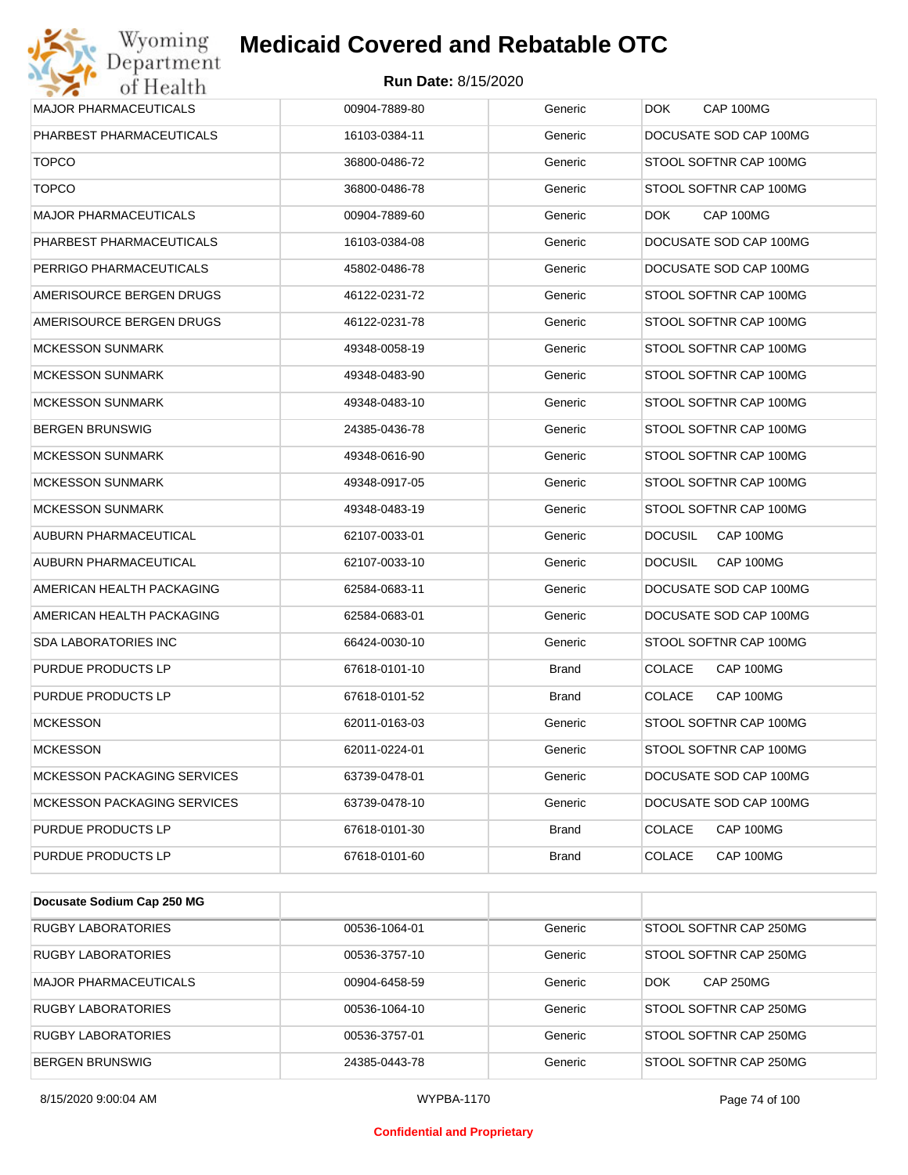

| <b>MAJOR PHARMACEUTICALS</b>       | 00904-7889-80 | Generic      | DOK.<br>CAP 100MG           |
|------------------------------------|---------------|--------------|-----------------------------|
| PHARBEST PHARMACEUTICALS           | 16103-0384-11 | Generic      | DOCUSATE SOD CAP 100MG      |
| <b>TOPCO</b>                       | 36800-0486-72 | Generic      | STOOL SOFTNR CAP 100MG      |
| <b>TOPCO</b>                       | 36800-0486-78 | Generic      | STOOL SOFTNR CAP 100MG      |
| <b>MAJOR PHARMACEUTICALS</b>       | 00904-7889-60 | Generic      | DOK.<br>CAP 100MG           |
| PHARBEST PHARMACEUTICALS           | 16103-0384-08 | Generic      | DOCUSATE SOD CAP 100MG      |
| PERRIGO PHARMACEUTICALS            | 45802-0486-78 | Generic      | DOCUSATE SOD CAP 100MG      |
| AMERISOURCE BERGEN DRUGS           | 46122-0231-72 | Generic      | STOOL SOFTNR CAP 100MG      |
| AMERISOURCE BERGEN DRUGS           | 46122-0231-78 | Generic      | STOOL SOFTNR CAP 100MG      |
| <b>MCKESSON SUNMARK</b>            | 49348-0058-19 | Generic      | STOOL SOFTNR CAP 100MG      |
| <b>MCKESSON SUNMARK</b>            | 49348-0483-90 | Generic      | STOOL SOFTNR CAP 100MG      |
| <b>MCKESSON SUNMARK</b>            | 49348-0483-10 | Generic      | STOOL SOFTNR CAP 100MG      |
| <b>BERGEN BRUNSWIG</b>             | 24385-0436-78 | Generic      | STOOL SOFTNR CAP 100MG      |
| <b>MCKESSON SUNMARK</b>            | 49348-0616-90 | Generic      | STOOL SOFTNR CAP 100MG      |
| <b>MCKESSON SUNMARK</b>            | 49348-0917-05 | Generic      | STOOL SOFTNR CAP 100MG      |
| <b>MCKESSON SUNMARK</b>            | 49348-0483-19 | Generic      | STOOL SOFTNR CAP 100MG      |
| AUBURN PHARMACEUTICAL              | 62107-0033-01 | Generic      | <b>DOCUSIL</b><br>CAP 100MG |
| AUBURN PHARMACEUTICAL              | 62107-0033-10 | Generic      | <b>DOCUSIL</b><br>CAP 100MG |
| AMERICAN HEALTH PACKAGING          | 62584-0683-11 | Generic      | DOCUSATE SOD CAP 100MG      |
| AMERICAN HEALTH PACKAGING          | 62584-0683-01 | Generic      | DOCUSATE SOD CAP 100MG      |
| <b>SDA LABORATORIES INC</b>        | 66424-0030-10 | Generic      | STOOL SOFTNR CAP 100MG      |
| PURDUE PRODUCTS LP                 | 67618-0101-10 | Brand        | <b>COLACE</b><br>CAP 100MG  |
| PURDUE PRODUCTS LP                 | 67618-0101-52 | <b>Brand</b> | <b>COLACE</b><br>CAP 100MG  |
| <b>MCKESSON</b>                    | 62011-0163-03 | Generic      | STOOL SOFTNR CAP 100MG      |
| <b>MCKESSON</b>                    | 62011-0224-01 | Generic      | STOOL SOFTNR CAP 100MG      |
| <b>MCKESSON PACKAGING SERVICES</b> | 63739-0478-01 | Generic      | DOCUSATE SOD CAP 100MG      |
| <b>MCKESSON PACKAGING SERVICES</b> | 63739-0478-10 | Generic      | DOCUSATE SOD CAP 100MG      |
| PURDUE PRODUCTS LP                 | 67618-0101-30 | <b>Brand</b> | <b>COLACE</b><br>CAP 100MG  |
| PURDUE PRODUCTS LP                 | 67618-0101-60 | <b>Brand</b> | <b>COLACE</b><br>CAP 100MG  |

| Docusate Sodium Cap 250 MG   |               |         |                                |
|------------------------------|---------------|---------|--------------------------------|
| <b>RUGBY LABORATORIES</b>    | 00536-1064-01 | Generic | STOOL SOFTNR CAP 250MG         |
| <b>RUGBY LABORATORIES</b>    | 00536-3757-10 | Generic | STOOL SOFTNR CAP 250MG         |
| <b>MAJOR PHARMACEUTICALS</b> | 00904-6458-59 | Generic | <b>CAP 250MG</b><br><b>DOK</b> |
| RUGBY LABORATORIES           | 00536-1064-10 | Generic | <b>STOOL SOFTNR CAP 250MG</b>  |
| <b>RUGBY LABORATORIES</b>    | 00536-3757-01 | Generic | STOOL SOFTNR CAP 250MG         |
| <b>BERGEN BRUNSWIG</b>       | 24385-0443-78 | Generic | <b>STOOL SOFTNR CAP 250MG</b>  |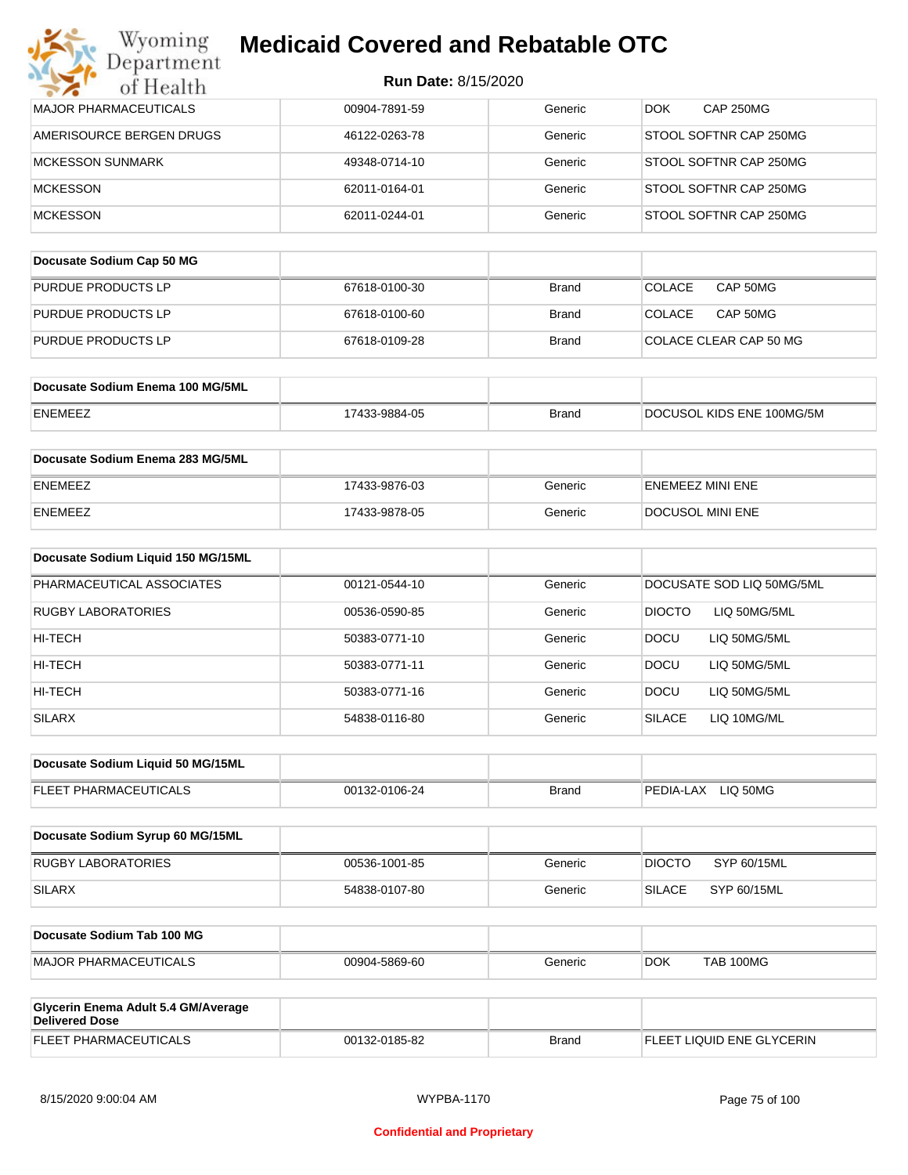| Department<br>of Health                                      | <b>Run Date: 8/15/2020</b> |              |                                |
|--------------------------------------------------------------|----------------------------|--------------|--------------------------------|
| <b>MAJOR PHARMACEUTICALS</b>                                 | 00904-7891-59              | Generic      | <b>CAP 250MG</b><br><b>DOK</b> |
| AMERISOURCE BERGEN DRUGS                                     | 46122-0263-78              | Generic      | STOOL SOFTNR CAP 250MG         |
| <b>MCKESSON SUNMARK</b>                                      | 49348-0714-10              | Generic      | STOOL SOFTNR CAP 250MG         |
| <b>MCKESSON</b>                                              | 62011-0164-01              | Generic      | STOOL SOFTNR CAP 250MG         |
| <b>MCKESSON</b>                                              | 62011-0244-01              | Generic      | STOOL SOFTNR CAP 250MG         |
| Docusate Sodium Cap 50 MG                                    |                            |              |                                |
| PURDUE PRODUCTS LP                                           |                            |              | CAP 50MG                       |
|                                                              | 67618-0100-30              | <b>Brand</b> | <b>COLACE</b>                  |
| PURDUE PRODUCTS LP                                           | 67618-0100-60              | Brand        | <b>COLACE</b><br>CAP 50MG      |
| PURDUE PRODUCTS LP                                           | 67618-0109-28              | Brand        | COLACE CLEAR CAP 50 MG         |
| Docusate Sodium Enema 100 MG/5ML                             |                            |              |                                |
| ENEMEEZ                                                      | 17433-9884-05              | <b>Brand</b> | DOCUSOL KIDS ENE 100MG/5M      |
| Docusate Sodium Enema 283 MG/5ML                             |                            |              |                                |
| ENEMEEZ                                                      | 17433-9876-03              | Generic      | <b>ENEMEEZ MINI ENE</b>        |
| ENEMEEZ                                                      | 17433-9878-05              | Generic      | DOCUSOL MINI ENE               |
| Docusate Sodium Liquid 150 MG/15ML                           |                            |              |                                |
| PHARMACEUTICAL ASSOCIATES                                    | 00121-0544-10              | Generic      | DOCUSATE SOD LIQ 50MG/5ML      |
| RUGBY LABORATORIES                                           | 00536-0590-85              | Generic      | <b>DIOCTO</b><br>LIQ 50MG/5ML  |
| HI-TECH                                                      | 50383-0771-10              | Generic      | <b>DOCU</b><br>LIQ 50MG/5ML    |
| HI-TECH                                                      | 50383-0771-11              | Generic      | <b>DOCU</b><br>LIQ 50MG/5ML    |
| HI-TECH                                                      | 50383-0771-16              | Generic      | DOCU<br>LIQ 50MG/5ML           |
| <b>SILARX</b>                                                | 54838-0116-80              | Generic      | <b>SILACE</b><br>LIQ 10MG/ML   |
| Docusate Sodium Liquid 50 MG/15ML                            |                            |              |                                |
| FLEET PHARMACEUTICALS                                        | 00132-0106-24              | <b>Brand</b> | PEDIA-LAX LIQ 50MG             |
|                                                              |                            |              |                                |
| Docusate Sodium Syrup 60 MG/15ML                             |                            |              |                                |
| <b>RUGBY LABORATORIES</b>                                    | 00536-1001-85              | Generic      | SYP 60/15ML<br><b>DIOCTO</b>   |
| <b>SILARX</b>                                                | 54838-0107-80              | Generic      | <b>SILACE</b><br>SYP 60/15ML   |
| Docusate Sodium Tab 100 MG                                   |                            |              |                                |
| <b>MAJOR PHARMACEUTICALS</b>                                 | 00904-5869-60              | Generic      | <b>DOK</b><br>TAB 100MG        |
| Glycerin Enema Adult 5.4 GM/Average<br><b>Delivered Dose</b> |                            |              |                                |
| FLEET PHARMACEUTICALS                                        | 00132-0185-82              | <b>Brand</b> | FLEET LIQUID ENE GLYCERIN      |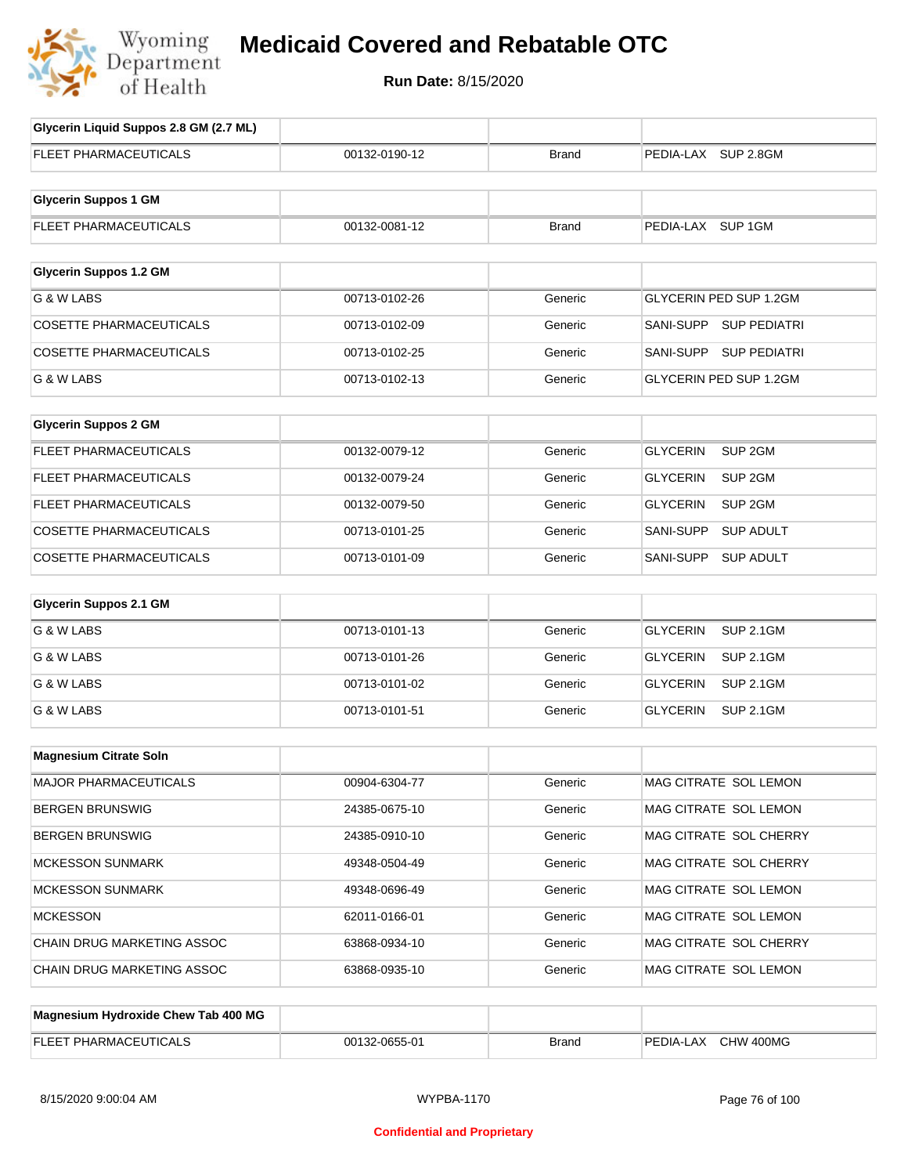

# **Medicaid Covered and Rebatable OTC**

**Run Date:** 8/15/2020

| Glycerin Liquid Suppos 2.8 GM (2.7 ML) |               |              |                                       |
|----------------------------------------|---------------|--------------|---------------------------------------|
| FLEET PHARMACEUTICALS                  | 00132-0190-12 | <b>Brand</b> | PEDIA-LAX SUP 2.8GM                   |
|                                        |               |              |                                       |
| <b>Glycerin Suppos 1 GM</b>            |               |              |                                       |
| FLEET PHARMACEUTICALS                  | 00132-0081-12 | <b>Brand</b> | PEDIA-LAX SUP 1GM                     |
|                                        |               |              |                                       |
| <b>Glycerin Suppos 1.2 GM</b>          |               |              |                                       |
| G & W LABS                             | 00713-0102-26 | Generic      | GLYCERIN PED SUP 1.2GM                |
| <b>COSETTE PHARMACEUTICALS</b>         | 00713-0102-09 | Generic      | SANI-SUPP SUP PEDIATRI                |
| <b>COSETTE PHARMACEUTICALS</b>         | 00713-0102-25 | Generic      | SANI-SUPP SUP PEDIATRI                |
| G & W LABS                             | 00713-0102-13 | Generic      | GLYCERIN PED SUP 1.2GM                |
|                                        |               |              |                                       |
| <b>Glycerin Suppos 2 GM</b>            |               |              |                                       |
| FLEET PHARMACEUTICALS                  | 00132-0079-12 | Generic      | <b>GLYCERIN</b><br>SUP <sub>2GM</sub> |
| <b>FLEET PHARMACEUTICALS</b>           | 00132-0079-24 | Generic      | GLYCERIN<br>SUP <sub>2GM</sub>        |
| <b>FLEET PHARMACEUTICALS</b>           | 00132-0079-50 | Generic      | <b>GLYCERIN</b><br>SUP <sub>2GM</sub> |
| COSETTE PHARMACEUTICALS                | 00713-0101-25 | Generic      | SANI-SUPP<br><b>SUP ADULT</b>         |
| COSETTE PHARMACEUTICALS                | 00713-0101-09 | Generic      | <b>SUP ADULT</b><br>SANI-SUPP         |
| <b>Glycerin Suppos 2.1 GM</b>          |               |              |                                       |
| G & W LABS                             | 00713-0101-13 | Generic      | <b>GLYCERIN</b><br><b>SUP 2.1GM</b>   |
|                                        |               |              |                                       |
| G & W LABS                             | 00713-0101-26 | Generic      | GLYCERIN<br><b>SUP 2.1GM</b>          |
| G & W LABS                             | 00713-0101-02 | Generic      | <b>GLYCERIN</b><br><b>SUP 2.1GM</b>   |
| G & W LABS                             | 00713-0101-51 | Generic      | <b>GLYCERIN</b><br><b>SUP 2.1GM</b>   |
| <b>Magnesium Citrate Soln</b>          |               |              |                                       |
| MAJOR PHARMACEUTICALS                  | 00904-6304-77 | Generic      | MAG CITRATE SOL LEMON                 |
| <b>BERGEN BRUNSWIG</b>                 | 24385-0675-10 | Generic      | MAG CITRATE SOL LEMON                 |
| <b>BERGEN BRUNSWIG</b>                 | 24385-0910-10 | Generic      | MAG CITRATE SOL CHERRY                |
|                                        |               |              |                                       |
| <b>MCKESSON SUNMARK</b>                | 49348-0504-49 | Generic      | MAG CITRATE SOL CHERRY                |
| <b>MCKESSON SUNMARK</b>                | 49348-0696-49 | Generic      | MAG CITRATE SOL LEMON                 |
| <b>MCKESSON</b>                        | 62011-0166-01 | Generic      | MAG CITRATE SOL LEMON                 |
| <b>CHAIN DRUG MARKETING ASSOC</b>      | 63868-0934-10 | Generic      | MAG CITRATE SOL CHERRY                |
| CHAIN DRUG MARKETING ASSOC             | 63868-0935-10 | Generic      | MAG CITRATE SOL LEMON                 |
|                                        |               |              |                                       |
| Magnesium Hydroxide Chew Tab 400 MG    |               |              |                                       |
| FLEET PHARMACEUTICALS                  | 00132-0655-01 | <b>Brand</b> | PEDIA-LAX CHW 400MG                   |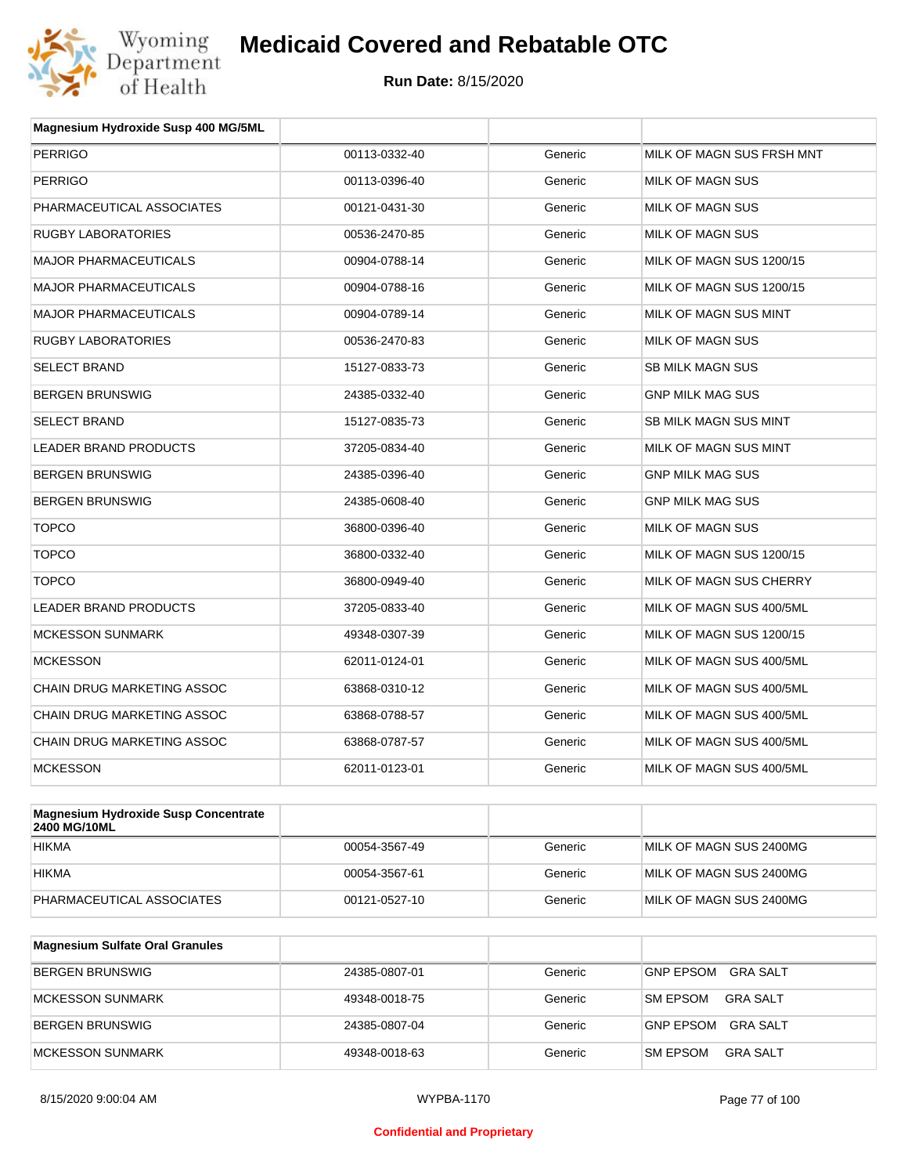

| Magnesium Hydroxide Susp 400 MG/5ML |               |         |                           |
|-------------------------------------|---------------|---------|---------------------------|
| <b>PERRIGO</b>                      | 00113-0332-40 | Generic | MILK OF MAGN SUS FRSH MNT |
| <b>PERRIGO</b>                      | 00113-0396-40 | Generic | <b>MILK OF MAGN SUS</b>   |
| PHARMACEUTICAL ASSOCIATES           | 00121-0431-30 | Generic | MILK OF MAGN SUS          |
| <b>RUGBY LABORATORIES</b>           | 00536-2470-85 | Generic | <b>MILK OF MAGN SUS</b>   |
| <b>MAJOR PHARMACEUTICALS</b>        | 00904-0788-14 | Generic | MILK OF MAGN SUS 1200/15  |
| <b>MAJOR PHARMACEUTICALS</b>        | 00904-0788-16 | Generic | MILK OF MAGN SUS 1200/15  |
| <b>MAJOR PHARMACEUTICALS</b>        | 00904-0789-14 | Generic | MILK OF MAGN SUS MINT     |
| <b>RUGBY LABORATORIES</b>           | 00536-2470-83 | Generic | MILK OF MAGN SUS          |
| <b>SELECT BRAND</b>                 | 15127-0833-73 | Generic | <b>SB MILK MAGN SUS</b>   |
| <b>BERGEN BRUNSWIG</b>              | 24385-0332-40 | Generic | <b>GNP MILK MAG SUS</b>   |
| <b>SELECT BRAND</b>                 | 15127-0835-73 | Generic | SB MILK MAGN SUS MINT     |
| LEADER BRAND PRODUCTS               | 37205-0834-40 | Generic | MILK OF MAGN SUS MINT     |
| <b>BERGEN BRUNSWIG</b>              | 24385-0396-40 | Generic | <b>GNP MILK MAG SUS</b>   |
| <b>BERGEN BRUNSWIG</b>              | 24385-0608-40 | Generic | <b>GNP MILK MAG SUS</b>   |
| <b>TOPCO</b>                        | 36800-0396-40 | Generic | <b>MILK OF MAGN SUS</b>   |
| <b>TOPCO</b>                        | 36800-0332-40 | Generic | MILK OF MAGN SUS 1200/15  |
| <b>TOPCO</b>                        | 36800-0949-40 | Generic | MILK OF MAGN SUS CHERRY   |
| <b>LEADER BRAND PRODUCTS</b>        | 37205-0833-40 | Generic | MILK OF MAGN SUS 400/5ML  |
| <b>MCKESSON SUNMARK</b>             | 49348-0307-39 | Generic | MILK OF MAGN SUS 1200/15  |
| <b>MCKESSON</b>                     | 62011-0124-01 | Generic | MILK OF MAGN SUS 400/5ML  |
| CHAIN DRUG MARKETING ASSOC          | 63868-0310-12 | Generic | MILK OF MAGN SUS 400/5ML  |
| CHAIN DRUG MARKETING ASSOC          | 63868-0788-57 | Generic | MILK OF MAGN SUS 400/5ML  |
| CHAIN DRUG MARKETING ASSOC          | 63868-0787-57 | Generic | MILK OF MAGN SUS 400/5ML  |
| <b>MCKESSON</b>                     | 62011-0123-01 | Generic | MILK OF MAGN SUS 400/5ML  |
|                                     |               |         |                           |

| Magnesium Hydroxide Susp Concentrate<br><b>2400 MG/10ML</b> |               |         |                         |
|-------------------------------------------------------------|---------------|---------|-------------------------|
| <b>HIKMA</b>                                                | 00054-3567-49 | Generic | MILK OF MAGN SUS 2400MG |
| <b>HIKMA</b>                                                | 00054-3567-61 | Generic | MILK OF MAGN SUS 2400MG |
| PHARMACEUTICAL ASSOCIATES                                   | 00121-0527-10 | Generic | MILK OF MAGN SUS 2400MG |

| <b>Magnesium Sulfate Oral Granules</b> |               |         |                                     |
|----------------------------------------|---------------|---------|-------------------------------------|
| BERGEN BRUNSWIG                        | 24385-0807-01 | Generic | <b>GNP EPSOM</b><br>GRA SALT        |
| MCKESSON SUNMARK                       | 49348-0018-75 | Generic | GRA SALT<br><b>SM EPSOM</b>         |
| BERGEN BRUNSWIG                        | 24385-0807-04 | Generic | <b>GNP EPSOM</b><br><b>GRA SALT</b> |
| MCKESSON SUNMARK                       | 49348-0018-63 | Generic | <b>SM EPSOM</b><br>GRA SALT         |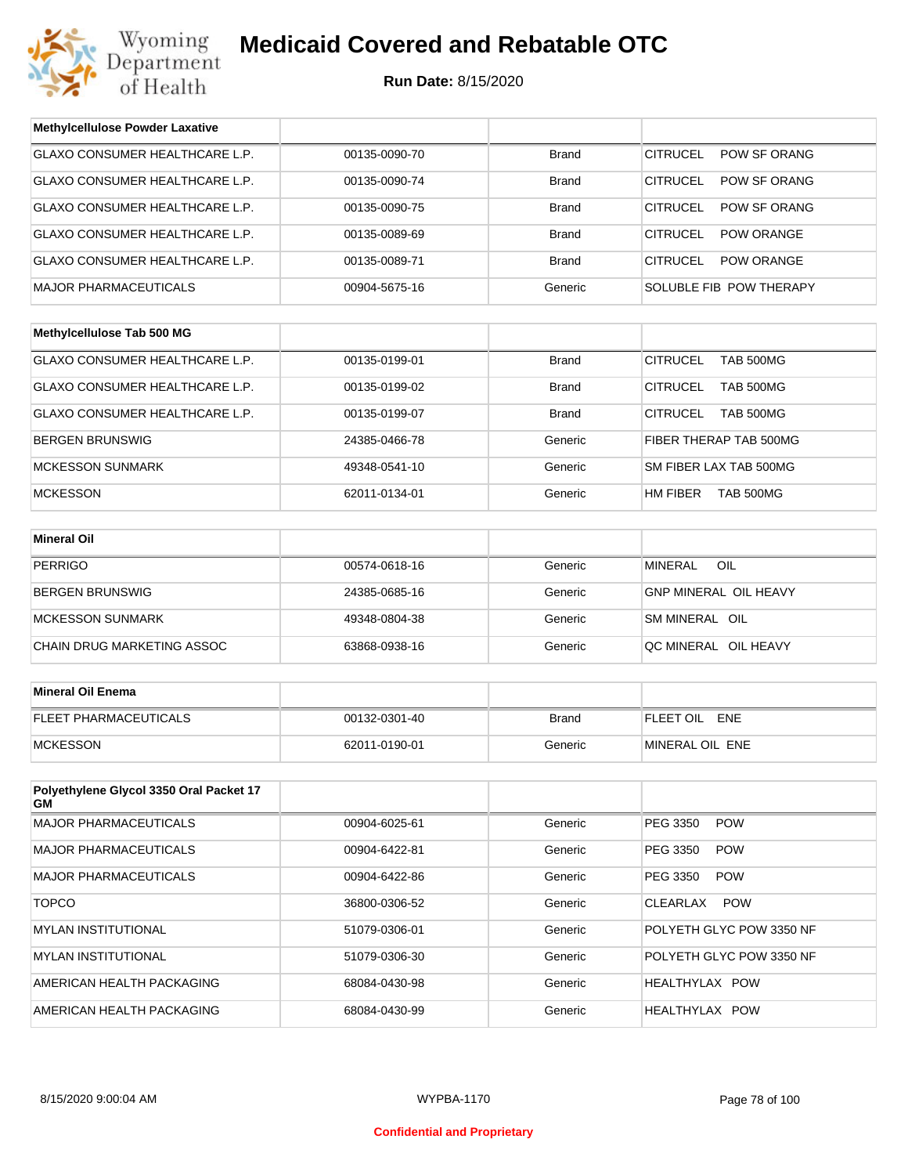

| <b>Methylcellulose Powder Laxative</b>        |               |              |                                        |
|-----------------------------------------------|---------------|--------------|----------------------------------------|
| GLAXO CONSUMER HEALTHCARE L.P.                | 00135-0090-70 | <b>Brand</b> | <b>CITRUCEL</b><br>POW SF ORANG        |
| GLAXO CONSUMER HEALTHCARE L.P.                | 00135-0090-74 | <b>Brand</b> | <b>CITRUCEL</b><br>POW SF ORANG        |
| GLAXO CONSUMER HEALTHCARE L.P.                | 00135-0090-75 | <b>Brand</b> | <b>CITRUCEL</b><br><b>POW SF ORANG</b> |
| GLAXO CONSUMER HEALTHCARE L.P.                | 00135-0089-69 | <b>Brand</b> | <b>CITRUCEL</b><br><b>POW ORANGE</b>   |
| GLAXO CONSUMER HEALTHCARE L.P.                | 00135-0089-71 | <b>Brand</b> | <b>CITRUCEL</b><br>POW ORANGE          |
| MAJOR PHARMACEUTICALS                         | 00904-5675-16 | Generic      | SOLUBLE FIB POW THERAPY                |
|                                               |               |              |                                        |
| Methylcellulose Tab 500 MG                    |               |              |                                        |
| GLAXO CONSUMER HEALTHCARE L.P.                | 00135-0199-01 | <b>Brand</b> | <b>CITRUCEL</b><br><b>TAB 500MG</b>    |
| GLAXO CONSUMER HEALTHCARE L.P.                | 00135-0199-02 | <b>Brand</b> | <b>CITRUCEL</b><br>TAB 500MG           |
| GLAXO CONSUMER HEALTHCARE L.P.                | 00135-0199-07 | <b>Brand</b> | <b>CITRUCEL</b><br><b>TAB 500MG</b>    |
| BERGEN BRUNSWIG                               | 24385-0466-78 | Generic      | FIBER THERAP TAB 500MG                 |
| <b>MCKESSON SUNMARK</b>                       | 49348-0541-10 | Generic      | SM FIBER LAX TAB 500MG                 |
| <b>MCKESSON</b>                               | 62011-0134-01 | Generic      | HM FIBER<br><b>TAB 500MG</b>           |
|                                               |               |              |                                        |
| <b>Mineral Oil</b>                            |               |              |                                        |
| <b>PERRIGO</b>                                | 00574-0618-16 | Generic      | OIL<br><b>MINERAL</b>                  |
| BERGEN BRUNSWIG                               | 24385-0685-16 | Generic      | <b>GNP MINERAL OIL HEAVY</b>           |
| <b>MCKESSON SUNMARK</b>                       | 49348-0804-38 | Generic      | SM MINERAL OIL                         |
| CHAIN DRUG MARKETING ASSOC                    | 63868-0938-16 | Generic      | QC MINERAL OIL HEAVY                   |
|                                               |               |              |                                        |
| <b>Mineral Oil Enema</b>                      |               |              |                                        |
| FLEET PHARMACEUTICALS                         | 00132-0301-40 | <b>Brand</b> | FLEET OIL ENE                          |
| <b>MCKESSON</b>                               | 62011-0190-01 | Generic      | MINERAL OIL ENE                        |
|                                               |               |              |                                        |
| Polyethylene Glycol 3350 Oral Packet 17<br>GМ |               |              |                                        |
| <b>MAJOR PHARMACEUTICALS</b>                  | 00904-6025-61 | Generic      | PEG 3350<br><b>POW</b>                 |
| MAJOR PHARMACEUTICALS                         | 00904-6422-81 | Generic      | PEG 3350<br><b>POW</b>                 |
| <b>MAJOR PHARMACEUTICALS</b>                  | 00904-6422-86 | Generic      | PEG 3350<br><b>POW</b>                 |
| <b>TOPCO</b>                                  | 36800-0306-52 | Generic      | <b>POW</b><br>CLEARLAX                 |
| MYLAN INSTITUTIONAL                           | 51079-0306-01 | Generic      | POLYETH GLYC POW 3350 NF               |
| <b>MYLAN INSTITUTIONAL</b>                    | 51079-0306-30 | Generic      | POLYETH GLYC POW 3350 NF               |
| AMERICAN HEALTH PACKAGING                     | 68084-0430-98 | Generic      | HEALTHYLAX POW                         |
| AMERICAN HEALTH PACKAGING                     | 68084-0430-99 | Generic      | HEALTHYLAX POW                         |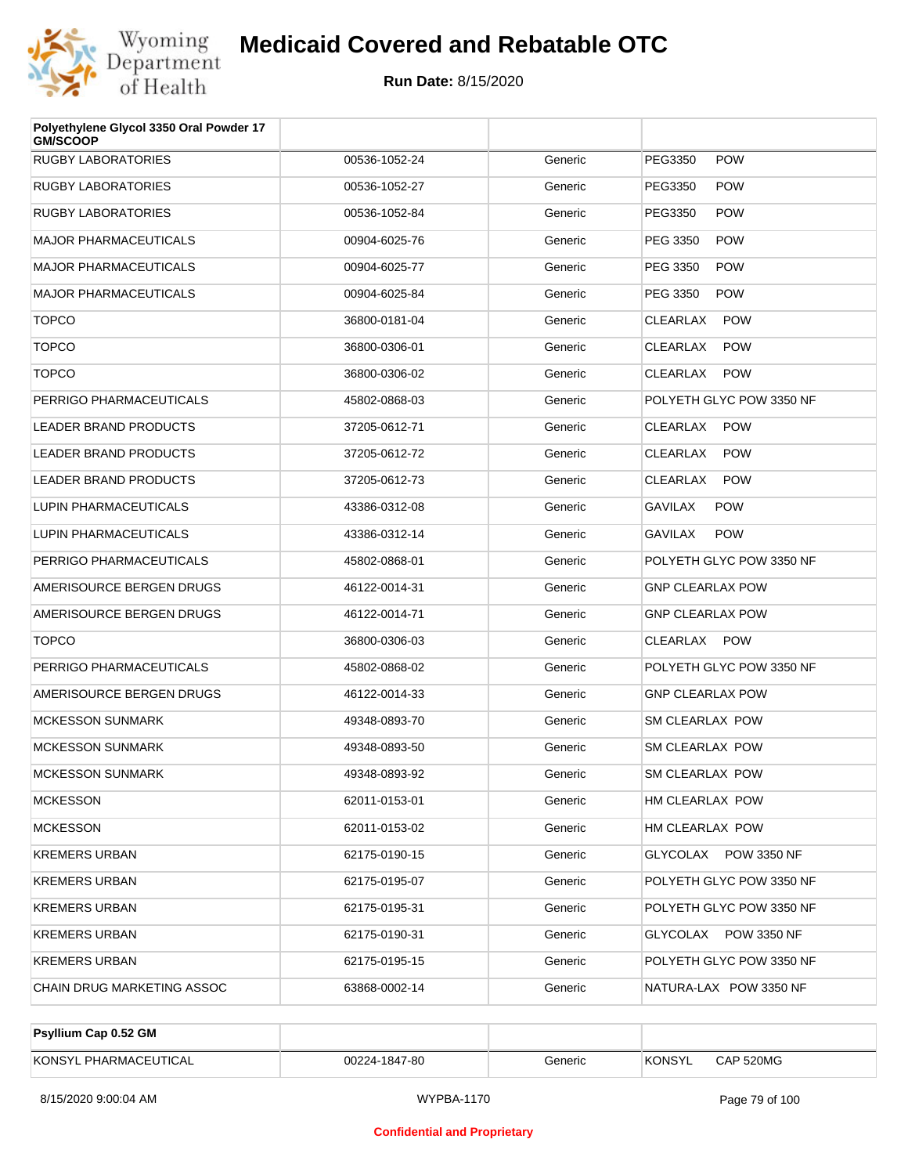

| Polyethylene Glycol 3350 Oral Powder 17<br><b>GM/SCOOP</b> |               |         |                               |
|------------------------------------------------------------|---------------|---------|-------------------------------|
| <b>RUGBY LABORATORIES</b>                                  | 00536-1052-24 | Generic | PEG3350<br><b>POW</b>         |
| <b>RUGBY LABORATORIES</b>                                  | 00536-1052-27 | Generic | PEG3350<br><b>POW</b>         |
| <b>RUGBY LABORATORIES</b>                                  | 00536-1052-84 | Generic | PEG3350<br><b>POW</b>         |
| <b>MAJOR PHARMACEUTICALS</b>                               | 00904-6025-76 | Generic | PEG 3350<br><b>POW</b>        |
| <b>MAJOR PHARMACEUTICALS</b>                               | 00904-6025-77 | Generic | PEG 3350<br><b>POW</b>        |
| <b>MAJOR PHARMACEUTICALS</b>                               | 00904-6025-84 | Generic | PEG 3350<br><b>POW</b>        |
| <b>TOPCO</b>                                               | 36800-0181-04 | Generic | <b>CLEARLAX</b><br><b>POW</b> |
| <b>TOPCO</b>                                               | 36800-0306-01 | Generic | <b>CLEARLAX</b><br><b>POW</b> |
| <b>TOPCO</b>                                               | 36800-0306-02 | Generic | CLEARLAX<br><b>POW</b>        |
| PERRIGO PHARMACEUTICALS                                    | 45802-0868-03 | Generic | POLYETH GLYC POW 3350 NF      |
| <b>LEADER BRAND PRODUCTS</b>                               | 37205-0612-71 | Generic | CLEARLAX<br><b>POW</b>        |
| <b>LEADER BRAND PRODUCTS</b>                               | 37205-0612-72 | Generic | <b>CLEARLAX</b><br><b>POW</b> |
| <b>LEADER BRAND PRODUCTS</b>                               | 37205-0612-73 | Generic | CLEARLAX<br><b>POW</b>        |
| LUPIN PHARMACEUTICALS                                      | 43386-0312-08 | Generic | <b>GAVILAX</b><br><b>POW</b>  |
| LUPIN PHARMACEUTICALS                                      | 43386-0312-14 | Generic | <b>POW</b><br>GAVILAX         |
| PERRIGO PHARMACEUTICALS                                    | 45802-0868-01 | Generic | POLYETH GLYC POW 3350 NF      |
| AMERISOURCE BERGEN DRUGS                                   | 46122-0014-31 | Generic | <b>GNP CLEARLAX POW</b>       |
| AMERISOURCE BERGEN DRUGS                                   | 46122-0014-71 | Generic | <b>GNP CLEARLAX POW</b>       |
| <b>TOPCO</b>                                               | 36800-0306-03 | Generic | CLEARLAX POW                  |
| PERRIGO PHARMACEUTICALS                                    | 45802-0868-02 | Generic | POLYETH GLYC POW 3350 NF      |
| AMERISOURCE BERGEN DRUGS                                   | 46122-0014-33 | Generic | <b>GNP CLEARLAX POW</b>       |
| <b>MCKESSON SUNMARK</b>                                    | 49348-0893-70 | Generic | <b>SM CLEARLAX POW</b>        |
| <b>MCKESSON SUNMARK</b>                                    | 49348-0893-50 | Generic | SM CLEARLAX POW               |
| <b>MCKESSON SUNMARK</b>                                    | 49348-0893-92 | Generic | <b>SM CLEARLAX POW</b>        |
| <b>MCKESSON</b>                                            | 62011-0153-01 | Generic | HM CLEARLAX POW               |
| <b>MCKESSON</b>                                            | 62011-0153-02 | Generic | HM CLEARLAX POW               |
| <b>KREMERS URBAN</b>                                       | 62175-0190-15 | Generic | GLYCOLAX POW 3350 NF          |
| <b>KREMERS URBAN</b>                                       | 62175-0195-07 | Generic | POLYETH GLYC POW 3350 NF      |
| <b>KREMERS URBAN</b>                                       | 62175-0195-31 | Generic | POLYETH GLYC POW 3350 NF      |
| <b>KREMERS URBAN</b>                                       | 62175-0190-31 | Generic | GLYCOLAX POW 3350 NF          |
| <b>KREMERS URBAN</b>                                       | 62175-0195-15 | Generic | POLYETH GLYC POW 3350 NF      |
| CHAIN DRUG MARKETING ASSOC                                 | 63868-0002-14 | Generic | NATURA-LAX POW 3350 NF        |

| <b>Psyllium Cap 0.52 GM</b> |               |         |         |           |
|-----------------------------|---------------|---------|---------|-----------|
| KONSYL PHARMACEUTICAL       | 00224-1847-80 | Generic | 'KONSYL | CAP 520MG |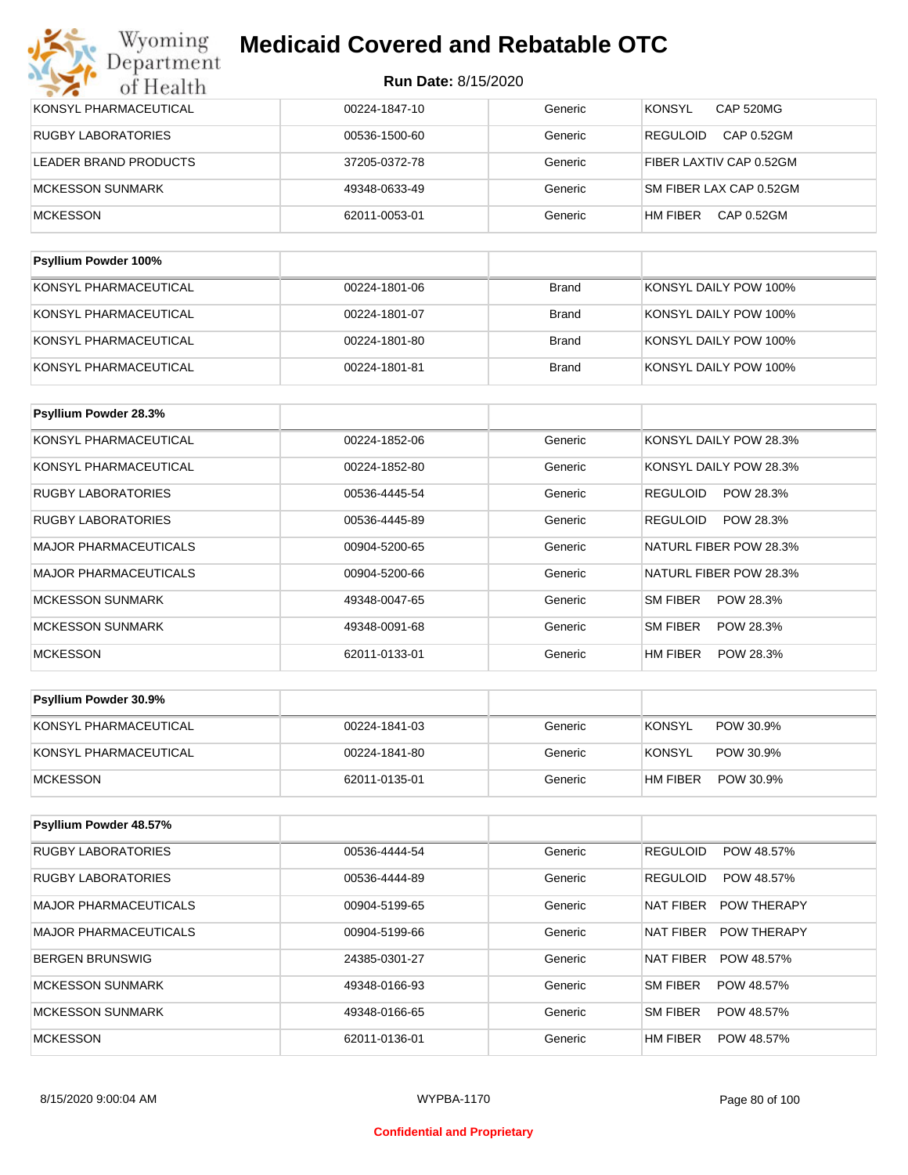| KONSYL PHARMACEUTICAL       | 00224-1847-10 | Generic      | <b>CAP 520MG</b><br><b>KONSYL</b> |
|-----------------------------|---------------|--------------|-----------------------------------|
| <b>RUGBY LABORATORIES</b>   | 00536-1500-60 | Generic      | CAP 0.52GM<br><b>REGULOID</b>     |
| LEADER BRAND PRODUCTS       | 37205-0372-78 | Generic      | FIBER LAXTIV CAP 0.52GM           |
| <b>MCKESSON SUNMARK</b>     | 49348-0633-49 | Generic      | SM FIBER LAX CAP 0.52GM           |
| <b>MCKESSON</b>             | 62011-0053-01 | Generic      | CAP 0.52GM<br>HM FIBER            |
|                             |               |              |                                   |
| <b>Psyllium Powder 100%</b> |               |              |                                   |
| KONSYL PHARMACEUTICAL       | 00224-1801-06 | <b>Brand</b> | KONSYL DAILY POW 100%             |

| KONSYL PHARMACEUTICAL | 00224-1801-07 | Brand | KONSYL DAILY POW 100% |
|-----------------------|---------------|-------|-----------------------|
| KONSYL PHARMACEUTICAL | 00224-1801-80 | Brand | KONSYL DAILY POW 100% |
| KONSYL PHARMACEUTICAL | 00224-1801-81 | Brand | KONSYL DAILY POW 100% |

| <b>Psyllium Powder 28.3%</b> |               |         |                              |
|------------------------------|---------------|---------|------------------------------|
| KONSYL PHARMACEUTICAL        | 00224-1852-06 | Generic | KONSYL DAILY POW 28.3%       |
| KONSYL PHARMACEUTICAL        | 00224-1852-80 | Generic | KONSYL DAILY POW 28.3%       |
| <b>RUGBY LABORATORIES</b>    | 00536-4445-54 | Generic | POW 28.3%<br><b>REGULOID</b> |
| <b>RUGBY LABORATORIES</b>    | 00536-4445-89 | Generic | <b>REGULOID</b><br>POW 28.3% |
| <b>MAJOR PHARMACEUTICALS</b> | 00904-5200-65 | Generic | NATURL FIBER POW 28.3%       |
| <b>MAJOR PHARMACEUTICALS</b> | 00904-5200-66 | Generic | NATURL FIBER POW 28.3%       |
| <b>MCKESSON SUNMARK</b>      | 49348-0047-65 | Generic | SM FIBER<br>POW 28.3%        |
| <b>MCKESSON SUNMARK</b>      | 49348-0091-68 | Generic | SM FIBER<br>POW 28.3%        |
| <b>MCKESSON</b>              | 62011-0133-01 | Generic | HM FIBER<br>POW 28.3%        |

| <b>Psyllium Powder 30.9%</b> |               |         |                            |
|------------------------------|---------------|---------|----------------------------|
| KONSYL PHARMACEUTICAL        | 00224-1841-03 | Generic | <b>KONSYL</b><br>POW 30.9% |
| KONSYL PHARMACEUTICAL        | 00224-1841-80 | Generic | KONSYL<br>POW 30.9%        |
| <b>IMCKESSON</b>             | 62011-0135-01 | Generic | HM FIBER<br>POW 30.9%      |

| Psyllium Powder 48.57%       |               |         |                                        |
|------------------------------|---------------|---------|----------------------------------------|
| <b>RUGBY LABORATORIES</b>    | 00536-4444-54 | Generic | <b>REGULOID</b><br>POW 48.57%          |
| <b>RUGBY LABORATORIES</b>    | 00536-4444-89 | Generic | <b>REGULOID</b><br>POW 48.57%          |
| <b>MAJOR PHARMACEUTICALS</b> | 00904-5199-65 | Generic | <b>NAT FIBER</b><br><b>POW THERAPY</b> |
| <b>MAJOR PHARMACEUTICALS</b> | 00904-5199-66 | Generic | NAT FIBER<br><b>POW THERAPY</b>        |
| <b>BERGEN BRUNSWIG</b>       | 24385-0301-27 | Generic | <b>NAT FIBER</b><br>POW 48.57%         |
| MCKESSON SUNMARK             | 49348-0166-93 | Generic | SM FIBER<br>POW 48.57%                 |
| MCKESSON SUNMARK             | 49348-0166-65 | Generic | <b>SM FIBER</b><br>POW 48.57%          |
| <b>MCKESSON</b>              | 62011-0136-01 | Generic | HM FIBER<br>POW 48.57%                 |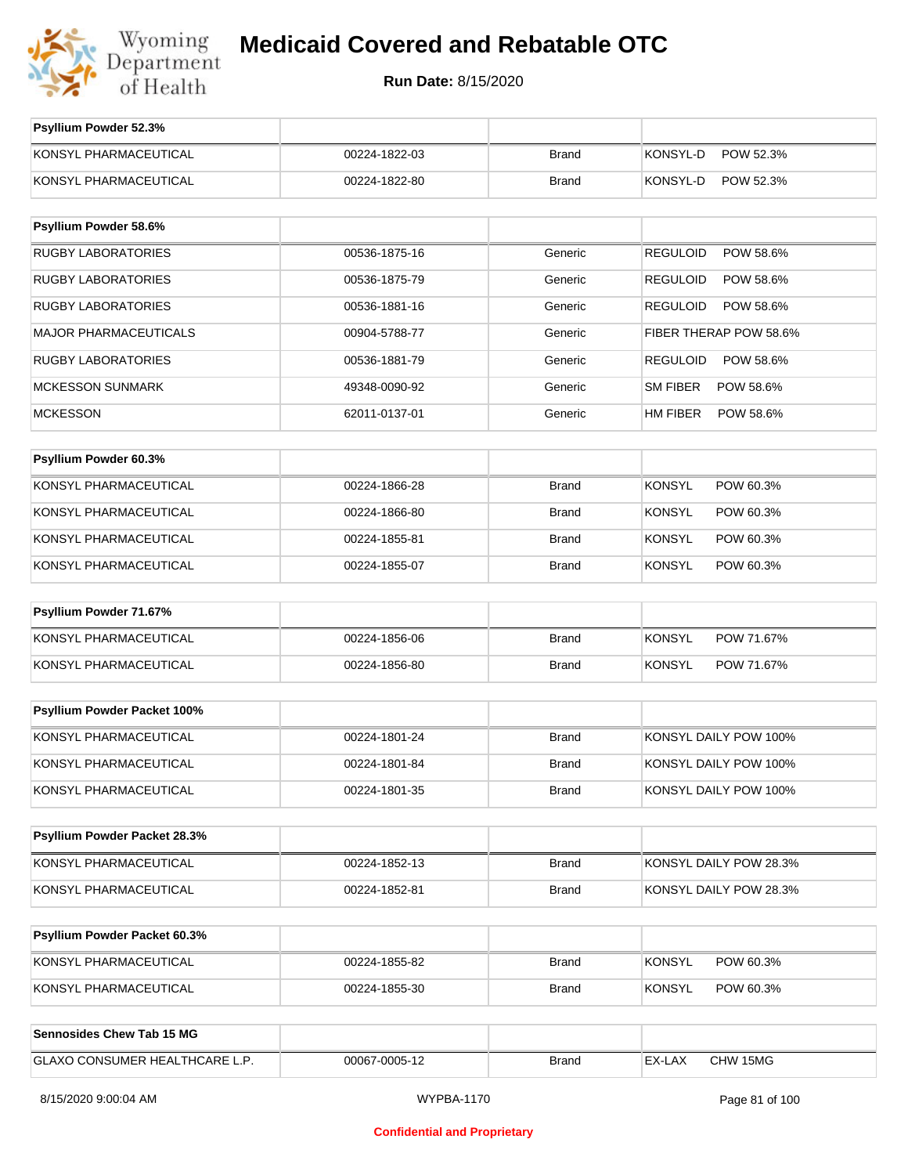

| Psyllium Powder 52.3%          |               |              |                              |
|--------------------------------|---------------|--------------|------------------------------|
| KONSYL PHARMACEUTICAL          | 00224-1822-03 | <b>Brand</b> | KONSYL-D<br>POW 52.3%        |
| KONSYL PHARMACEUTICAL          | 00224-1822-80 | <b>Brand</b> | KONSYL-D<br>POW 52.3%        |
| Psyllium Powder 58.6%          |               |              |                              |
| <b>RUGBY LABORATORIES</b>      | 00536-1875-16 | Generic      | <b>REGULOID</b><br>POW 58.6% |
| <b>RUGBY LABORATORIES</b>      | 00536-1875-79 | Generic      | REGULOID<br>POW 58.6%        |
| <b>RUGBY LABORATORIES</b>      | 00536-1881-16 | Generic      | REGULOID<br>POW 58.6%        |
| <b>MAJOR PHARMACEUTICALS</b>   | 00904-5788-77 | Generic      | FIBER THERAP POW 58.6%       |
| <b>RUGBY LABORATORIES</b>      | 00536-1881-79 | Generic      | REGULOID<br>POW 58.6%        |
| <b>MCKESSON SUNMARK</b>        | 49348-0090-92 | Generic      | SM FIBER<br>POW 58.6%        |
| <b>MCKESSON</b>                | 62011-0137-01 | Generic      | HM FIBER<br>POW 58.6%        |
|                                |               |              |                              |
| Psyllium Powder 60.3%          |               |              |                              |
| KONSYL PHARMACEUTICAL          | 00224-1866-28 | <b>Brand</b> | <b>KONSYL</b><br>POW 60.3%   |
| KONSYL PHARMACEUTICAL          | 00224-1866-80 | <b>Brand</b> | <b>KONSYL</b><br>POW 60.3%   |
| KONSYL PHARMACEUTICAL          | 00224-1855-81 | <b>Brand</b> | <b>KONSYL</b><br>POW 60.3%   |
| KONSYL PHARMACEUTICAL          | 00224-1855-07 | <b>Brand</b> | <b>KONSYL</b><br>POW 60.3%   |
| Psyllium Powder 71.67%         |               |              |                              |
| KONSYL PHARMACEUTICAL          | 00224-1856-06 | <b>Brand</b> | <b>KONSYL</b><br>POW 71.67%  |
| KONSYL PHARMACEUTICAL          | 00224-1856-80 | <b>Brand</b> | KONSYL<br>POW 71.67%         |
|                                |               |              |                              |
| Psyllium Powder Packet 100%    |               |              |                              |
| KONSYL PHARMACEUTICAL          | 00224-1801-24 | <b>Brand</b> | KONSYL DAILY POW 100%        |
| KONSYL PHARMACEUTICAL          | 00224-1801-84 | <b>Brand</b> | KONSYL DAILY POW 100%        |
| KONSYL PHARMACEUTICAL          | 00224-1801-35 | <b>Brand</b> | KONSYL DAILY POW 100%        |
| Psyllium Powder Packet 28.3%   |               |              |                              |
| KONSYL PHARMACEUTICAL          | 00224-1852-13 | <b>Brand</b> | KONSYL DAILY POW 28.3%       |
| KONSYL PHARMACEUTICAL          | 00224-1852-81 | <b>Brand</b> | KONSYL DAILY POW 28.3%       |
|                                |               |              |                              |
| Psyllium Powder Packet 60.3%   |               |              |                              |
| KONSYL PHARMACEUTICAL          | 00224-1855-82 | Brand        | <b>KONSYL</b><br>POW 60.3%   |
| KONSYL PHARMACEUTICAL          | 00224-1855-30 | Brand        | <b>KONSYL</b><br>POW 60.3%   |
| Sennosides Chew Tab 15 MG      |               |              |                              |
|                                |               |              |                              |
| GLAXO CONSUMER HEALTHCARE L.P. | 00067-0005-12 | <b>Brand</b> | EX-LAX<br>CHW 15MG           |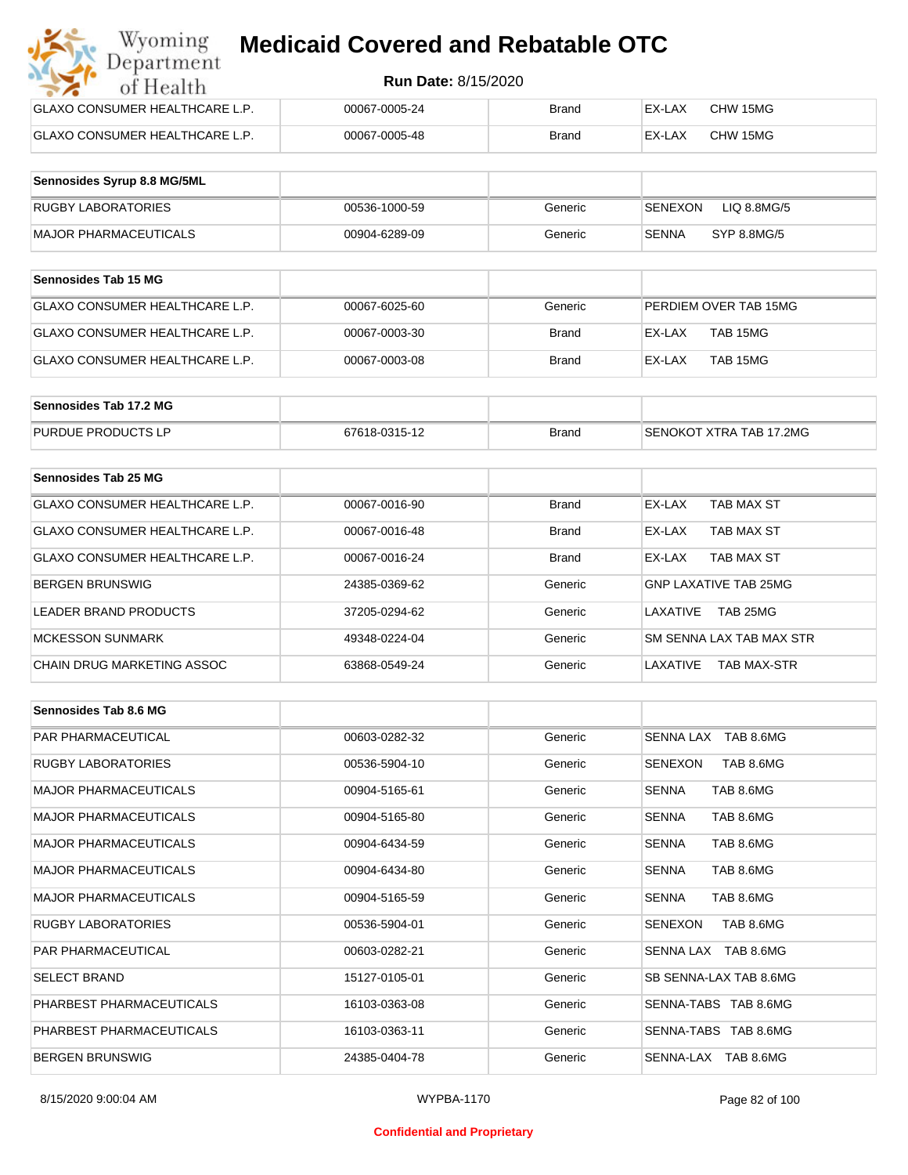| Wyoming<br><b>Medicaid Covered and Rebatable OTC</b><br>Department |                            |       |        |          |  |
|--------------------------------------------------------------------|----------------------------|-------|--------|----------|--|
| of Health                                                          | <b>Run Date: 8/15/2020</b> |       |        |          |  |
| <b>GLAXO CONSUMER HEALTHCARE L.P.</b>                              | 00067-0005-24              | Brand | EX-LAX | CHW 15MG |  |
| <b>GLAXO CONSUMER HEALTHCARE L.P.</b>                              | 00067-0005-48              | Brand | EX-LAX | CHW 15MG |  |

| Sennosides Syrup 8.8 MG/5ML |               |         |                               |
|-----------------------------|---------------|---------|-------------------------------|
| RUGBY LABORATORIES          | 00536-1000-59 | Generic | LIQ 8.8MG/5<br><b>SENEXON</b> |
| MAJOR PHARMACEUTICALS       | 00904-6289-09 | Generic | <b>SENNA</b><br>SYP 8.8MG/5   |

| <b>Sennosides Tab 15 MG</b>    |               |         |                       |
|--------------------------------|---------------|---------|-----------------------|
| GLAXO CONSUMER HEALTHCARE L.P. | 00067-6025-60 | Generic | PERDIEM OVER TAB 15MG |
| GLAXO CONSUMER HEALTHCARE L.P. | 00067-0003-30 | Brand   | TAB 15MG<br>EX-LAX    |
| GLAXO CONSUMER HEALTHCARE L.P. | 00067-0003-08 | Brand   | TAB 15MG<br>EX-LAX    |

| Sennosides Tab 17.2 MG    |               |              |                         |
|---------------------------|---------------|--------------|-------------------------|
| <b>PURDUE PRODUCTS LP</b> | 67618-0315-12 | <b>Brand</b> | SENOKOT XTRA TAB 17.2MG |

| Sennosides Tab 25 MG           |               |              |                                |
|--------------------------------|---------------|--------------|--------------------------------|
| GLAXO CONSUMER HEALTHCARE L.P. | 00067-0016-90 | <b>Brand</b> | EX-LAX<br>TAB MAX ST           |
| GLAXO CONSUMER HEALTHCARE L.P. | 00067-0016-48 | <b>Brand</b> | TAB MAX ST<br>EX-LAX           |
| GLAXO CONSUMER HEALTHCARE L.P. | 00067-0016-24 | <b>Brand</b> | TAB MAX ST<br>EX-LAX           |
| <b>BERGEN BRUNSWIG</b>         | 24385-0369-62 | Generic      | <b>GNP LAXATIVE TAB 25MG</b>   |
| LEADER BRAND PRODUCTS          | 37205-0294-62 | Generic      | TAB 25MG<br>I AXATIVF          |
| <b>MCKESSON SUNMARK</b>        | 49348-0224-04 | Generic      | SM SENNA LAX TAB MAX STR       |
| CHAIN DRUG MARKETING ASSOC     | 63868-0549-24 | Generic      | LAXATIVE<br><b>TAB MAX-STR</b> |

| <b>Sennosides Tab 8.6 MG</b> |               |         |                             |
|------------------------------|---------------|---------|-----------------------------|
| <b>PAR PHARMACEUTICAL</b>    | 00603-0282-32 | Generic | SENNA LAX TAB 8.6MG         |
| <b>RUGBY LABORATORIES</b>    | 00536-5904-10 | Generic | SENEXON<br>TAB 8.6MG        |
| <b>MAJOR PHARMACEUTICALS</b> | 00904-5165-61 | Generic | TAB 8.6MG<br>SENNA          |
| <b>MAJOR PHARMACEUTICALS</b> | 00904-5165-80 | Generic | TAB 8.6MG<br><b>SENNA</b>   |
| <b>MAJOR PHARMACEUTICALS</b> | 00904-6434-59 | Generic | TAB 8.6MG<br><b>SENNA</b>   |
| <b>MAJOR PHARMACEUTICALS</b> | 00904-6434-80 | Generic | <b>SENNA</b><br>TAB 8.6MG   |
| <b>MAJOR PHARMACEUTICALS</b> | 00904-5165-59 | Generic | TAB 8.6MG<br>SENNA          |
| <b>RUGBY LABORATORIES</b>    | 00536-5904-01 | Generic | TAB 8.6MG<br><b>SENEXON</b> |
| <b>PAR PHARMACEUTICAL</b>    | 00603-0282-21 | Generic | SENNA LAX TAB 8.6MG         |
| <b>SELECT BRAND</b>          | 15127-0105-01 | Generic | SB SENNA-LAX TAB 8.6MG      |
| PHARBEST PHARMACEUTICALS     | 16103-0363-08 | Generic | SENNA-TABS TAB 8.6MG        |
| PHARBEST PHARMACEUTICALS     | 16103-0363-11 | Generic | SENNA-TABS TAB 8.6MG        |
| <b>BERGEN BRUNSWIG</b>       | 24385-0404-78 | Generic | SENNA-LAX TAB 8.6MG         |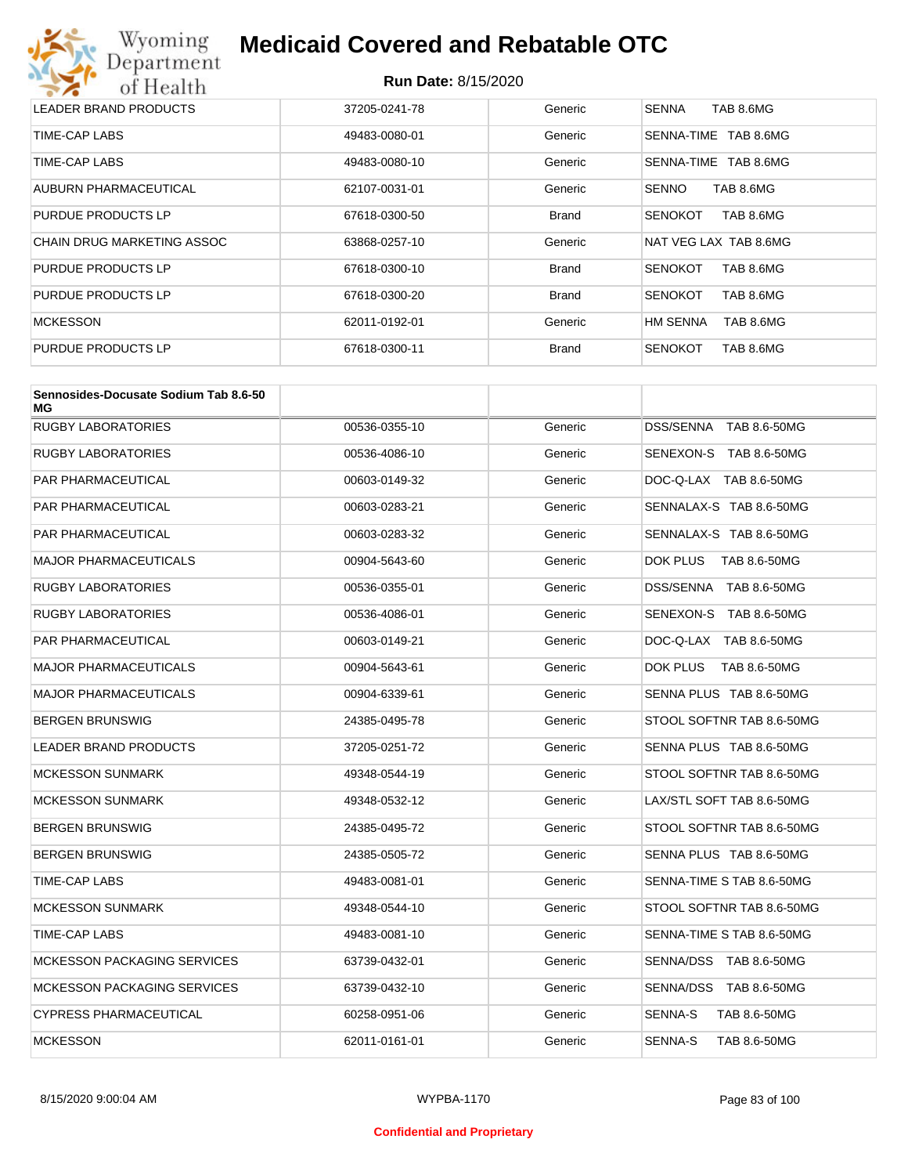

| LEADER BRAND PRODUCTS             | 37205-0241-78 | Generic      | TAB 8.6MG<br><b>SENNA</b>    |
|-----------------------------------|---------------|--------------|------------------------------|
| TIME-CAP LABS                     | 49483-0080-01 | Generic      | TAB 8.6MG<br>SENNA-TIME      |
| TIME-CAP LABS                     | 49483-0080-10 | Generic      | SENNA-TIME TAB 8.6MG         |
| AUBURN PHARMACEUTICAL             | 62107-0031-01 | Generic      | <b>SENNO</b><br>TAB 8.6MG    |
| PURDUE PRODUCTS LP                | 67618-0300-50 | <b>Brand</b> | TAB 8.6MG<br><b>SENOKOT</b>  |
| <b>CHAIN DRUG MARKETING ASSOC</b> | 63868-0257-10 | Generic      | NAT VEG LAX TAB 8.6MG        |
| PURDUE PRODUCTS LP                | 67618-0300-10 | <b>Brand</b> | TAB 8.6MG<br><b>SENOKOT</b>  |
| PURDUE PRODUCTS LP                | 67618-0300-20 | <b>Brand</b> | <b>SENOKOT</b><br>TAB 8.6MG  |
| <b>MCKESSON</b>                   | 62011-0192-01 | Generic      | <b>HM SENNA</b><br>TAB 8.6MG |
| PURDUE PRODUCTS LP                | 67618-0300-11 | Brand        | <b>SENOKOT</b><br>TAB 8.6MG  |

| Sennosides-Docusate Sodium Tab 8.6-50<br>МG |               |         |                                |
|---------------------------------------------|---------------|---------|--------------------------------|
| RUGBY LABORATORIES                          | 00536-0355-10 | Generic | DSS/SENNA TAB 8.6-50MG         |
| RUGBY LABORATORIES                          | 00536-4086-10 | Generic | SENEXON-S TAB 8.6-50MG         |
| PAR PHARMACEUTICAL                          | 00603-0149-32 | Generic | DOC-Q-LAX TAB 8.6-50MG         |
| PAR PHARMACEUTICAL                          | 00603-0283-21 | Generic | SENNALAX-S TAB 8.6-50MG        |
| PAR PHARMACEUTICAL                          | 00603-0283-32 | Generic | SENNALAX-S TAB 8.6-50MG        |
| MAJOR PHARMACEUTICALS                       | 00904-5643-60 | Generic | DOK PLUS<br>TAB 8.6-50MG       |
| <b>RUGBY LABORATORIES</b>                   | 00536-0355-01 | Generic | DSS/SENNA TAB 8.6-50MG         |
| <b>RUGBY LABORATORIES</b>                   | 00536-4086-01 | Generic | SENEXON-S TAB 8.6-50MG         |
| PAR PHARMACEUTICAL                          | 00603-0149-21 | Generic | DOC-Q-LAX TAB 8.6-50MG         |
| MAJOR PHARMACEUTICALS                       | 00904-5643-61 | Generic | DOK PLUS<br>TAB 8.6-50MG       |
| <b>MAJOR PHARMACEUTICALS</b>                | 00904-6339-61 | Generic | SENNA PLUS TAB 8.6-50MG        |
| BERGEN BRUNSWIG                             | 24385-0495-78 | Generic | STOOL SOFTNR TAB 8.6-50MG      |
| <b>LEADER BRAND PRODUCTS</b>                | 37205-0251-72 | Generic | SENNA PLUS TAB 8.6-50MG        |
| <b>MCKESSON SUNMARK</b>                     | 49348-0544-19 | Generic | STOOL SOFTNR TAB 8.6-50MG      |
| <b>MCKESSON SUNMARK</b>                     | 49348-0532-12 | Generic | LAX/STL SOFT TAB 8.6-50MG      |
| BERGEN BRUNSWIG                             | 24385-0495-72 | Generic | STOOL SOFTNR TAB 8.6-50MG      |
| BERGEN BRUNSWIG                             | 24385-0505-72 | Generic | SENNA PLUS TAB 8.6-50MG        |
| TIME-CAP LABS                               | 49483-0081-01 | Generic | SENNA-TIME S TAB 8.6-50MG      |
| <b>MCKESSON SUNMARK</b>                     | 49348-0544-10 | Generic | STOOL SOFTNR TAB 8.6-50MG      |
| TIME-CAP LABS                               | 49483-0081-10 | Generic | SENNA-TIME S TAB 8.6-50MG      |
| <b>MCKESSON PACKAGING SERVICES</b>          | 63739-0432-01 | Generic | SENNA/DSS TAB 8.6-50MG         |
| <b>MCKESSON PACKAGING SERVICES</b>          | 63739-0432-10 | Generic | SENNA/DSS TAB 8.6-50MG         |
| <b>CYPRESS PHARMACEUTICAL</b>               | 60258-0951-06 | Generic | SENNA-S<br>TAB 8.6-50MG        |
| <b>MCKESSON</b>                             | 62011-0161-01 | Generic | <b>SENNA-S</b><br>TAB 8.6-50MG |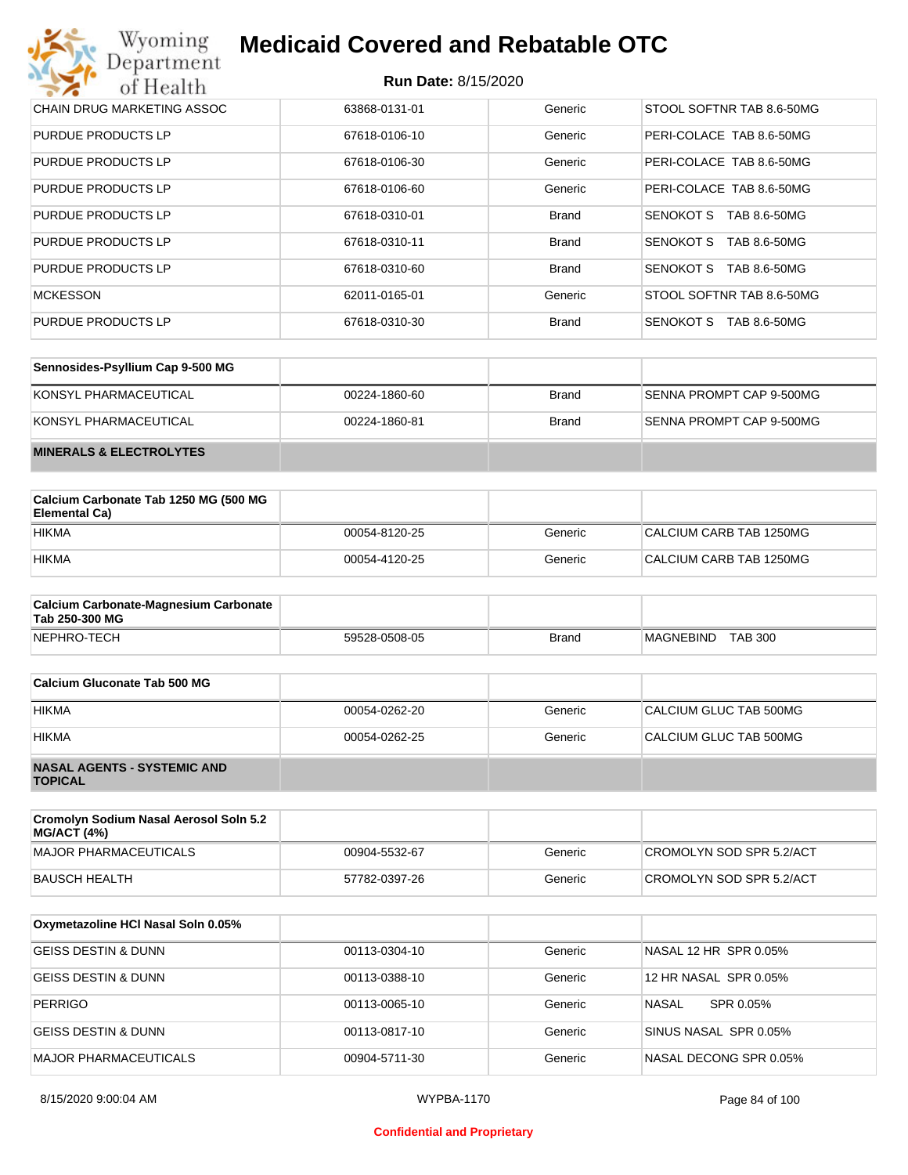## **Run Date:** 8/15/2020

| Wyoming<br><b>Medicaid Covered and Rebatable OTC</b><br>Department |                            |              |                           |  |
|--------------------------------------------------------------------|----------------------------|--------------|---------------------------|--|
| of Health                                                          | <b>Run Date: 8/15/2020</b> |              |                           |  |
| CHAIN DRUG MARKETING ASSOC                                         | 63868-0131-01              | Generic      | STOOL SOFTNR TAB 8.6-50MG |  |
| <b>PURDUE PRODUCTS LP</b>                                          | 67618-0106-10              | Generic      | PERI-COLACE TAB 8.6-50MG  |  |
| <b>PURDUE PRODUCTS LP</b>                                          | 67618-0106-30              | Generic      | PERI-COLACE TAB 8.6-50MG  |  |
| <b>PURDUE PRODUCTS LP</b>                                          | 67618-0106-60              | Generic      | PERI-COLACE TAB 8.6-50MG  |  |
| <b>PURDUE PRODUCTS LP</b>                                          | 67618-0310-01              | <b>Brand</b> | SENOKOT S<br>TAB 8.6-50MG |  |
| PURDUE PRODUCTS LP                                                 | 67618-0310-11              | <b>Brand</b> | SENOKOT S<br>TAB 8.6-50MG |  |
| <b>PURDUE PRODUCTS LP</b>                                          | 67618-0310-60              | <b>Brand</b> | SENOKOT S<br>TAB 8.6-50MG |  |
| MCKESSON                                                           | 62011-0165-01              | Generic      | STOOL SOFTNR TAB 8.6-50MG |  |
| <b>PURDUE PRODUCTS LP</b>                                          | 67618-0310-30              | <b>Brand</b> | SENOKOT S<br>TAB 8.6-50MG |  |

| Sennosides-Psyllium Cap 9-500 MG   |               |              |                          |
|------------------------------------|---------------|--------------|--------------------------|
| KONSYL PHARMACEUTICAL              | 00224-1860-60 | <b>Brand</b> | SENNA PROMPT CAP 9-500MG |
| KONSYL PHARMACEUTICAL              | 00224-1860-81 | <b>Brand</b> | SENNA PROMPT CAP 9-500MG |
| <b>MINERALS &amp; ELECTROLYTES</b> |               |              |                          |

| Calcium Carbonate Tab 1250 MG (500 MG<br>Elemental Ca) |               |         |                         |
|--------------------------------------------------------|---------------|---------|-------------------------|
| <b>HIKMA</b>                                           | 00054-8120-25 | Generic | CALCIUM CARB TAB 1250MG |
| <b>HIKMA</b>                                           | 00054-4120-25 | Generic | CALCIUM CARB TAB 1250MG |

| <b>Calcium Carbonate-Magnesium Carbonate</b><br>Tab 250-300 MG |               |              |                             |
|----------------------------------------------------------------|---------------|--------------|-----------------------------|
| NEPHRO-TECH                                                    | 59528-0508-05 | <b>Brand</b> | <b>TAB 300</b><br>MAGNEBIND |

| Calcium Gluconate Tab 500 MG                         |               |         |                        |
|------------------------------------------------------|---------------|---------|------------------------|
| <b>HIKMA</b>                                         | 00054-0262-20 | Generic | CALCIUM GLUC TAB 500MG |
| <b>HIKMA</b>                                         | 00054-0262-25 | Generic | CALCIUM GLUC TAB 500MG |
| <b>NASAL AGENTS - SYSTEMIC AND</b><br><b>TOPICAL</b> |               |         |                        |

| Cromolyn Sodium Nasal Aerosol Soln 5.2<br><b>MG/ACT (4%)</b> |               |         |                          |
|--------------------------------------------------------------|---------------|---------|--------------------------|
| MAJOR PHARMACEUTICALS                                        | 00904-5532-67 | Generic | CROMOLYN SOD SPR 5.2/ACT |
| BAUSCH HEALTH                                                | 57782-0397-26 | Generic | CROMOLYN SOD SPR 5.2/ACT |

| Oxymetazoline HCI Nasal Soln 0.05% |               |         |                        |
|------------------------------------|---------------|---------|------------------------|
| <b>GEISS DESTIN &amp; DUNN</b>     | 00113-0304-10 | Generic | NASAL 12 HR SPR 0.05%  |
| <b>GEISS DESTIN &amp; DUNN</b>     | 00113-0388-10 | Generic | 12 HR NASAL SPR 0.05%  |
| <b>PERRIGO</b>                     | 00113-0065-10 | Generic | NASAL<br>SPR 0.05%     |
| IGEISS DESTIN & DUNN               | 00113-0817-10 | Generic | SINUS NASAL SPR 0.05%  |
| <b>MAJOR PHARMACEUTICALS</b>       | 00904-5711-30 | Generic | NASAL DECONG SPR 0.05% |

#### **Confidential and Proprietary**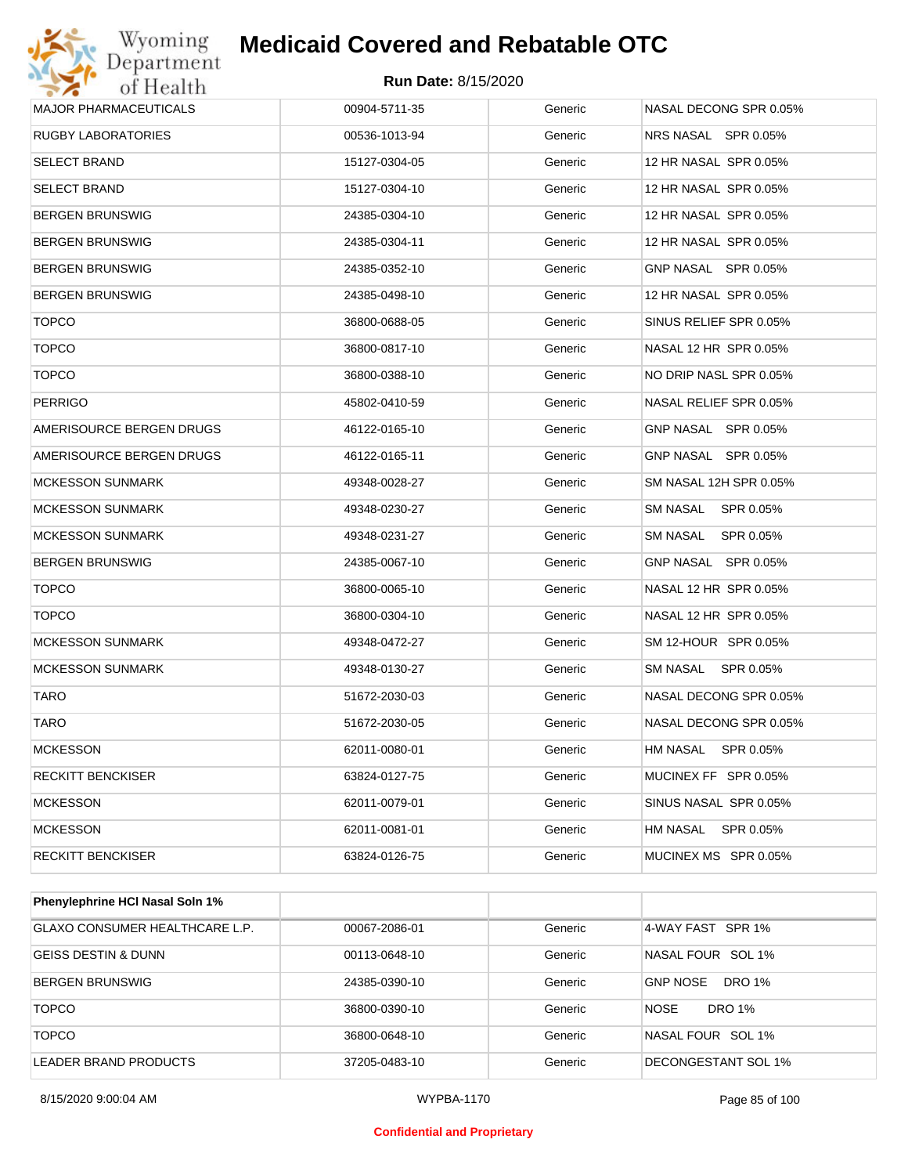

## **Run Date:** 8/15/2020

| <b>MAJOR PHARMACEUTICALS</b> | 00904-5711-35 | Generic | NASAL DECONG SPR 0.05% |
|------------------------------|---------------|---------|------------------------|
| <b>RUGBY LABORATORIES</b>    | 00536-1013-94 | Generic | NRS NASAL SPR 0.05%    |
| <b>SELECT BRAND</b>          | 15127-0304-05 | Generic | 12 HR NASAL SPR 0.05%  |
| <b>SELECT BRAND</b>          | 15127-0304-10 | Generic | 12 HR NASAL SPR 0.05%  |
| <b>BERGEN BRUNSWIG</b>       | 24385-0304-10 | Generic | 12 HR NASAL SPR 0.05%  |
| <b>BERGEN BRUNSWIG</b>       | 24385-0304-11 | Generic | 12 HR NASAL SPR 0.05%  |
| <b>BERGEN BRUNSWIG</b>       | 24385-0352-10 | Generic | GNP NASAL SPR 0.05%    |
| <b>BERGEN BRUNSWIG</b>       | 24385-0498-10 | Generic | 12 HR NASAL SPR 0.05%  |
| <b>TOPCO</b>                 | 36800-0688-05 | Generic | SINUS RELIEF SPR 0.05% |
| <b>TOPCO</b>                 | 36800-0817-10 | Generic | NASAL 12 HR SPR 0.05%  |
| <b>TOPCO</b>                 | 36800-0388-10 | Generic | NO DRIP NASL SPR 0.05% |
| <b>PERRIGO</b>               | 45802-0410-59 | Generic | NASAL RELIEF SPR 0.05% |
| AMERISOURCE BERGEN DRUGS     | 46122-0165-10 | Generic | GNP NASAL SPR 0.05%    |
| AMERISOURCE BERGEN DRUGS     | 46122-0165-11 | Generic | GNP NASAL SPR 0.05%    |
| <b>MCKESSON SUNMARK</b>      | 49348-0028-27 | Generic | SM NASAL 12H SPR 0.05% |
| <b>MCKESSON SUNMARK</b>      | 49348-0230-27 | Generic | SM NASAL SPR 0.05%     |
| <b>MCKESSON SUNMARK</b>      | 49348-0231-27 | Generic | SM NASAL<br>SPR 0.05%  |
| <b>BERGEN BRUNSWIG</b>       | 24385-0067-10 | Generic | GNP NASAL SPR 0.05%    |
| <b>TOPCO</b>                 | 36800-0065-10 | Generic | NASAL 12 HR SPR 0.05%  |
| <b>TOPCO</b>                 | 36800-0304-10 | Generic | NASAL 12 HR SPR 0.05%  |
| <b>MCKESSON SUNMARK</b>      | 49348-0472-27 | Generic | SM 12-HOUR SPR 0.05%   |
| <b>MCKESSON SUNMARK</b>      | 49348-0130-27 | Generic | SM NASAL SPR 0.05%     |
| TARO                         | 51672-2030-03 | Generic | NASAL DECONG SPR 0.05% |
| TARO                         | 51672-2030-05 | Generic | NASAL DECONG SPR 0.05% |
| <b>MCKESSON</b>              | 62011-0080-01 | Generic | HM NASAL SPR 0.05%     |
| <b>RECKITT BENCKISER</b>     | 63824-0127-75 | Generic | MUCINEX FF SPR 0.05%   |
| <b>MCKESSON</b>              | 62011-0079-01 | Generic | SINUS NASAL SPR 0.05%  |
| <b>MCKESSON</b>              | 62011-0081-01 | Generic | HM NASAL SPR 0.05%     |
| <b>RECKITT BENCKISER</b>     | 63824-0126-75 | Generic | MUCINEX MS SPR 0.05%   |
|                              |               |         |                        |

| <b>Phenylephrine HCI Nasal Soln 1%</b> |               |         |                           |
|----------------------------------------|---------------|---------|---------------------------|
| GLAXO CONSUMER HEALTHCARE L.P.         | 00067-2086-01 | Generic | 4-WAY FAST SPR 1%         |
| <b>GEISS DESTIN &amp; DUNN</b>         | 00113-0648-10 | Generic | NASAL FOUR SOL 1%         |
| <b>BERGEN BRUNSWIG</b>                 | 24385-0390-10 | Generic | <b>GNP NOSE</b><br>DRO 1% |
| <b>TOPCO</b>                           | 36800-0390-10 | Generic | <b>NOSE</b><br>DRO 1%     |
| <b>TOPCO</b>                           | 36800-0648-10 | Generic | NASAL FOUR SOL 1%         |
| LEADER BRAND PRODUCTS                  | 37205-0483-10 | Generic | DECONGESTANT SOL 1%       |

8/15/2020 9:00:04 AM WYPBA-1170 Page 85 of 100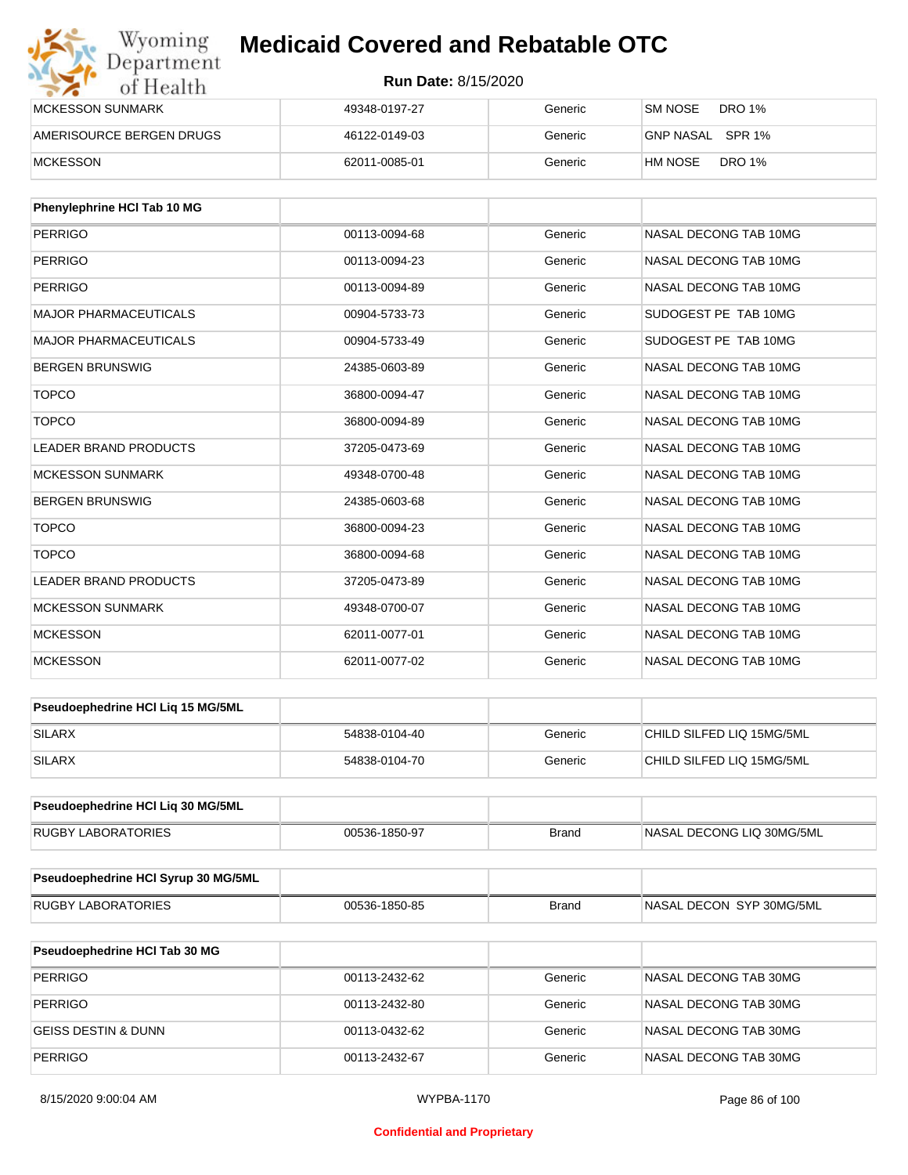| Wyoming<br>Department    | <b>Medicaid Covered and Rebatable OTC</b><br><b>Run Date: 8/15/2020</b> |         |                          |  |  |
|--------------------------|-------------------------------------------------------------------------|---------|--------------------------|--|--|
| of Health                |                                                                         |         |                          |  |  |
| <b>MCKESSON SUNMARK</b>  | 49348-0197-27                                                           | Generic | SM NOSE<br>DRO 1%        |  |  |
| AMERISOURCE BERGEN DRUGS | 46122-0149-03                                                           | Generic | GNP NASAL SPR 1%         |  |  |
| <b>MCKESSON</b>          | 62011-0085-01                                                           | Generic | <b>DRO 1%</b><br>HM NOSE |  |  |

| Phenylephrine HCI Tab 10 MG  |               |         |                       |
|------------------------------|---------------|---------|-----------------------|
| <b>PERRIGO</b>               | 00113-0094-68 | Generic | NASAL DECONG TAB 10MG |
| <b>PERRIGO</b>               | 00113-0094-23 | Generic | NASAL DECONG TAB 10MG |
| <b>PERRIGO</b>               | 00113-0094-89 | Generic | NASAL DECONG TAB 10MG |
| <b>MAJOR PHARMACEUTICALS</b> | 00904-5733-73 | Generic | SUDOGEST PE TAB 10MG  |
| <b>MAJOR PHARMACEUTICALS</b> | 00904-5733-49 | Generic | SUDOGEST PE TAB 10MG  |
| <b>BERGEN BRUNSWIG</b>       | 24385-0603-89 | Generic | NASAL DECONG TAB 10MG |
| <b>TOPCO</b>                 | 36800-0094-47 | Generic | NASAL DECONG TAB 10MG |
| <b>TOPCO</b>                 | 36800-0094-89 | Generic | NASAL DECONG TAB 10MG |
| <b>LEADER BRAND PRODUCTS</b> | 37205-0473-69 | Generic | NASAL DECONG TAB 10MG |
| <b>MCKESSON SUNMARK</b>      | 49348-0700-48 | Generic | NASAL DECONG TAB 10MG |
| <b>BERGEN BRUNSWIG</b>       | 24385-0603-68 | Generic | NASAL DECONG TAB 10MG |
| <b>TOPCO</b>                 | 36800-0094-23 | Generic | NASAL DECONG TAB 10MG |
| <b>TOPCO</b>                 | 36800-0094-68 | Generic | NASAL DECONG TAB 10MG |
| <b>LEADER BRAND PRODUCTS</b> | 37205-0473-89 | Generic | NASAL DECONG TAB 10MG |
| <b>MCKESSON SUNMARK</b>      | 49348-0700-07 | Generic | NASAL DECONG TAB 10MG |
| <b>MCKESSON</b>              | 62011-0077-01 | Generic | NASAL DECONG TAB 10MG |
| <b>MCKESSON</b>              | 62011-0077-02 | Generic | NASAL DECONG TAB 10MG |

| <b>Pseudoephedrine HCI Lig 15 MG/5ML</b> |               |         |                           |
|------------------------------------------|---------------|---------|---------------------------|
| SILARX                                   | 54838-0104-40 | Generic | CHILD SILFED LIQ 15MG/5ML |
| <b>SILARX</b>                            | 54838-0104-70 | Generic | CHILD SILFED LIQ 15MG/5ML |

| <b>Pseudoephedrine HCI Lig 30 MG/5ML</b> |               |       |                           |
|------------------------------------------|---------------|-------|---------------------------|
| RUGBY LABORATORIES                       | 00536-1850-97 | Brand | NASAL DECONG LIQ 30MG/5ML |

| <b>Pseudoephedrine HCI Syrup 30 MG/5ML</b> |               |       |                           |
|--------------------------------------------|---------------|-------|---------------------------|
| RUGBY LABORATORIES                         | 00536-1850-85 | Brand | INASAL DECON SYP 30MG/5ML |

| <b>Pseudoephedrine HCI Tab 30 MG</b> |               |         |                       |
|--------------------------------------|---------------|---------|-----------------------|
| PERRIGO                              | 00113-2432-62 | Generic | NASAL DECONG TAB 30MG |
| PERRIGO                              | 00113-2432-80 | Generic | NASAL DECONG TAB 30MG |
| GEISS DESTIN & DUNN                  | 00113-0432-62 | Generic | NASAL DECONG TAB 30MG |
| PERRIGO                              | 00113-2432-67 | Generic | NASAL DECONG TAB 30MG |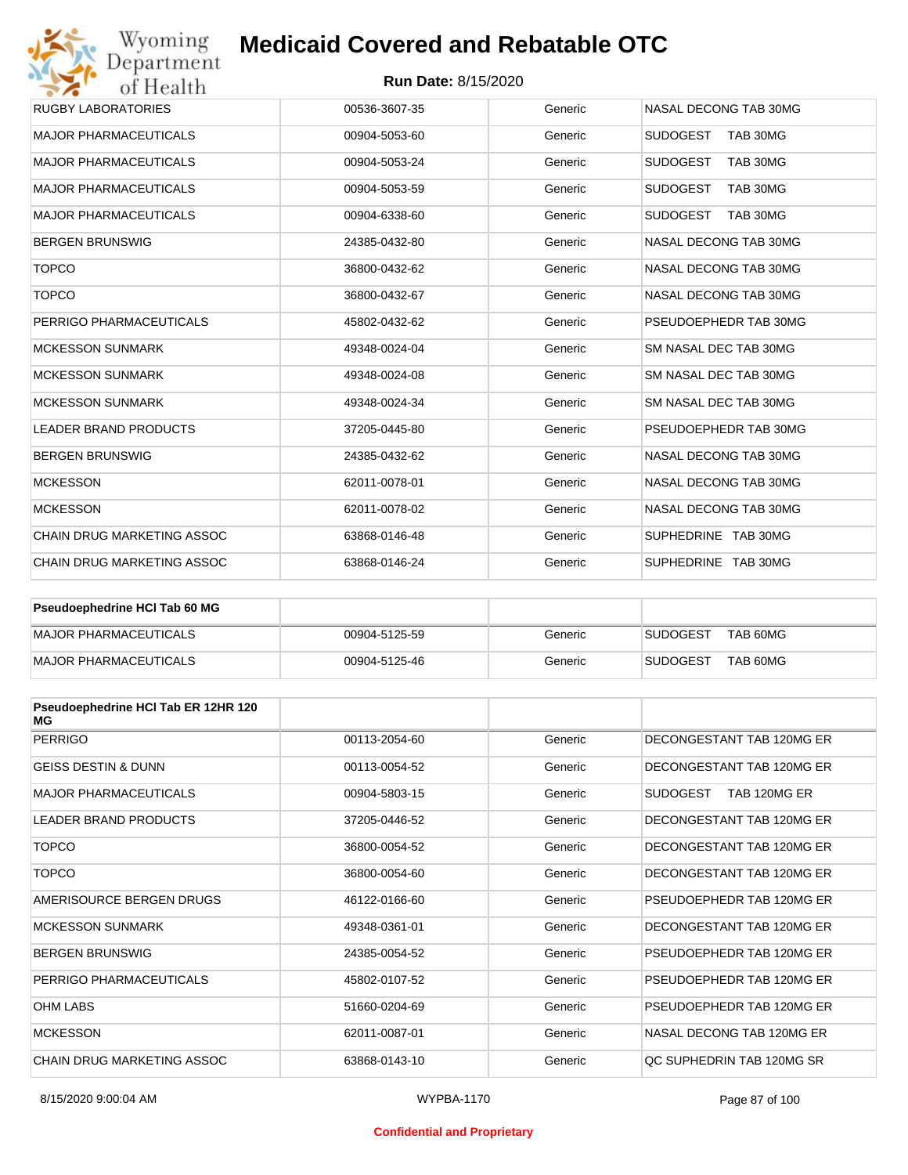## **Run Date:** 8/15/2020

| Wyoming<br>Department             | <b>Medicaid Covered and Rebatable OTC</b> |         |                             |
|-----------------------------------|-------------------------------------------|---------|-----------------------------|
| of Health                         | <b>Run Date: 8/15/2020</b>                |         |                             |
| <b>RUGBY LABORATORIES</b>         | 00536-3607-35                             | Generic | NASAL DECONG TAB 30MG       |
| <b>MAJOR PHARMACEUTICALS</b>      | 00904-5053-60                             | Generic | <b>SUDOGEST</b><br>TAB 30MG |
| <b>MAJOR PHARMACEUTICALS</b>      | 00904-5053-24                             | Generic | <b>SUDOGEST</b><br>TAB 30MG |
| <b>MAJOR PHARMACEUTICALS</b>      | 00904-5053-59                             | Generic | <b>SUDOGEST</b><br>TAB 30MG |
| <b>MAJOR PHARMACEUTICALS</b>      | 00904-6338-60                             | Generic | <b>SUDOGEST</b><br>TAB 30MG |
| <b>BERGEN BRUNSWIG</b>            | 24385-0432-80                             | Generic | NASAL DECONG TAB 30MG       |
| <b>TOPCO</b>                      | 36800-0432-62                             | Generic | NASAL DECONG TAB 30MG       |
| <b>TOPCO</b>                      | 36800-0432-67                             | Generic | NASAL DECONG TAB 30MG       |
| PERRIGO PHARMACEUTICALS           | 45802-0432-62                             | Generic | PSEUDOEPHEDR TAB 30MG       |
| <b>MCKESSON SUNMARK</b>           | 49348-0024-04                             | Generic | SM NASAL DEC TAB 30MG       |
| <b>MCKESSON SUNMARK</b>           | 49348-0024-08                             | Generic | SM NASAL DEC TAB 30MG       |
| <b>MCKESSON SUNMARK</b>           | 49348-0024-34                             | Generic | SM NASAL DEC TAB 30MG       |
| <b>LEADER BRAND PRODUCTS</b>      | 37205-0445-80                             | Generic | PSEUDOEPHEDR TAB 30MG       |
| <b>BERGEN BRUNSWIG</b>            | 24385-0432-62                             | Generic | NASAL DECONG TAB 30MG       |
| <b>MCKESSON</b>                   | 62011-0078-01                             | Generic | NASAL DECONG TAB 30MG       |
| <b>MCKESSON</b>                   | 62011-0078-02                             | Generic | NASAL DECONG TAB 30MG       |
| <b>CHAIN DRUG MARKETING ASSOC</b> | 63868-0146-48                             | Generic | SUPHEDRINE TAB 30MG         |
| CHAIN DRUG MARKETING ASSOC        | 63868-0146-24                             | Generic | SUPHEDRINE TAB 30MG         |

| Pseudoephedrine HCI Tab 60 MG |               |         |                             |
|-------------------------------|---------------|---------|-----------------------------|
| MAJOR PHARMACEUTICALS         | 00904-5125-59 | Generic | TAB 60MG<br><b>SUDOGEST</b> |
| MAJOR PHARMACEUTICALS         | 00904-5125-46 | Generic | TAB 60MG<br><b>SUDOGEST</b> |

| Pseudoephedrine HCI Tab ER 12HR 120<br>МG |               |         |                           |
|-------------------------------------------|---------------|---------|---------------------------|
| <b>PERRIGO</b>                            | 00113-2054-60 | Generic | DECONGESTANT TAB 120MG ER |
| <b>GEISS DESTIN &amp; DUNN</b>            | 00113-0054-52 | Generic | DECONGESTANT TAB 120MG ER |
| <b>MAJOR PHARMACEUTICALS</b>              | 00904-5803-15 | Generic | SUDOGEST<br>TAB 120MG ER  |
| <b>LEADER BRAND PRODUCTS</b>              | 37205-0446-52 | Generic | DECONGESTANT TAB 120MG ER |
| <b>TOPCO</b>                              | 36800-0054-52 | Generic | DECONGESTANT TAB 120MG ER |
| <b>TOPCO</b>                              | 36800-0054-60 | Generic | DECONGESTANT TAB 120MG ER |
| AMERISOURCE BERGEN DRUGS                  | 46122-0166-60 | Generic | PSEUDOEPHEDR TAB 120MG ER |
| <b>MCKESSON SUNMARK</b>                   | 49348-0361-01 | Generic | DECONGESTANT TAB 120MG ER |
| <b>BERGEN BRUNSWIG</b>                    | 24385-0054-52 | Generic | PSEUDOEPHEDR TAB 120MG ER |
| PERRIGO PHARMACEUTICALS                   | 45802-0107-52 | Generic | PSEUDOEPHEDR TAB 120MG ER |
| <b>OHM LABS</b>                           | 51660-0204-69 | Generic | PSEUDOEPHEDR TAB 120MG ER |
| <b>MCKESSON</b>                           | 62011-0087-01 | Generic | NASAL DECONG TAB 120MG ER |
| CHAIN DRUG MARKETING ASSOC                | 63868-0143-10 | Generic | OC SUPHEDRIN TAB 120MG SR |

#### **Confidential and Proprietary**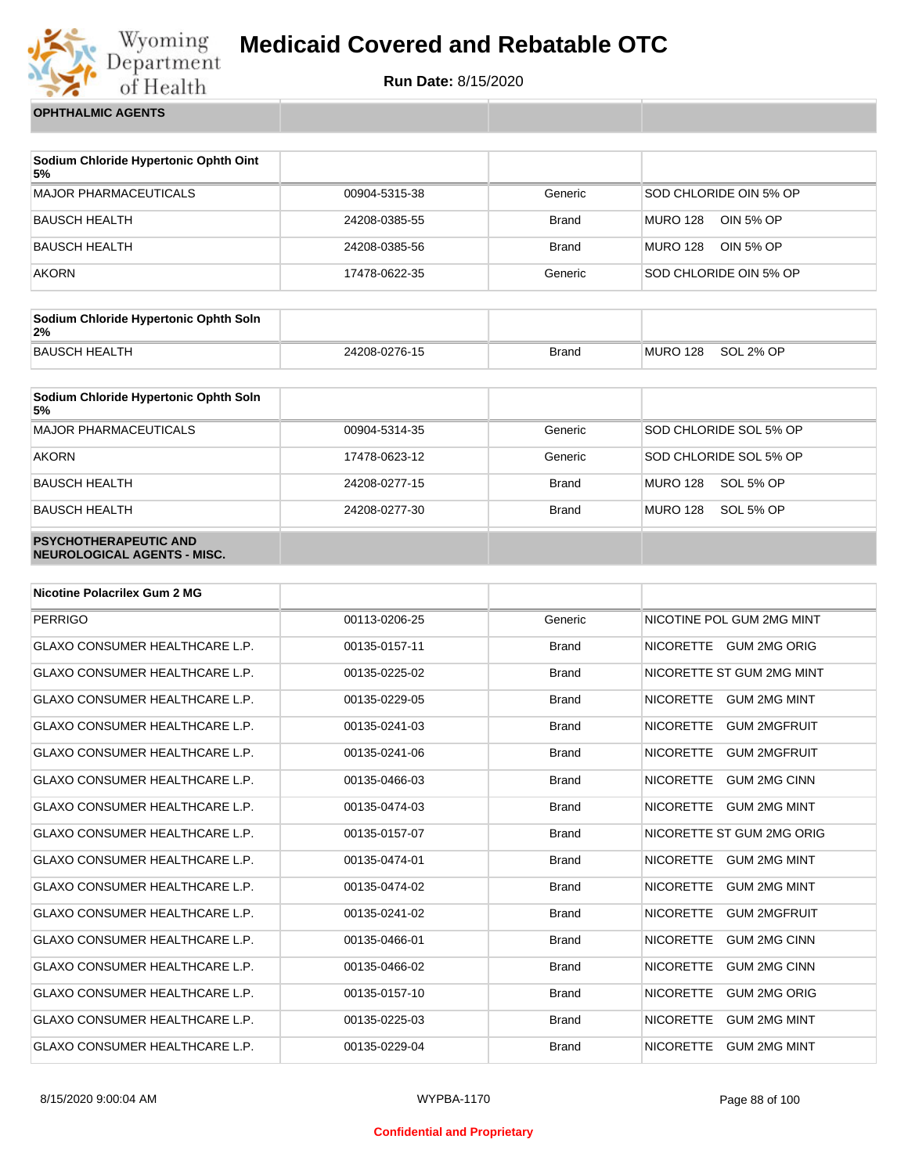

**Run Date:** 8/15/2020

**OPHTHALMIC AGENTS**

| Sodium Chloride Hypertonic Ophth Oint<br>5% |               |              |                              |
|---------------------------------------------|---------------|--------------|------------------------------|
| <b>MAJOR PHARMACEUTICALS</b>                | 00904-5315-38 | Generic      | SOD CHLORIDE OIN 5% OP       |
| BAUSCH HEALTH                               | 24208-0385-55 | <b>Brand</b> | <b>MURO 128</b><br>OIN 5% OP |
| <b>BAUSCH HEALTH</b>                        | 24208-0385-56 | <b>Brand</b> | MURO 128<br>OIN 5% OP        |
| <b>AKORN</b>                                | 17478-0622-35 | Generic      | SOD CHLORIDE OIN 5% OP       |

| Sodium Chloride Hypertonic Ophth Soln<br>2% |               |              |          |           |
|---------------------------------------------|---------------|--------------|----------|-----------|
| BAUSCH HEALTH                               | 24208-0276-15 | <b>Brand</b> | MURO 128 | SOL 2% OP |

| Sodium Chloride Hypertonic Ophth Soln<br>5%                 |               |              |                              |
|-------------------------------------------------------------|---------------|--------------|------------------------------|
| <b>MAJOR PHARMACEUTICALS</b>                                | 00904-5314-35 | Generic      | SOD CHLORIDE SOL 5% OP       |
| <b>AKORN</b>                                                | 17478-0623-12 | Generic      | SOD CHLORIDE SOL 5% OP       |
| <b>BAUSCH HEALTH</b>                                        | 24208-0277-15 | <b>Brand</b> | <b>MURO 128</b><br>SOL 5% OP |
| <b>BAUSCH HEALTH</b>                                        | 24208-0277-30 | <b>Brand</b> | <b>MURO 128</b><br>SOL 5% OP |
| <b>PSYCHOTHERAPEUTIC AND</b><br>NEUROLOGICAL AGENTS - MISC. |               |              |                              |

| <b>Nicotine Polacrilex Gum 2 MG</b>   |               |              |                                         |
|---------------------------------------|---------------|--------------|-----------------------------------------|
| <b>PERRIGO</b>                        | 00113-0206-25 | Generic      | NICOTINE POL GUM 2MG MINT               |
| <b>GLAXO CONSUMER HEALTHCARE L.P.</b> | 00135-0157-11 | <b>Brand</b> | NICORETTE GUM 2MG ORIG                  |
| <b>GLAXO CONSUMER HEALTHCARE L.P.</b> | 00135-0225-02 | <b>Brand</b> | NICORETTE ST GUM 2MG MINT               |
| <b>GLAXO CONSUMER HEALTHCARE L.P.</b> | 00135-0229-05 | <b>Brand</b> | NICORETTE GUM 2MG MINT                  |
| <b>GLAXO CONSUMER HEALTHCARE L.P.</b> | 00135-0241-03 | <b>Brand</b> | <b>NICORETTE</b><br><b>GUM 2MGFRUIT</b> |
| <b>GLAXO CONSUMER HEALTHCARE L.P.</b> | 00135-0241-06 | <b>Brand</b> | <b>NICORETTE</b><br><b>GUM 2MGFRUIT</b> |
| <b>GLAXO CONSUMER HEALTHCARE L.P.</b> | 00135-0466-03 | <b>Brand</b> | <b>NICORETTE</b><br><b>GUM 2MG CINN</b> |
| <b>GLAXO CONSUMER HEALTHCARE L.P.</b> | 00135-0474-03 | <b>Brand</b> | <b>NICORETTE</b><br><b>GUM 2MG MINT</b> |
| <b>GLAXO CONSUMER HEALTHCARE L.P.</b> | 00135-0157-07 | <b>Brand</b> | NICORETTE ST GUM 2MG ORIG               |
| <b>GLAXO CONSUMER HEALTHCARE L.P.</b> | 00135-0474-01 | <b>Brand</b> | <b>NICORETTE</b><br><b>GUM 2MG MINT</b> |
| <b>GLAXO CONSUMER HEALTHCARE L.P.</b> | 00135-0474-02 | <b>Brand</b> | <b>NICORETTE</b><br><b>GUM 2MG MINT</b> |
| <b>GLAXO CONSUMER HEALTHCARE L.P.</b> | 00135-0241-02 | <b>Brand</b> | <b>NICORETTE</b><br><b>GUM 2MGFRUIT</b> |
| <b>GLAXO CONSUMER HEALTHCARE L.P.</b> | 00135-0466-01 | <b>Brand</b> | <b>NICORETTE</b><br><b>GUM 2MG CINN</b> |
| <b>GLAXO CONSUMER HEALTHCARE L.P.</b> | 00135-0466-02 | <b>Brand</b> | <b>NICORETTE</b><br><b>GUM 2MG CINN</b> |
| <b>GLAXO CONSUMER HEALTHCARE L.P.</b> | 00135-0157-10 | <b>Brand</b> | <b>NICORETTE</b><br><b>GUM 2MG ORIG</b> |
| <b>GLAXO CONSUMER HEALTHCARE L.P.</b> | 00135-0225-03 | <b>Brand</b> | <b>NICORETTE</b><br><b>GUM 2MG MINT</b> |
| <b>GLAXO CONSUMER HEALTHCARE L.P.</b> | 00135-0229-04 | <b>Brand</b> | <b>NICORETTE</b><br><b>GUM 2MG MINT</b> |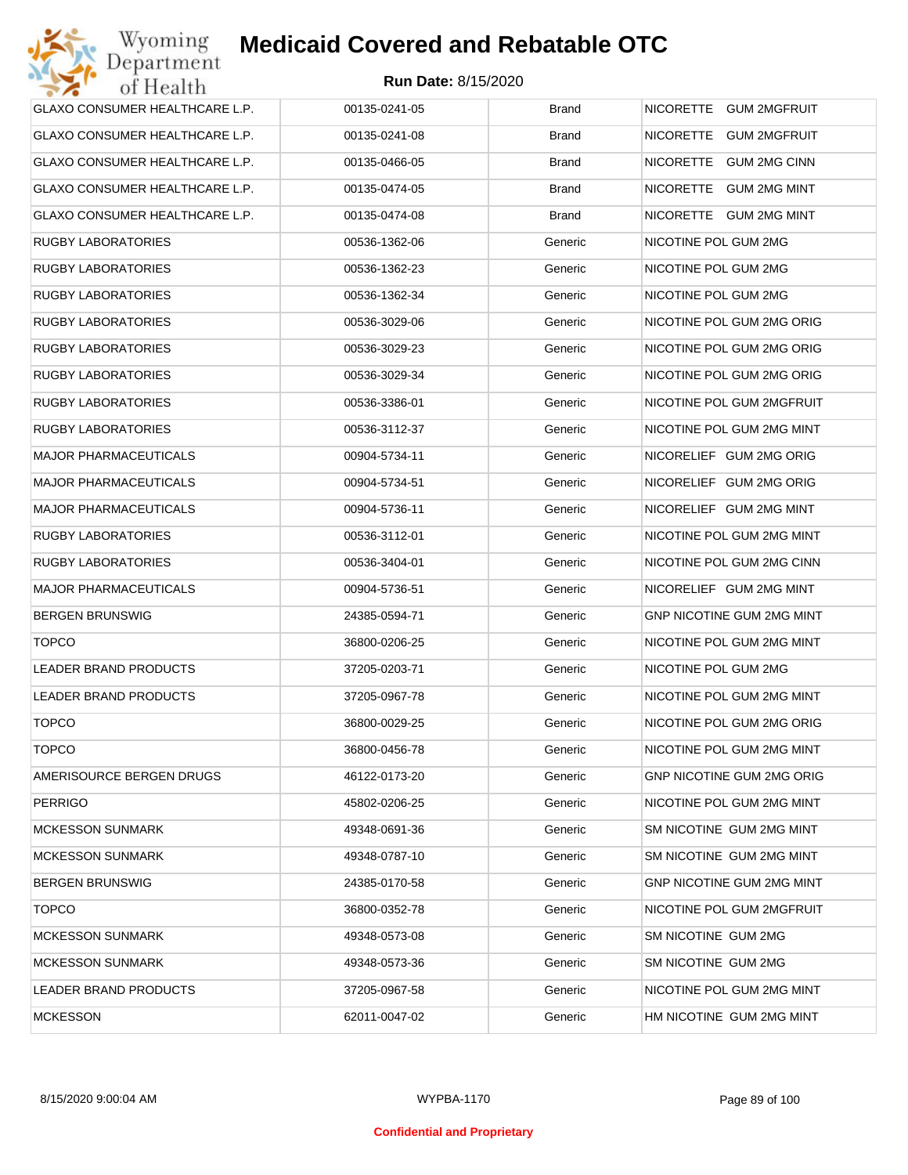| GLAXO CONSUMER HEALTHCARE L.P. | 00135-0241-05 | <b>Brand</b> | NICORETTE GUM 2MGFRUIT           |
|--------------------------------|---------------|--------------|----------------------------------|
| GLAXO CONSUMER HEALTHCARE L.P. | 00135-0241-08 | <b>Brand</b> | NICORETTE GUM 2MGFRUIT           |
| GLAXO CONSUMER HEALTHCARE L.P. | 00135-0466-05 | <b>Brand</b> | NICORETTE GUM 2MG CINN           |
| GLAXO CONSUMER HEALTHCARE L.P. | 00135-0474-05 | <b>Brand</b> | NICORETTE GUM 2MG MINT           |
| GLAXO CONSUMER HEALTHCARE L.P. | 00135-0474-08 | <b>Brand</b> | NICORETTE GUM 2MG MINT           |
| <b>RUGBY LABORATORIES</b>      | 00536-1362-06 | Generic      | NICOTINE POL GUM 2MG             |
| <b>RUGBY LABORATORIES</b>      | 00536-1362-23 | Generic      | NICOTINE POL GUM 2MG             |
| <b>RUGBY LABORATORIES</b>      | 00536-1362-34 | Generic      | NICOTINE POL GUM 2MG             |
| <b>RUGBY LABORATORIES</b>      | 00536-3029-06 | Generic      | NICOTINE POL GUM 2MG ORIG        |
| <b>RUGBY LABORATORIES</b>      | 00536-3029-23 | Generic      | NICOTINE POL GUM 2MG ORIG        |
| <b>RUGBY LABORATORIES</b>      | 00536-3029-34 | Generic      | NICOTINE POL GUM 2MG ORIG        |
| <b>RUGBY LABORATORIES</b>      | 00536-3386-01 | Generic      | NICOTINE POL GUM 2MGFRUIT        |
| <b>RUGBY LABORATORIES</b>      | 00536-3112-37 | Generic      | NICOTINE POL GUM 2MG MINT        |
| <b>MAJOR PHARMACEUTICALS</b>   | 00904-5734-11 | Generic      | NICORELIEF GUM 2MG ORIG          |
| <b>MAJOR PHARMACEUTICALS</b>   | 00904-5734-51 | Generic      | NICORELIEF GUM 2MG ORIG          |
| <b>MAJOR PHARMACEUTICALS</b>   | 00904-5736-11 | Generic      | NICORELIEF GUM 2MG MINT          |
| <b>RUGBY LABORATORIES</b>      | 00536-3112-01 | Generic      | NICOTINE POL GUM 2MG MINT        |
| <b>RUGBY LABORATORIES</b>      | 00536-3404-01 | Generic      | NICOTINE POL GUM 2MG CINN        |
| <b>MAJOR PHARMACEUTICALS</b>   | 00904-5736-51 | Generic      | NICORELIEF GUM 2MG MINT          |
| <b>BERGEN BRUNSWIG</b>         | 24385-0594-71 | Generic      | GNP NICOTINE GUM 2MG MINT        |
| <b>TOPCO</b>                   | 36800-0206-25 | Generic      | NICOTINE POL GUM 2MG MINT        |
| <b>LEADER BRAND PRODUCTS</b>   | 37205-0203-71 | Generic      | NICOTINE POL GUM 2MG             |
| LEADER BRAND PRODUCTS          | 37205-0967-78 | Generic      | NICOTINE POL GUM 2MG MINT        |
| <b>TOPCO</b>                   | 36800-0029-25 | Generic      | NICOTINE POL GUM 2MG ORIG        |
| <b>TOPCO</b>                   | 36800-0456-78 | Generic      | NICOTINE POL GUM 2MG MINT        |
| AMERISOURCE BERGEN DRUGS       | 46122-0173-20 | Generic      | <b>GNP NICOTINE GUM 2MG ORIG</b> |
| <b>PERRIGO</b>                 | 45802-0206-25 | Generic      | NICOTINE POL GUM 2MG MINT        |
| <b>MCKESSON SUNMARK</b>        | 49348-0691-36 | Generic      | SM NICOTINE GUM 2MG MINT         |
| <b>MCKESSON SUNMARK</b>        | 49348-0787-10 | Generic      | SM NICOTINE GUM 2MG MINT         |
| <b>BERGEN BRUNSWIG</b>         | 24385-0170-58 | Generic      | GNP NICOTINE GUM 2MG MINT        |
| <b>TOPCO</b>                   | 36800-0352-78 | Generic      | NICOTINE POL GUM 2MGFRUIT        |
| <b>MCKESSON SUNMARK</b>        | 49348-0573-08 | Generic      | SM NICOTINE GUM 2MG              |
| <b>MCKESSON SUNMARK</b>        | 49348-0573-36 | Generic      | SM NICOTINE GUM 2MG              |
| LEADER BRAND PRODUCTS          | 37205-0967-58 | Generic      | NICOTINE POL GUM 2MG MINT        |
| <b>MCKESSON</b>                | 62011-0047-02 | Generic      | HM NICOTINE GUM 2MG MINT         |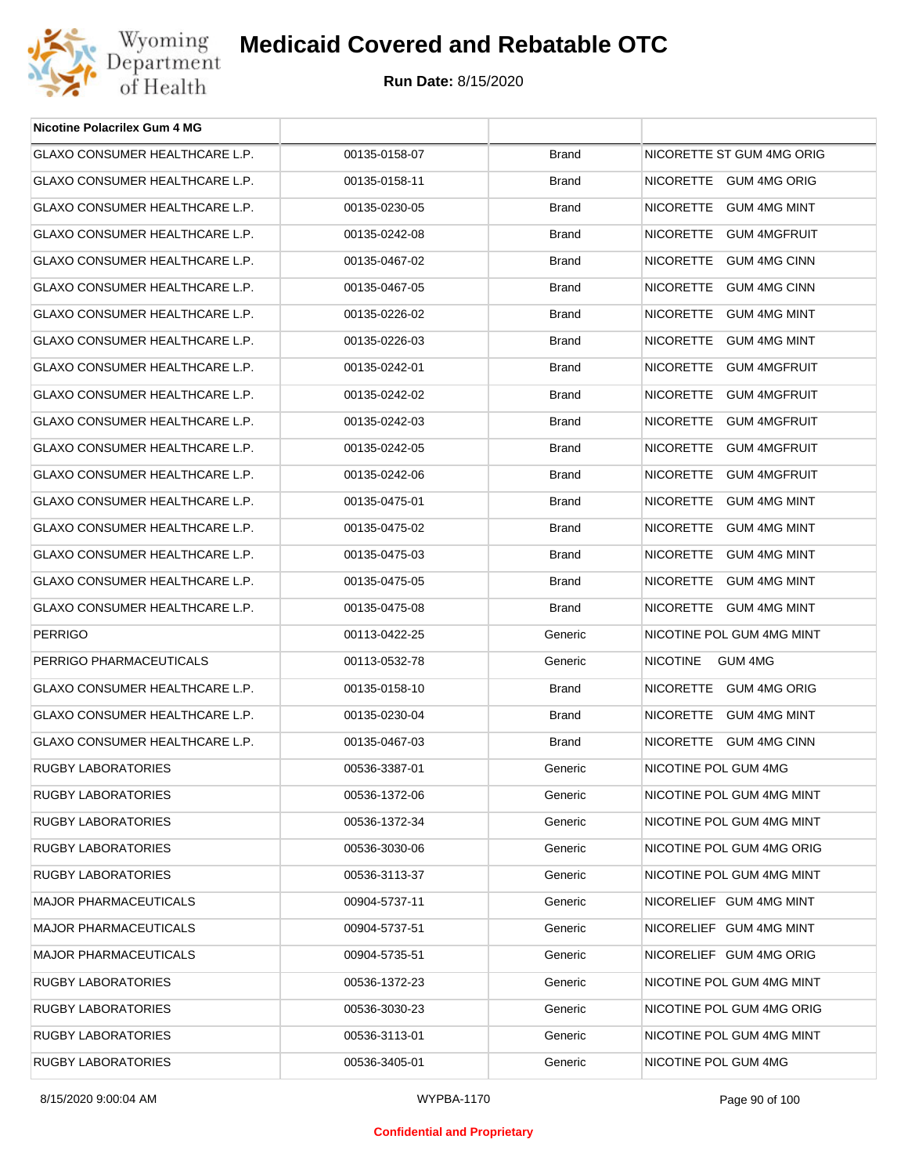

| <b>Nicotine Polacrilex Gum 4 MG</b>   |               |              |                            |
|---------------------------------------|---------------|--------------|----------------------------|
| GLAXO CONSUMER HEALTHCARE L.P.        | 00135-0158-07 | <b>Brand</b> | NICORETTE ST GUM 4MG ORIG  |
| GLAXO CONSUMER HEALTHCARE L.P.        | 00135-0158-11 | <b>Brand</b> | NICORETTE GUM 4MG ORIG     |
| <b>GLAXO CONSUMER HEALTHCARE L.P.</b> | 00135-0230-05 | <b>Brand</b> | NICORETTE GUM 4MG MINT     |
| GLAXO CONSUMER HEALTHCARE L.P.        | 00135-0242-08 | <b>Brand</b> | NICORETTE GUM 4MGFRUIT     |
| GLAXO CONSUMER HEALTHCARE L.P.        | 00135-0467-02 | <b>Brand</b> | NICORETTE GUM 4MG CINN     |
| GLAXO CONSUMER HEALTHCARE L.P.        | 00135-0467-05 | <b>Brand</b> | NICORETTE GUM 4MG CINN     |
| <b>GLAXO CONSUMER HEALTHCARE L.P.</b> | 00135-0226-02 | <b>Brand</b> | NICORETTE GUM 4MG MINT     |
| GLAXO CONSUMER HEALTHCARE L.P.        | 00135-0226-03 | <b>Brand</b> | NICORETTE GUM 4MG MINT     |
| GLAXO CONSUMER HEALTHCARE L.P.        | 00135-0242-01 | <b>Brand</b> | NICORETTE GUM 4MGFRUIT     |
| GLAXO CONSUMER HEALTHCARE L.P.        | 00135-0242-02 | <b>Brand</b> | NICORETTE GUM 4MGFRUIT     |
| <b>GLAXO CONSUMER HEALTHCARE L.P.</b> | 00135-0242-03 | <b>Brand</b> | NICORETTE GUM 4MGFRUIT     |
| GLAXO CONSUMER HEALTHCARE L.P.        | 00135-0242-05 | <b>Brand</b> | NICORETTE GUM 4MGFRUIT     |
| GLAXO CONSUMER HEALTHCARE L.P.        | 00135-0242-06 | <b>Brand</b> | NICORETTE GUM 4MGFRUIT     |
| GLAXO CONSUMER HEALTHCARE L.P.        | 00135-0475-01 | <b>Brand</b> | NICORETTE GUM 4MG MINT     |
| GLAXO CONSUMER HEALTHCARE L.P.        | 00135-0475-02 | <b>Brand</b> | NICORETTE GUM 4MG MINT     |
| GLAXO CONSUMER HEALTHCARE L.P.        | 00135-0475-03 | <b>Brand</b> | NICORETTE GUM 4MG MINT     |
| GLAXO CONSUMER HEALTHCARE L.P.        | 00135-0475-05 | <b>Brand</b> | NICORETTE GUM 4MG MINT     |
| GLAXO CONSUMER HEALTHCARE L.P.        | 00135-0475-08 | <b>Brand</b> | NICORETTE GUM 4MG MINT     |
| <b>PERRIGO</b>                        | 00113-0422-25 | Generic      | NICOTINE POL GUM 4MG MINT  |
| PERRIGO PHARMACEUTICALS               | 00113-0532-78 | Generic      | <b>NICOTINE</b><br>GUM 4MG |
| GLAXO CONSUMER HEALTHCARE L.P.        | 00135-0158-10 | <b>Brand</b> | NICORETTE GUM 4MG ORIG     |
| GLAXO CONSUMER HEALTHCARE L.P.        | 00135-0230-04 | <b>Brand</b> | NICORETTE GUM 4MG MINT     |
| GLAXO CONSUMER HEALTHCARE L.P.        | 00135-0467-03 | <b>Brand</b> | NICORETTE GUM 4MG CINN     |
| RUGBY LABORATORIES                    | 00536-3387-01 | Generic      | NICOTINE POL GUM 4MG       |
| RUGBY LABORATORIES                    | 00536-1372-06 | Generic      | NICOTINE POL GUM 4MG MINT  |
| RUGBY LABORATORIES                    | 00536-1372-34 | Generic      | NICOTINE POL GUM 4MG MINT  |
| <b>RUGBY LABORATORIES</b>             | 00536-3030-06 | Generic      | NICOTINE POL GUM 4MG ORIG  |
| <b>RUGBY LABORATORIES</b>             | 00536-3113-37 | Generic      | NICOTINE POL GUM 4MG MINT  |
| <b>MAJOR PHARMACEUTICALS</b>          | 00904-5737-11 | Generic      | NICORELIEF GUM 4MG MINT    |
| <b>MAJOR PHARMACEUTICALS</b>          | 00904-5737-51 | Generic      | NICORELIEF GUM 4MG MINT    |
| <b>MAJOR PHARMACEUTICALS</b>          | 00904-5735-51 | Generic      | NICORELIEF GUM 4MG ORIG    |
| RUGBY LABORATORIES                    | 00536-1372-23 | Generic      | NICOTINE POL GUM 4MG MINT  |
|                                       |               |              |                            |
| RUGBY LABORATORIES                    | 00536-3030-23 | Generic      | NICOTINE POL GUM 4MG ORIG  |
| RUGBY LABORATORIES                    | 00536-3113-01 | Generic      | NICOTINE POL GUM 4MG MINT  |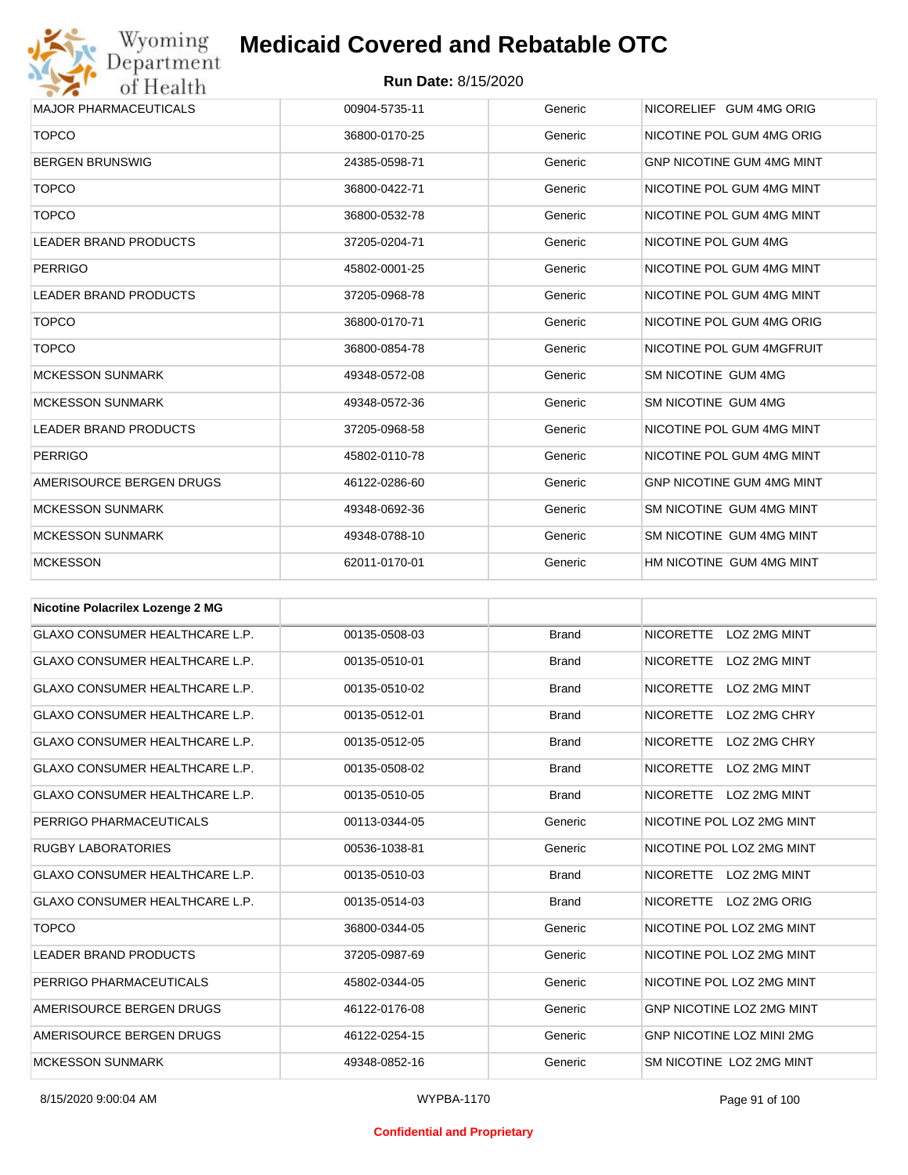

| <b>MAJOR PHARMACEUTICALS</b> | 00904-5735-11 | Generic | NICORELIEF GUM 4MG ORIG          |
|------------------------------|---------------|---------|----------------------------------|
| <b>TOPCO</b>                 | 36800-0170-25 | Generic | NICOTINE POL GUM 4MG ORIG        |
| <b>BERGEN BRUNSWIG</b>       | 24385-0598-71 | Generic | <b>GNP NICOTINE GUM 4MG MINT</b> |
| <b>TOPCO</b>                 | 36800-0422-71 | Generic | NICOTINE POL GUM 4MG MINT        |
| <b>TOPCO</b>                 | 36800-0532-78 | Generic | NICOTINE POL GUM 4MG MINT        |
| <b>LEADER BRAND PRODUCTS</b> | 37205-0204-71 | Generic | NICOTINE POL GUM 4MG             |
| PERRIGO                      | 45802-0001-25 | Generic | NICOTINE POL GUM 4MG MINT        |
| <b>LEADER BRAND PRODUCTS</b> | 37205-0968-78 | Generic | NICOTINE POL GUM 4MG MINT        |
| <b>TOPCO</b>                 | 36800-0170-71 | Generic | NICOTINE POL GUM 4MG ORIG        |
| <b>TOPCO</b>                 | 36800-0854-78 | Generic | NICOTINE POL GUM 4MGFRUIT        |
| <b>MCKESSON SUNMARK</b>      | 49348-0572-08 | Generic | SM NICOTINE GUM 4MG              |
| <b>MCKESSON SUNMARK</b>      | 49348-0572-36 | Generic | SM NICOTINE GUM 4MG              |
| <b>LEADER BRAND PRODUCTS</b> | 37205-0968-58 | Generic | NICOTINE POL GUM 4MG MINT        |
| <b>PERRIGO</b>               | 45802-0110-78 | Generic | NICOTINE POL GUM 4MG MINT        |
| AMERISOURCE BERGEN DRUGS     | 46122-0286-60 | Generic | <b>GNP NICOTINE GUM 4MG MINT</b> |
| <b>MCKESSON SUNMARK</b>      | 49348-0692-36 | Generic | SM NICOTINE GUM 4MG MINT         |
| <b>MCKESSON SUNMARK</b>      | 49348-0788-10 | Generic | SM NICOTINE GUM 4MG MINT         |
| <b>MCKESSON</b>              | 62011-0170-01 | Generic | HM NICOTINE GUM 4MG MINT         |

| <b>Nicotine Polacrilex Lozenge 2 MG</b> |               |              |                                         |
|-----------------------------------------|---------------|--------------|-----------------------------------------|
| <b>GLAXO CONSUMER HEALTHCARE L.P.</b>   | 00135-0508-03 | <b>Brand</b> | <b>NICORETTE</b><br>LOZ 2MG MINT        |
| <b>GLAXO CONSUMER HEALTHCARE L.P.</b>   | 00135-0510-01 | <b>Brand</b> | <b>NICORETTE</b><br><b>LOZ 2MG MINT</b> |
| <b>GLAXO CONSUMER HEALTHCARE L.P.</b>   | 00135-0510-02 | <b>Brand</b> | <b>LOZ 2MG MINT</b><br><b>NICORETTE</b> |
| <b>GLAXO CONSUMER HEALTHCARE L.P.</b>   | 00135-0512-01 | <b>Brand</b> | <b>NICORETTE</b><br>LOZ 2MG CHRY        |
| <b>GLAXO CONSUMER HEALTHCARE L.P.</b>   | 00135-0512-05 | <b>Brand</b> | <b>NICORETTE</b><br>LOZ 2MG CHRY        |
| <b>GLAXO CONSUMER HEALTHCARE L.P.</b>   | 00135-0508-02 | <b>Brand</b> | <b>NICORETTE</b><br>LOZ 2MG MINT        |
| <b>GLAXO CONSUMER HEALTHCARE L.P.</b>   | 00135-0510-05 | <b>Brand</b> | <b>NICORETTE</b><br><b>LOZ 2MG MINT</b> |
| PERRIGO PHARMACEUTICALS                 | 00113-0344-05 | Generic      | NICOTINE POL LOZ 2MG MINT               |
| <b>RUGBY LABORATORIES</b>               | 00536-1038-81 | Generic      | NICOTINE POL LOZ 2MG MINT               |
| <b>GLAXO CONSUMER HEALTHCARE L.P.</b>   | 00135-0510-03 | <b>Brand</b> | <b>NICORETTE</b><br>LOZ 2MG MINT        |
| <b>GLAXO CONSUMER HEALTHCARE L.P.</b>   | 00135-0514-03 | <b>Brand</b> | <b>NICORETTE</b><br>LOZ 2MG ORIG        |
| <b>TOPCO</b>                            | 36800-0344-05 | Generic      | NICOTINE POL LOZ 2MG MINT               |
| <b>LEADER BRAND PRODUCTS</b>            | 37205-0987-69 | Generic      | NICOTINE POL LOZ 2MG MINT               |
| PERRIGO PHARMACEUTICALS                 | 45802-0344-05 | Generic      | NICOTINE POL LOZ 2MG MINT               |
| AMERISOURCE BERGEN DRUGS                | 46122-0176-08 | Generic      | <b>GNP NICOTINE LOZ 2MG MINT</b>        |
| AMERISOURCE BERGEN DRUGS                | 46122-0254-15 | Generic      | <b>GNP NICOTINE LOZ MINI 2MG</b>        |
| <b>MCKESSON SUNMARK</b>                 | 49348-0852-16 | Generic      | SM NICOTINE LOZ 2MG MINT                |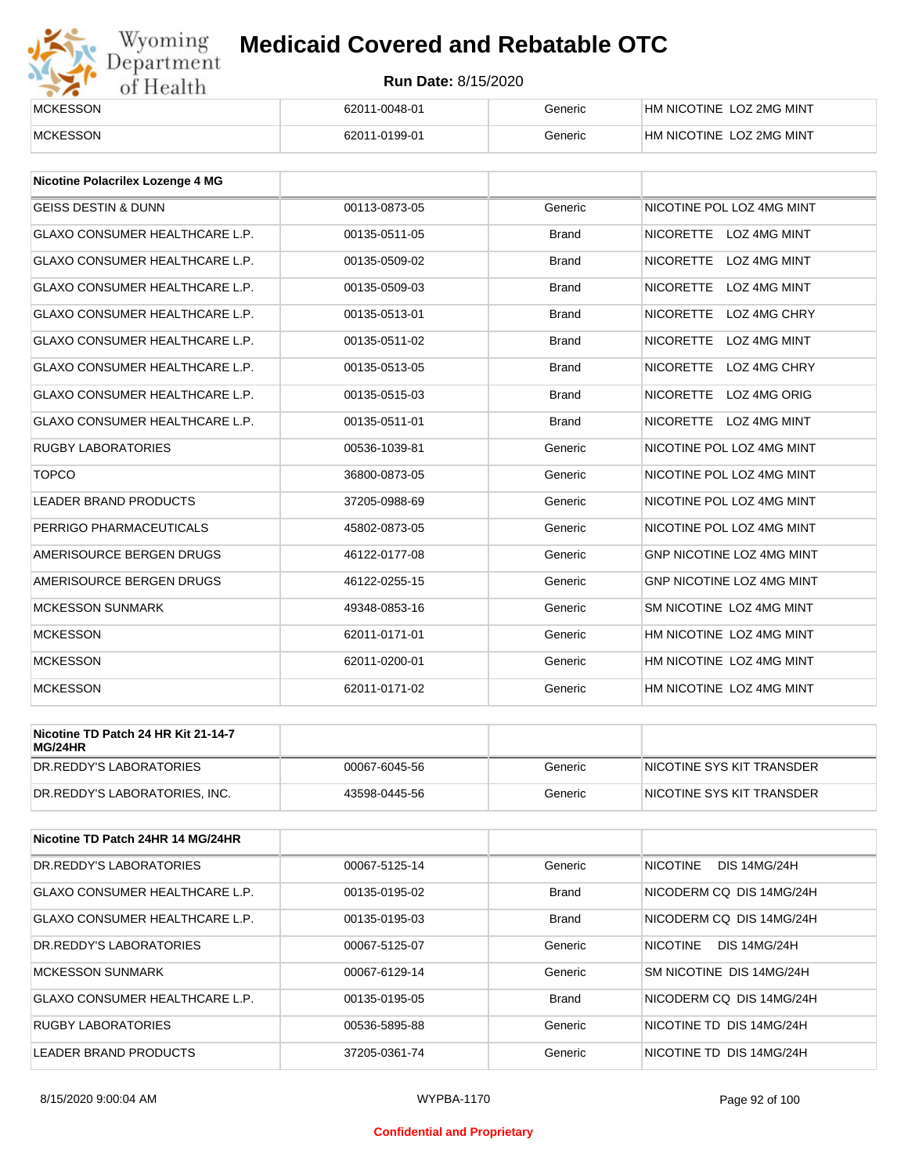# Wyoming<br>Department<br>of Health

## **Medicaid Covered and Rebatable OTC**

| <b>MCKESSON</b> | 62011-0048-01 | Generic | HM NICOTINE LOZ 2MG MINT |
|-----------------|---------------|---------|--------------------------|
| <b>MCKESSON</b> | 62011-0199-01 | Generic | HM NICOTINE LOZ 2MG MINT |

| <b>Nicotine Polacrilex Lozenge 4 MG</b> |               |              |                                         |
|-----------------------------------------|---------------|--------------|-----------------------------------------|
| <b>GEISS DESTIN &amp; DUNN</b>          | 00113-0873-05 | Generic      | NICOTINE POL LOZ 4MG MINT               |
| <b>GLAXO CONSUMER HEALTHCARE L.P.</b>   | 00135-0511-05 | <b>Brand</b> | NICORETTE LOZ 4MG MINT                  |
| <b>GLAXO CONSUMER HEALTHCARE L.P.</b>   | 00135-0509-02 | <b>Brand</b> | <b>NICORETTE</b><br><b>LOZ 4MG MINT</b> |
| <b>GLAXO CONSUMER HEALTHCARE L.P.</b>   | 00135-0509-03 | <b>Brand</b> | <b>NICORETTE</b><br><b>LOZ 4MG MINT</b> |
| <b>GLAXO CONSUMER HEALTHCARE L.P.</b>   | 00135-0513-01 | <b>Brand</b> | <b>NICORETTE</b><br>LOZ 4MG CHRY        |
| <b>GLAXO CONSUMER HEALTHCARE L.P.</b>   | 00135-0511-02 | <b>Brand</b> | <b>LOZ 4MG MINT</b><br><b>NICORETTE</b> |
| <b>GLAXO CONSUMER HEALTHCARE L.P.</b>   | 00135-0513-05 | <b>Brand</b> | <b>NICORETTE</b><br>LOZ 4MG CHRY        |
| <b>GLAXO CONSUMER HEALTHCARE L.P.</b>   | 00135-0515-03 | <b>Brand</b> | <b>NICORETTE</b><br>LOZ 4MG ORIG        |
| <b>GLAXO CONSUMER HEALTHCARE L.P.</b>   | 00135-0511-01 | <b>Brand</b> | NICORETTE LOZ 4MG MINT                  |
| <b>RUGBY LABORATORIES</b>               | 00536-1039-81 | Generic      | NICOTINE POL LOZ 4MG MINT               |
| <b>TOPCO</b>                            | 36800-0873-05 | Generic      | NICOTINE POL LOZ 4MG MINT               |
| <b>LEADER BRAND PRODUCTS</b>            | 37205-0988-69 | Generic      | NICOTINE POL LOZ 4MG MINT               |
| PERRIGO PHARMACEUTICALS                 | 45802-0873-05 | Generic      | NICOTINE POL LOZ 4MG MINT               |
| AMERISOURCE BERGEN DRUGS                | 46122-0177-08 | Generic      | <b>GNP NICOTINE LOZ 4MG MINT</b>        |
| AMERISOURCE BERGEN DRUGS                | 46122-0255-15 | Generic      | GNP NICOTINE LOZ 4MG MINT               |
| <b>MCKESSON SUNMARK</b>                 | 49348-0853-16 | Generic      | SM NICOTINE LOZ 4MG MINT                |
| <b>MCKESSON</b>                         | 62011-0171-01 | Generic      | HM NICOTINE LOZ 4MG MINT                |
| <b>MCKESSON</b>                         | 62011-0200-01 | Generic      | HM NICOTINE LOZ 4MG MINT                |
| <b>MCKESSON</b>                         | 62011-0171-02 | Generic      | HM NICOTINE LOZ 4MG MINT                |

| Nicotine TD Patch 24 HR Kit 21-14-7<br>MG/24HR |               |         |                           |
|------------------------------------------------|---------------|---------|---------------------------|
| IDR.REDDY'S LABORATORIES                       | 00067-6045-56 | Generic | NICOTINE SYS KIT TRANSDER |
| DR.REDDY'S LABORATORIES. INC.                  | 43598-0445-56 | Generic | NICOTINE SYS KIT TRANSDER |

| Nicotine TD Patch 24HR 14 MG/24HR     |               |              |                                        |
|---------------------------------------|---------------|--------------|----------------------------------------|
| DR. REDDY'S LABORATORIES              | 00067-5125-14 | Generic      | <b>NICOTINE</b><br><b>DIS 14MG/24H</b> |
| <b>GLAXO CONSUMER HEALTHCARE L.P.</b> | 00135-0195-02 | <b>Brand</b> | NICODERM CO DIS 14MG/24H               |
| <b>GLAXO CONSUMER HEALTHCARE L.P.</b> | 00135-0195-03 | <b>Brand</b> | NICODERM CO DIS 14MG/24H               |
| DR. REDDY'S LABORATORIES              | 00067-5125-07 | Generic      | NICOTINE<br><b>DIS 14MG/24H</b>        |
| <b>MCKESSON SUNMARK</b>               | 00067-6129-14 | Generic      | SM NICOTINE DIS 14MG/24H               |
| <b>GLAXO CONSUMER HEALTHCARE L.P.</b> | 00135-0195-05 | Brand        | NICODERM CO DIS 14MG/24H               |
| <b>RUGBY LABORATORIES</b>             | 00536-5895-88 | Generic      | NICOTINE TD DIS 14MG/24H               |
| LEADER BRAND PRODUCTS                 | 37205-0361-74 | Generic      | NICOTINE TD DIS 14MG/24H               |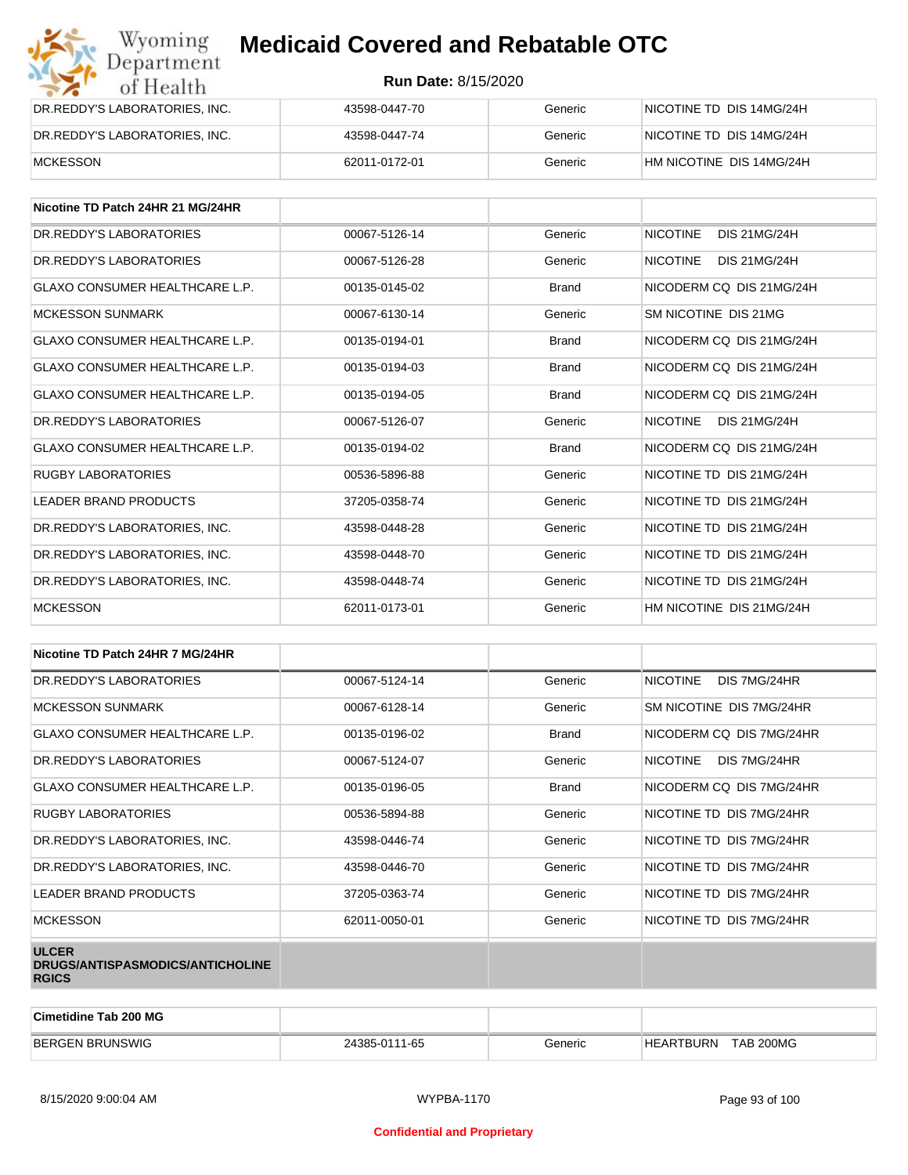| Wyoming<br>Department         | <b>Medicaid Covered and Rebatable OTC</b> |         |                          |  |
|-------------------------------|-------------------------------------------|---------|--------------------------|--|
| of Health                     | <b>Run Date: 8/15/2020</b>                |         |                          |  |
| DR.REDDY'S LABORATORIES, INC. | 43598-0447-70                             | Generic | NICOTINE TD DIS 14MG/24H |  |
| DR.REDDY'S LABORATORIES, INC. | 43598-0447-74                             | Generic | NICOTINE TD DIS 14MG/24H |  |
| <b>MCKESSON</b>               | 62011-0172-01                             | Generic | HM NICOTINE DIS 14MG/24H |  |

| Nicotine TD Patch 24HR 21 MG/24HR     |               |              |                                        |
|---------------------------------------|---------------|--------------|----------------------------------------|
| DR. REDDY'S LABORATORIES              | 00067-5126-14 | Generic      | <b>NICOTINE</b><br><b>DIS 21MG/24H</b> |
| DR. REDDY'S LABORATORIES              | 00067-5126-28 | Generic      | <b>NICOTINE</b><br><b>DIS 21MG/24H</b> |
| <b>GLAXO CONSUMER HEALTHCARE L.P.</b> | 00135-0145-02 | <b>Brand</b> | NICODERM CO DIS 21MG/24H               |
| <b>MCKESSON SUNMARK</b>               | 00067-6130-14 | Generic      | SM NICOTINE DIS 21MG                   |
| <b>GLAXO CONSUMER HEALTHCARE L.P.</b> | 00135-0194-01 | <b>Brand</b> | NICODERM CO DIS 21MG/24H               |
| GLAXO CONSUMER HEALTHCARE L.P.        | 00135-0194-03 | <b>Brand</b> | NICODERM CO DIS 21MG/24H               |
| <b>GLAXO CONSUMER HEALTHCARE L.P.</b> | 00135-0194-05 | <b>Brand</b> | NICODERM CO DIS 21MG/24H               |
| DR.REDDY'S LABORATORIES               | 00067-5126-07 | Generic      | <b>NICOTINE</b><br><b>DIS 21MG/24H</b> |
| GLAXO CONSUMER HEALTHCARE L.P.        | 00135-0194-02 | <b>Brand</b> | NICODERM CO DIS 21MG/24H               |
| <b>RUGBY LABORATORIES</b>             | 00536-5896-88 | Generic      | NICOTINE TD DIS 21MG/24H               |
| LEADER BRAND PRODUCTS                 | 37205-0358-74 | Generic      | NICOTINE TD DIS 21MG/24H               |
| DR.REDDY'S LABORATORIES, INC.         | 43598-0448-28 | Generic      | NICOTINE TD DIS 21MG/24H               |
| DR.REDDY'S LABORATORIES, INC.         | 43598-0448-70 | Generic      | NICOTINE TD DIS 21MG/24H               |
| DR. REDDY'S LABORATORIES. INC.        | 43598-0448-74 | Generic      | NICOTINE TD DIS 21MG/24H               |
| <b>MCKESSON</b>                       | 62011-0173-01 | Generic      | HM NICOTINE DIS 21MG/24H               |

| Nicotine TD Patch 24HR 7 MG/24HR                                 |               |              |                                 |
|------------------------------------------------------------------|---------------|--------------|---------------------------------|
| DR. REDDY'S LABORATORIES                                         | 00067-5124-14 | Generic      | <b>NICOTINE</b><br>DIS 7MG/24HR |
| <b>MCKESSON SUNMARK</b>                                          | 00067-6128-14 | Generic      | SM NICOTINE DIS 7MG/24HR        |
| <b>GLAXO CONSUMER HEALTHCARE L.P.</b>                            | 00135-0196-02 | <b>Brand</b> | NICODERM CQ DIS 7MG/24HR        |
| DR.REDDY'S LABORATORIES                                          | 00067-5124-07 | Generic      | NICOTINE<br>DIS 7MG/24HR        |
| <b>GLAXO CONSUMER HEALTHCARE L.P.</b>                            | 00135-0196-05 | <b>Brand</b> | NICODERM CO DIS 7MG/24HR        |
| <b>RUGBY LABORATORIES</b>                                        | 00536-5894-88 | Generic      | NICOTINE TD DIS 7MG/24HR        |
| DR.REDDY'S LABORATORIES, INC.                                    | 43598-0446-74 | Generic      | NICOTINE TD DIS 7MG/24HR        |
| DR.REDDY'S LABORATORIES, INC.                                    | 43598-0446-70 | Generic      | NICOTINE TD DIS 7MG/24HR        |
| LEADER BRAND PRODUCTS                                            | 37205-0363-74 | Generic      | NICOTINE TD DIS 7MG/24HR        |
| <b>MCKESSON</b>                                                  | 62011-0050-01 | Generic      | NICOTINE TD DIS 7MG/24HR        |
| <b>ULCER</b><br>DRUGS/ANTISPASMODICS/ANTICHOLINE<br><b>RGICS</b> |               |              |                                 |

| Cimetidine Tab 200 MG  |               |         |                                      |  |
|------------------------|---------------|---------|--------------------------------------|--|
| <b>BERGEN BRUNSWIG</b> | 24385-0111-65 | Generic | <b>TAB 200MG</b><br><b>HEARTBURN</b> |  |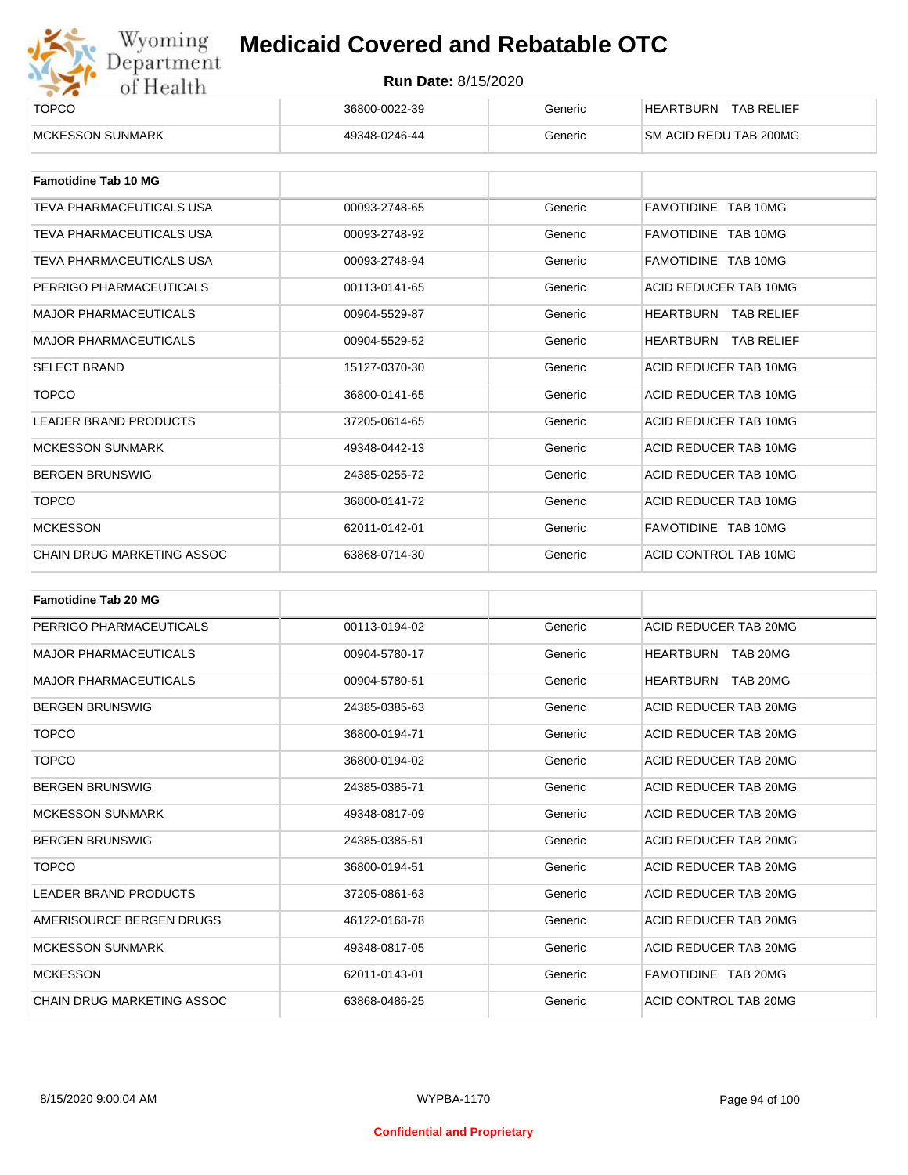

| ______<br><b>TOPCO</b>   | 36800-0022-39 | Generic | <b>TAB RELIEF</b><br><b>HEARTBURN</b> |
|--------------------------|---------------|---------|---------------------------------------|
| <b>IMCKESSON SUNMARK</b> | 49348-0246-44 | Generic | <b>SM ACID REDU TAB 200MG</b>         |

| <b>Famotidine Tab 10 MG</b>  |               |         |                             |
|------------------------------|---------------|---------|-----------------------------|
| TEVA PHARMACEUTICALS USA     | 00093-2748-65 | Generic | FAMOTIDINE TAB 10MG         |
| TEVA PHARMACEUTICALS USA     | 00093-2748-92 | Generic | FAMOTIDINE TAB 10MG         |
| TEVA PHARMACEUTICALS USA     | 00093-2748-94 | Generic | FAMOTIDINE TAB 10MG         |
| PERRIGO PHARMACEUTICALS      | 00113-0141-65 | Generic | ACID REDUCER TAB 10MG       |
| <b>MAJOR PHARMACEUTICALS</b> | 00904-5529-87 | Generic | HEARTBURN<br>TAB RELIEF     |
| <b>MAJOR PHARMACEUTICALS</b> | 00904-5529-52 | Generic | <b>HEARTBURN TAB RELIEF</b> |
| <b>SELECT BRAND</b>          | 15127-0370-30 | Generic | ACID REDUCER TAB 10MG       |
| <b>TOPCO</b>                 | 36800-0141-65 | Generic | ACID REDUCER TAB 10MG       |
| <b>LEADER BRAND PRODUCTS</b> | 37205-0614-65 | Generic | ACID REDUCER TAB 10MG       |
| <b>MCKESSON SUNMARK</b>      | 49348-0442-13 | Generic | ACID REDUCER TAB 10MG       |
| <b>BERGEN BRUNSWIG</b>       | 24385-0255-72 | Generic | ACID REDUCER TAB 10MG       |
| <b>TOPCO</b>                 | 36800-0141-72 | Generic | ACID REDUCER TAB 10MG       |
| <b>MCKESSON</b>              | 62011-0142-01 | Generic | FAMOTIDINE TAB 10MG         |
| CHAIN DRUG MARKETING ASSOC   | 63868-0714-30 | Generic | ACID CONTROL TAB 10MG       |

| <b>Famotidine Tab 20 MG</b>       |               |         |                              |
|-----------------------------------|---------------|---------|------------------------------|
| PERRIGO PHARMACEUTICALS           | 00113-0194-02 | Generic | ACID REDUCER TAB 20MG        |
| <b>MAJOR PHARMACEUTICALS</b>      | 00904-5780-17 | Generic | TAB 20MG<br>HEARTBURN        |
| <b>MAJOR PHARMACEUTICALS</b>      | 00904-5780-51 | Generic | <b>HEARTBURN</b><br>TAB 20MG |
| <b>BERGEN BRUNSWIG</b>            | 24385-0385-63 | Generic | ACID REDUCER TAB 20MG        |
| <b>TOPCO</b>                      | 36800-0194-71 | Generic | ACID REDUCER TAB 20MG        |
| <b>TOPCO</b>                      | 36800-0194-02 | Generic | ACID REDUCER TAB 20MG        |
| <b>BERGEN BRUNSWIG</b>            | 24385-0385-71 | Generic | ACID REDUCER TAB 20MG        |
| <b>MCKESSON SUNMARK</b>           | 49348-0817-09 | Generic | ACID REDUCER TAB 20MG        |
| <b>BERGEN BRUNSWIG</b>            | 24385-0385-51 | Generic | ACID REDUCER TAB 20MG        |
| <b>TOPCO</b>                      | 36800-0194-51 | Generic | ACID REDUCER TAB 20MG        |
| <b>LEADER BRAND PRODUCTS</b>      | 37205-0861-63 | Generic | ACID REDUCER TAB 20MG        |
| AMERISOURCE BERGEN DRUGS          | 46122-0168-78 | Generic | ACID REDUCER TAB 20MG        |
| <b>MCKESSON SUNMARK</b>           | 49348-0817-05 | Generic | ACID REDUCER TAB 20MG        |
| <b>MCKESSON</b>                   | 62011-0143-01 | Generic | FAMOTIDINE TAB 20MG          |
| <b>CHAIN DRUG MARKETING ASSOC</b> | 63868-0486-25 | Generic | ACID CONTROL TAB 20MG        |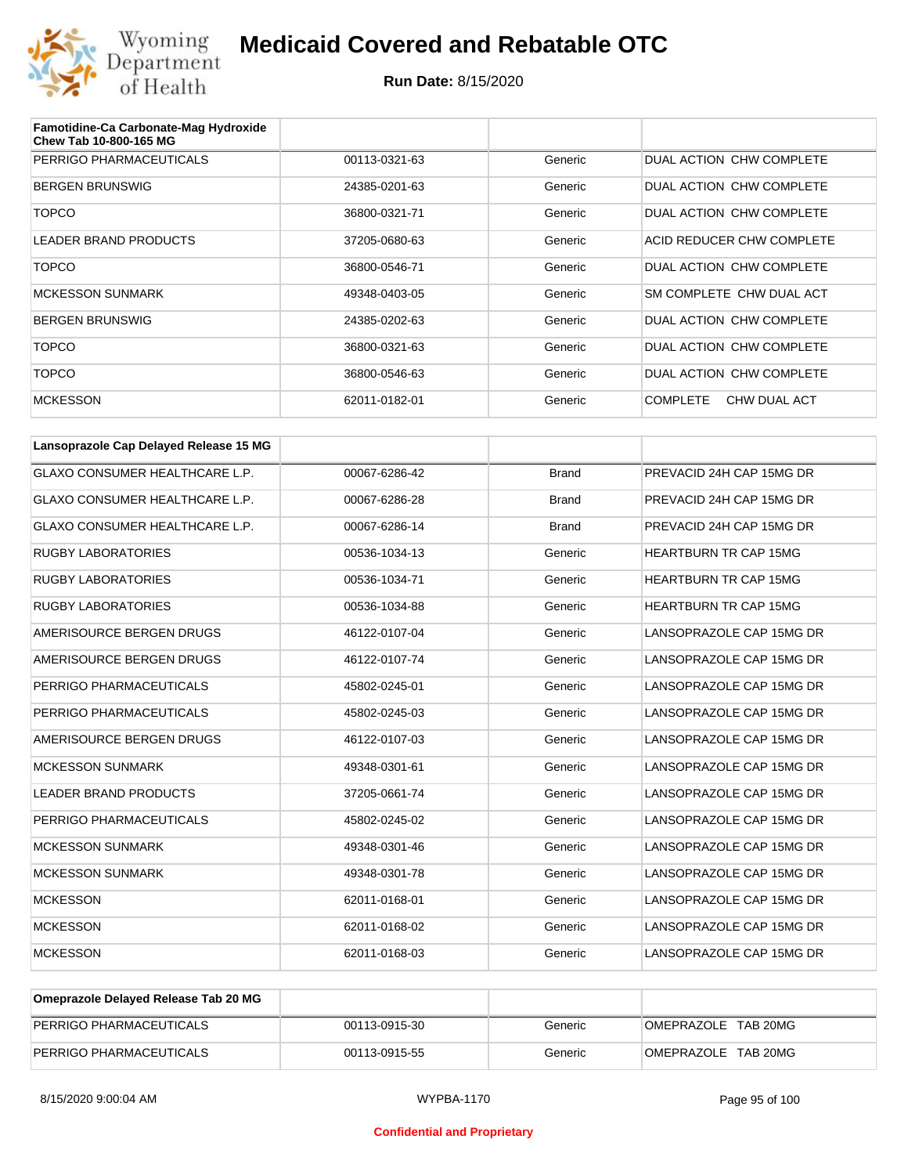

| Famotidine-Ca Carbonate-Mag Hydroxide<br>Chew Tab 10-800-165 MG |               |         |                                 |
|-----------------------------------------------------------------|---------------|---------|---------------------------------|
| PERRIGO PHARMACEUTICALS                                         | 00113-0321-63 | Generic | DUAL ACTION CHW COMPLETE        |
| <b>BERGEN BRUNSWIG</b>                                          | 24385-0201-63 | Generic | DUAL ACTION CHW COMPLETE        |
| <b>TOPCO</b>                                                    | 36800-0321-71 | Generic | DUAL ACTION CHW COMPLETE        |
| LEADER BRAND PRODUCTS                                           | 37205-0680-63 | Generic | ACID REDUCER CHW COMPLETE       |
| <b>TOPCO</b>                                                    | 36800-0546-71 | Generic | DUAL ACTION CHW COMPLETE        |
| <b>MCKESSON SUNMARK</b>                                         | 49348-0403-05 | Generic | SM COMPLETE CHW DUAL ACT        |
| <b>BERGEN BRUNSWIG</b>                                          | 24385-0202-63 | Generic | DUAL ACTION CHW COMPLETE        |
| <b>TOPCO</b>                                                    | 36800-0321-63 | Generic | DUAL ACTION CHW COMPLETE        |
| <b>TOPCO</b>                                                    | 36800-0546-63 | Generic | DUAL ACTION CHW COMPLETE        |
| <b>MCKESSON</b>                                                 | 62011-0182-01 | Generic | <b>COMPLETE</b><br>CHW DUAL ACT |

| Lansoprazole Cap Delayed Release 15 MG |               |              |                              |
|----------------------------------------|---------------|--------------|------------------------------|
| <b>GLAXO CONSUMER HEALTHCARE L.P.</b>  | 00067-6286-42 | <b>Brand</b> | PREVACID 24H CAP 15MG DR     |
| <b>GLAXO CONSUMER HEALTHCARE L.P.</b>  | 00067-6286-28 | <b>Brand</b> | PREVACID 24H CAP 15MG DR     |
| GLAXO CONSUMER HEALTHCARE L.P.         | 00067-6286-14 | <b>Brand</b> | PREVACID 24H CAP 15MG DR     |
| <b>RUGBY LABORATORIES</b>              | 00536-1034-13 | Generic      | <b>HEARTBURN TR CAP 15MG</b> |
| <b>RUGBY LABORATORIES</b>              | 00536-1034-71 | Generic      | <b>HEARTBURN TR CAP 15MG</b> |
| <b>RUGBY LABORATORIES</b>              | 00536-1034-88 | Generic      | HEARTBURN TR CAP 15MG        |
| AMERISOURCE BERGEN DRUGS               | 46122-0107-04 | Generic      | LANSOPRAZOLE CAP 15MG DR     |
| AMERISOURCE BERGEN DRUGS               | 46122-0107-74 | Generic      | LANSOPRAZOLE CAP 15MG DR     |
| PERRIGO PHARMACEUTICALS                | 45802-0245-01 | Generic      | LANSOPRAZOLE CAP 15MG DR     |
| PERRIGO PHARMACEUTICALS                | 45802-0245-03 | Generic      | LANSOPRAZOLE CAP 15MG DR     |
| AMERISOURCE BERGEN DRUGS               | 46122-0107-03 | Generic      | LANSOPRAZOLE CAP 15MG DR     |
| <b>MCKESSON SUNMARK</b>                | 49348-0301-61 | Generic      | LANSOPRAZOLE CAP 15MG DR     |
| <b>LEADER BRAND PRODUCTS</b>           | 37205-0661-74 | Generic      | LANSOPRAZOLE CAP 15MG DR     |
| PERRIGO PHARMACEUTICALS                | 45802-0245-02 | Generic      | LANSOPRAZOLE CAP 15MG DR     |
| <b>MCKESSON SUNMARK</b>                | 49348-0301-46 | Generic      | LANSOPRAZOLE CAP 15MG DR     |
| <b>MCKESSON SUNMARK</b>                | 49348-0301-78 | Generic      | LANSOPRAZOLE CAP 15MG DR     |
| <b>MCKESSON</b>                        | 62011-0168-01 | Generic      | LANSOPRAZOLE CAP 15MG DR     |
| <b>MCKESSON</b>                        | 62011-0168-02 | Generic      | LANSOPRAZOLE CAP 15MG DR     |
| <b>MCKESSON</b>                        | 62011-0168-03 | Generic      | LANSOPRAZOLE CAP 15MG DR     |

| Omeprazole Delayed Release Tab 20 MG |               |         |                     |
|--------------------------------------|---------------|---------|---------------------|
| PERRIGO PHARMACEUTICALS              | 00113-0915-30 | Generic | OMEPRAZOLE TAB 20MG |
| PERRIGO PHARMACEUTICALS              | 00113-0915-55 | Generic | OMEPRAZOLE TAB 20MG |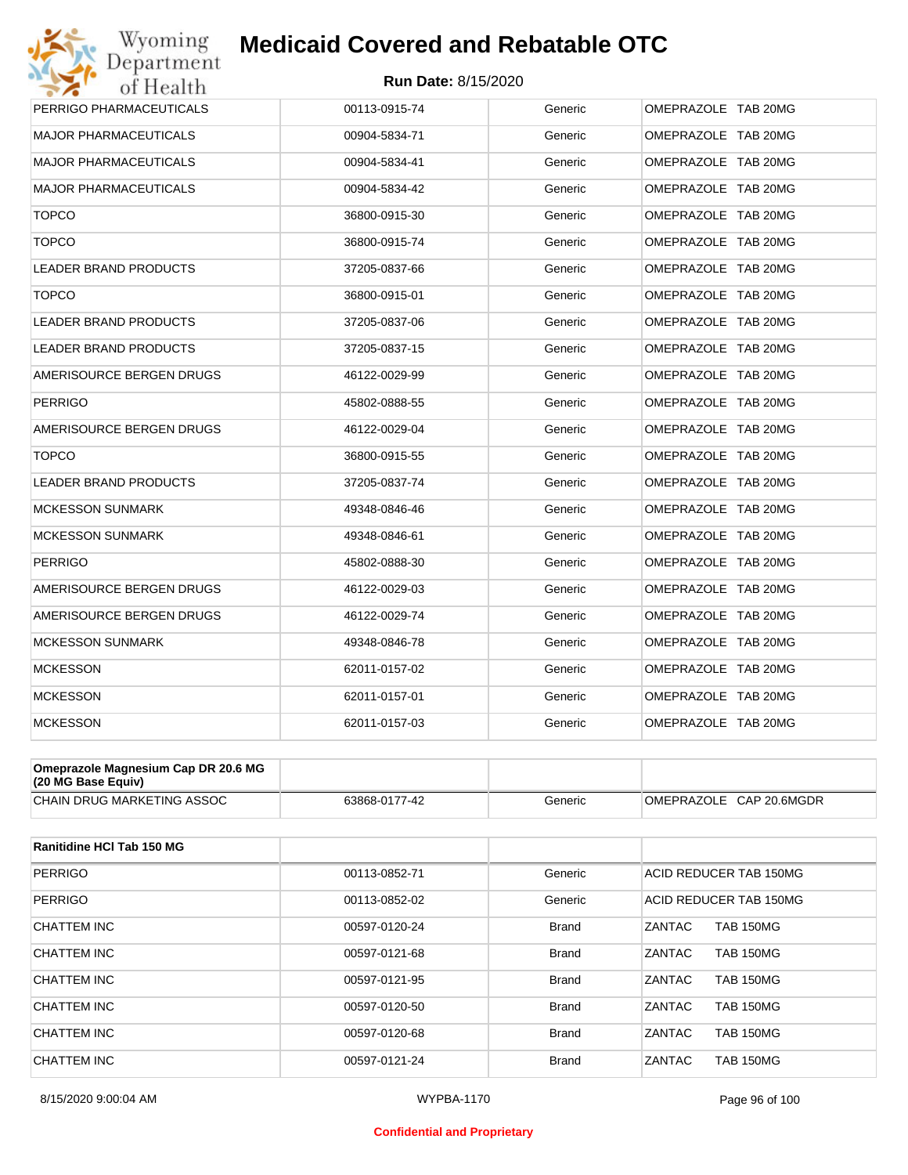

| Wyoming                      | <b>Medicaid Covered and Rebatable OTC</b> |         |                     |
|------------------------------|-------------------------------------------|---------|---------------------|
| Department<br>of Health      | <b>Run Date: 8/15/2020</b>                |         |                     |
| PERRIGO PHARMACEUTICALS      | 00113-0915-74                             | Generic | OMEPRAZOLE TAB 20MG |
| <b>MAJOR PHARMACEUTICALS</b> | 00904-5834-71                             | Generic | OMEPRAZOLE TAB 20MG |
| <b>MAJOR PHARMACEUTICALS</b> | 00904-5834-41                             | Generic | OMEPRAZOLE TAB 20MG |
| <b>MAJOR PHARMACEUTICALS</b> | 00904-5834-42                             | Generic | OMEPRAZOLE TAB 20MG |
| <b>TOPCO</b>                 | 36800-0915-30                             | Generic | OMEPRAZOLE TAB 20MG |
| <b>TOPCO</b>                 | 36800-0915-74                             | Generic | OMEPRAZOLE TAB 20MG |
| <b>LEADER BRAND PRODUCTS</b> | 37205-0837-66                             | Generic | OMEPRAZOLE TAB 20MG |
| <b>TOPCO</b>                 | 36800-0915-01                             | Generic | OMEPRAZOLE TAB 20MG |
| LEADER BRAND PRODUCTS        | 37205-0837-06                             | Generic | OMEPRAZOLE TAB 20MG |
| LEADER BRAND PRODUCTS        | 37205-0837-15                             | Generic | OMEPRAZOLE TAB 20MG |
| AMERISOURCE BERGEN DRUGS     | 46122-0029-99                             | Generic | OMEPRAZOLE TAB 20MG |
| PERRIGO                      | 45802-0888-55                             | Generic | OMEPRAZOLE TAB 20MG |
| AMERISOURCE BERGEN DRUGS     | 46122-0029-04                             | Generic | OMEPRAZOLE TAB 20MG |
| <b>TOPCO</b>                 | 36800-0915-55                             | Generic | OMEPRAZOLE TAB 20MG |
| LEADER BRAND PRODUCTS        | 37205-0837-74                             | Generic | OMEPRAZOLE TAB 20MG |
| <b>MCKESSON SUNMARK</b>      | 49348-0846-46                             | Generic | OMEPRAZOLE TAB 20MG |
| <b>MCKESSON SUNMARK</b>      | 49348-0846-61                             | Generic | OMEPRAZOLE TAB 20MG |
| PERRIGO                      | 45802-0888-30                             | Generic | OMEPRAZOLE TAB 20MG |
| AMERISOURCE BERGEN DRUGS     | 46122-0029-03                             | Generic | OMEPRAZOLE TAB 20MG |
| AMERISOURCE BERGEN DRUGS     | 46122-0029-74                             | Generic | OMEPRAZOLE TAB 20MG |
| <b>MCKESSON SUNMARK</b>      | 49348-0846-78                             | Generic | OMEPRAZOLE TAB 20MG |
| <b>MCKESSON</b>              | 62011-0157-02                             | Generic | OMEPRAZOLE TAB 20MG |
| <b>MCKESSON</b>              | 62011-0157-01                             | Generic | OMEPRAZOLE TAB 20MG |
| <b>MCKESSON</b>              | 62011-0157-03                             | Generic | OMEPRAZOLE TAB 20MG |
|                              |                                           |         |                     |

| Omeprazole Magnesium Cap DR 20.6 MG<br>$(20 \text{ MG Base}$ Equiv) |               |         |                         |
|---------------------------------------------------------------------|---------------|---------|-------------------------|
| <b>CHAIN DRUG MARKETING ASSOC</b>                                   | 63868-0177-42 | Generic | OMEPRAZOLE CAP 20.6MGDR |

| <b>Ranitidine HCI Tab 150 MG</b> |               |              |                                   |
|----------------------------------|---------------|--------------|-----------------------------------|
| <b>PERRIGO</b>                   | 00113-0852-71 | Generic      | ACID REDUCER TAB 150MG            |
| <b>PERRIGO</b>                   | 00113-0852-02 | Generic      | ACID REDUCER TAB 150MG            |
| CHATTEM INC                      | 00597-0120-24 | <b>Brand</b> | ZANTAC<br><b>TAB 150MG</b>        |
| CHATTEM INC                      | 00597-0121-68 | <b>Brand</b> | <b>ZANTAC</b><br><b>TAB 150MG</b> |
| CHATTEM INC                      | 00597-0121-95 | <b>Brand</b> | ZANTAC<br><b>TAB 150MG</b>        |
| CHATTEM INC                      | 00597-0120-50 | <b>Brand</b> | <b>ZANTAC</b><br><b>TAB 150MG</b> |
| CHATTEM INC                      | 00597-0120-68 | <b>Brand</b> | <b>ZANTAC</b><br><b>TAB 150MG</b> |
| CHATTEM INC                      | 00597-0121-24 | <b>Brand</b> | ZANTAC<br><b>TAB 150MG</b>        |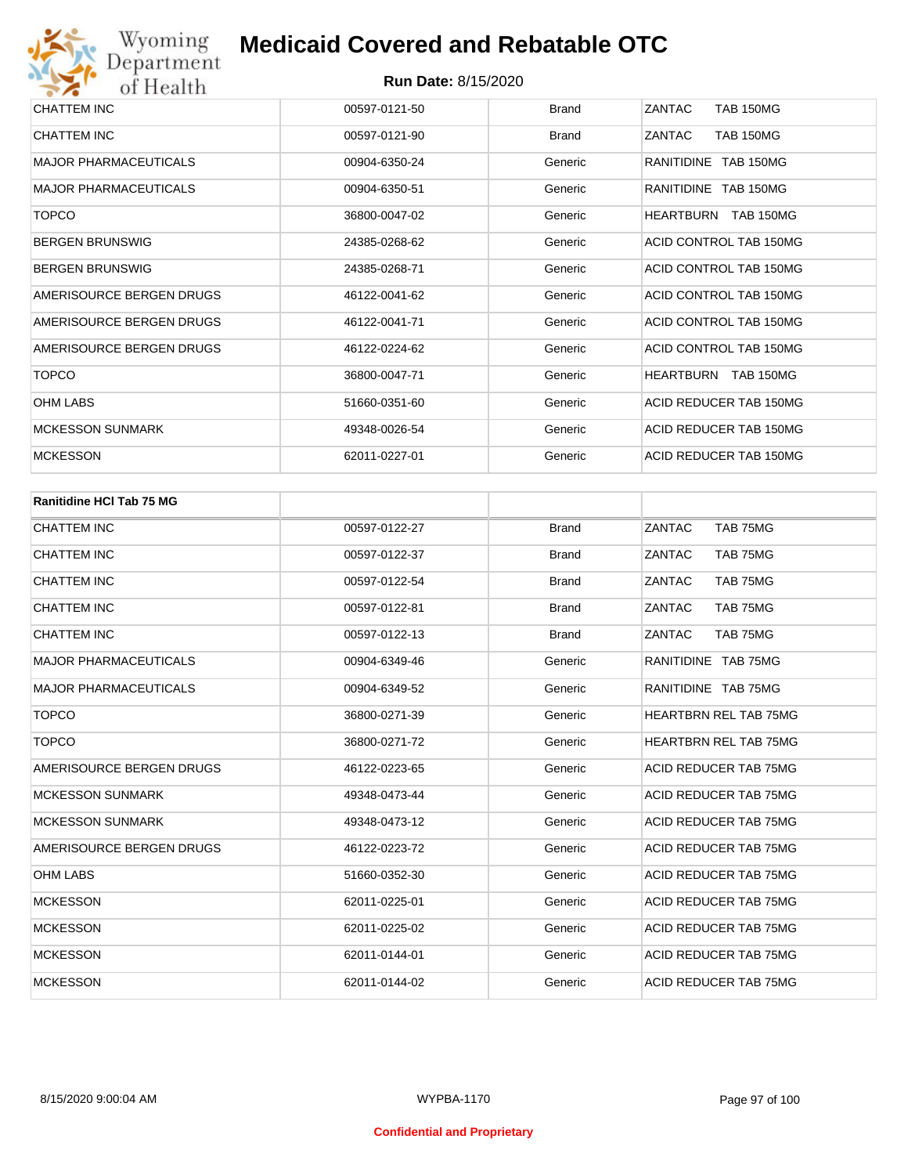| CHATTEM INC                  | 00597-0121-50 | <b>Brand</b> | ZANTAC<br><b>TAB 150MG</b> |
|------------------------------|---------------|--------------|----------------------------|
| CHATTEM INC                  | 00597-0121-90 | <b>Brand</b> | ZANTAC<br><b>TAB 150MG</b> |
| <b>MAJOR PHARMACEUTICALS</b> | 00904-6350-24 | Generic      | RANITIDINE TAB 150MG       |
| <b>MAJOR PHARMACEUTICALS</b> | 00904-6350-51 | Generic      | RANITIDINE TAB 150MG       |
| <b>TOPCO</b>                 | 36800-0047-02 | Generic      | HEARTBURN TAB 150MG        |
| <b>BERGEN BRUNSWIG</b>       | 24385-0268-62 | Generic      | ACID CONTROL TAB 150MG     |
| <b>BERGEN BRUNSWIG</b>       | 24385-0268-71 | Generic      | ACID CONTROL TAB 150MG     |
| AMERISOURCE BERGEN DRUGS     | 46122-0041-62 | Generic      | ACID CONTROL TAB 150MG     |
| AMERISOURCE BERGEN DRUGS     | 46122-0041-71 | Generic      | ACID CONTROL TAB 150MG     |
| AMERISOURCE BERGEN DRUGS     | 46122-0224-62 | Generic      | ACID CONTROL TAB 150MG     |
| <b>TOPCO</b>                 | 36800-0047-71 | Generic      | HEARTBURN TAB 150MG        |
| <b>OHM LABS</b>              | 51660-0351-60 | Generic      | ACID REDUCER TAB 150MG     |
| <b>MCKESSON SUNMARK</b>      | 49348-0026-54 | Generic      | ACID REDUCER TAB 150MG     |
| <b>MCKESSON</b>              | 62011-0227-01 | Generic      | ACID REDUCER TAB 150MG     |

| <b>Ranitidine HCI Tab 75 MG</b> |               |              |                              |
|---------------------------------|---------------|--------------|------------------------------|
| CHATTEM INC                     | 00597-0122-27 | <b>Brand</b> | TAB 75MG<br>ZANTAC           |
| <b>CHATTEM INC</b>              | 00597-0122-37 | <b>Brand</b> | ZANTAC<br>TAB 75MG           |
| <b>CHATTEM INC</b>              | 00597-0122-54 | <b>Brand</b> | ZANTAC<br>TAB 75MG           |
| <b>CHATTEM INC</b>              | 00597-0122-81 | <b>Brand</b> | ZANTAC<br>TAB 75MG           |
| <b>CHATTEM INC</b>              | 00597-0122-13 | <b>Brand</b> | ZANTAC<br>TAB 75MG           |
| <b>MAJOR PHARMACEUTICALS</b>    | 00904-6349-46 | Generic      | RANITIDINE TAB 75MG          |
| <b>MAJOR PHARMACEUTICALS</b>    | 00904-6349-52 | Generic      | RANITIDINE TAB 75MG          |
| <b>TOPCO</b>                    | 36800-0271-39 | Generic      | <b>HEARTBRN REL TAB 75MG</b> |
| <b>TOPCO</b>                    | 36800-0271-72 | Generic      | <b>HEARTBRN REL TAB 75MG</b> |
| AMERISOURCE BERGEN DRUGS        | 46122-0223-65 | Generic      | ACID REDUCER TAB 75MG        |
| <b>MCKESSON SUNMARK</b>         | 49348-0473-44 | Generic      | ACID REDUCER TAB 75MG        |
| <b>MCKESSON SUNMARK</b>         | 49348-0473-12 | Generic      | ACID REDUCER TAB 75MG        |
| AMERISOURCE BERGEN DRUGS        | 46122-0223-72 | Generic      | ACID REDUCER TAB 75MG        |
| <b>OHM LABS</b>                 | 51660-0352-30 | Generic      | ACID REDUCER TAB 75MG        |
| <b>MCKESSON</b>                 | 62011-0225-01 | Generic      | ACID REDUCER TAB 75MG        |
| <b>MCKESSON</b>                 | 62011-0225-02 | Generic      | ACID REDUCER TAB 75MG        |
| <b>MCKESSON</b>                 | 62011-0144-01 | Generic      | ACID REDUCER TAB 75MG        |
| <b>MCKESSON</b>                 | 62011-0144-02 | Generic      | ACID REDUCER TAB 75MG        |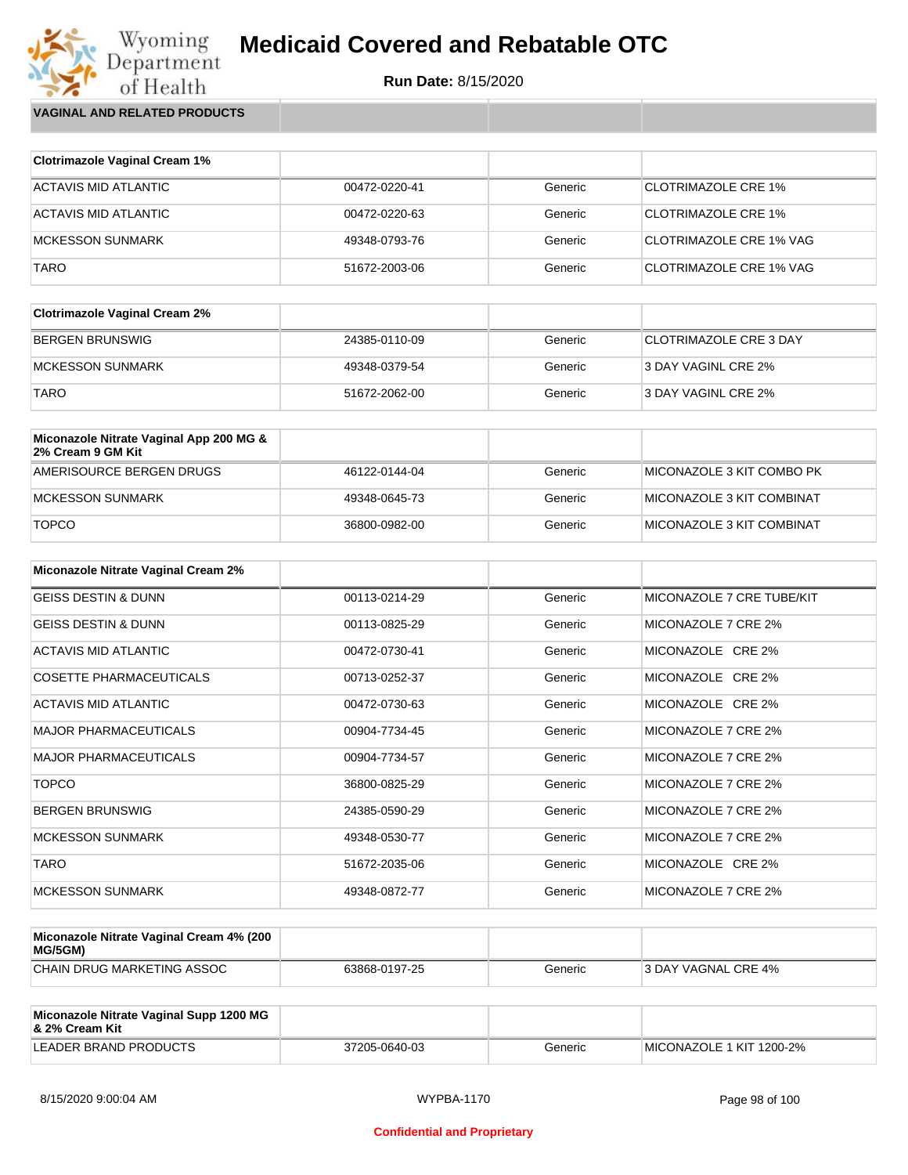**Run Date:** 8/15/2020

Wyoming<br>Department<br>of Health **VAGINAL AND RELATED PRODUCTS**

| <b>Clotrimazole Vaginal Cream 1%</b> |               |         |                                |
|--------------------------------------|---------------|---------|--------------------------------|
| ACTAVIS MID ATLANTIC                 | 00472-0220-41 | Generic | CLOTRIMAZOLE CRE 1%            |
| ACTAVIS MID ATLANTIC                 | 00472-0220-63 | Generic | <b>CLOTRIMAZOLE CRE 1%</b>     |
| MCKESSON SUNMARK                     | 49348-0793-76 | Generic | CLOTRIMAZOLE CRE 1% VAG        |
| <b>TARO</b>                          | 51672-2003-06 | Generic | <b>CLOTRIMAZOLE CRE 1% VAG</b> |

| <b>Clotrimazole Vaginal Cream 2%</b> |               |         |                               |
|--------------------------------------|---------------|---------|-------------------------------|
| BERGEN BRUNSWIG                      | 24385-0110-09 | Generic | <b>CLOTRIMAZOLE CRE 3 DAY</b> |
| <b>IMCKESSON SUNMARK</b>             | 49348-0379-54 | Generic | 3 DAY VAGINL CRE 2%           |
| <b>TARO</b>                          | 51672-2062-00 | Generic | 3 DAY VAGINL CRE 2%           |

| Miconazole Nitrate Vaginal App 200 MG &<br>2% Cream 9 GM Kit |               |         |                               |
|--------------------------------------------------------------|---------------|---------|-------------------------------|
| AMERISOURCE BERGEN DRUGS                                     | 46122-0144-04 | Generic | ™II MICONAZOLE 3 KIT COMBO PK |
| MCKESSON SUNMARK                                             | 49348-0645-73 | Generic | MICONAZOLE 3 KIT COMBINAT     |
| <b>TOPCO</b>                                                 | 36800-0982-00 | Generic | MICONAZOLE 3 KIT COMBINAT     |

| <b>Miconazole Nitrate Vaginal Cream 2%</b> |               |         |                           |
|--------------------------------------------|---------------|---------|---------------------------|
| <b>GEISS DESTIN &amp; DUNN</b>             | 00113-0214-29 | Generic | MICONAZOLE 7 CRE TUBE/KIT |
| <b>GEISS DESTIN &amp; DUNN</b>             | 00113-0825-29 | Generic | MICONAZOLE 7 CRE 2%       |
| ACTAVIS MID ATLANTIC                       | 00472-0730-41 | Generic | MICONAZOLE CRE 2%         |
| <b>COSETTE PHARMACEUTICALS</b>             | 00713-0252-37 | Generic | MICONAZOLE CRE 2%         |
| ACTAVIS MID ATLANTIC                       | 00472-0730-63 | Generic | MICONAZOLE CRE 2%         |
| <b>MAJOR PHARMACEUTICALS</b>               | 00904-7734-45 | Generic | MICONAZOLE 7 CRE 2%       |
| <b>MAJOR PHARMACEUTICALS</b>               | 00904-7734-57 | Generic | MICONAZOLE 7 CRE 2%       |
| <b>TOPCO</b>                               | 36800-0825-29 | Generic | MICONAZOLE 7 CRE 2%       |
| <b>BERGEN BRUNSWIG</b>                     | 24385-0590-29 | Generic | MICONAZOLE 7 CRE 2%       |
| <b>MCKESSON SUNMARK</b>                    | 49348-0530-77 | Generic | MICONAZOLE 7 CRE 2%       |
| <b>TARO</b>                                | 51672-2035-06 | Generic | MICONAZOLE CRE 2%         |
| <b>MCKESSON SUNMARK</b>                    | 49348-0872-77 | Generic | MICONAZOLE 7 CRE 2%       |

| Miconazole Nitrate Vaginal Cream 4% (200<br>MG/5GM) |               |         |                            |
|-----------------------------------------------------|---------------|---------|----------------------------|
| CHAIN DRUG MARKETING ASSOC                          | 63868-0197-25 | Generic | <b>3 DAY VAGNAL CRE 4%</b> |

| Miconazole Nitrate Vaginal Supp 1200 MG<br>8. 2% Cream Kit |               |         |                          |
|------------------------------------------------------------|---------------|---------|--------------------------|
| LEADER BRAND PRODUCTS                                      | 37205-0640-03 | Generic | MICONAZOLE 1 KIT 1200-2% |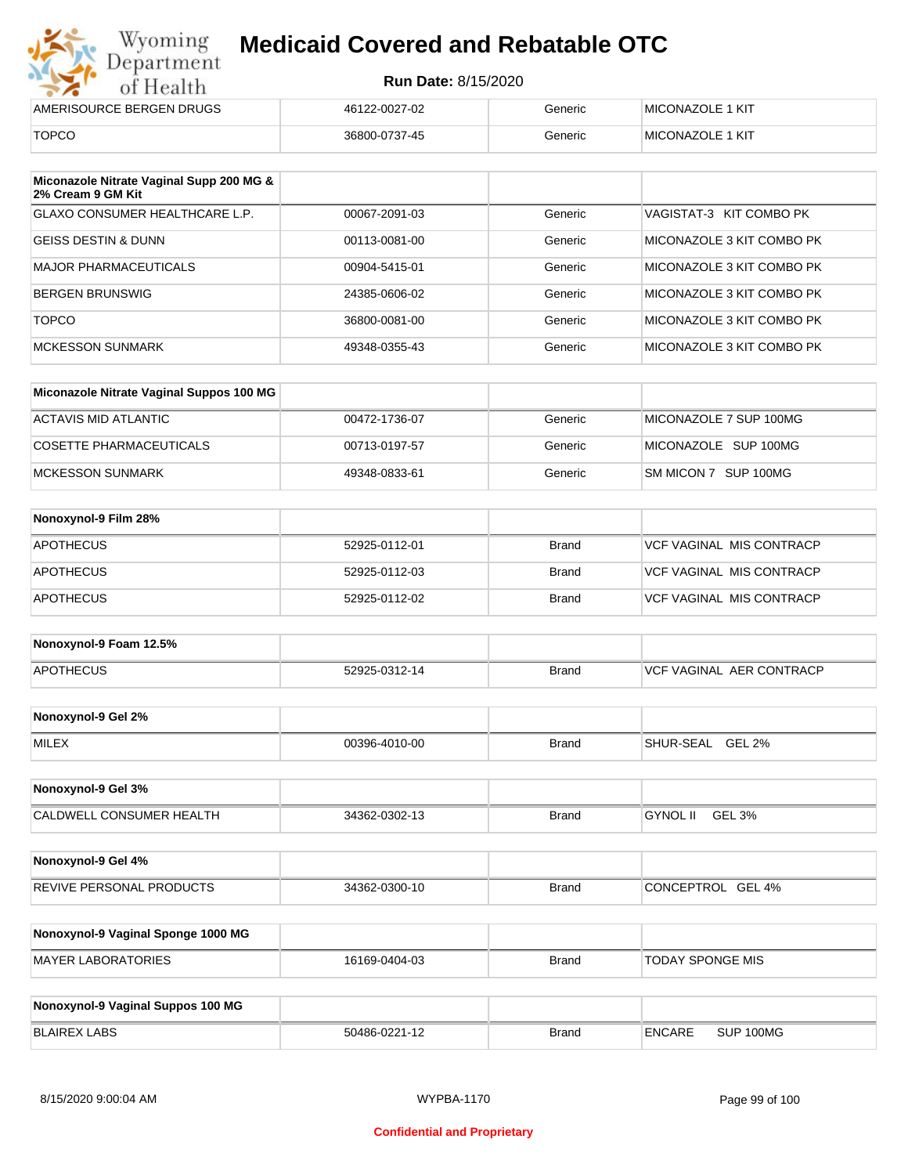| Wyoming<br><b>Medicaid Covered and Rebatable OTC</b><br>Department |                            |         |                         |  |  |
|--------------------------------------------------------------------|----------------------------|---------|-------------------------|--|--|
| of Health                                                          | <b>Run Date: 8/15/2020</b> |         |                         |  |  |
| AMERISOURCE BERGEN DRUGS                                           | 46122-0027-02              | Generic | <b>MICONAZOLE 1 KIT</b> |  |  |
| <b>TOPCO</b>                                                       | 36800-0737-45              | Generic | <b>MICONAZOLE 1 KIT</b> |  |  |

| Miconazole Nitrate Vaginal Supp 200 MG &<br>2% Cream 9 GM Kit |               |         |                           |
|---------------------------------------------------------------|---------------|---------|---------------------------|
| GLAXO CONSUMER HEALTHCARE L.P.                                | 00067-2091-03 | Generic | VAGISTAT-3 KIT COMBO PK   |
| GEISS DESTIN & DUNN                                           | 00113-0081-00 | Generic | MICONAZOLE 3 KIT COMBO PK |
| MAJOR PHARMACEUTICALS                                         | 00904-5415-01 | Generic | MICONAZOLE 3 KIT COMBO PK |
| BERGEN BRUNSWIG                                               | 24385-0606-02 | Generic | MICONAZOLE 3 KIT COMBO PK |
| <b>TOPCO</b>                                                  | 36800-0081-00 | Generic | MICONAZOLE 3 KIT COMBO PK |
| <b>MCKESSON SUNMARK</b>                                       | 49348-0355-43 | Generic | MICONAZOLE 3 KIT COMBO PK |

| Miconazole Nitrate Vaginal Suppos 100 MG |               |         |                        |
|------------------------------------------|---------------|---------|------------------------|
| ACTAVIS MID ATLANTIC                     | 00472-1736-07 | Generic | MICONAZOLE 7 SUP 100MG |
| COSETTE PHARMACEUTICALS                  | 00713-0197-57 | Generic | MICONAZOLE SUP 100MG   |
| IMCKESSON SUNMARK                        | 49348-0833-61 | Generic | SM MICON 7 SUP 100MG   |

| Nonoxynol-9 Film 28% |               |              |                          |
|----------------------|---------------|--------------|--------------------------|
| <b>APOTHECUS</b>     | 52925-0112-01 | <b>Brand</b> | VCF VAGINAL MIS CONTRACP |
| <b>APOTHECUS</b>     | 52925-0112-03 | <b>Brand</b> | VCF VAGINAL MIS CONTRACP |
| <b>APOTHECUS</b>     | 52925-0112-02 | <b>Brand</b> | VCF VAGINAL MIS CONTRACP |

| Nonoxynol-9 Foam 12.5% |               |              |                               |
|------------------------|---------------|--------------|-------------------------------|
| <b>APOTHECUS</b>       | 52925-0312-14 | <b>Brand</b> | . AER CONTRACP<br>VCF VAGINAL |

| Nonoxynol-9 Gel 2% |               |       |                            |
|--------------------|---------------|-------|----------------------------|
| <b>MILEX</b>       | 00396-4010-00 | Brand | GEL 2%<br><b>SHUR-SEAL</b> |

| Nonoxynol-9 Gel 3%              |               |       |                           |  |
|---------------------------------|---------------|-------|---------------------------|--|
| <b>CALDWELL CONSUMER HEALTH</b> | 34362-0302-13 | Brand | <b>GYNOL II</b><br>GEL 3% |  |

| Nonoxynol-9 Gel 4%              |               |              |                      |
|---------------------------------|---------------|--------------|----------------------|
| <b>REVIVE PERSONAL PRODUCTS</b> | 34362-0300-10 | <b>Brand</b> | GEL 4%<br>CONCEPTROL |

| Nonoxynol-9 Vaginal Sponge 1000 MG |               |              |                         |
|------------------------------------|---------------|--------------|-------------------------|
| <b>MAYER LABORATORIES</b>          | 16169-0404-03 | <b>Brand</b> | <b>TODAY SPONGE MIS</b> |

| Nonoxynol-9 Vaginal Suppos 100 MG |               |              |               |           |
|-----------------------------------|---------------|--------------|---------------|-----------|
| <b>BLAIREX LABS</b>               | 50486-0221-12 | <b>Brand</b> | <b>ENCARE</b> | SUP 100MG |